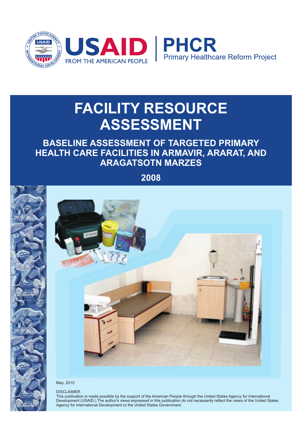

# **FACILITY RESOURCE ASSESSMENT**

# **BASELINE ASSESSMENT OF TARGETED PRIMARY HEALTH CARE FACILITIES IN ARMAVIR, ARARAT, AND ARAGATSOTN MARZES**

**2008**



#### May, 2010

#### DISCLAIMER

This publication is made possible by the support of the American People through the United States Agency for International Development (USAID.) The author's views expressed in this publication do not necessarily reflect the views of the United States Agency for International Development or the United States Government.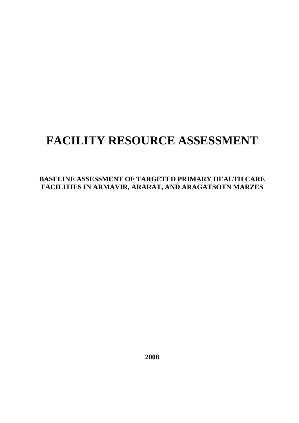# **FACILITY RESOURCE ASSESSMENT**

**BASELINE ASSESSMENT OF TARGETED PRIMARY HEALTH CARE FACILITIES IN ARMAVIR, ARARAT, AND ARAGATSOTN MARZES** 

**2008**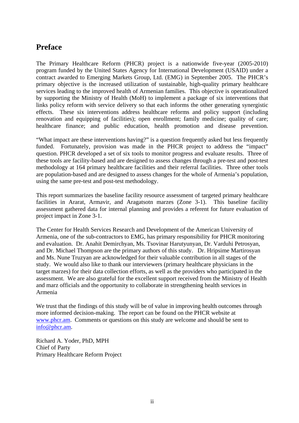## **Preface**

The Primary Healthcare Reform (PHCR) project is a nationwide five-year (2005-2010) program funded by the United States Agency for International Development (USAID) under a contract awarded to Emerging Markets Group, Ltd. (EMG) in September 2005. The PHCR's primary objective is the increased utilization of sustainable, high-quality primary healthcare services leading to the improved health of Armenian families. This objective is operationalized by supporting the Ministry of Health (MoH) to implement a package of six interventions that links policy reform with service delivery so that each informs the other generating synergistic effects. These six interventions address healthcare reforms and policy support (including renovation and equipping of facilities); open enrollment; family medicine; quality of care; healthcare finance; and public education, health promotion and disease prevention.

"What impact are these interventions having?" is a question frequently asked but less frequently funded. Fortunately, provision was made in the PHCR project to address the "impact" question. PHCR developed a set of six tools to monitor progress and evaluate results. Three of these tools are facility-based and are designed to assess changes through a pre-test and post-test methodology at 164 primary healthcare facilities and their referral facilities. Three other tools are population-based and are designed to assess changes for the whole of Armenia's population, using the same pre-test and post-test methodology.

This report summarizes the baseline facility resource assessment of targeted primary healthcare facilities in Ararat, Armavir, and Aragatsotn marzes (Zone 3-1). This baseline facility assessment gathered data for internal planning and provides a referent for future evaluation of project impact in Zone 3-1.

The Center for Health Services Research and Development of the American University of Armenia, one of the sub-contractors to EMG, has primary responsibility for PHCR monitoring and evaluation. Dr. Anahit Demirchyan, Ms. Tsovinar Harutyunyan, Dr. Varduhi Petrosyan, and Dr. Michael Thompson are the primary authors of this study. Dr. Hripsime Martirosyan and Ms. Nune Truzyan are acknowledged for their valuable contribution in all stages of the study. We would also like to thank our interviewers (primary healthcare physicians in the target marzes) for their data collection efforts, as well as the providers who participated in the assessment. We are also grateful for the excellent support received from the Ministry of Health and marz officials and the opportunity to collaborate in strengthening health services in Armenia

We trust that the findings of this study will be of value in improving health outcomes through more informed decision-making. The report can be found on the PHCR website at www.phcr.am. Comments or questions on this study are welcome and should be sent to info@phcr.am.

Richard A. Yoder, PhD, MPH Chief of Party Primary Healthcare Reform Project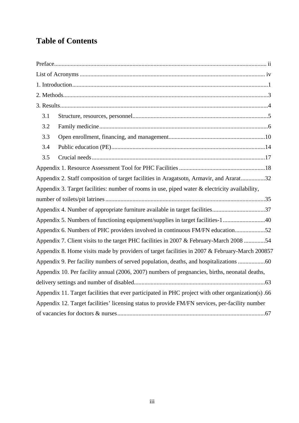# **Table of Contents**

| 3.1 |                                                                                                    |  |
|-----|----------------------------------------------------------------------------------------------------|--|
| 3.2 |                                                                                                    |  |
| 3.3 |                                                                                                    |  |
| 3.4 |                                                                                                    |  |
| 3.5 |                                                                                                    |  |
|     |                                                                                                    |  |
|     | Appendix 2. Staff composition of target facilities in Aragatsotn, Armavir, and Ararat32            |  |
|     | Appendix 3. Target facilities: number of rooms in use, piped water & electricity availability,     |  |
|     |                                                                                                    |  |
|     | Appendix 4. Number of appropriate furniture available in target facilities37                       |  |
|     | Appendix 5. Numbers of functioning equipment/supplies in target facilities-140                     |  |
|     | Appendix 6. Numbers of PHC providers involved in continuous FM/FN education52                      |  |
|     | Appendix 7. Client visits to the target PHC facilities in 2007 & February-March 2008 54            |  |
|     | Appendix 8. Home visits made by providers of target facilities in 2007 & February-March 200857     |  |
|     | Appendix 9. Per facility numbers of served population, deaths, and hospitalizations                |  |
|     | Appendix 10. Per facility annual (2006, 2007) numbers of pregnancies, births, neonatal deaths,     |  |
|     |                                                                                                    |  |
|     | Appendix 11. Target facilities that ever participated in PHC project with other organization(s).66 |  |
|     | Appendix 12. Target facilities' licensing status to provide FM/FN services, per-facility number    |  |
|     |                                                                                                    |  |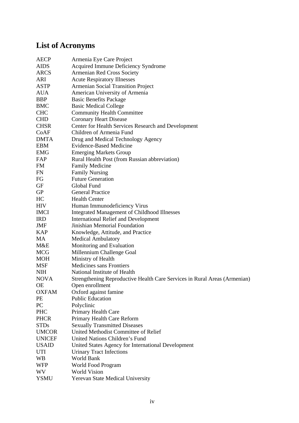# **List of Acronyms**

| <b>AECP</b>   | Armenia Eye Care Project                                                  |
|---------------|---------------------------------------------------------------------------|
| <b>AIDS</b>   | Acquired Immune Deficiency Syndrome                                       |
| <b>ARCS</b>   | Armenian Red Cross Society                                                |
| ARI           | <b>Acute Respiratory Illnesses</b>                                        |
| <b>ASTP</b>   | <b>Armenian Social Transition Project</b>                                 |
| AUA           | American University of Armenia                                            |
| <b>BBP</b>    | <b>Basic Benefits Package</b>                                             |
| <b>BMC</b>    | <b>Basic Medical College</b>                                              |
| <b>CHC</b>    | <b>Community Health Committee</b>                                         |
| <b>CHD</b>    | <b>Coronary Heart Disease</b>                                             |
| <b>CHSR</b>   | Center for Health Services Research and Development                       |
| CoAF          | Children of Armenia Fund                                                  |
| <b>DMTA</b>   | Drug and Medical Technology Agency                                        |
| EBM           | <b>Evidence-Based Medicine</b>                                            |
| EMG           | <b>Emerging Markets Group</b>                                             |
| FAP           | Rural Health Post (from Russian abbreviation)                             |
| FM            | <b>Family Medicine</b>                                                    |
| FN            | <b>Family Nursing</b>                                                     |
| FG            | <b>Future Generation</b>                                                  |
| GF            | Global Fund                                                               |
| <b>GP</b>     | <b>General Practice</b>                                                   |
| HC            | <b>Health Center</b>                                                      |
| HIV           | Human Immunodeficiency Virus                                              |
| <b>IMCI</b>   | <b>Integrated Management of Childhood Illnesses</b>                       |
| <b>IRD</b>    | <b>International Relief and Development</b>                               |
| JMF           | Jinishian Memorial Foundation                                             |
| <b>KAP</b>    | Knowledge, Attitude, and Practice                                         |
| MA            | <b>Medical Ambulatory</b>                                                 |
| M&E           | Monitoring and Evaluation                                                 |
| MCG           | Millennium Challenge Goal                                                 |
| MOH           | Ministry of Health                                                        |
| MSF           | <b>Medicines sans Frontiers</b>                                           |
| NIH           | National Institute of Health                                              |
| <b>NOVA</b>   | Strengthening Reproductive Health Care Services in Rural Areas (Armenian) |
| ОE            | Open enrollment                                                           |
| <b>OXFAM</b>  | Oxford against famine                                                     |
| PE            | <b>Public Education</b>                                                   |
| PC            | Polyclinic                                                                |
| PHC           | Primary Health Care                                                       |
| <b>PHCR</b>   | Primary Health Care Reform                                                |
| <b>STDs</b>   | <b>Sexually Transmitted Diseases</b>                                      |
| <b>UMCOR</b>  | United Methodist Committee of Relief                                      |
| <b>UNICEF</b> | United Nations Children's Fund                                            |
| <b>USAID</b>  | United States Agency for International Development                        |
| UTI           | <b>Urinary Tract Infections</b>                                           |
| WB            | World Bank                                                                |
| <b>WFP</b>    | World Food Program                                                        |
| WV            | <b>World Vision</b>                                                       |
| <b>YSMU</b>   | Yerevan State Medical University                                          |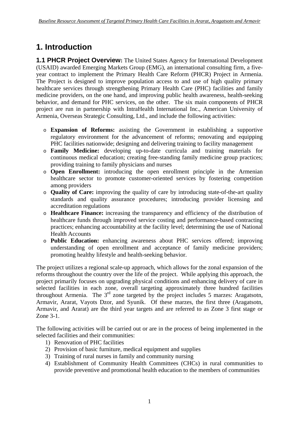# **1. Introduction**

**1.1 PHCR Project Overview:** The United States Agency for International Development (USAID) awarded Emerging Markets Group (EMG), an international consulting firm, a fiveyear contract to implement the Primary Health Care Reform (PHCR) Project in Armenia. The Project is designed to improve population access to and use of high quality primary healthcare services through strengthening Primary Health Care (PHC) facilities and family medicine providers, on the one hand, and improving public health awareness, health-seeking behavior, and demand for PHC services, on the other. The six main components of PHCR project are run in partnership with IntraHealth International Inc., American University of Armenia, Overseas Strategic Consulting, Ltd., and include the following activities:

- o **Expansion of Reforms:** assisting the Government in establishing a supportive regulatory environment for the advancement of reforms; renovating and equipping PHC facilities nationwide; designing and delivering training to facility management
- o **Family Medicine:** developing up-to-date curricula and training materials for continuous medical education; creating free-standing family medicine group practices; providing training to family physicians and nurses
- o **Open Enrollment:** introducing the open enrollment principle in the Armenian healthcare sector to promote customer-oriented services by fostering competition among providers
- o **Quality of Care:** improving the quality of care by introducing state-of-the-art quality standards and quality assurance procedures; introducing provider licensing and accreditation regulations
- o **Healthcare Finance:** increasing the transparency and efficiency of the distribution of healthcare funds through improved service costing and performance-based contracting practices; enhancing accountability at the facility level; determining the use of National Health Accounts
- o **Public Education:** enhancing awareness about PHC services offered; improving understanding of open enrollment and acceptance of family medicine providers; promoting healthy lifestyle and health-seeking behavior.

The project utilizes a regional scale-up approach, which allows for the zonal expansion of the reforms throughout the country over the life of the project. While applying this approach, the project primarily focuses on upgrading physical conditions and enhancing delivery of care in selected facilities in each zone, overall targeting approximately three hundred facilities throughout Armenia. The  $3<sup>rd</sup>$  zone targeted by the project includes 5 marzes: Aragatsotn, Armavir, Ararat, Vayots Dzor, and Syunik. Of these marzes, the first three (Aragatsotn, Armavir, and Ararat) are the third year targets and are referred to as Zone 3 first stage or Zone 3-1.

The following activities will be carried out or are in the process of being implemented in the selected facilities and their communities:

- 1) Renovation of PHC facilities
- 2) Provision of basic furniture, medical equipment and supplies
- 3) Training of rural nurses in family and community nursing
- 4) Establishment of Community Health Committees (CHCs) in rural communities to provide preventive and promotional health education to the members of communities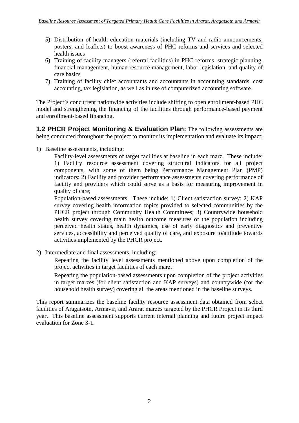- 5) Distribution of health education materials (including TV and radio announcements, posters, and leaflets) to boost awareness of PHC reforms and services and selected health issues
- 6) Training of facility managers (referral facilities) in PHC reforms, strategic planning, financial management, human resource management, labor legislation, and quality of care basics
- 7) Training of facility chief accountants and accountants in accounting standards, cost accounting, tax legislation, as well as in use of computerized accounting software.

The Project's concurrent nationwide activities include shifting to open enrollment-based PHC model and strengthening the financing of the facilities through performance-based payment and enrollment-based financing.

**1.2 PHCR Project Monitoring & Evaluation Plan:** The following assessments are being conducted throughout the project to monitor its implementation and evaluate its impact:

1) Baseline assessments, including:

Facility-level assessments of target facilities at baseline in each marz. These include: 1) Facility resource assessment covering structural indicators for all project components, with some of them being Performance Management Plan (PMP) indicators; 2) Facility and provider performance assessments covering performance of facility and providers which could serve as a basis for measuring improvement in quality of care;

Population-based assessments. These include: 1) Client satisfaction survey; 2) KAP survey covering health information topics provided to selected communities by the PHCR project through Community Health Committees; 3) Countrywide household health survey covering main health outcome measures of the population including perceived health status, health dynamics, use of early diagnostics and preventive services, accessibility and perceived quality of care, and exposure to/attitude towards activities implemented by the PHCR project.

2) Intermediate and final assessments, including:

Repeating the facility level assessments mentioned above upon completion of the project activities in target facilities of each marz.

Repeating the population-based assessments upon completion of the project activities in target marzes (for client satisfaction and KAP surveys) and countrywide (for the household health survey) covering all the areas mentioned in the baseline surveys.

This report summarizes the baseline facility resource assessment data obtained from select facilities of Aragatsotn, Armavir, and Ararat marzes targeted by the PHCR Project in its third year. This baseline assessment supports current internal planning and future project impact evaluation for Zone 3-1.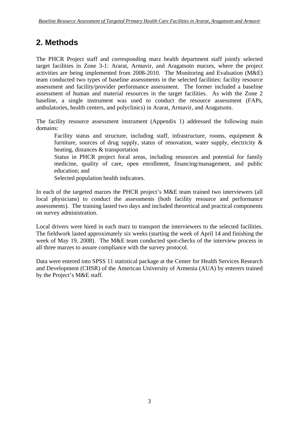# **2. Methods**

The PHCR Project staff and corresponding marz health department staff jointly selected target facilities in Zone 3-1: Ararat, Armavir, and Aragatsotn marzes, where the project activities are being implemented from 2008-2010. The Monitoring and Evaluation (M&E) team conducted two types of baseline assessments in the selected facilities: facility resource assessment and facility/provider performance assessment. The former included a baseline assessment of human and material resources in the target facilities. As with the Zone 2 baseline, a single instrument was used to conduct the resource assessment (FAPs, ambulatories, health centers, and polyclinics) in Ararat, Armavir, and Aragatsotn.

The facility resource assessment instrument (Appendix 1) addressed the following main domains:

Facility status and structure, including staff, infrastructure, rooms, equipment & furniture, sources of drug supply, status of renovation, water supply, electricity & heating, distances & transportation

Status in PHCR project focal areas, including resources and potential for family medicine, quality of care, open enrollment, financing/management, and public education; and

Selected population health indicators.

In each of the targeted marzes the PHCR project's M&E team trained two interviewers (all local physicians) to conduct the assessments (both facility resource and performance assessments). The training lasted two days and included theoretical and practical components on survey administration.

Local drivers were hired in each marz to transport the interviewers to the selected facilities. The fieldwork lasted approximately six weeks (starting the week of April 14 and finishing the week of May 19, 2008). The M&E team conducted spot-checks of the interview process in all three marzes to assure compliance with the survey protocol.

Data were entered into SPSS 11 statistical package at the Center for Health Services Research and Development (CHSR) of the American University of Armenia (AUA) by enterers trained by the Project's M&E staff.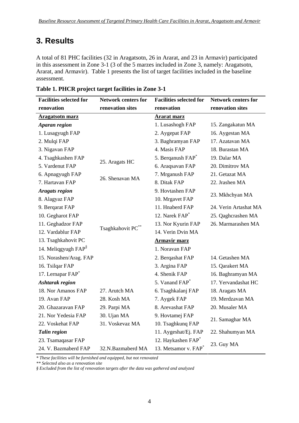## **3. Results**

A total of 81 PHC facilities (32 in Aragatsotn, 26 in Ararat, and 23 in Armavir) participated in this assessment in Zone 3-1 (3 of the 5 marzes included in Zone 3, namely: Aragatsotn, Ararat, and Armavir). Table 1 presents the list of target facilities included in the baseline assessment.

| <b>Facilities selected for</b> | <b>Network centers for</b> | <b>Facilities selected for</b>   | <b>Network centers for</b> |
|--------------------------------|----------------------------|----------------------------------|----------------------------|
| renovation                     | renovation sites           | renovation                       | renovation sites           |
| <b>Aragatsotn marz</b>         |                            | <b>Ararat marz</b>               |                            |
| <b>Aparan region</b>           |                            | 1. Lusashogh FAP                 | 15. Zangakatun MA          |
| 1. Lusagyugh FAP               |                            | 2. Aygepat FAP                   | 16. Aygestan MA            |
| 2. Mulqi FAP                   |                            | 3. Baghramyan FAP                | 17. Azatavan MA            |
| 3. Nigavan FAP                 |                            | 4. Masis FAP                     | 18. Burastan MA            |
| 4. Tsaghkashen FAP             |                            | 5. Berganush FAP <sup>*</sup>    | 19. Dalar MA               |
| 5. Vardenut FAP                | 25. Aragats HC             | 6. Araqsavan FAP                 | 20. Dimitrov MA            |
| 6. Apnagyugh FAP               | 26. Shenavan MA            | 7. Mrganush FAP                  | 21. Getazat MA             |
| 7. Hartavan FAP                |                            | 8. Ditak FAP                     | 22. Jrashen MA             |
| <b>Aragats region</b>          |                            | 9. Hovtashen FAP                 |                            |
| 8. Alagyaz FAP                 |                            | 10. Mrgavet FAP                  | 23. Mkhchyan MA            |
| 9. Bergarat FAP                |                            | 11. Hnaberd FAP                  | 24. Verin Artashat MA      |
| 10. Gegharot FAP               |                            | 12. Narek FAP <sup>*</sup>       | 25. Qaghcrashen MA         |
| 11. Geghadzor FAP              |                            | 13. Nor Kyurin FAP               | 26. Marmarashen MA         |
| 12. Vardablur FAP              | Tsaghkahovit PC**          | 14. Verin Dvin MA                |                            |
| 13. Tsaghkahovit PC            |                            | <b>Armavir marz</b>              |                            |
| 14. Meliqgyugh $FAP^{\$}$      |                            | 1. Noravan FAP                   |                            |
| 15. Norashen/Arag. FAP         |                            | 2. Berqashat FAP                 | 14. Getashen MA            |
| 16. Tsilqar FAP                |                            | 3. Argina FAP                    | 15. Qarakert MA            |
| 17. Lernapar FAP*              |                            | 4. Shenik FAP                    | 16. Baghramyan MA          |
| <b>Ashtarak region</b>         |                            | 5. Vanand FAP <sup>*</sup>       | 17. Yervandashat HC        |
| 18. Nor Amanos FAP             | 27. Arutch MA              | 6. Tsaghkalanj FAP               | 18. Aragats MA             |
| 19. Avan FAP                   | 28. Kosh MA                | 7. Aygek FAP                     | 19. Merdzavan MA           |
| 20. Ghazaravan FAP             | 29. Parpi MA               | 8. Arevashat FAP                 | 20. Musaler MA             |
| 21. Nor Yedesia FAP            | 30. Ujan MA                | 9. Hovtamej FAP                  |                            |
| 22. Voskehat FAP               | 31. Voskevaz MA            | 10. Tsaghkunq FAP                | 21. Samaghar MA            |
| <b>Talin region</b>            |                            | 11. Aygeshat/Ej. FAP             | 22. Shahumyan MA           |
| 23. Tsamaqasar FAP             |                            | 12. Haykashen FAP*               | 23. Guy MA                 |
| 24. V. Bazmaberd FAP           | 32.N.Bazmaberd MA          | 13. Metsamor v. FAP <sup>*</sup> |                            |

| Table 1. PHCR project target facilities in Zone 3-1 |  |  |  |
|-----------------------------------------------------|--|--|--|
|-----------------------------------------------------|--|--|--|

*\* These facilities will be furnished and equipped, but not renovated* 

*\*\* Selected also as a renovation site* 

*§ Excluded from the list of renovation targets after the data was gathered and analyzed*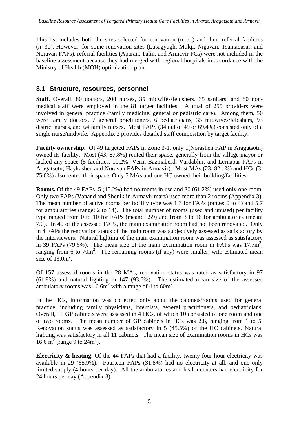This list includes both the sites selected for renovation (n=51) and their referral facilities (n=30). However, for some renovation sites (Lusagyugh, Mulqi, Nigavan, Tsamaqasar, and Noravan FAPs), referral facilities (Aparan, Talin, and Armavir PCs) were not included in the baseline assessment because they had merged with regional hospitals in accordance with the Ministry of Health (MOH) optimization plan.

## **3.1 Structure, resources, personnel**

**Staff.** Overall, 80 doctors, 204 nurses, 35 midwifes/feldshers, 35 sanitars, and 80 nonmedical staff were employed in the 81 target facilities. A total of 255 providers were involved in general practice (family medicine, general or pediatric care). Among them, 50 were family doctors, 7 general practitioners, 6 pediatricians, 35 midwives/feldshers, 93 district nurses, and 64 family nurses. Most FAPS (34 out of 49 or 69.4%) consisted only of a single nurse/midwife. Appendix 2 provides detailed staff composition by target facility.

**Facility ownership.** Of 49 targeted FAPs in Zone 3-1, only 1(Norashen FAP in Aragatsotn) owned its facility. Most (43; 87.8%) rented their space, generally from the village mayor or lacked any space (5 facilities, 10.2%: Verin Bazmaberd, Vardablur, and Lernapar FAPs in Aragatsotn; Haykashen and Noravan FAPs in Armavir). Most MAs (23; 82.1%) and HCs (3; 75.0%) also rented their space. Only 5 MAs and one HC owned their building/facilities.

**Rooms.** Of the 49 FAPs, 5 (10.2%) had no rooms in use and 30 (61.2%) used only one room. Only two FAPs (Vanand and Shenik in Armavir marz) used more than 2 rooms (Appendix 3). The mean number of active rooms per facility type was 1.3 for FAPs (range: 0 to 4) and 5.7 for ambulatories (range: 2 to 14). The total number of rooms (used and unused) per facility type ranged from 0 to 10 for FAPs (mean: 1.59) and from 3 to 16 for ambulatories (mean: 7.0). In 40 of the assessed FAPs, the main examination room had not been renovated. Only in 4 FAPs the renovation status of the main room was subjectively assessed as satisfactory by the interviewers. Natural lighting of the main examination room was assessed as satisfactory in 39 FAPs (79.6%). The mean size of the main examination room in FAPs was  $17.7m^2$ , ranging from 6 to  $70m^2$ . The remaining rooms (if any) were smaller, with estimated mean size of  $13.0 \text{m}^2$ .

Of 157 assessed rooms in the 28 MAs, renovation status was rated as satisfactory in 97 (61.8%) and natural lighting in 147 (93.6%). The estimated mean size of the assessed ambulatory rooms was  $16.6m^2$  with a range of 4 to 60m<sup>2</sup>.

In the HCs, information was collected only about the cabinets/rooms used for general practice, including family physicians, internists, general practitioners, and pediatricians. Overall, 11 GP cabinets were assessed in 4 HCs, of which 10 consisted of one room and one of two rooms. The mean number of GP cabinets in HCs was 2.8, ranging from 1 to 5. Renovation status was assessed as satisfactory in 5 (45.5%) of the HC cabinets. Natural lighting was satisfactory in all 11 cabinets. The mean size of examination rooms in HCs was  $16.6 \text{ m}^2 \text{ (range 9 to } 24 \text{ m}^2\text{)}.$ 

**Electricity & heating.** Of the 44 FAPs that had a facility, twenty-four hour electricity was available in 29 (65.9%). Fourteen FAPs (31.8%) had no electricity at all, and one only limited supply (4 hours per day). All the ambulatories and health centers had electricity for 24 hours per day (Appendix 3).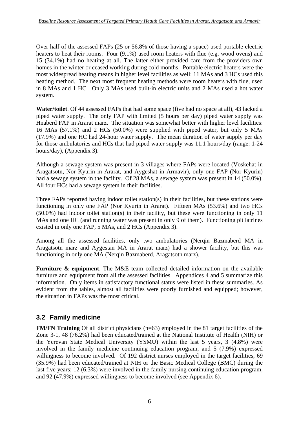Over half of the assessed FAPs (25 or 56.8% of those having a space) used portable electric heaters to heat their rooms. Four (9.1%) used room heaters with flue (e.g. wood ovens) and 15 (34.1%) had no heating at all. The latter either provided care from the providers own homes in the winter or ceased working during cold months. Portable electric heaters were the most widespread heating means in higher level facilities as well: 11 MAs and 3 HCs used this heating method. The next most frequent heating methods were room heaters with flue, used in 8 MAs and 1 HC. Only 3 MAs used built-in electric units and 2 MAs used a hot water system.

**Water/toilet**. Of 44 assessed FAPs that had some space (five had no space at all), 43 lacked a piped water supply. The only FAP with limited (5 hours per day) piped water supply was Hnaberd FAP in Ararat marz. The situation was somewhat better with higher level facilities: 16 MAs (57.1%) and 2 HCs (50.0%) were supplied with piped water, but only 5 MAs (17.9%) and one HC had 24-hour water supply. The mean duration of water supply per day for those ambulatories and HCs that had piped water supply was 11.1 hours/day (range: 1-24 hours/day), (Appendix 3).

Although a sewage system was present in 3 villages where FAPs were located (Voskehat in Aragatsotn, Nor Kyurin in Ararat, and Aygeshat in Armavir), only one FAP (Nor Kyurin) had a sewage system in the facility. Of 28 MAs, a sewage system was present in 14 (50.0%). All four HCs had a sewage system in their facilities.

Three FAPs reported having indoor toilet station(s) in their facilities, but these stations were functioning in only one FAP (Nor Kyurin in Ararat). Fifteen MAs (53.6%) and two HCs (50.0%) had indoor toilet station(s) in their facility, but these were functioning in only 11 MAs and one HC (and running water was present in only 9 of them). Functioning pit latrines existed in only one FAP, 5 MAs, and 2 HCs (Appendix 3).

Among all the assessed facilities, only two ambulatories (Nerqin Bazmaberd MA in Aragatsotn marz and Aygestan MA in Ararat marz) had a shower facility, but this was functioning in only one MA (Nerqin Bazmaberd, Aragatsotn marz).

**Furniture & equipment**. The M&E team collected detailed information on the available furniture and equipment from all the assessed facilities. Appendices 4 and 5 summarize this information. Only items in satisfactory functional status were listed in these summaries. As evident from the tables, almost all facilities were poorly furnished and equipped; however, the situation in FAPs was the most critical.

## **3.2 Family medicine**

**FM/FN Training** Of all district physicians (n=63) employed in the 81 target facilities of the Zone 3-1, 48 (76.2%) had been educated/trained at the National Institute of Health (NIH) or the Yerevan State Medical University (YSMU) within the last 5 years, 3 (4.8%) were involved in the family medicine continuing education program, and 5 (7.9%) expressed willingness to become involved. Of 192 district nurses employed in the target facilities, 69 (35.9%) had been educated/trained at NIH or the Basic Medical College (BMC) during the last five years; 12 (6.3%) were involved in the family nursing continuing education program, and 92 (47.9%) expressed willingness to become involved (see Appendix 6).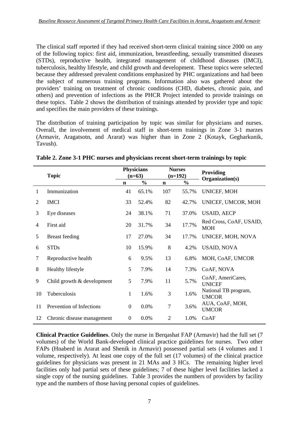The clinical staff reported if they had received short-term clinical training since 2000 on any of the following topics: first aid, immunization, breastfeeding, sexually transmitted diseases (STDs), reproductive health, integrated management of childhood diseases (IMCI), tuberculosis, healthy lifestyle, and child growth and development. These topics were selected because they addressed prevalent conditions emphasized by PHC organizations and had been the subject of numerous training programs. Information also was gathered about the providers' training on treatment of chronic conditions (CHD, diabetes, chronic pain, and others) and prevention of infections as the PHCR Project intended to provide trainings on these topics. Table 2 shows the distribution of trainings attended by provider type and topic and specifies the main providers of these trainings.

The distribution of training participation by topic was similar for physicians and nurses. Overall, the involvement of medical staff in short-term trainings in Zone 3-1 marzes (Armavir, Aragatsotn, and Ararat) was higher than in Zone 2 (Kotayk, Gegharkunik, Tavush).

|    | <b>Topic</b>               |                  | <b>Physicians</b><br>$(n=63)$ |                | <b>Nurses</b><br>$(n=192)$ | Providing<br>Organization(s)          |  |
|----|----------------------------|------------------|-------------------------------|----------------|----------------------------|---------------------------------------|--|
|    |                            | $\mathbf n$      | $\frac{0}{0}$                 | $\mathbf n$    | $\frac{0}{0}$              |                                       |  |
| 1  | Immunization               | 41               | 65.1%                         | 107            | 55.7%                      | UNICEF, MOH                           |  |
| 2  | <b>IMCI</b>                | 33               | 52.4%                         | 82             | 42.7%                      | UNICEF, UMCOR, MOH                    |  |
| 3  | Eye diseases               | 24               | 38.1%                         | 71             | 37.0%                      | <b>USAID, AECP</b>                    |  |
| 4  | First aid                  | 20               | 31.7%                         | 34             | 17.7%                      | Red Cross, CoAF, USAID,<br><b>MOH</b> |  |
| 5  | <b>Breast</b> feeding      | 17               | 27.0%                         | 34             | 17.7%                      | UNICEF, MOH, NOVA                     |  |
| 6  | <b>STDs</b>                | 10               | 15.9%                         | 8              | 4.2%                       | <b>USAID, NOVA</b>                    |  |
| 7  | Reproductive health        | 6                | 9.5%                          | 13             | 6.8%                       | MOH, CoAF, UMCOR                      |  |
| 8  | Healthy lifestyle          | 5                | 7.9%                          | 14             | 7.3%                       | CoAF, NOVA                            |  |
| 9  | Child growth & development | 5                | 7.9%                          | 11             | 5.7%                       | CoAF, AmeriCares,<br><b>UNICEF</b>    |  |
| 10 | Tuberculosis               | 1                | 1.6%                          | 3              | 1.6%                       | National TB program,<br><b>UMCOR</b>  |  |
| 11 | Prevention of Infections   | $\Omega$         | 0.0%                          | $\overline{7}$ | 3.6%                       | AUA, CoAF, MOH,<br><b>UMCOR</b>       |  |
| 12 | Chronic disease management | $\boldsymbol{0}$ | 0.0%                          | $\overline{2}$ | 1.0%                       | CoAF                                  |  |

**Table 2. Zone 3-1 PHC nurses and physicians recent short-term trainings by topic** 

**Clinical Practice Guidelines**. Only the nurse in Berqashat FAP (Armavir) had the full set (7 volumes) of the World Bank-developed clinical practice guidelines for nurses. Two other FAPs (Hnaberd in Ararat and Shenik in Armavir) possessed partial sets (4 volumes and 1 volume, respectively). At least one copy of the full set (17 volumes) of the clinical practice guidelines for physicians was present in 21 MAs and 3 HCs. The remaining higher level facilities only had partial sets of these guidelines; 7 of these higher level facilities lacked a single copy of the nursing guidelines. Table 3 provides the numbers of providers by facility type and the numbers of those having personal copies of guidelines.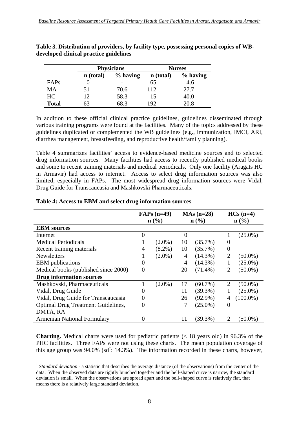|              |           | <b>Physicians</b> |             | <b>Nurses</b> |
|--------------|-----------|-------------------|-------------|---------------|
|              | n (total) | $%$ having        | n (total)   | $%$ having    |
| FAPs         |           |                   | 65          | 4.6           |
| MA           |           | 70.6              | 112         | 27.7          |
| HC           |           | 58.3              | 15          | 40.0          |
| <b>Total</b> |           |                   | $\sqrt{92}$ |               |

**Table 3. Distribution of providers, by facility type, possessing personal copies of WBdeveloped clinical practice guidelines** 

In addition to these official clinical practice guidelines, guidelines disseminated through various training programs were found at the facilities. Many of the topics addressed by these guidelines duplicated or complemented the WB guidelines (e.g., immunization, IMCI, ARI, diarrhea management, breastfeeding, and reproductive health/family planning).

Table 4 summarizes facilities' access to evidence-based medicine sources and to selected drug information sources. Many facilities had access to recently published medical books and some to recent training materials and medical periodicals. Only one facility (Aragats HC in Armavir) had access to internet. Access to select drug information sources was also limited, especially in FAPs. The most widespread drug information sources were Vidal, Drug Guide for Transcaucasia and Mashkovski Pharmaceuticals.

|                                           |          | $FAPs$ (n=49) |    | $MAS (n=28)$ |                | $HCs(n=4)$                  |
|-------------------------------------------|----------|---------------|----|--------------|----------------|-----------------------------|
|                                           |          | n (% )        |    | n (% )       |                | $n\left(\frac{0}{0}\right)$ |
| <b>EBM</b> sources                        |          |               |    |              |                |                             |
| Internet                                  |          |               |    |              |                | $(25.0\%)$                  |
| <b>Medical Periodicals</b>                |          | $(2.0\%)$     | 10 | $(35.7\%)$   | $\theta$       |                             |
| Recent training materials                 | 4        | $(8.2\%)$     | 10 | $(35.7\%)$   | $\Omega$       |                             |
| <b>Newsletters</b>                        |          | $(2.0\%)$     | 4  | $(14.3\%)$   | $\overline{2}$ | $(50.0\%)$                  |
| <b>EBM</b> publications                   | 0        |               | 4  | $(14.3\%)$   |                | $(25.0\%)$                  |
| Medical books (published since 2000)      | $\theta$ |               | 20 | $(71.4\%)$   | 2              | $(50.0\%)$                  |
| <b>Drug information sources</b>           |          |               |    |              |                |                             |
| Mashkovski, Pharmaceuticals               |          | $(2.0\%)$     | 17 | $(60.7\%)$   | 2              | $(50.0\%)$                  |
| Vidal, Drug Guide                         | $\theta$ |               | 11 | $(39.3\%)$   |                | $(25.0\%)$                  |
| Vidal, Drug Guide for Transcaucasia       |          |               | 26 | $(92.9\%)$   | 4              | $(100.0\%)$                 |
| <b>Optimal Drug Treatment Guidelines,</b> | $_{0}$   |               | 7  | $(25.0\%)$   | $\Omega$       |                             |
| DMTA, RA                                  |          |               |    |              |                |                             |
| <b>Armenian National Formulary</b>        |          |               | 11 | $(39.3\%)$   | 2              | (50.0%)                     |

#### **Table 4: Access to EBM and select drug information sources**

1

**Charting.** Medical charts were used for pediatric patients (< 18 years old) in 96.3% of the PHC facilities. Three FAPs were not using these charts. The mean population coverage of this age group was 94.0% (sd<sup>†</sup>: 14.3%). The information recorded in these charts, however,

<sup>†</sup> *Standard deviation* **-** a statistic that describes the average distance (of the observations) from the center of the data. When the observed data are tightly bunched together and the bell-shaped curve is narrow, the standard deviation is small. When the observations are spread apart and the bell-shaped curve is relatively flat, that means there is a relatively large standard deviation.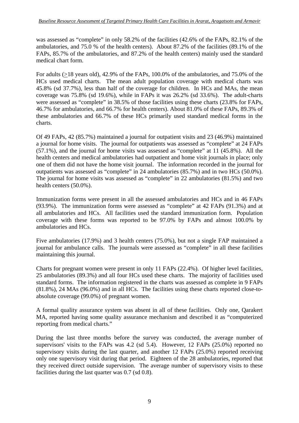was assessed as "complete" in only 58.2% of the facilities (42.6% of the FAPs, 82.1% of the ambulatories, and 75.0 % of the health centers). About 87.2% of the facilities (89.1% of the FAPs, 85.7% of the ambulatories, and 87.2% of the health centers) mainly used the standard medical chart form.

For adults (>18 years old), 42.9% of the FAPs, 100.0% of the ambulatories, and 75.0% of the HCs used medical charts. The mean adult population coverage with medical charts was 45.8% (sd 37.7%), less than half of the coverage for children. In HCs and MAs, the mean coverage was 75.8% (sd 19.6%), while in FAPs it was 26.2% (sd 33.6%). The adult-charts were assessed as "complete" in 38.5% of those facilities using these charts (23.8% for FAPs, 46.7% for ambulatories, and 66.7% for health centers). About 81.0% of these FAPs, 89.3% of these ambulatories and 66.7% of these HCs primarily used standard medical forms in the charts.

Of 49 FAPs, 42 (85.7%) maintained a journal for outpatient visits and 23 (46.9%) maintained a journal for home visits. The journal for outpatients was assessed as "complete" at 24 FAPs (57.1%), and the journal for home visits was assessed as "complete" at 11 (45.8%). All the health centers and medical ambulatories had outpatient and home visit journals in place; only one of them did not have the home visit journal. The information recorded in the journal for outpatients was assessed as "complete" in 24 ambulatories (85.7%) and in two HCs (50.0%). The journal for home visits was assessed as "complete" in 22 ambulatories (81.5%) and two health centers (50.0%).

Immunization forms were present in all the assessed ambulatories and HCs and in 46 FAPs (93.9%). The immunization forms were assessed as "complete" at 42 FAPs (91.3%) and at all ambulatories and HCs. All facilities used the standard immunization form. Population coverage with these forms was reported to be 97.0% by FAPs and almost 100.0% by ambulatories and HCs.

Five ambulatories (17.9%) and 3 health centers (75.0%), but not a single FAP maintained a journal for ambulance calls. The journals were assessed as "complete" in all these facilities maintaining this journal.

Charts for pregnant women were present in only 11 FAPs (22.4%). Of higher level facilities, 25 ambulatories (89.3%) and all four HCs used these charts. The majority of facilities used standard forms. The information registered in the charts was assessed as complete in 9 FAPs (81.8%), 24 MAs (96.0%) and in all HCs. The facilities using these charts reported close-toabsolute coverage (99.0%) of pregnant women.

A formal quality assurance system was absent in all of these facilities. Only one, Qarakert MA, reported having some quality assurance mechanism and described it as "computerized reporting from medical charts."

During the last three months before the survey was conducted, the average number of supervisors' visits to the FAPs was 4.2 (sd 5.4). However, 12 FAPs (25.0%) reported no supervisory visits during the last quarter, and another 12 FAPs (25.0%) reported receiving only one supervisory visit during that period. Eighteen of the 28 ambulatories, reported that they received direct outside supervision. The average number of supervisory visits to these facilities during the last quarter was 0.7 (sd 0.8).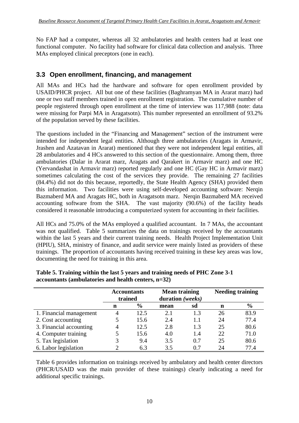No FAP had a computer, whereas all 32 ambulatories and health centers had at least one functional computer. No facility had software for clinical data collection and analysis. Three MAs employed clinical preceptors (one in each).

## **3.3 Open enrollment, financing, and management**

All MAs and HCs had the hardware and software for open enrollment provided by USAID/PHCR project. All but one of these facilities (Baghramyan MA in Ararat marz) had one or two staff members trained in open enrollment registration. The cumulative number of people registered through open enrollment at the time of interview was 117,988 (note: data were missing for Parpi MA in Aragatsotn). This number represented an enrollment of 93.2% of the population served by these facilities.

The questions included in the "Financing and Management" section of the instrument were intended for independent legal entities. Although three ambulatories (Aragats in Armavir, Jrashen and Azatavan in Ararat) mentioned that they were not independent legal entities, all 28 ambulatories and 4 HCs answered to this section of the questionnaire. Among them, three ambulatories (Dalar in Ararat marz, Aragats and Qarakert in Armavir marz) and one HC (Yervandashat in Armavir marz) reported regularly and one HC (Gay HC in Armavir marz) sometimes calculating the cost of the services they provide. The remaining 27 facilities (84.4%) did not do this because, reportedly, the State Health Agency (SHA) provided them this information. Two facilities were using self-developed accounting software: Nerqin Bazmaberd MA and Aragats HC, both in Aragatsotn marz. Nerqin Bazmaberd MA received accounting software from the SHA. The vast majority (90.6%) of the facility heads considered it reasonable introducing a computerized system for accounting in their facilities.

All HCs and 75.0% of the MAs employed a qualified accountant. In 7 MAs, the accountant was not qualified. Table 5 summarizes the data on trainings received by the accountants within the last 5 years and their current training needs. Health Project Implementation Unit (HPIU), SHA, ministry of finance, and audit service were mainly listed as providers of these trainings. The proportion of accountants having received training in these key areas was low, documenting the need for training in this area.

|                         | <b>Accountants</b><br>trained |               | <b>Mean training</b><br>duration (weeks) |     | <b>Needing training</b> |               |
|-------------------------|-------------------------------|---------------|------------------------------------------|-----|-------------------------|---------------|
|                         | n                             | $\frac{6}{9}$ | mean                                     | sd  | n                       | $\frac{6}{6}$ |
| 1. Financial management | 4                             | 12.5          | 2.1                                      | 1.3 | 26                      | 83.9          |
| 2. Cost accounting      |                               | 15.6          | 2.4                                      | 1.1 | 24                      | 77.4          |
| 3. Financial accounting | 4                             | 12.5          | 2.8                                      | 1.3 | 25                      | 80.6          |
| 4. Computer training    |                               | 15.6          | 4.0                                      | 1.4 | 22                      | 71.0          |
| 5. Tax legislation      |                               | 9.4           | 3.5                                      | 0.7 | 25                      | 80.6          |
| 6. Labor legislation    |                               | 6.3           | 3.5                                      | 0.7 | 24                      | 77.4          |

**Table 5. Training within the last 5 years and training needs of PHC Zone 3-1 accountants (ambulatories and health centers, n=32)** 

Table 6 provides information on trainings received by ambulatory and health center directors (PHCR/USAID was the main provider of these trainings) clearly indicating a need for additional specific trainings.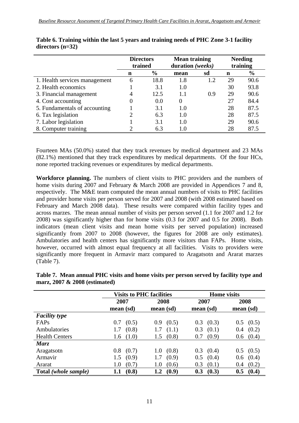|                               | <b>Directors</b><br>trained |               | <b>Mean training</b><br>duration (weeks) |     | <b>Needing</b><br>training |               |
|-------------------------------|-----------------------------|---------------|------------------------------------------|-----|----------------------------|---------------|
|                               | n                           | $\frac{6}{6}$ | mean                                     | sd  | n                          | $\frac{6}{6}$ |
| 1. Health services management | 6                           | 18.8          | 1.8                                      | 1.2 | 29                         | 90.6          |
| 2. Health economics           |                             | 3.1           | 1.0                                      |     | 30                         | 93.8          |
| 3. Financial management       | 4                           | 12.5          | 1.1                                      | 0.9 | 29                         | 90.6          |
| 4. Cost accounting            |                             | 0.0           | 0                                        |     | 27                         | 84.4          |
| 5. Fundamentals of accounting |                             | 3.1           | 1.0                                      |     | 28                         | 87.5          |
| 6. Tax legislation            |                             | 6.3           | 1.0                                      |     | 28                         | 87.5          |
| 7. Labor legislation          |                             | 3.1           | 1.0                                      |     | 29                         | 90.6          |
| 8. Computer training          |                             | 6.3           | 1.0                                      |     | 28                         | 87.5          |

| Table 6. Training within the last 5 years and training needs of PHC Zone 3-1 facility |  |
|---------------------------------------------------------------------------------------|--|
| directors $(n=32)$                                                                    |  |

Fourteen MAs (50.0%) stated that they track revenues by medical department and 23 MAs (82.1%) mentioned that they track expenditures by medical departments. Of the four HCs, none reported tracking revenues or expenditures by medical departments.

**Workforce planning.** The numbers of client visits to PHC providers and the numbers of home visits during 2007 and February & March 2008 are provided in Appendices 7 and 8, respectively. The M&E team computed the mean annual numbers of visits to PHC facilities and provider home visits per person served for 2007 and 2008 (with 2008 estimated based on February and March 2008 data). These results were compared within facility types and across marzes. The mean annual number of visits per person served (1.1 for 2007 and 1.2 for 2008) was significantly higher than for home visits (0.3 for 2007 and 0.5 for 2008). Both indicators (mean client visits and mean home visits per served population) increased significantly from 2007 to 2008 (however, the figures for 2008 are only estimates). Ambulatories and health centers has significantly more visitors than FAPs. Home visits, however, occurred with almost equal frequency at all facilities. Visits to providers were significantly more frequent in Armavir marz compared to Aragatsotn and Ararat marzes (Table 7).

|                       | <b>Visits to PHC facilities</b> |                  | <b>Home</b> visits |               |  |
|-----------------------|---------------------------------|------------------|--------------------|---------------|--|
|                       | 2007                            | 2008             | 2007               | 2008          |  |
|                       | mean (sd)                       | mean (sd)        | mean (sd)          | mean (sd)     |  |
| <b>Facility type</b>  |                                 |                  |                    |               |  |
| FAPs                  | (0.5)                           | (0.5)            | (0.3)              | (0.5)         |  |
|                       | 0.7                             | 0.9 <sub>2</sub> | 0.3                | 0.5           |  |
| Ambulatories          | (0.8)                           | (1.1)            | 0.3                | (0.2)         |  |
|                       | 1.7                             | 1.7              | (0.1)              | 0.4           |  |
| <b>Health Centers</b> | (1.0)                           | (0.8)            | (0.9)              | (0.4)         |  |
|                       | 1.6                             | 1.5              | 0.7                | 0.6           |  |
| Marz                  |                                 |                  |                    |               |  |
| Aragatsotn            | 0.8<br>(0.7)                    | (0.8)<br>1.0     | (0.4)<br>0.3       | $0.5$ $(0.5)$ |  |
| Armavir               | (0.9)                           | (0.9)            | 0.5                | (0.4)         |  |
|                       | 1.5                             | 1.7              | (0.4)              | 0.6           |  |
| Ararat                | (0.7)                           | (0.6)            | 0.3                | (0.2)         |  |
|                       | 1.0                             | 1.0              | (0.1)              | 0.4           |  |
| Total (whole sample)  | (0.8)                           | (0.9)            | (0.3)              | 0.5           |  |
|                       | $1.1\,$                         | 1.2              | 0.3                | (0.4)         |  |

**Table 7. Mean annual PHC visits and home visits per person served by facility type and marz, 2007 & 2008 (estimated)**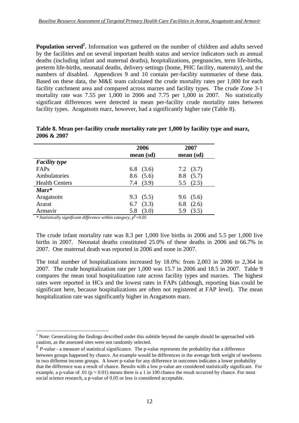Population served<sup>‡</sup>. Information was gathered on the number of children and adults served by the facilities and on several important health status and service indicators such as annual deaths (including infant and maternal deaths), hospitalizations, pregnancies, term life-births, preterm life-births, neonatal deaths, delivery settings (home, PHC facility, maternity), and the numbers of disabled. Appendices 9 and 10 contain per-facility summaries of these data. Based on these data, the M&E team calculated the crude mortality rates per 1,000 for each facility catchment area and compared across marzes and facility types. The crude Zone 3-1 mortality rate was 7.55 per 1,000 in 2006 and 7.75 per 1,000 in 2007. No statistically significant differences were detected in mean per-facility crude mortality rates between facility types. Aragatsotn marz, however, had a significantly higher rate (Table 8).

|                       | 2006<br>mean (sd) | 2007<br>mean (sd) |
|-----------------------|-------------------|-------------------|
| <b>Facility type</b>  |                   |                   |
| FAPs                  | 6.8 $(3.6)$       | $7.2 \quad (3.7)$ |
| Ambulatories          | $8.6$ $(5.6)$     | $8.8$ $(5.7)$     |
| <b>Health Centers</b> | 7.4(3.9)          | 5.5 $(2.5)$       |
| $Marz^*$              |                   |                   |
| Aragatsotn            | 9.3(5.5)          | 9.6(5.6)          |
| Ararat                | $6.7$ $(3.3)$     | $6.8$ $(2.6)$     |
| Armavir               | (3.0)<br>5.8      | (3.5)<br>5.9      |

**Table 8. Mean per-facility crude mortality rate per 1,000 by facility type and marz, 2006 & 2007** 

*\* Statistically significant difference within category, p§ <0.05* 

The crude infant mortality rate was 8.3 per 1,000 live births in 2006 and 5.5 per 1,000 live births in 2007. Neonatal deaths constituted 25.0% of these deaths in 2006 and 66.7% in 2007. One maternal death was reported in 2006 and none in 2007.

The total number of hospitalizations increased by 18.0%: from 2,003 in 2006 to 2,364 in 2007. The crude hospitalization rate per 1,000 was 15.7 in 2006 and 18.5 in 2007. Table 9 compares the mean total hospitalization rate across facility types and marzes. The highest rates were reported in HCs and the lowest rates in FAPs (although, reporting bias could be significant here, because hospitalizations are often not registered at FAP level). The mean hospitalization rate was significantly higher in Aragatsotn marz.

<sup>1</sup> ‡ Note: Generalizing the findings described under this subtitle beyond the sample should be approached with caution, as the assessed sites were not randomly selected.

<sup>§</sup> *P-value* - a measure of statistical significance. The p-value represents the probability that a difference between groups happened by chance. An example would be differences in the average birth weight of newborns in two different income groups. A lower p-value for any difference in outcomes indicates a lower probability that the difference was a result of chance. Results with a low p-value are considered statistically significant. For example, a p-value of .01 ( $p = 0.01$ ) means there is a 1 in 100 chance the result occurred by chance. For most social science research, a p-value of 0.05 or less is considered acceptable.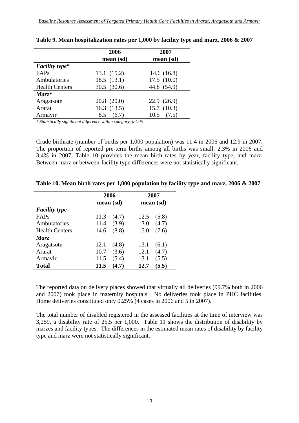| 2006            | 2007          |
|-----------------|---------------|
| mean (sd)       | mean (sd)     |
|                 |               |
| 13.1(15.2)      | 14.6 $(16.8)$ |
| 18.5(13.1)      | 17.5(10.0)    |
| 30.5(30.6)      | 44.8 (54.9)   |
|                 |               |
| $20.8$ $(20.0)$ | 22.9(26.9)    |
| 16.3(13.5)      | 15.7(10.3)    |
| (6.7)<br>8.5    | (7.5)<br>10.5 |
|                 |               |

*\* Statistically significant difference within category, p<.05* 

Crude birthrate (number of births per 1,000 population) was 11.4 in 2006 and 12.9 in 2007. The proportion of reported pre-term births among all births was small: 2.3% in 2006 and 3.4% in 2007. Table 10 provides the mean birth rates by year, facility type, and marz. Between-marz or between-facility type differences were not statistically significant.

|                       | 2006          | 2007          |
|-----------------------|---------------|---------------|
|                       | mean (sd)     | mean (sd)     |
| <b>Facility type</b>  |               |               |
| FAPs                  | 11.3<br>(4.7) | 12.5<br>(5.8) |
| Ambulatories          | (3.9)<br>11.4 | 13.0<br>(4.7) |
| <b>Health Centers</b> | (8.8)<br>14.6 | 15.0<br>(7.6) |
| Marz                  |               |               |
| Aragatsotn            | 12.1<br>(4.8) | (6.1)<br>13.1 |
| Ararat                | 10.7<br>(3.6) | 12.1<br>(4.7) |
| Armavir               | (5.4)<br>11.5 | 13.1<br>(5.5) |
| <b>Total</b>          | 11.5          | 12.7<br>(5.5) |

**Table 10. Mean birth rates per 1,000 population by facility type and marz, 2006 & 2007** 

The reported data on delivery places showed that virtually all deliveries (99.7% both in 2006 and 2007) took place in maternity hospitals. No deliveries took place in PHC facilities. Home deliveries constituted only 0.25% (4 cases in 2006 and 5 in 2007).

The total number of disabled registered in the assessed facilities at the time of interview was 3,259, a disability rate of 25.5 per 1,000. Table 11 shows the distribution of disability by marzes and facility types. The differences in the estimated mean rates of disability by facility type and marz were not statistically significant.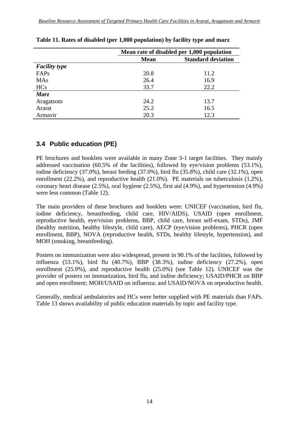|                      | Mean rate of disabled per 1,000 population |      |  |  |
|----------------------|--------------------------------------------|------|--|--|
|                      | <b>Standard deviation</b><br><b>Mean</b>   |      |  |  |
| <b>Facility type</b> |                                            |      |  |  |
| FAPs                 | 20.8                                       | 11.2 |  |  |
| <b>MAs</b>           | 26.4                                       | 16.9 |  |  |
| <b>HCs</b>           | 33.7                                       | 22.2 |  |  |
| Marz                 |                                            |      |  |  |
| Aragatsotn           | 24.2                                       | 13.7 |  |  |
| Ararat               | 25.2                                       | 16.5 |  |  |
| Armavir              | 20.3                                       | 12.3 |  |  |

#### **Table 11. Rates of disabled (per 1,000 population) by facility type and marz**

## **3.4 Public education (PE)**

PE brochures and booklets were available in many Zone 3-1 target facilities. They mainly addressed vaccination (60.5% of the facilities), followed by eye/vision problems (53.1%), iodine deficiency (37.0%), breast feeding (37.0%), bird flu (35.8%), child care (32.1%), open enrollment (22.2%), and reproductive health (21.0%). PE materials on tuberculosis (1.2%), coronary heart disease  $(2.5\%)$ , oral hygiene  $(2.5\%)$ , first aid  $(4.9\%)$ , and hypertension  $(4.9\%)$ were less common (Table 12).

The main providers of these brochures and booklets were: UNICEF (vaccination, bird flu, iodine deficiency, breastfeeding, child care, HIV/AIDS), USAID (open enrollment, reproductive health, eye/vision problems, BBP, child care, breast self-exam, STDs), JMF (healthy nutrition, healthy lifestyle, child care), AECP (eye/vision problems), PHCR (open enrollment, BBP), NOVA (reproductive health, STDs, healthy lifestyle, hypertension), and MOH (smoking, breastfeeding).

Posters on immunization were also widespread, present in 90.1% of the facilities, followed by influenza (53.1%), bird flu (40.7%), BBP (38.3%), iodine deficiency (27.2%), open enrollment (25.9%), and reproductive health (25.0%) (see Table 12). UNICEF was the provider of posters on immunization, bird flu, and iodine deficiency; USAID/PHCR on BBP and open enrollment; MOH/USAID on influenza; and USAID/NOVA on reproductive health.

Generally, medical ambulatories and HCs were better supplied with PE materials than FAPs. Table 13 shows availability of public education materials by topic and facility type.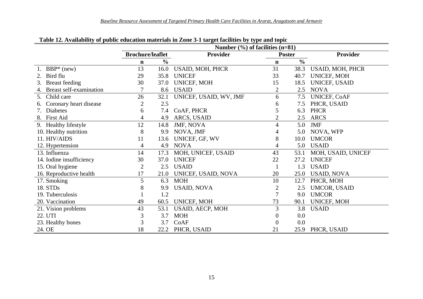|                                      | Number $(\% )$ of facilities (n=81) |               |                        |                |               |                     |  |
|--------------------------------------|-------------------------------------|---------------|------------------------|----------------|---------------|---------------------|--|
|                                      | <b>Brochure/leaflet</b>             |               | <b>Provider</b>        | <b>Poster</b>  |               | <b>Provider</b>     |  |
|                                      | n                                   | $\frac{0}{0}$ |                        | $\mathbf n$    | $\frac{0}{0}$ |                     |  |
| $BBP*$ (new)                         | 13                                  | 16.0          | USAID, MOH, PHCR       | 31             | 38.3          | USAID, MOH, PHCR    |  |
| Bird flu                             | 29                                  | 35.8          | <b>UNICEF</b>          | 33             | 40.7          | UNICEF, MOH         |  |
| <b>Breast</b> feeding<br>3.          | 30                                  | 37.0          | <b>UNICEF, MOH</b>     | 15             | 18.5          | UNICEF, USAID       |  |
| <b>Breast self-examination</b><br>4. | 7                                   | 8.6           | <b>USAID</b>           | $\overline{2}$ | 2.5           | <b>NOVA</b>         |  |
| Child care<br>5.                     | 26                                  | 32.1          | UNICEF, USAID, WV, JMF | 6              | 7.5           | <b>UNICEF, COAF</b> |  |
| Coronary heart disease               |                                     | 2.5           |                        | 6              | 7.5           | PHCR, USAID         |  |
| <b>Diabetes</b>                      | 6                                   | 7.4           | CoAF, PHCR             | 5              | 6.3           | <b>PHCR</b>         |  |
| 8. First Aid                         | 4                                   | 4.9           | ARCS, USAID            | $\overline{2}$ | 2.5           | <b>ARCS</b>         |  |
| 9. Healthy lifestyle                 | 12                                  | 14.8          | JMF, NOVA              | 4              | 5.0           | <b>JMF</b>          |  |
| 10. Healthy nutrition                | 8                                   | 9.9           | NOVA, JMF              | 4              | 5.0           | NOVA, WFP           |  |
| 11. HIV/AIDS                         | 11                                  | 13.6          | UNICEF, GF, WV         | 8              | 10.0          | <b>UMCOR</b>        |  |
| 12. Hypertension                     | 4                                   | 4.9           | <b>NOVA</b>            | 4              | 5.0           | <b>USAID</b>        |  |
| 13. Influenza                        | 14                                  | 17.3          | MOH, UNICEF, USAID     | 43             | 53.1          | MOH, USAID, UNICEF  |  |
| 14. Iodine insufficiency             | $30\,$                              | 37.0          | <b>UNICEF</b>          | 22             | 27.2          | <b>UNICEF</b>       |  |
| 15. Oral hygiene                     | $\overline{c}$                      | 2.5           | <b>USAID</b>           |                | 1.3           | <b>USAID</b>        |  |
| 16. Reproductive health              | 17                                  | 21.0          | UNICEF, USAID, NOVA    | 20             | 25.0          | <b>USAID, NOVA</b>  |  |
| 17. Smoking                          | 5                                   | 6.3           | <b>MOH</b>             | 10             | 12.7          | PHCR, MOH           |  |
| 18. STDs                             | 8                                   | 9.9           | <b>USAID, NOVA</b>     | $\overline{c}$ | 2.5           | UMCOR, USAID        |  |
| 19. Tuberculosis                     |                                     | 1.2           |                        | 7              | 9.0           | <b>UMCOR</b>        |  |
| 20. Vaccination                      | 49                                  | 60.5          | UNICEF, MOH            | 73             | 90.1          | UNICEF, MOH         |  |
| 21. Vision problems                  | 43                                  | 53.1          | USAID, AECP, MOH       | 3              | 3.8           | <b>USAID</b>        |  |
| 22. UTI                              | 3                                   | 3.7           | <b>MOH</b>             | 0              | 0.0           |                     |  |
| 23. Healthy bones                    | 3                                   | 3.7           | CoAF                   | $\Omega$       | 0.0           |                     |  |
| 24. OE                               | 18                                  | 22.2          | PHCR, USAID            | 21             | 25.9          | PHCR, USAID         |  |

**Table 12. Availability of public education materials in Zone 3-1 target facilities by type and topic**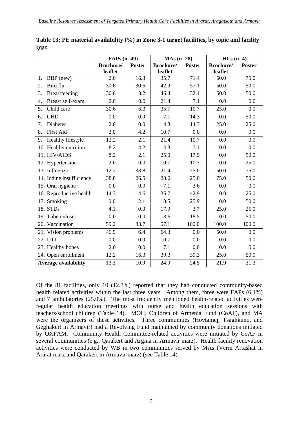|                             | $FAPs$ (n=49)     |               | $MAs(n=28)$       |               | $HCs(n=4)$ |               |
|-----------------------------|-------------------|---------------|-------------------|---------------|------------|---------------|
|                             | <b>Brochure</b> / | <b>Poster</b> | <b>Brochure</b> / | <b>Poster</b> | Brochure/  | <b>Poster</b> |
|                             | leaflet           |               | leaflet           |               | leaflet    |               |
| BBP (new)<br>1.             | 2.0               | 16.3          | 35.7              | 71.4          | 50.0       | 75.0          |
| Bird flu<br>2.              | 30.6              | 30.6          | 42.9              | 57.1          | 50.0       | 50.0          |
| 3.<br>Breastfeeding         | 30.6              | 8.2           | 46.4              | 32.1          | 50.0       | 50.0          |
| Breast self-exam.<br>4.     | 2.0               | 0.0           | 21.4              | 7.1           | 0.0        | 0.0           |
| 5.<br>Child care            | 30.6              | 6.3           | 35.7              | 10.7          | 25.0       | 0.0           |
| <b>CHD</b><br>6.            | 0.0               | 0.0           | 7.1               | 14.3          | 0.0        | 50.0          |
| 7.<br><b>Diabetes</b>       | 2.0               | 0.0           | 14.3              | 14.3          | 25.0       | 25.0          |
| 8.<br><b>First Aid</b>      | 2.0               | 4.2           | 10.7              | 0.0           | 0.0        | 0.0           |
| Healthy lifestyle<br>9.     | 12.2              | 2.1           | 21.4              | 10.7          | 0.0        | 0.0           |
| 10. Healthy nutrition       | 8.2               | 4.2           | 14.3              | 7.1           | 0.0        | 0.0           |
| 11. HIV/AIDS                | 8.2               | 2.1           | 25.0              | 17.9          | 0.0        | 50.0          |
| 12. Hypertension            | 2.0               | 0.0           | 10.7              | 10.7          | 0.0        | 25.0          |
| 13. Influenza               | 12.2              | 38.8          | 21.4              | 75.0          | 50.0       | 75.0          |
| 14. Iodine insufficiency    | 38.8              | 26.5          | 28.6              | 25.0          | 75.0       | 50.0          |
| 15. Oral hygiene            | 0.0               | 0.0           | 7.1               | 3.6           | 0.0        | 0.0           |
| 16. Reproductive health     | 14.3              | 14.6          | 35.7              | 42.9          | 0.0        | 25.0          |
| 17. Smoking                 | 0.0               | 2.1           | 18.5              | 25.9          | 0.0        | 50.0          |
| 18. STDs                    | 4.1               | 0.0           | 17.9              | 3.7           | 25.0       | 25.0          |
| 19. Tuberculosis            | 0.0               | 0.0           | 3.6               | 18.5          | 0.0        | 50.0          |
| 20. Vaccination             | 59.2              | 83.7          | 57.1              | 100.0         | 100.0      | 100.0         |
| 21. Vision problems         | 46.9              | 6.4           | 64.3              | 0.0           | 50.0       | 0.0           |
| 22. UTI                     | 0.0               | 0.0           | 10.7              | 0.0           | 0.0        | 0.0           |
| 23. Healthy bones           | 2.0               | 0.0           | 7.1               | 0.0           | 0.0        | 0.0           |
| 24. Open enrollment         | 12.2              | 16.3          | 39.3              | 39.3          | 25.0       | 50.0          |
| <b>Average availability</b> | 13.3              | 10.9          | 24.9              | 24.5          | 21.9       | 31.3          |

**Table 13: PE material availability (%) in Zone 3-1 target facilities, by topic and facility type** 

Of the 81 facilities, only 10 (12.3%) reported that they had conducted community-based health related activities within the last three years. Among them, three were FAPs (6.1%) and 7 ambulatories (25.0%). The most frequently mentioned health-related activities were regular health education meetings with nurse and health education sessions with teachers/school children (Table 14). MOH, Children of Armenia Fund (CoAF), and MA were the organizers of these activities. Three communities (Hovtamej, Tsaghkunq, and Geghakert in Armavir) had a Revolving Fund maintained by community donations initiated by OXFAM. Community Health Committee-related activities were initiated by CoAF in several communities (e.g., Qarakert and Argina in Armavir marz). Health facility renovation activities were conducted by WB in two communities served by MAs (Verin Artashat in Ararat marz and Qarakert in Armavir marz) (see Table 14).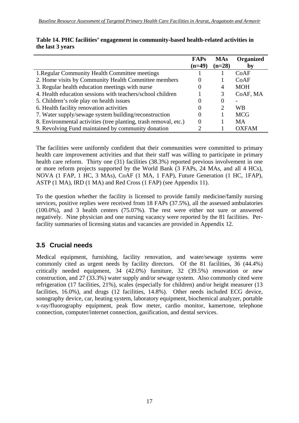|                                                                  | <b>FAPs</b> | <b>MAs</b> | Organized    |
|------------------------------------------------------------------|-------------|------------|--------------|
|                                                                  | $(n=49)$    | $(n=28)$   | bv           |
| 1. Regular Community Health Committee meetings                   |             |            | CoAF         |
| 2. Home visits by Community Health Committee members             |             |            | CoAF         |
| 3. Regular health education meetings with nurse                  |             | 4          | <b>MOH</b>   |
| 4. Health education sessions with teachers/school children       |             |            | CoAF, MA     |
| 5. Children's role play on health issues                         |             | $\theta$   |              |
| 6. Health facility renovation activities                         |             | 2          | WB           |
| 7. Water supply/sewage system building/reconstruction            |             |            | <b>MCG</b>   |
| 8. Environmental activities (tree planting, trash removal, etc.) |             |            | MA           |
| 9. Revolving Fund maintained by community donation               | ◠           |            | <b>OXFAM</b> |

|                  | Table 14. PHC facilities' engagement in community-based health-related activities in |  |
|------------------|--------------------------------------------------------------------------------------|--|
| the last 3 years |                                                                                      |  |

The facilities were uniformly confident that their communities were committed to primary health care improvement activities and that their staff was willing to participate in primary health care reform. Thirty one (31) facilities (38.3%) reported previous involvement in one or more reform projects supported by the World Bank (3 FAPs, 24 MAs, and all 4 HCs), NOVA (1 FAP, 1 HC, 3 MAs), CoAF (1 MA, 1 FAP), Future Generation (1 HC, 1FAP), ASTP (1 MA), IRD (1 MA) and Red Cross (1 FAP) (see Appendix 11).

To the question whether the facility is licensed to provide family medicine/family nursing services, positive replies were received from 18 FAPs (37.5%), all the assessed ambulatories (100.0%), and 3 health centers (75.07%). The rest were either not sure or answered negatively. Nine physician and one nursing vacancy were reported by the 81 facilities. Perfacility summaries of licensing status and vacancies are provided in Appendix 12.

## **3.5 Crucial needs**

Medical equipment, furnishing, facility renovation, and water/sewage systems were commonly cited as urgent needs by facility directors. Of the 81 facilities, 36 (44.4%) critically needed equipment, 34 (42.0%) furniture, 32 (39.5%) renovation or new construction, and 27 (33.3%) water supply and/or sewage system. Also commonly cited were refrigeration (17 facilities, 21%), scales (especially for children) and/or height measurer (13 facilities, 16.0%), and drugs (12 facilities, 14.8%). Other needs included ECG device, sonography device, car, heating system, laboratory equipment, biochemical analyzer, portable x-ray/fluorography equipment, peak flow meter, cardio monitor, kamertone, telephone connection, computer/internet connection, gasification, and dental services.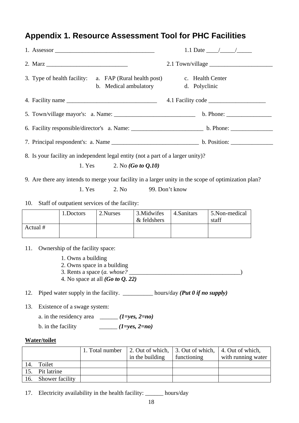# **Appendix 1. Resource Assessment Tool for PHC Facilities**

| 3. Type of health facility: a. FAP (Rural health post)<br>b. Medical ambulatory       |                                                                                     |                                                                                                    |                                                                                                                             | c. Health Center<br>d. Polyclinic |                                                                                                      |  |
|---------------------------------------------------------------------------------------|-------------------------------------------------------------------------------------|----------------------------------------------------------------------------------------------------|-----------------------------------------------------------------------------------------------------------------------------|-----------------------------------|------------------------------------------------------------------------------------------------------|--|
|                                                                                       |                                                                                     |                                                                                                    |                                                                                                                             |                                   |                                                                                                      |  |
|                                                                                       |                                                                                     |                                                                                                    |                                                                                                                             |                                   |                                                                                                      |  |
|                                                                                       |                                                                                     |                                                                                                    |                                                                                                                             |                                   |                                                                                                      |  |
|                                                                                       |                                                                                     |                                                                                                    |                                                                                                                             |                                   |                                                                                                      |  |
|                                                                                       | 1. Yes                                                                              |                                                                                                    | 8. Is your facility an independent legal entity (not a part of a larger unity)?<br>2. No ( <i>Go to <math>Q.10</math></i> ) |                                   |                                                                                                      |  |
|                                                                                       |                                                                                     |                                                                                                    |                                                                                                                             |                                   | 9. Are there any intends to merge your facility in a larger unity in the scope of optimization plan? |  |
|                                                                                       | 1. Yes                                                                              | 2. No                                                                                              | 99. Don't know                                                                                                              |                                   |                                                                                                      |  |
| 10.                                                                                   | Staff of outpatient services of the facility:                                       |                                                                                                    |                                                                                                                             |                                   |                                                                                                      |  |
|                                                                                       | 1.Doctors                                                                           | 2.Nurses                                                                                           | 3. Midwifes<br>& feldshers                                                                                                  | 4. Sanitars                       | 5.Non-medical<br>staff                                                                               |  |
| Actual #                                                                              |                                                                                     |                                                                                                    |                                                                                                                             |                                   |                                                                                                      |  |
| 11.                                                                                   | Ownership of the facility space:<br>1. Owns a building                              | 2. Owns space in a building<br>3. Rents a space $(a.$ whose?<br>4. No space at all $(Go to Q, 22)$ |                                                                                                                             |                                   |                                                                                                      |  |
| Piped water supply in the facility. ___________ hours/day (Put 0 if no supply)<br>12. |                                                                                     |                                                                                                    |                                                                                                                             |                                   |                                                                                                      |  |
| 13.<br>b. in the facility                                                             | Existence of a swage system:<br>a. in the residency area ______ $(1 = yes, 2 = no)$ | $(1 = yes, 2 = no)$                                                                                |                                                                                                                             |                                   |                                                                                                      |  |
| <b>Water/toilet</b>                                                                   |                                                                                     |                                                                                                    |                                                                                                                             |                                   |                                                                                                      |  |
|                                                                                       |                                                                                     | 1. Total number                                                                                    | 2. Out of which,<br>$\frac{1}{2}$ in the building $\frac{1}{2}$ functioning                                                 | 3. Out of which,                  | 4. Out of which,<br>$\frac{1}{2}$ with running water                                                 |  |

|     |                 | 1. TOTAL HUHIDU | $\perp$ 2. Out of which, $\perp$ 3. Out of which, $\perp$ 4. Out of which, |             |                    |
|-----|-----------------|-----------------|----------------------------------------------------------------------------|-------------|--------------------|
|     |                 |                 | in the building                                                            | functioning | with running water |
| 14. | Toilet          |                 |                                                                            |             |                    |
| 15. | Pit latrine     |                 |                                                                            |             |                    |
| 16. | Shower facility |                 |                                                                            |             |                    |
|     |                 |                 |                                                                            |             |                    |

17. Electricity availability in the health facility: \_\_\_\_\_\_ hours/day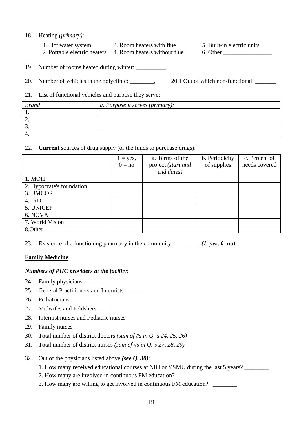- 18. Heating *(primary)*:
	- 1. Hot water system 3. Room heaters with flue 5. Built-in electric units
	- 2. Portable electric heaters 4. Room heaters without flue 6. Other \_\_\_\_\_\_\_\_\_\_\_\_\_\_

- 
- 19. Number of rooms heated during winter: \_\_\_\_\_\_\_\_\_\_
- 20. Number of vehicles in the polyclinic: \_\_\_\_\_\_, 20.1 Out of which non-functional: \_\_\_\_\_\_
- 21. List of functional vehicles and purpose they serve:

| <b>Brand</b> | a. Purpose it serves (primary): |
|--------------|---------------------------------|
|              |                                 |
|              |                                 |
| ، ب          |                                 |
|              |                                 |

22. **Current** sources of drug supply (or the funds to purchase drugs):

|                           | $1 = yes$ , | a. Terms of the    | b. Periodicity | c. Percent of |
|---------------------------|-------------|--------------------|----------------|---------------|
|                           | $0 = no$    | project (start and | of supplies    | needs covered |
|                           |             | end dates)         |                |               |
| 1. MOH                    |             |                    |                |               |
| 2. Hypocrate's foundation |             |                    |                |               |
| 3. UMCOR                  |             |                    |                |               |
| 4. IRD                    |             |                    |                |               |
| 5. UNICEF                 |             |                    |                |               |
| 6. NOVA                   |             |                    |                |               |
| 7. World Vision           |             |                    |                |               |
| 8.Other                   |             |                    |                |               |

23. Existence of a functioning pharmacy in the community:  $(1=ves, 0=no)$ 

## **Family Medicine**

## *Numbers of PHC providers at the facility:*

- 24. Family physicians \_\_\_\_\_\_\_\_
- 25. General Practitioners and Internists \_\_\_\_\_\_\_\_
- 26. Pediatricians
- 27. Midwifes and Feldshers
- 28. Internist nurses and Pediatric nurses
- 29. Family nurses
- 30. Total number of district doctors *(sum of #s in Q.-s 24, 25, 26)* \_\_\_\_\_\_\_\_\_
- 31. Total number of district nurses *(sum of #s in Q.-s 27, 28, 29)* \_\_\_\_\_\_\_\_
- 32. Out of the physicians listed above *(see Q. 30)*:
	- 1. How many received educational courses at NIH or YSMU during the last 5 years?
	- 2. How many are involved in continuous FM education?
	- 3. How many are willing to get involved in continuous FM education?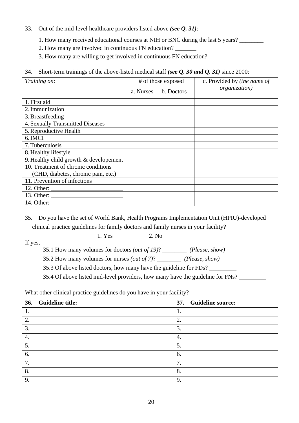- 33. Out of the mid-level healthcare providers listed above *(see Q. 31)*:
	- 1. How many received educational courses at NIH or BNC during the last 5 years?
	- 2. How many are involved in continuous FN education?
	- 3. How many are willing to get involved in continuous FN education?
- 34. Short-term trainings of the above-listed medical staff *(see Q. 30 and Q. 31)* since 2000:

| Training on:                                                                                                                                               | # of those exposed |            | c. Provided by (the name of |
|------------------------------------------------------------------------------------------------------------------------------------------------------------|--------------------|------------|-----------------------------|
|                                                                                                                                                            | a. Nurses          | b. Doctors | organization)               |
| 1. First aid                                                                                                                                               |                    |            |                             |
| 2. Immunization                                                                                                                                            |                    |            |                             |
| 3. Breastfeeding                                                                                                                                           |                    |            |                             |
| 4. Sexually Transmitted Diseases                                                                                                                           |                    |            |                             |
| 5. Reproductive Health                                                                                                                                     |                    |            |                             |
| 6. IMCI                                                                                                                                                    |                    |            |                             |
| 7. Tuberculosis                                                                                                                                            |                    |            |                             |
| 8. Healthy lifestyle                                                                                                                                       |                    |            |                             |
| 9. Healthy child growth $&$ developement                                                                                                                   |                    |            |                             |
| 10. Treatment of chronic conditions                                                                                                                        |                    |            |                             |
| (CHD, diabetes, chronic pain, etc.)                                                                                                                        |                    |            |                             |
| 11. Prevention of infections                                                                                                                               |                    |            |                             |
| 12. Other: $\frac{1}{\sqrt{1-\frac{1}{2}} \cdot \frac{1}{2}}$                                                                                              |                    |            |                             |
| 13. Other: $\frac{1}{\sqrt{1-\frac{1}{2}} \cdot \frac{1}{\sqrt{1-\frac{1}{2}} \cdot \frac{1}{2}} \cdot \frac{1}{\sqrt{1-\frac{1}{2}} \cdot \frac{1}{2}}}}$ |                    |            |                             |
| 14. Other: _                                                                                                                                               |                    |            |                             |

35. Do you have the set of World Bank, Health Programs Implementation Unit (HPIU)-developed clinical practice guidelines for family doctors and family nurses in your facility?

1. Yes 2. No.

If yes,

- 35.1 How many volumes for doctors *(out of 19)*? \_\_\_\_\_\_\_\_ *(Please, show)*
- 35.2 How many volumes for nurses *(out of 7)*? \_\_\_\_\_\_\_\_ *(Please, show)*

35.3 Of above listed doctors, how many have the guideline for FDs?

35.4 Of above listed mid-level providers, how many have the guideline for FNs? \_\_\_\_\_\_\_\_\_

What other clinical practice guidelines do you have in your facility?

| 36. Guideline title: | 37. Guideline source: |
|----------------------|-----------------------|
|                      |                       |
| $\mathbf{2}$         | 2.                    |
| 3.                   | 3.                    |
| 4.                   | 4.                    |
| 5.                   | 5.                    |
| 6.                   | 6.                    |
| 7.                   | 7                     |
| 8.                   | 8.                    |
| 9.                   | 9.                    |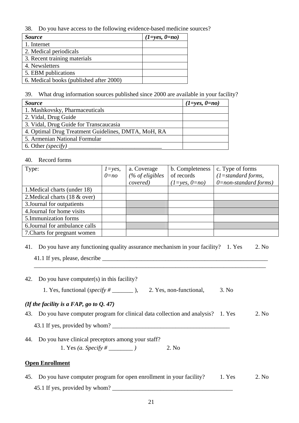38. Do you have access to the following evidence-based medicine sources?

| <b>Source</b>                           | $(1 = yes, 0 = no)$ |
|-----------------------------------------|---------------------|
| 1. Internet                             |                     |
| 2. Medical periodicals                  |                     |
| 3. Recent training materials            |                     |
| 4. Newsletters                          |                     |
| 5. EBM publications                     |                     |
| 6. Medical books (published after 2000) |                     |

39. What drug information sources published since 2000 are available in your facility?

| <i>Source</i>                                       | $(1 = yes, 0 = no)$ |
|-----------------------------------------------------|---------------------|
| 1. Mashkovsky, Pharmaceuticals                      |                     |
| 2. Vidal, Drug Guide                                |                     |
| 3. Vidal, Drug Guide for Transcaucasia              |                     |
| 4. Optimal Drug Treatment Guidelines, DMTA, MoH, RA |                     |
| 5. Armenian National Formular                       |                     |
| 6. Other (specify)                                  |                     |

#### 40. Record forms

| Type:                          | $l = yes$ , | a. Coverage      | b. Completeness     | c. Type of forms           |
|--------------------------------|-------------|------------------|---------------------|----------------------------|
|                                | $0=nq$      | $%$ of eligibles | of records          | $(1=standard forms,$       |
|                                |             | covered)         | $(1 = yes, 0 = no)$ | $0 = non-standard forms$ ) |
| 1. Medical charts (under 18)   |             |                  |                     |                            |
| 2. Medical charts (18 & over)  |             |                  |                     |                            |
| 3. Journal for outpatients     |             |                  |                     |                            |
| 4. Journal for home visits     |             |                  |                     |                            |
| 5.Immunization forms           |             |                  |                     |                            |
| 6. Journal for ambulance calls |             |                  |                     |                            |
| 7. Charts for pregnant women   |             |                  |                     |                            |

41. Do you have any functioning quality assurance mechanism in your facility? 1. Yes 2. No

41.1 If yes, please, describe \_\_\_\_\_\_\_\_\_\_\_\_\_\_\_\_\_\_\_\_\_\_\_\_\_\_\_\_\_\_\_\_\_\_\_\_\_\_\_\_\_\_\_\_\_\_\_\_\_\_\_\_\_\_\_ \_\_\_\_\_\_\_\_\_\_\_\_\_\_\_\_\_\_\_\_\_\_\_\_\_\_\_\_\_\_\_\_\_\_\_\_\_\_\_\_\_\_\_\_\_\_\_\_\_\_\_\_\_\_\_\_\_\_\_\_\_\_\_\_\_\_\_\_\_\_\_\_\_\_\_\_\_

42. Do you have computer(s) in this facility?

1. Yes, functional (*specify* # \_\_\_\_\_\_\_\_\_ ), 2. Yes, non-functional, 3. No

## *(If the facility is a FAP, go to Q. 47)*

43. Do you have computer program for clinical data collection and analysis? 1. Yes 2. No

43.1 If yes, provided by whom? \_\_\_\_\_\_\_\_\_\_\_\_\_\_\_\_\_\_\_\_\_\_\_\_\_\_\_\_\_\_\_\_\_\_\_\_\_\_\_

44. Do you have clinical preceptors among your staff? 1. Yes *(a. Specify # \_\_\_\_\_\_\_\_ )* 2. No

## **Open Enrollment**

45. Do you have computer program for open enrollment in your facility? 1. Yes 2. No 45.1 If yes, provided by whom?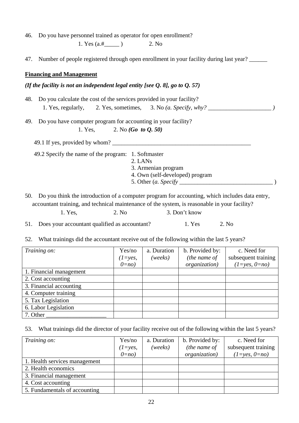46. Do you have personnel trained as operator for open enrollment?

1. Yes  $(a.#$  ) 2. No

47. Number of people registered through open enrollment in your facility during last year?

#### **Financing and Management**

#### *(If the facility is not an independent legal entity [see Q. 8], go to Q. 57)*

- 48. Do you calculate the cost of the services provided in your facility? 1. Yes, regularly, 2. Yes, sometimes, 3. No *(a. Specify, why?*
- 49. Do you have computer program for accounting in your facility?

1. Yes, 2. No *(Go to Q. 50)*

49.1 If yes, provided by whom?

49.2 Specify the name of the program: 1. Softmaster

- 2. LANs
- 3. Armenian program
- 4. Own (self-developed) program
- 5. Other (*a. Specify* \_\_\_\_\_\_\_\_\_\_\_\_\_\_\_\_\_\_\_\_\_\_\_\_\_\_\_\_\_\_\_ )

50. Do you think the introduction of a computer program for accounting, which includes data entry, accountant training, and technical maintenance of the system, is reasonable in your facility? 1. Yes, 2. No 3. Don't know

51. Does your accountant qualified as accountant? 1. Yes 2. No

52. What trainings did the accountant receive out of the following within the last 5 years?

| Training on:            | Yes/no      | a. Duration | b. Provided by: | c. Need for         |
|-------------------------|-------------|-------------|-----------------|---------------------|
|                         | $(1 = yes,$ | (weeks)     | (the name of    | subsequent training |
|                         | $0=no$      |             | organization)   | $(1=yes, 0=no)$     |
| 1. Financial management |             |             |                 |                     |
| 2. Cost accounting      |             |             |                 |                     |
| 3. Financial accounting |             |             |                 |                     |
| 4. Computer training    |             |             |                 |                     |
| 5. Tax Legislation      |             |             |                 |                     |
| 6. Labor Legislation    |             |             |                 |                     |
| 7. Other                |             |             |                 |                     |

53. What trainings did the director of your facility receive out of the following within the last 5 years?

| Training on:                  | Yes/no      | a. Duration | b. Provided by:       | c. Need for         |
|-------------------------------|-------------|-------------|-----------------------|---------------------|
|                               | $(1 = yes,$ | (weeks)     | (the name of          | subsequent training |
|                               | $0=no$      |             | <i>organization</i> ) | $(1 = yes, 0 = no)$ |
| 1. Health services management |             |             |                       |                     |
| 2. Health economics           |             |             |                       |                     |
| 3. Financial management       |             |             |                       |                     |
| 4. Cost accounting            |             |             |                       |                     |
| 5. Fundamentals of accounting |             |             |                       |                     |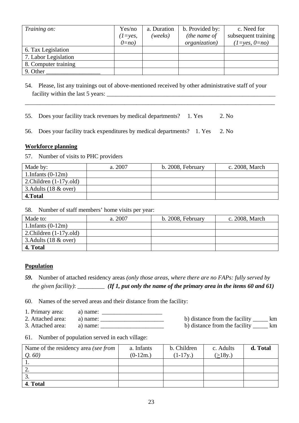| Training on:         | Yes/no      | a. Duration | b. Provided by: | c. Need for         |
|----------------------|-------------|-------------|-----------------|---------------------|
|                      | $(1 = yes,$ | (weeks)     | (the name of    | subsequent training |
|                      | $0=no$      |             | organization)   | $(1 = yes, 0 = no)$ |
| 6. Tax Legislation   |             |             |                 |                     |
| 7. Labor Legislation |             |             |                 |                     |
| 8. Computer training |             |             |                 |                     |
| 9. Other             |             |             |                 |                     |

54. Please, list any trainings out of above-mentioned received by other administrative staff of your facility within the last 5 years: \_\_\_\_\_\_\_\_\_\_\_\_\_\_\_\_\_\_\_\_\_\_\_\_\_\_\_\_\_\_\_\_\_\_\_\_\_\_\_\_\_\_\_\_\_\_\_\_\_\_\_\_\_\_\_\_

\_\_\_\_\_\_\_\_\_\_\_\_\_\_\_\_\_\_\_\_\_\_\_\_\_\_\_\_\_\_\_\_\_\_\_\_\_\_\_\_\_\_\_\_\_\_\_\_\_\_\_\_\_\_\_\_\_\_\_\_\_\_\_\_\_\_\_\_\_\_\_\_\_\_\_\_\_\_\_\_\_\_\_

- 55. Does your facility track revenues by medical departments? 1. Yes 2. No
- 56. Does your facility track expenditures by medical departments? 1. Yes 2. No

#### **Workforce planning**

57. Number of visits to PHC providers

| Made by:                        | a. 2007 | b. 2008, February | c. 2008, March |
|---------------------------------|---------|-------------------|----------------|
| 1.Infants $(0-12m)$             |         |                   |                |
| 2. Children $(1-17y$ . old)     |         |                   |                |
| 3. Adults $(18 \& \text{over})$ |         |                   |                |
| 4. Total                        |         |                   |                |

58. Number of staff members' home visits per year:

| Made to:                        | a. 2007 | b. 2008, February | c. 2008, March |
|---------------------------------|---------|-------------------|----------------|
| 1.Infants $(0-12m)$             |         |                   |                |
| 2. Children $(1-17y$ . old)     |         |                   |                |
| 3. Adults $(18 \& \text{over})$ |         |                   |                |
| 4. Total                        |         |                   |                |

#### **Population**

*59.* Number of attached residency areas *(only those areas, where there are no FAPs: fully served by the given facility)*:  $(If 1, put only the name of the primary area in the items 60 and 61)$ 

60. Names of the served areas and their distance from the facility:

- 1. Primary area:  $\qquad$  a) name:
- 2. Attached area: a) name: \_\_\_\_\_\_\_\_\_\_\_\_\_\_\_\_\_\_\_\_\_ b) distance from the facility \_\_\_\_\_ km
- 3. Attached area: a) name: \_\_\_\_\_\_\_\_\_\_\_\_\_\_\_\_\_\_\_\_\_ b) distance from the facility \_\_\_\_\_ km
- 
- 61. Number of population served in each village:

| Name of the residency area (see from | a. Infants | b. Children | c. Adults | d. Total |
|--------------------------------------|------------|-------------|-----------|----------|
| Q.60                                 | $(0-12m.)$ | $(1-17y)$   | (>18y.)   |          |
|                                      |            |             |           |          |
| Ź.                                   |            |             |           |          |
|                                      |            |             |           |          |
| 4. Total                             |            |             |           |          |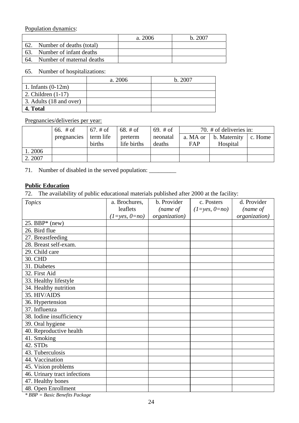Population dynamics:

|     |                               | a. 2006 | h.2007 |
|-----|-------------------------------|---------|--------|
| 62. | Number of deaths (total)      |         |        |
|     | 63. Number of infant deaths   |         |        |
|     | 64. Number of maternal deaths |         |        |

65. Number of hospitalizations:

|                         | a. 2006 | b. 2007 |
|-------------------------|---------|---------|
| 1. Infants $(0-12m)$    |         |         |
| 2. Children $(1-17)$    |         |         |
| 3. Adults (18 and over) |         |         |
| 4. Total                |         |         |

Pregnancies/deliveries per year:

|        | 66. $#$ of  | $\frac{67.}{}$ # of | $68. \; \text{\#} \; \text{of}$ | 69. $#$ of |          | 70. # of deliveries in:      |  |
|--------|-------------|---------------------|---------------------------------|------------|----------|------------------------------|--|
|        | pregnancies | term life           | preterm                         | neonatal   | a. MA or | b. Maternity $\vert$ c. Home |  |
|        |             | births              | life births                     | deaths     | FAP      | Hospital                     |  |
| 1.2006 |             |                     |                                 |            |          |                              |  |
| 2.2007 |             |                     |                                 |            |          |                              |  |

71. Number of disabled in the served population: \_\_\_\_\_\_\_\_\_\_\_\_\_\_\_\_\_\_\_\_\_\_\_\_\_\_\_\_\_\_\_\_

#### **Public Education**

72. The availability of public educational materials published after 2000 at the facility:

| <b>Topics</b>                                               | a. Brochures,       | b. Provider   | c. Posters          | d. Provider   |
|-------------------------------------------------------------|---------------------|---------------|---------------------|---------------|
|                                                             | leaflets            | (name of      | $(1 = yes, 0 = no)$ | (name of      |
|                                                             | $(1 = yes, 0 = no)$ | organization) |                     | organization) |
| 25. BBP $*$ (new)                                           |                     |               |                     |               |
| 26. Bird flue                                               |                     |               |                     |               |
| 27. Breastfeeding                                           |                     |               |                     |               |
| 28. Breast self-exam.                                       |                     |               |                     |               |
| 29. Child care                                              |                     |               |                     |               |
| 30. CHD                                                     |                     |               |                     |               |
| 31. Diabetes                                                |                     |               |                     |               |
| 32. First Aid                                               |                     |               |                     |               |
| 33. Healthy lifestyle                                       |                     |               |                     |               |
| 34. Healthy nutrition                                       |                     |               |                     |               |
| 35. HIV/AIDS                                                |                     |               |                     |               |
| 36. Hypertension                                            |                     |               |                     |               |
| 37. Influenza                                               |                     |               |                     |               |
| 38. Iodine insufficiency                                    |                     |               |                     |               |
| 39. Oral hygiene                                            |                     |               |                     |               |
| 40. Reproductive health                                     |                     |               |                     |               |
| 41. Smoking                                                 |                     |               |                     |               |
| 42. STDs                                                    |                     |               |                     |               |
| 43. Tuberculosis                                            |                     |               |                     |               |
| 44. Vaccination                                             |                     |               |                     |               |
| 45. Vision problems                                         |                     |               |                     |               |
| 46. Urinary tract infections                                |                     |               |                     |               |
| 47. Healthy bones                                           |                     |               |                     |               |
| 48. Open Enrollment<br>$*$ DDD $=$ D and D anofits D askson |                     |               |                     |               |

*\* BBP = Basic Benefits Package*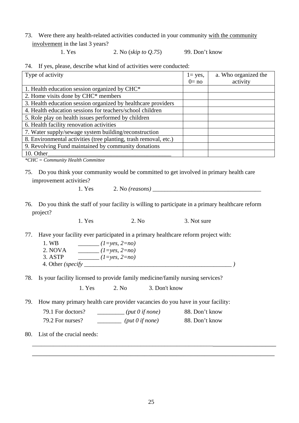73. Were there any health-related activities conducted in your community with the community involvement in the last 3 years?

1. Yes 2. No (*skip to Q.75*) 99. Don't know

|  |  |  |  |  |  |  |  |  | 74. If yes, please, describe what kind of activities were conducted: |
|--|--|--|--|--|--|--|--|--|----------------------------------------------------------------------|
|--|--|--|--|--|--|--|--|--|----------------------------------------------------------------------|

| Type of activity                                                 | $1 = yes$ , | a. Who organized the |
|------------------------------------------------------------------|-------------|----------------------|
|                                                                  | $0 = no$    | activity             |
| 1. Health education session organized by CHC*                    |             |                      |
| 2. Home visits done by CHC* members                              |             |                      |
| 3. Health education session organized by healthcare providers    |             |                      |
| 4. Health education sessions for teachers/school children        |             |                      |
| 5. Role play on health issues performed by children              |             |                      |
| 6. Health facility renovation activities                         |             |                      |
| 7. Water supply/sewage system building/reconstruction            |             |                      |
| 8. Environmental activities (tree planting, trash removal, etc.) |             |                      |
| 9. Revolving Fund maintained by community donations              |             |                      |
| 10. Other                                                        |             |                      |

*\*CHC = Community Health Committee* 

- 75. Do you think your community would be committed to get involved in primary health care improvement activities?
	-

1. Yes 2. No *(reasons)* 

76. Do you think the staff of your facility is willing to participate in a primary healthcare reform project?

1. Yes 2. No 3. Not sure

77. Have your facility ever participated in a primary healthcare reform project with:

- 1. WB \_\_\_\_\_\_\_ *(1=yes, 2=no)*
- 2. NOVA \_\_\_\_\_\_\_ *(1=yes, 2=no)*
- 3. ASTP \_\_\_\_\_\_\_ *(1=yes, 2=no)*  4. Other *(specify \_\_\_\_\_\_\_\_\_\_\_\_\_\_\_\_\_\_\_\_\_\_\_\_\_\_\_\_\_\_\_\_\_\_\_\_\_\_\_\_\_\_\_\_\_\_\_\_\_ )*
- 78. Is your facility licensed to provide family medicine/family nursing services?

1. Yes 2. No 3. Don't know

79. How many primary health care provider vacancies do you have in your facility:

| 79.1 For doctors? | $(\text{put } 0 \text{ if none})$ | 88. Don't know |
|-------------------|-----------------------------------|----------------|
| 79.2 For nurses?  | $(\text{put } 0 \text{ if none})$ | 88. Don't know |

80. List of the crucial needs:

\_\_\_\_\_\_\_\_\_\_\_\_\_\_\_\_\_\_\_\_\_\_\_\_\_\_\_\_\_\_\_\_\_\_\_\_\_\_\_\_\_\_\_\_\_\_\_\_\_\_\_\_\_\_\_\_\_\_\_\_\_\_\_\_\_\_\_\_\_\_\_\_\_\_\_\_\_\_ \_\_\_\_\_\_\_\_\_\_\_\_\_\_\_\_\_\_\_\_\_\_\_\_\_\_\_\_\_\_\_\_\_\_\_\_\_\_\_\_\_\_\_\_\_\_\_\_\_\_\_\_\_\_\_\_\_\_\_\_\_\_\_\_\_\_\_\_\_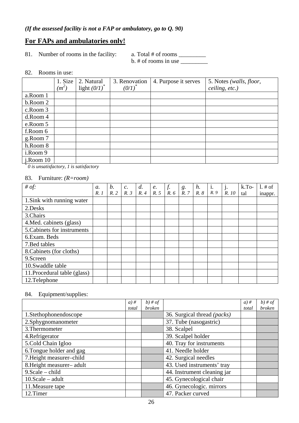## **For FAPs and ambulatories only!**

81. Number of rooms in the facility: a. Total # of rooms \_\_\_\_\_\_\_\_\_\_\_\_\_\_\_\_\_\_\_\_\_\_\_\_

 $b. \#$  of rooms in use  $\_\_$ 

#### 82. Rooms in use:

|               | 1. Size | 2. Natural      | 3. Renovation | 4. Purpose it serves | 5. Notes (walls, floor, |
|---------------|---------|-----------------|---------------|----------------------|-------------------------|
|               | $(m^2)$ | light $(0/I)^*$ | $(0/1)^{n}$   |                      | ceiling, etc.)          |
| a.Room 1      |         |                 |               |                      |                         |
| b.Room 2      |         |                 |               |                      |                         |
| c.Room 3      |         |                 |               |                      |                         |
| d.Room 4      |         |                 |               |                      |                         |
| e.Room 5      |         |                 |               |                      |                         |
| f.Room 6      |         |                 |               |                      |                         |
| g.Room 7      |         |                 |               |                      |                         |
| h.Room 8      |         |                 |               |                      |                         |
| i.Room 9      |         |                 |               |                      |                         |
| $i$ . Room 10 |         |                 |               |                      |                         |

*\* 0 is unsatisfactory, 1 is satisfactory* 

#### 83. Furniture: *(R=room)*

| # of:                        | $\mathfrak{a}$ . | b.  | $c$ . | d.                                 |              | $\frac{f}{R}$ . 6 | $\begin{array}{c} g. \\ R. \end{array}$ | $\begin{array}{c} h. \\ R. 8 \end{array}$ | i.<br>$R.9$ | $\vert \,$ j.<br>R. 10 $\vert$ | $k.To-$ | 1. # of |
|------------------------------|------------------|-----|-------|------------------------------------|--------------|-------------------|-----------------------------------------|-------------------------------------------|-------------|--------------------------------|---------|---------|
|                              | R.1              | R.2 | R.3   | $\begin{array}{c} R.4 \end{array}$ | e.<br>$R. 5$ |                   |                                         |                                           |             |                                | tal     | inappr. |
| 1. Sink with running water   |                  |     |       |                                    |              |                   |                                         |                                           |             |                                |         |         |
| 2.Desks                      |                  |     |       |                                    |              |                   |                                         |                                           |             |                                |         |         |
| 3.Chairs                     |                  |     |       |                                    |              |                   |                                         |                                           |             |                                |         |         |
| 4. Med. cabinets (glass)     |                  |     |       |                                    |              |                   |                                         |                                           |             |                                |         |         |
| 5. Cabinets for instruments  |                  |     |       |                                    |              |                   |                                         |                                           |             |                                |         |         |
| 6. Exam. Beds                |                  |     |       |                                    |              |                   |                                         |                                           |             |                                |         |         |
| 7. Bed tables                |                  |     |       |                                    |              |                   |                                         |                                           |             |                                |         |         |
| 8. Cabinets (for cloths)     |                  |     |       |                                    |              |                   |                                         |                                           |             |                                |         |         |
| 9.Screen                     |                  |     |       |                                    |              |                   |                                         |                                           |             |                                |         |         |
| 10.Swaddle table             |                  |     |       |                                    |              |                   |                                         |                                           |             |                                |         |         |
| 11. Procedural table (glass) |                  |     |       |                                    |              |                   |                                         |                                           |             |                                |         |         |
| 12.Telephone                 |                  |     |       |                                    |              |                   |                                         |                                           |             |                                |         |         |

#### 84. Equipment/supplies:

|                           | $a)$ # | $b)$ # of     |                             | $a)$ # | $b)$ # of |
|---------------------------|--------|---------------|-----------------------------|--------|-----------|
|                           | total  | <b>broken</b> |                             | total  | broken    |
| 1.Stethophonendoscope     |        |               | 36. Surgical thread (packs) |        |           |
| 2.Sphygnomanometer        |        |               | 37. Tube (nasogastric)      |        |           |
| 3. Thermometer            |        |               | 38. Scalpel                 |        |           |
| 4. Refrigerator           |        |               | 39. Scalpel holder          |        |           |
| 5.Cold Chain Igloo        |        |               | 40. Tray for instruments    |        |           |
| 6. Tongue holder and gag  |        |               | 41. Needle holder           |        |           |
| 7. Height measurer-child  |        |               | 42. Surgical needles        |        |           |
| 8. Height measurer- adult |        |               | 43. Used instruments' tray  |        |           |
| $9. Scale - child$        |        |               | 44. Instrument cleaning jar |        |           |
| $10.Scale - adult$        |        |               | 45. Gynecological chair     |        |           |
| 11. Measure tape          |        |               | 46. Gynecologic. mirrors    |        |           |
| 12.Timer                  |        |               | 47. Packer curved           |        |           |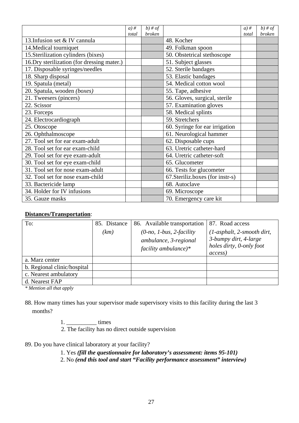|                                             | $a)$ # | $b)$ # of     |                                   | $a)$ # | $b)$ # of     |
|---------------------------------------------|--------|---------------|-----------------------------------|--------|---------------|
|                                             | total  | <b>broken</b> |                                   | total  | <i>broken</i> |
| 13. Infusion set & IV cannula               |        |               | 48. Kocher                        |        |               |
| 14. Medical tourniquet                      |        |               | 49. Folkman spoon                 |        |               |
| 15. Sterilization cylinders (bixes)         |        |               | 50. Obstetrical stethoscope       |        |               |
| 16. Dry sterilization (for dressing mater.) |        |               | 51. Subject glasses               |        |               |
| 17. Disposable syringes/needles             |        |               | 52. Sterile bandages              |        |               |
| 18. Sharp disposal                          |        |               | 53. Elastic bandages              |        |               |
| 19. Spatula (metal)                         |        |               | 54. Medical cotton wool           |        |               |
| 20. Spatula, wooden (boxes)                 |        |               | 55. Tape, adhesive                |        |               |
| 21. Tweesers (pincers)                      |        |               | 56. Gloves, surgical, sterile     |        |               |
| 22. Scissor                                 |        |               | 57. Examination gloves            |        |               |
| 23. Forceps                                 |        |               | 58. Medical splints               |        |               |
| 24. Electrocardiograph                      |        |               | 59. Stretchers                    |        |               |
| 25. Otoscope                                |        |               | 60. Syringe for ear irrigation    |        |               |
| 26. Ophthalmoscope                          |        |               | 61. Neurological hammer           |        |               |
| 27. Tool set for ear exam-adult             |        |               | 62. Disposable cups               |        |               |
| 28. Tool set for ear exam-child             |        |               | 63. Uretric catheter-hard         |        |               |
| 29. Tool set for eye exam-adult             |        |               | 64. Uretric catheter-soft         |        |               |
| 30. Tool set for eye exam-child             |        |               | 65. Glucometer                    |        |               |
| 31. Tool set for nose exam-adult            |        |               | 66. Tests for glucometer          |        |               |
| 32. Tool set for nose exam-child            |        |               | 67. Steriliz. boxes (for instr-s) |        |               |
| 33. Bactericide lamp                        |        |               | 68. Autoclave                     |        |               |
| 34. Holder for IV infusions                 |        |               | 69. Microscope                    |        |               |
| 35. Gauze masks                             |        |               | 70. Emergency care kit            |        |               |

#### **Distances/Transportation**:

| To:                         | 85. Distance | 86. Available transportation                                                  | 87. Road access                                                                              |
|-----------------------------|--------------|-------------------------------------------------------------------------------|----------------------------------------------------------------------------------------------|
|                             | (km)         | $(0-no, 1-bus, 2-factority)$<br>ambulance, 3-regional<br>facility ambulance)* | $(1-asphalt, 2-smooth$ dirt,<br>3-bumpy dirt, 4-large<br>holes dirty, 0-only foot<br>access) |
| a. Marz center              |              |                                                                               |                                                                                              |
| b. Regional clinic/hospital |              |                                                                               |                                                                                              |
| c. Nearest ambulatory       |              |                                                                               |                                                                                              |
| d. Nearest FAP              |              |                                                                               |                                                                                              |

*\* Mention all that apply*

88. How many times has your supervisor made supervisory visits to this facility during the last 3 months?

1.  $times$ 

2. The facility has no direct outside supervision

89. Do you have clinical laboratory at your facility?

1. Yes *(fill the questionnaire for laboratory's assessment: items 95-101)*

2. No *(end this tool and start "Facility performance assessment" interview)*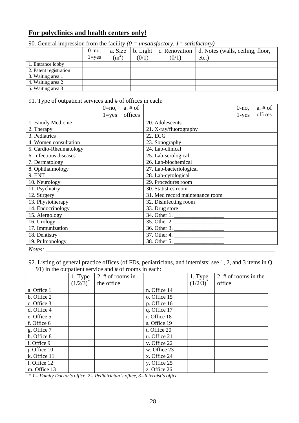## **For polyclinics and health centers only!**

|                        | $0=no$ ,<br>$l = ves$ | a. Size<br>$(m^2)$ | $b.$ Light<br>(0/1) | (0/1) | c. Renovation   d. Notes (walls, ceiling, floor,<br>etc. |
|------------------------|-----------------------|--------------------|---------------------|-------|----------------------------------------------------------|
| 1. Entrance lobby      |                       |                    |                     |       |                                                          |
| 2. Patent registration |                       |                    |                     |       |                                                          |
| 3. Waiting area 1      |                       |                    |                     |       |                                                          |
| 4. Waiting area 2      |                       |                    |                     |       |                                                          |
| 5. Waiting area 3      |                       |                    |                     |       |                                                          |

90. General impression from the facility  $(0 = \text{unsatisfactory}, 1 = \text{satifactory})$ 

#### 91. Type of outpatient services and # of offices in each:

|                        | $0 = no$ , | $a. \# of$ |                                 | $0$ -no, | $a. \# of$ |
|------------------------|------------|------------|---------------------------------|----------|------------|
|                        | $1 = yes$  | offices    |                                 | $1$ -yes | offices    |
| 1. Family Medicine     |            |            | 20. Adolescents                 |          |            |
| 2. Therapy             |            |            | 21. X-ray/fluorography          |          |            |
| 3. Pediatrics          |            |            | 22. ECG                         |          |            |
| 4. Women consultation  |            |            | 23. Sonography                  |          |            |
| 5. Cardio-Rheumatology |            |            | 24. Lab-clinical                |          |            |
| 6. Infectious diseases |            |            | 25. Lab-serological             |          |            |
| 7. Dermatology         |            |            | 26. Lab-biochemical             |          |            |
| 8. Ophthalmology       |            |            | 27. Lab-bacteriological         |          |            |
| 9. ENT                 |            |            | 28. Lab-cytological             |          |            |
| 10. Neurology          |            |            | 29. Procedures room             |          |            |
| 11. Psychiatry         |            |            | 30. Statistics room             |          |            |
| 12. Surgery            |            |            | 31. Med record maintenance room |          |            |
| 13. Physiotherapy      |            |            | 32. Disinfecting room           |          |            |
| 14. Endocrinology      |            |            | 33. Drug store                  |          |            |
| 15. Alergology         |            |            | 34. Other 1.                    |          |            |
| 16. Urology            |            |            | $\overline{35}$ . Other 2.      |          |            |
| 17. Immunization       |            |            | $\overline{36}$ . Other 3.      |          |            |
| 18. Dentistry          |            |            | 37. Other 4.                    |          |            |
| 19. Pulmonology        |            |            | 38. Other 5.                    |          |            |
| Notes:                 |            |            |                                 |          |            |

92. Listing of general practice offices (of FDs, pediatricians, and internists: see 1, 2, and 3 items in Q. 91) in the outpatient service and # of rooms in each:

|              | 1. Type       | 2. $#$ of rooms in |              | 1. Type       | 2. $#$ of rooms in the |
|--------------|---------------|--------------------|--------------|---------------|------------------------|
|              | $(1/2/3)^{*}$ | the office         |              | $(1/2/3)^{1}$ | office                 |
| a. Office 1  |               |                    | n. Office 14 |               |                        |
| b. Office 2  |               |                    | o. Office 15 |               |                        |
| c. Office 3  |               |                    | p. Office 16 |               |                        |
| d. Office 4  |               |                    | q. Office 17 |               |                        |
| e. Office 5  |               |                    | r. Office 18 |               |                        |
| f. Office 6  |               |                    | s. Office 19 |               |                        |
| g. Office 7  |               |                    | t. Office 20 |               |                        |
| h. Office 8  |               |                    | u. Office 21 |               |                        |
| i. Office 9  |               |                    | v. Office 22 |               |                        |
| j. Office 10 |               |                    | w. Office 23 |               |                        |
| k. Office 11 |               |                    | x. Office 24 |               |                        |
| 1. Office 12 |               |                    | y. Office 25 |               |                        |
| m. Office 13 |               |                    | z. Office 26 |               |                        |

*\* 1= Family Doctor's office, 2= Pediatrician's office, 3=Internist's office*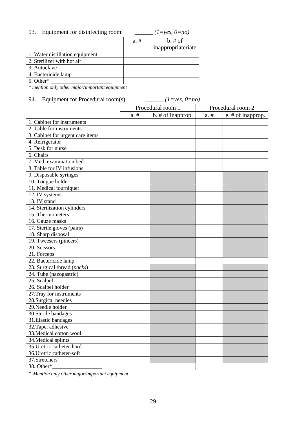| Equipment for disinfecting room:<br>93. |         | $(1=yes, 0=no)$    |
|-----------------------------------------|---------|--------------------|
|                                         | $a. \#$ | $b. \# of$         |
|                                         |         | inappropriateriate |
| 1. Water distillation equipment         |         |                    |
| 2. Sterilizer with hot air              |         |                    |
| 3. Autoclave                            |         |                    |
| 4. Bactericide lamp                     |         |                    |
| 5. Other*                               |         |                    |

*\* mention only other major/important equipment*

## 94. Equipment for Procedural room(s): *\_\_\_\_\_\_ (1=yes, 0=no)*

|                                  | Procedural room 1 |                   | Procedural room 2 |                   |
|----------------------------------|-------------------|-------------------|-------------------|-------------------|
|                                  | $a. \#$           | b. # of inapprop. | $a. \#$           | e. # of inapprop. |
| 1. Cabinet for instruments       |                   |                   |                   |                   |
| 2. Table for instruments         |                   |                   |                   |                   |
| 3. Cabinet for urgent care items |                   |                   |                   |                   |
| 4. Refrigerator                  |                   |                   |                   |                   |
| 5. Desk for nurse                |                   |                   |                   |                   |
| 6. Chairs                        |                   |                   |                   |                   |
| 7. Med. examination bed          |                   |                   |                   |                   |
| 8. Table for IV infusions        |                   |                   |                   |                   |
| 9. Disposable syringes           |                   |                   |                   |                   |
| 10. Tongue holder                |                   |                   |                   |                   |
| 11. Medical tourniquet           |                   |                   |                   |                   |
| 12. IV systems                   |                   |                   |                   |                   |
| 13. IV stand                     |                   |                   |                   |                   |
| 14. Sterilization cylinders      |                   |                   |                   |                   |
| 15. Thermometers                 |                   |                   |                   |                   |
| 16. Gauze masks                  |                   |                   |                   |                   |
| 17. Sterile gloves (pairs)       |                   |                   |                   |                   |
| 18. Sharp disposal               |                   |                   |                   |                   |
| 19. Tweesers (pincers)           |                   |                   |                   |                   |
| 20. Scissors                     |                   |                   |                   |                   |
| 21. Forceps                      |                   |                   |                   |                   |
| 22. Bactericide lamp             |                   |                   |                   |                   |
| 23. Surgical thread (packs)      |                   |                   |                   |                   |
| 24. Tube (nazogastric)           |                   |                   |                   |                   |
| 25. Scalpel                      |                   |                   |                   |                   |
| 26. Scalpel holder               |                   |                   |                   |                   |
| 27. Tray for instruments         |                   |                   |                   |                   |
| 28. Surgical needles             |                   |                   |                   |                   |
| 29. Needle holder                |                   |                   |                   |                   |
| 30. Sterile bandages             |                   |                   |                   |                   |
| 31. Elastic bandages             |                   |                   |                   |                   |
| 32. Tape, adhesive               |                   |                   |                   |                   |
| 33. Medical cotton wool          |                   |                   |                   |                   |
| 34. Medical splints              |                   |                   |                   |                   |
| 35. Uretric catheter-hard        |                   |                   |                   |                   |
| 36. Uretric catheter-soft        |                   |                   |                   |                   |
| 37.Stretchers                    |                   |                   |                   |                   |
| 38. Other*                       |                   |                   |                   |                   |

\* *Mention only other major/important equipment*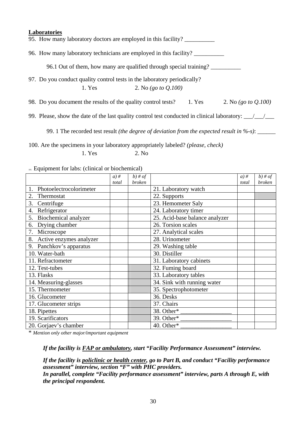# **Laboratories** 95. How many laboratory doctors are employed in this facility? 96. How many laboratory technicians are employed in this facility? \_\_\_\_\_\_\_\_\_\_ 96.1 Out of them, how many are qualified through special training? \_\_\_\_\_\_\_\_\_\_ 97. Do you conduct quality control tests in the laboratory periodically? 1. Yes 2. No *(go to Q.100)* 98. Do you document the results of the quality control tests? 1. Yes 2. No *(go to Q.100)* 99. Please, show the date of the last quality control test conducted in clinical laboratory:  $\frac{1}{\sqrt{2}}$ 99. 1 The recorded test result *(the degree of deviation from the expected result in %-s)*:

100. Are the specimens in your laboratory appropriately labeled? *(please, check)* 1. Yes 2. No

| ioi. Equipment for favs. (Chinear of Diochemical) |        |               |                                |        |           |  |
|---------------------------------------------------|--------|---------------|--------------------------------|--------|-----------|--|
|                                                   | $a)$ # | $b)$ # of     |                                | $a)$ # | $b)$ # of |  |
|                                                   | total  | <i>broken</i> |                                | total  | broken    |  |
| Photoelectrocolorimeter<br>1.                     |        |               | 21. Laboratory watch           |        |           |  |
| 2.<br>Thermostat                                  |        |               | 22. Supports                   |        |           |  |
| 3.<br>Centrifuge                                  |        |               | 23. Hemometer Saly             |        |           |  |
| 4. Refrigerator                                   |        |               | 24. Laboratory timer           |        |           |  |
| Biochemical analyzer<br>5.                        |        |               | 25. Acid-base balance analyzer |        |           |  |
| 6. Drying chamber                                 |        |               | 26. Torsion scales             |        |           |  |
| 7. Microscope                                     |        |               | 27. Analytical scales          |        |           |  |
| 8. Active enzymes analyzer                        |        |               | 28. Urinometer                 |        |           |  |
| 9. Panchkov's apparatus                           |        |               | 29. Washing table              |        |           |  |
| 10. Water-bath                                    |        |               | 30. Distiller                  |        |           |  |
| 11. Refractometer                                 |        |               | 31. Laboratory cabinets        |        |           |  |
| 12. Test-tubes                                    |        |               | 32. Fuming board               |        |           |  |
| 13. Flasks                                        |        |               | 33. Laboratory tables          |        |           |  |
| 14. Measuring-glasses                             |        |               | 34. Sink with running water    |        |           |  |
| 15. Thermometer                                   |        |               | 35. Spectrophotometer          |        |           |  |
| 16. Glucometer                                    |        |               | 36. Desks                      |        |           |  |
| 17. Glucometer strips                             |        |               | 37. Chairs                     |        |           |  |
| 18. Pipettes                                      |        |               | 38. Other*                     |        |           |  |
| 19. Scarificators                                 |        |               | 39. Other*                     |        |           |  |
| 20. Gorjaev's chamber                             |        |               | 40. Other*                     |        |           |  |

101. Equipment for labs: (clinical or biochemical)

\* *Mention only other major/important equipment*

*If the facility is FAP or ambulatory, start "Facility Performance Assessment" interview.* 

*If the facility is policlinic or health center, go to Part B, and conduct "Facility performance assessment" interview, section "F" with PHC providers. In parallel, complete "Facility performance assessment" interview, parts A through E, with the principal respondent.*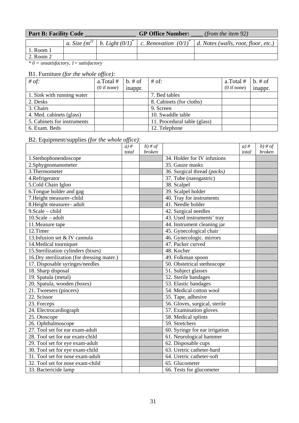| <b>Part B: Facility Code</b> |  |  | <b>GP Office Number:</b> | (from the item $92$ )                                                                                              |
|------------------------------|--|--|--------------------------|--------------------------------------------------------------------------------------------------------------------|
|                              |  |  |                          | a. Size $(m^{2)} \mid b$ . Light $(0/I)^* \mid c$ . Renovation $(0/I)^* \mid d$ . Notes (walls, root, floor, etc.) |
| . Room 1                     |  |  |                          |                                                                                                                    |
| 2. Room 2                    |  |  |                          |                                                                                                                    |

*\* 0 = unsatisfactory, 1= satisfactory* 

#### B1. Furniture *(for the whole office):*

| # of:                       | a.Total #   | $b. \# of$ | $#$ of:                      | a.Total#    | $b. \# of$ |
|-----------------------------|-------------|------------|------------------------------|-------------|------------|
|                             | (0 if none) | inappr.    |                              | (0 if none) | inappr.    |
| 1. Sink with running water  |             |            | 7. Bed tables                |             |            |
| 2. Desks                    |             |            | 8. Cabinets (for cloths)     |             |            |
| 3. Chairs                   |             |            | 9. Screen                    |             |            |
| 4. Med. cabinets (glass)    |             |            | 10. Swaddle table            |             |            |
| 5. Cabinets for instruments |             |            | 11. Procedural table (glass) |             |            |
| 6. Exam. Beds               |             |            | 12. Telephone                |             |            |

## B2. Equipment/supplies *(for the whole office):*

|                                             | $a)$ # | $b)$ # of     |                                | $a)$ # | $b)$ # of     |
|---------------------------------------------|--------|---------------|--------------------------------|--------|---------------|
|                                             | total  | <i>broken</i> |                                | total  | <b>broken</b> |
| 1.Stethophonendoscope                       |        |               | 34. Holder for IV infusions    |        |               |
| 2.Sphygnomanometer                          |        |               | 35. Gauze masks                |        |               |
| 3. Thermometer                              |        |               | 36. Surgical thread (packs)    |        |               |
| 4.Refrigerator                              |        |               | 37. Tube (nasogastric)         |        |               |
| 5.Cold Chain Igloo                          |        |               | 38. Scalpel                    |        |               |
| 6. Tongue holder and gag                    |        |               | 39. Scalpel holder             |        |               |
| 7. Height measurer-child                    |        |               | 40. Tray for instruments       |        |               |
| 8. Height measurer-adult                    |        |               | 41. Needle holder              |        |               |
| 9. Scale - child                            |        |               | 42. Surgical needles           |        |               |
| $10.Scale - adult$                          |        |               | 43. Used instruments' tray     |        |               |
| 11. Measure tape                            |        |               | 44. Instrument cleaning jar    |        |               |
| 12.Timer                                    |        |               | 45. Gynecological chair        |        |               |
| 13. Infusion set & IV cannula               |        |               | 46. Gynecologic. mirrors       |        |               |
| 14. Medical tourniquet                      |        |               | 47. Packer curved              |        |               |
| 15. Sterilization cylinders (bixes)         |        |               | 48. Kocher                     |        |               |
| 16. Dry sterilization (for dressing mater.) |        |               | 49. Folkman spoon              |        |               |
| 17. Disposable syringes/needles             |        |               | 50. Obstetrical stethoscope    |        |               |
| 18. Sharp disposal                          |        |               | 51. Subject glasses            |        |               |
| 19. Spatula (metal)                         |        |               | 52. Sterile bandages           |        |               |
| 20. Spatula, wooden (boxes)                 |        |               | 53. Elastic bandages           |        |               |
| 21. Tweesers (pincers)                      |        |               | 54. Medical cotton wool        |        |               |
| 22. Scissor                                 |        |               | 55. Tape, adhesive             |        |               |
| 23. Forceps                                 |        |               | 56. Gloves, surgical, sterile  |        |               |
| 24. Electrocardiograph                      |        |               | 57. Examination gloves         |        |               |
| 25. Otoscope                                |        |               | 58. Medical splints            |        |               |
| 26. Ophthalmoscope                          |        |               | 59. Stretchers                 |        |               |
| 27. Tool set for ear exam-adult             |        |               | 60. Syringe for ear irrigation |        |               |
| 28. Tool set for ear exam-child             |        |               | 61. Neurological hammer        |        |               |
| 29. Tool set for eye exam-adult             |        |               | 62. Disposable cups            |        |               |
| 30. Tool set for eye exam-child             |        |               | 63. Uretric catheter-hard      |        |               |
| 31. Tool set for nose exam-adult            |        |               | 64. Uretric catheter-soft      |        |               |
| 32. Tool set for nose exam-child            |        |               | 65. Glucometer                 |        |               |
| 33. Bactericide lamp                        |        |               | 66. Tests for glucometer       |        |               |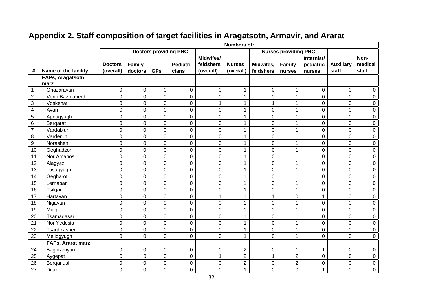|                  |                          |                             |                          |                              |                    |                                     | <b>Numbers of:</b>         |                               |                             |                                   |                           |                          |
|------------------|--------------------------|-----------------------------|--------------------------|------------------------------|--------------------|-------------------------------------|----------------------------|-------------------------------|-----------------------------|-----------------------------------|---------------------------|--------------------------|
|                  |                          |                             |                          | <b>Doctors providing PHC</b> |                    |                                     |                            |                               | <b>Nurses providing PHC</b> |                                   |                           |                          |
| #                | Name of the facility     | <b>Doctors</b><br>(overall) | <b>Family</b><br>doctors | <b>GPs</b>                   | Pediatri-<br>cians | Midwifes/<br>feldshers<br>(overall) | <b>Nurses</b><br>(overall) | <b>Midwifes/</b><br>feldshers | <b>Family</b><br>nurses     | Internist/<br>pediatric<br>nurses | <b>Auxiliary</b><br>staff | Non-<br>medical<br>staff |
|                  | FAPs, Aragatsotn<br>marz |                             |                          |                              |                    |                                     |                            |                               |                             |                                   |                           |                          |
| -1               | Ghazaravan               | $\mathbf 0$                 | $\boldsymbol{0}$         | $\mathbf 0$                  | 0                  | 0                                   | 1                          | 0                             | $\mathbf{1}$                | 0                                 | $\mathbf 0$               | 0                        |
| $\mathbf 2$      | Verin Bazmaberd          | 0                           | 0                        | $\mathbf 0$                  | 0                  | 0                                   | $\mathbf{1}$               | $\mathbf 0$                   | $\mathbf{1}$                | 0                                 | $\overline{0}$            | $\mathsf 0$              |
| 3                | Voskehat                 | 0                           | 0                        | $\mathbf 0$                  | $\mathbf 0$        | $\mathbf{1}$                        | $\mathbf{1}$               | $\mathbf{1}$                  | $\mathbf{1}$                | 0                                 | $\mathbf 0$               | $\pmb{0}$                |
| 4                | Avan                     | 0                           | 0                        | $\mathbf 0$                  | 0                  | 0                                   | $\mathbf{1}$               | $\pmb{0}$                     | $\mathbf{1}$                | 0                                 | $\overline{0}$            | $\boldsymbol{0}$         |
| 5                | Apnagyugh                | 0                           | 0                        | $\overline{0}$               | 0                  | 0                                   | $\mathbf{1}$               | $\mathbf 0$                   | $\mathbf{1}$                | 0                                 | $\overline{0}$            | $\boldsymbol{0}$         |
| 6                | Bergarat                 | 0                           | 0                        | $\overline{0}$               | 0                  | 0                                   | $\mathbf{1}$               | $\mathbf 0$                   | 1                           | 0                                 | $\overline{0}$            | $\boldsymbol{0}$         |
| $\overline{7}$   | Vardablur                | 0                           | 0                        | 0                            | 0                  | 0                                   | 1                          | $\mathbf 0$                   | $\mathbf{1}$                | 0                                 | 0                         | $\pmb{0}$                |
| $\bf 8$          | Vardenut                 | 0                           | $\mathbf 0$              | $\mathbf 0$                  | 0                  | 0                                   | $\mathbf{1}$               | $\mathbf 0$                   | $\mathbf{1}$                | 0                                 | $\mathbf 0$               | $\mathsf 0$              |
| $\boldsymbol{9}$ | Norashen                 | 0                           | 0                        | $\overline{0}$               | 0                  | 0                                   | $\mathbf{1}$               | $\pmb{0}$                     | $\mathbf 1$                 | 0                                 | $\mathbf 0$               | $\mathsf 0$              |
| 10               | Geghadzor                | 0                           | 0                        | $\mathbf 0$                  | 0                  | 0                                   | $\mathbf{1}$               | $\mathbf 0$                   | $\mathbf{1}$                | 0                                 | 0                         | $\boldsymbol{0}$         |
| 11               | Nor Amanos               | 0                           | $\boldsymbol{0}$         | $\mathbf 0$                  | 0                  | 0                                   | $\mathbf{1}$               | $\pmb{0}$                     | $\mathbf{1}$                | 0                                 | $\mathbf 0$               | $\pmb{0}$                |
| 12               | Alagyaz                  | 0                           | $\overline{0}$           | $\overline{0}$               | 0                  | 0                                   | $\mathbf{1}$               | $\pmb{0}$                     | 1                           | 0                                 | 0                         | $\pmb{0}$                |
| 13               | Lusagyugh                | 0                           | 0                        | $\overline{0}$               | 0                  | 0                                   | $\mathbf{1}$               | $\mathbf 0$                   | 1                           | 0                                 | $\Omega$                  | $\boldsymbol{0}$         |
| 14               | Gegharot                 | 0                           | 0                        | $\mathbf 0$                  | 0                  | 0                                   | 1                          | $\mathbf 0$                   | 1                           | 0                                 | $\Omega$                  | 0                        |
| 15               | Lernapar                 | 0                           | 0                        | 0                            | 0                  | 0                                   | $\mathbf 1$                | 0                             | $\mathbf{1}$                | 0                                 | 0                         | 0                        |
| 16               | Tsilqar                  | 0                           | 0                        | $\overline{0}$               | $\mathbf 0$        | 0                                   | $\mathbf{1}$               | $\mathbf 0$                   | $\mathbf{1}$                | $\mathbf 0$                       | $\mathbf 0$               | $\boldsymbol{0}$         |
| 17               | Hartavan                 | 0                           | 0                        | $\mathbf 0$                  | 0                  | $\mathbf{1}$                        | $\mathbf{1}$               | 1                             | 0                           | $\mathbf{1}$                      | $\mathbf 0$               | 0                        |
| 18               | Nigavan                  | 0                           | $\boldsymbol{0}$         | $\mathbf 0$                  | 0                  | 0                                   | 1                          | $\pmb{0}$                     | $\mathbf{1}$                | 0                                 | $\mathbf 0$               | 0                        |
| 19               | Mulgi                    | $\overline{0}$              | $\boldsymbol{0}$         | $\mathbf 0$                  | 0                  | 0                                   | $\mathbf 1$                | $\mathsf 0$                   | $\mathbf{1}$                | 0                                 | 0                         | $\pmb{0}$                |
| 20               | Tsamaqasar               | 0                           | 0                        | $\mathbf 0$                  | 0                  | 0                                   | $\mathbf{1}$               | $\mathbf 0$                   | $\mathbf{1}$                | 0                                 | 0                         | $\boldsymbol{0}$         |
| 21               | Nor Yedesia              | 0                           | 0                        | $\overline{0}$               | 0                  | 0                                   | $\mathbf{1}$               | $\mathbf 0$                   | $\mathbf{1}$                | 0                                 | $\overline{0}$            | $\mathsf 0$              |
| 22               | Tsaghkashen              | 0                           | 0                        | 0                            | 0                  | 0                                   | $\mathbf{1}$               | $\mathbf 0$                   | 1                           | 0                                 | 0                         | $\boldsymbol{0}$         |
| 23               | Meliqgyugh               | 0                           | $\overline{0}$           | $\overline{0}$               | $\overline{0}$     | 0                                   | $\mathbf{1}$               | $\mathbf 0$                   | $\mathbf{1}$                | 0                                 | $\overline{0}$            | $\mathbf 0$              |
|                  | FAPs, Ararat marz        |                             |                          |                              |                    |                                     |                            |                               |                             |                                   |                           |                          |
| 24               | Baghramyan               | 0                           | 0                        | 0                            | 0                  | 0                                   | $\overline{c}$             | $\boldsymbol{0}$              | $\mathbf 1$                 | $\mathbf 1$                       | $\mathbf 0$               | $\pmb{0}$                |
| 25               | Aygepat                  | 0                           | 0                        | 0                            | 0                  | 1                                   | $\overline{c}$             | $\mathbf{1}$                  | $\boldsymbol{2}$            | 0                                 | 0                         | $\pmb{0}$                |
| 26               | Berganush                | 0                           | 0                        | $\mathbf 0$                  | 0                  | 0                                   | $\overline{c}$             | 0                             | $\overline{2}$              | 0                                 | 0                         | 0                        |
| 27               | <b>Ditak</b>             | 0                           | 0                        | $\overline{0}$               | 0                  | 0                                   | $\mathbf{1}$               | $\overline{0}$                | $\overline{0}$              | $\mathbf{1}$                      | $\mathbf 0$               | $\boldsymbol{0}$         |

## **Appendix 2. Staff composition of target facilities in Aragatsotn, Armavir, and Ararat**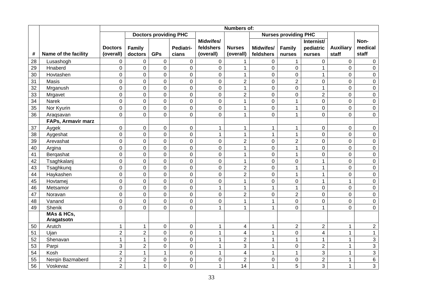|    |                      |                |                |                              |                |                  | Numbers of:             |                  |                             |                         |                  |                  |
|----|----------------------|----------------|----------------|------------------------------|----------------|------------------|-------------------------|------------------|-----------------------------|-------------------------|------------------|------------------|
|    |                      |                |                | <b>Doctors providing PHC</b> |                |                  |                         |                  | <b>Nurses providing PHC</b> |                         |                  |                  |
|    |                      |                |                |                              |                | <b>Midwifes/</b> |                         |                  |                             | Internist/              |                  | Non-             |
|    |                      | <b>Doctors</b> | Family         |                              | Pediatri-      | feldshers        | <b>Nurses</b>           | Midwifes/        | <b>Family</b>               | pediatric               | <b>Auxiliary</b> | medical          |
| #  | Name of the facility | (overall)      | doctors        | <b>GPs</b>                   | cians          | (overall)        | (overall)               | feldshers        | nurses                      | nurses                  | staff            | staff            |
| 28 | Lusashogh            | $\mathbf 0$    | 0              | $\pmb{0}$                    | $\mathbf 0$    | 0                | 1                       | $\pmb{0}$        | $\mathbf{1}$                | $\mathbf 0$             | $\mathbf 0$      | $\mathsf 0$      |
| 29 | Hnaberd              | $\mathbf 0$    | 0              | $\pmb{0}$                    | $\mathbf 0$    | $\mathsf 0$      | $\mathbf{1}$            | $\pmb{0}$        | $\mathsf 0$                 | $\mathbf{1}$            | 0                | $\pmb{0}$        |
| 30 | Hovtashen            | $\mathbf 0$    | 0              | $\mathsf{O}\xspace$          | $\pmb{0}$      | 0                | $\mathbf{1}$            | $\boldsymbol{0}$ | $\mathbf 0$                 | $\mathbf{1}$            | 0                | $\mathsf 0$      |
| 31 | Masis                | $\overline{0}$ | 0              | $\mathbf 0$                  | $\mathbf 0$    | 0                | $\overline{2}$          | $\mathbf 0$      | $\overline{2}$              | 0                       | 0                | $\mathbf 0$      |
| 32 | Mrganush             | $\overline{0}$ | 0              | $\mathbf 0$                  | $\mathbf 0$    | 0                | $\mathbf{1}$            | $\boldsymbol{0}$ | $\mathbf 0$                 | $\mathbf 1$             | 0                | $\mathbf 0$      |
| 33 | Mrgavet              | $\mathbf 0$    | 0              | $\mathbf 0$                  | $\mathbf 0$    | 0                | $\overline{2}$          | 0                | $\mathbf 0$                 | $\overline{2}$          | 0                | $\pmb{0}$        |
| 34 | <b>Narek</b>         | $\mathbf 0$    | 0              | $\mathbf 0$                  | $\mathbf 0$    | 0                | $\mathbf{1}$            | 0                | $\mathbf{1}$                | 0                       | 0                | $\pmb{0}$        |
| 35 | Nor Kyurin           | $\mathbf 0$    | 0              | $\pmb{0}$                    | $\mathbf 0$    | $\pmb{0}$        | $\mathbf{1}$            | $\pmb{0}$        | $\mathbf 1$                 | 0                       | 0                | $\mathbf 0$      |
| 36 | Araqsavan            | $\overline{0}$ | 0              | $\overline{0}$               | $\overline{0}$ | 0                | $\mathbf{1}$            | $\mathbf 0$      | $\mathbf{1}$                | 0                       | 0                | $\overline{0}$   |
|    | FAPs, Armavir marz   |                |                |                              |                |                  |                         |                  |                             |                         |                  |                  |
| 37 | Aygek                | $\mathbf 0$    | $\mathbf 0$    | $\mathbf 0$                  | $\mathbf 0$    | $\mathbf{1}$     | $\mathbf{1}$            | $\mathbf{1}$     | $\mathbf{1}$                | 0                       | $\boldsymbol{0}$ | $\pmb{0}$        |
| 38 | Aygeshat             | $\mathbf 0$    | 0              | $\mathbf 0$                  | $\mathbf 0$    | $\mathbf{1}$     | $\mathbf{1}$            | $\mathbf{1}$     | $\mathbf{1}$                | 0                       | $\mathbf 0$      | $\pmb{0}$        |
| 39 | Arevashat            | $\overline{0}$ | 0              | $\mathbf 0$                  | $\overline{0}$ | $\overline{0}$   | $\overline{2}$          | $\pmb{0}$        | $\overline{2}$              | 0                       | 0                | $\pmb{0}$        |
| 40 | Argina               | $\overline{0}$ | 0              | $\mathbf 0$                  | $\overline{0}$ | 0                | $\mathbf{1}$            | 0                | $\mathbf{1}$                | $\mathbf 0$             | $\overline{0}$   | $\boldsymbol{0}$ |
| 41 | Bergashat            | $\mathbf 0$    | 0              | $\mathbf 0$                  | $\mathbf 0$    | 0                | $\mathbf{1}$            | $\pmb{0}$        | $\mathbf{1}$                | $\mathbf 0$             | $\mathbf 0$      | $\mathsf 0$      |
| 42 | Tsaghkalanj          | $\mathbf 0$    | $\mathbf 0$    | $\pmb{0}$                    | $\mathbf 0$    | 0                | $\mathbf{1}$            | $\pmb{0}$        | $\mathbf 0$                 | $\mathbf{1}$            | $\mathbf 0$      | $\mathbf 0$      |
| 43 | Tsaghkung            | $\mathbf 0$    | 0              | $\mathbf 0$                  | $\mathbf 0$    | 0                | $\boldsymbol{2}$        | $\pmb{0}$        | $\mathbf{1}$                | $\mathbf{1}$            | $\mathbf 0$      | $\mathsf 0$      |
| 44 | Haykashen            | $\overline{0}$ | 0              | $\pmb{0}$                    | $\overline{0}$ | 0                | $\overline{2}$          | $\pmb{0}$        | $\mathbf{1}$                | $\mathbf{1}$            | 0                | $\mathsf 0$      |
| 45 | Hovtamej             | $\overline{0}$ | $\overline{0}$ | $\mathbf 0$                  | $\overline{0}$ | 0                | $\mathbf{1}$            | 0                | $\mathbf 0$                 | $\mathbf{1}$            | $\mathbf{1}$     | $\mathbf 0$      |
| 46 | Metsamor             | $\mathbf 0$    | 0              | $\overline{0}$               | $\overline{0}$ | $\mathbf{1}$     | $\mathbf{1}$            | $\mathbf{1}$     | $\mathbf{1}$                | $\overline{0}$          | $\overline{0}$   | $\pmb{0}$        |
| 47 | Noravan              | $\mathbf 0$    | 0              | $\mathbf 0$                  | $\mathbf 0$    | 0                | $\overline{2}$          | 0                | $\overline{2}$              | 0                       | 0                | $\pmb{0}$        |
| 48 | Vanand               | $\mathbf 0$    | 0              | $\mathbf 0$                  | $\mathbf 0$    | 0                | $\mathbf{1}$            | $\mathbf 1$      | $\mathbf 0$                 | $\mathbf 0$             | 0                | $\mathsf 0$      |
| 49 | Shenik               | $\overline{0}$ | $\overline{0}$ | $\overline{0}$               | $\mathbf 0$    | $\mathbf{1}$     | $\mathbf{1}$            | 1                | $\overline{0}$              | $\mathbf{1}$            | $\overline{0}$   | $\overline{0}$   |
|    | MAs & HCs,           |                |                |                              |                |                  |                         |                  |                             |                         |                  |                  |
|    | Aragatsotn           |                |                |                              |                |                  |                         |                  |                             |                         |                  |                  |
| 50 | Arutch               | $\mathbf 1$    | $\mathbf{1}$   | $\mathbf 0$                  | $\mathbf 0$    | $\mathbf{1}$     | 4                       | $\mathbf{1}$     | $\overline{2}$              | $\overline{2}$          | 1                | $\overline{2}$   |
| 51 | Ujan                 | $\overline{2}$ | $\overline{2}$ | $\mathbf 0$                  | $\mathbf 0$    | $\mathbf{1}$     | $\overline{4}$          | $\mathbf{1}$     | $\mathbf 0$                 | $\overline{\mathbf{4}}$ | $\mathbf{1}$     | $\mathbf{1}$     |
| 52 | Shenavan             | $\mathbf{1}$   | $\mathbf{1}$   | $\mathbf 0$                  | $\mathbf 0$    | $\mathbf{1}$     | $\boldsymbol{2}$        | $\mathbf{1}$     | $\mathbf{1}$                | $\mathbf{1}$            | $\mathbf{1}$     | 3                |
| 53 | Parpi                | $\mathbf{3}$   | $\overline{2}$ | $\pmb{0}$                    | $\mathbf 0$    | $\mathbf{1}$     | $\sqrt{3}$              | $\mathbf 1$      | $\pmb{0}$                   | $\overline{c}$          | $\mathbf 1$      | 3                |
| 54 | Kosh                 | $\overline{2}$ | $\mathbf{1}$   | $\mathbf{1}$                 | 0              | $\mathbf{1}$     | $\overline{\mathbf{4}}$ | $\mathbf{1}$     | $\mathbf{1}$                | 3                       | $\mathbf{1}$     | 3                |
| 55 | Nergin Bazmaberd     | $\overline{2}$ | $\overline{2}$ | $\mathsf{O}\xspace$          | $\overline{0}$ | 0                | $\overline{2}$          | $\pmb{0}$        | $\mathbf 0$                 | $\overline{2}$          | $\mathbf{1}$     | 6                |
| 56 | Voskevaz             | $\overline{2}$ | $\mathbf{1}$   | $\mathbf 0$                  | $\overline{0}$ | $\mathbf{1}$     | 14                      | $\mathbf{1}$     | 5                           | 3                       | $\mathbf{1}$     | 3                |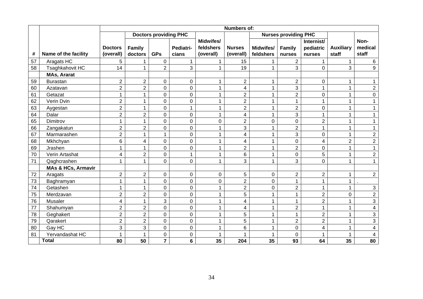|    |                               |                |                |                              |                |                  | <b>Numbers of:</b>       |              |                             |                |                  |                |
|----|-------------------------------|----------------|----------------|------------------------------|----------------|------------------|--------------------------|--------------|-----------------------------|----------------|------------------|----------------|
|    |                               |                |                | <b>Doctors providing PHC</b> |                |                  |                          |              | <b>Nurses providing PHC</b> |                |                  |                |
|    |                               |                |                |                              |                | <b>Midwifes/</b> |                          |              |                             | Internist/     |                  | Non-           |
|    |                               | <b>Doctors</b> | Family         |                              | Pediatri-      | feldshers        | <b>Nurses</b>            | Midwifes/    | Family                      | pediatric      | <b>Auxiliary</b> | medical        |
| #  | Name of the facility          | (overall)      | doctors        | <b>GPs</b>                   | cians          | (overall)        | (overall)                | feldshers    | nurses                      | nurses         | staff            | staff          |
| 57 | Aragats HC                    | 5              | 1              | $\pmb{0}$                    | $\mathbf{1}$   | 1                | 15                       |              | $\overline{2}$              |                | $\mathbf{1}$     | $\,6\,$        |
| 58 | Tsaghkahovit HC               | 14             | $\mathbf{1}$   | $\overline{2}$               | 3              | $\mathbf{1}$     | 19                       | $\mathbf{1}$ | 3                           | 0              | 3                | 9              |
|    | <b>MAs, Ararat</b>            |                |                |                              |                |                  |                          |              |                             |                |                  |                |
| 59 | <b>Burastan</b>               | $\overline{2}$ | $\overline{2}$ | $\pmb{0}$                    | 0              | 1                | $\overline{2}$           | 1            | $\overline{2}$              | 0              | 1                | 1              |
| 60 | Azatavan                      | $\overline{2}$ | $\overline{2}$ | $\mathbf 0$                  | 0              | 1                | $\overline{\mathcal{L}}$ | 1            | 3                           |                | 1                | $\overline{2}$ |
| 61 | Getazat                       | 1              | 1              | $\mathbf 0$                  | 0              | 1                | $\overline{2}$           | 1            | $\overline{2}$              | 0              | $\mathbf{1}$     | $\mathbf 0$    |
| 62 | Verin Dvin                    | $\overline{2}$ | 1              | $\mathbf 0$                  | $\mathbf 0$    |                  | $\overline{2}$           | 1            | $\mathbf{1}$                |                | 1                |                |
| 63 | Aygestan                      | $\overline{2}$ | 1              | $\mathbf 0$                  | 1              | 1                | $\overline{2}$           | 1            | $\overline{2}$              | 0              | 1                |                |
| 64 | Dalar                         | $\overline{2}$ | $\overline{2}$ | $\mathbf 0$                  | 0              | 1                | 4                        | 1            | 3                           |                | 1                |                |
| 65 | Dimitrov                      | 1              | 1              | $\overline{0}$               | 0              | 0                | $\overline{2}$           | $\mathbf 0$  | $\mathbf 0$                 | $\overline{2}$ | 1                |                |
| 66 | Zangakatun                    | $\overline{2}$ | $\overline{c}$ | $\pmb{0}$                    | 0              |                  | $\mathbf{3}$             | 1            | $\overline{2}$              |                | 1                |                |
| 67 | Marmarashen                   | $\overline{2}$ | $\mathbf{1}$   | 1                            | $\mathbf 0$    | 1                | $\overline{\mathbf{4}}$  | $\mathbf 1$  | 3                           | 0              | 1                | $\overline{2}$ |
| 68 | Mkhchyan                      | 6              | 4              | $\pmb{0}$                    | 0              | 1                | $\overline{\mathcal{A}}$ | $\mathbf{1}$ | 0                           | 4              | $\overline{c}$   | $\overline{2}$ |
| 69 | Jrashen                       | 1              | 1              | $\pmb{0}$                    | $\mathbf 0$    | 1                | $\overline{2}$           | 1            | $\overline{2}$              | $\mathbf 0$    | 1                | 1              |
| 70 | Verin Artashat                | 4              | $\overline{2}$ | $\pmb{0}$                    | 1              | 1                | $\,6$                    | 1            | $\mathsf 0$                 | 5              | 1                | $\overline{c}$ |
| 71 | Qaghcrashen                   | 1              | 1              | $\overline{0}$               | $\Omega$       | 1                | 3                        | $\mathbf 1$  | 3                           | $\overline{0}$ | 1                | 1              |
|    | <b>MAs &amp; HCs, Armavir</b> |                |                |                              |                |                  |                          |              |                             |                |                  |                |
| 72 | Aragats                       | $\overline{2}$ | $\overline{2}$ | 0                            | 0              | 0                | 5                        | $\pmb{0}$    | $\overline{2}$              | $\overline{2}$ | 1                | $\overline{2}$ |
| 73 | Baghramyan                    | 1              | 1              | $\mathbf 0$                  | 0              | 0                | $\overline{2}$           | $\pmb{0}$    | 1                           | 1              | 1                |                |
| 74 | Getashen                      | 1              | 1              | $\mathbf 0$                  | $\overline{0}$ |                  | $\overline{2}$           | $\mathbf 0$  | $\overline{2}$              |                | 1                | $\mathbf{3}$   |
| 75 | Merdzavan                     | $\overline{2}$ | $\overline{2}$ | $\mathbf 0$                  | 0              | 1                | 5                        | 1            | 1                           | $\overline{2}$ | 0                | $\overline{2}$ |
| 76 | Musaler                       | 4              | 1              | 3                            | 0              | 1                | 4                        | 1            | 1                           | $\overline{2}$ | 1                | 3              |
| 77 | Shahumyan                     | $\overline{2}$ | $\overline{2}$ | $\mathbf 0$                  | 0              | 1                | 4                        | 1            | $\overline{2}$              |                | 1                | 4              |
| 78 | Geghakert                     | $\overline{2}$ | $\overline{2}$ | $\mathbf 0$                  | 0              | 1                | 5                        | 1            | 1                           | $\overline{2}$ | 1                | 3              |
| 79 | Qarakert                      | $\overline{2}$ | $\overline{2}$ | $\mathbf 0$                  | $\overline{0}$ | 1                | 5                        | 1            | $\overline{2}$              | $\overline{2}$ | 1                | 3              |
| 80 | Gay HC                        | 3              | 3              | $\mathbf 0$                  | 0              |                  | 6                        | 1            | $\mathbf 0$                 | 4              | 1                | 4              |
| 81 | Yervandashat HC               | 1              | 1              | $\mathsf 0$                  | 0              |                  | 1                        | 1            | $\mathbf 0$                 |                | 1                | 4              |
|    | <b>Total</b>                  | 80             | 50             | $\overline{7}$               | 6              | 35               | 204                      | 35           | 93                          | 64             | 35               | 80             |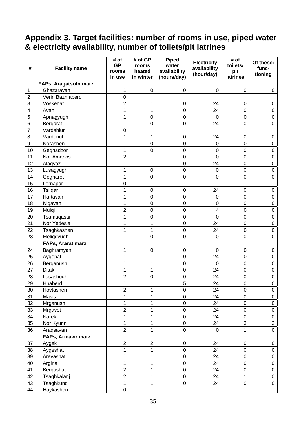#### **Appendix 3. Target facilities: number of rooms in use, piped water & electricity availability, number of toilets/pit latrines**

| #                       | <b>Facility name</b>  | # of<br><b>GP</b><br>rooms<br>in use | # of GP<br>rooms<br>heated<br>in winter | <b>Piped</b><br>water<br>availability<br>(hours/day) | <b>Electricity</b><br>availability<br>(hour/day) | # of<br>toilets/<br>pit<br>latrines | Of these:<br>func-<br>tioning |
|-------------------------|-----------------------|--------------------------------------|-----------------------------------------|------------------------------------------------------|--------------------------------------------------|-------------------------------------|-------------------------------|
|                         | FAPs, Aragatsotn marz |                                      |                                         |                                                      |                                                  |                                     |                               |
| 1                       | Ghazaravan            | 1                                    | $\mathbf 0$                             | 0                                                    | $\mathbf 0$                                      | $\mathbf 0$                         | $\mathbf 0$                   |
| $\overline{2}$          | Verin Bazmaberd       | $\mathbf 0$                          |                                         |                                                      |                                                  |                                     |                               |
| 3                       | Voskehat              | $\overline{2}$                       | 1                                       | 0                                                    | 24                                               | 0                                   | $\mathbf 0$                   |
| $\overline{\mathbf{4}}$ | Avan                  | 1                                    | 1                                       | $\overline{0}$                                       | 24                                               | 0                                   | $\pmb{0}$                     |
| 5                       | Apnagyugh             | 1                                    | $\mathbf 0$                             | $\mathbf 0$                                          | $\mathbf 0$                                      | 0                                   | $\pmb{0}$                     |
| 6                       | Bergarat              | 1                                    | $\mathbf 0$                             | 0                                                    | 24                                               | 0                                   | $\pmb{0}$                     |
| $\overline{7}$          | Vardablur             | $\pmb{0}$                            |                                         |                                                      |                                                  |                                     |                               |
| 8                       | Vardenut              | 1                                    | 1                                       | 0                                                    | 24                                               | 0                                   | $\pmb{0}$                     |
| 9                       | Norashen              | 1                                    | $\boldsymbol{0}$                        | $\mathbf 0$                                          | $\mathbf 0$                                      | 0                                   | $\pmb{0}$                     |
| 10                      | Geghadzor             | 1                                    | $\mathbf 0$                             | 0                                                    | $\mathbf 0$                                      | 0                                   | $\pmb{0}$                     |
| 11                      | Nor Amanos            | $\overline{2}$                       |                                         | $\overline{0}$                                       | $\overline{0}$                                   | 0                                   | $\boldsymbol{0}$              |
| 12                      | Alagyaz               | 1                                    | 1                                       | $\mathbf 0$                                          | 24                                               | 0                                   | $\pmb{0}$                     |
| 13                      | Lusagyugh             | 1                                    | $\boldsymbol{0}$                        | 0                                                    | $\mathbf 0$                                      | $\mathbf 0$                         | $\boldsymbol{0}$              |
| 14                      | Gegharot              | 1                                    | $\mathbf 0$                             | $\mathbf 0$                                          | $\mathbf 0$                                      | $\mathbf 0$                         | $\mathbf 0$                   |
| 15                      | Lernapar              | $\pmb{0}$                            |                                         |                                                      |                                                  |                                     |                               |
| 16                      | Tsilqar               | 1                                    | $\mathbf 0$                             | 0                                                    | 24                                               | $\mathbf 0$                         | $\pmb{0}$                     |
| 17                      | Hartavan              | 1                                    | $\mathbf 0$                             | $\mathbf 0$                                          | $\mathbf 0$                                      | 0                                   | $\pmb{0}$                     |
| 18                      | Nigavan               | 1                                    | $\boldsymbol{0}$                        | 0                                                    | $\boldsymbol{0}$                                 | $\mathbf 0$                         | $\pmb{0}$                     |
| 19                      | Mulqi                 | $\overline{2}$                       | $\boldsymbol{0}$                        | $\mathbf 0$                                          | 4                                                | $\mathbf 0$                         | $\pmb{0}$                     |
| 20                      | Tsamaqasar            | 1                                    | $\boldsymbol{0}$                        | 0                                                    | $\mathbf 0$                                      | $\mathbf 0$                         | $\pmb{0}$                     |
| 21                      | Nor Yedesia           | 1                                    | 1                                       | $\mathbf 0$                                          | 24                                               | 0                                   | $\pmb{0}$                     |
| 22                      | Tsaghkashen           | 1                                    | 1                                       | 0                                                    | 24                                               | 0                                   | $\pmb{0}$                     |
| 23                      | Meliqgyugh            | 1                                    | $\mathbf 0$                             | $\mathbf 0$                                          | $\mathbf 0$                                      | $\mathbf 0$                         | $\mathbf 0$                   |
|                         | FAPs, Ararat marz     |                                      |                                         |                                                      |                                                  |                                     |                               |
| 24                      | Baghramyan            | 1                                    | $\pmb{0}$                               | 0                                                    | 0                                                | 0                                   | $\mathbf 0$                   |
| 25                      | Aygepat               | 1                                    | 1                                       | $\boldsymbol{0}$                                     | 24                                               | 0                                   | $\pmb{0}$                     |
| 26                      | Berganush             | 1                                    | 1                                       | $\mathbf 0$                                          | $\overline{0}$                                   | 0                                   | $\pmb{0}$                     |
| 27                      | <b>Ditak</b>          | 1                                    | 1                                       | $\mathbf 0$                                          | 24                                               | 0                                   | $\mathbf 0$                   |
| 28                      | Lusashogh             | $\overline{2}$                       | $\mathbf 0$                             | 0                                                    | 24                                               | 0                                   | $\pmb{0}$                     |
| 29                      | Hnaberd               | 1                                    | 1                                       | 5                                                    | 24                                               | 0                                   | 0                             |
| 30                      | Hovtashen             | $\overline{2}$                       | 1                                       | 0                                                    | 24                                               | 0                                   | $\pmb{0}$                     |
| 31                      | Masis                 | 1                                    | 1                                       | $\mathsf 0$                                          | 24                                               | $\pmb{0}$                           | $\pmb{0}$                     |
| 32                      | Mrganush              | 1                                    | 1                                       | $\mathsf 0$                                          | 24                                               | $\boldsymbol{0}$                    | $\pmb{0}$                     |
| 33                      | Mrgavet               | $\overline{2}$                       | 1                                       | 0                                                    | 24                                               | $\pmb{0}$                           | $\mathbf 0$                   |
| 34                      | Narek                 | 1                                    | 1                                       | $\mathsf 0$                                          | 24                                               | $\mathbf 0$                         | $\pmb{0}$                     |
| 35                      | Nor Kyurin            | 1                                    | 1                                       | 0                                                    | 24                                               | 3                                   | 3                             |
| 36                      | Araqsavan             | $\mathbf 2$                          | 1                                       | 0                                                    | $\mathbf 0$                                      | $\mathbf{1}$                        | $\pmb{0}$                     |
|                         | FAPs, Armavir marz    |                                      |                                         |                                                      |                                                  |                                     |                               |
| 37                      | Aygek                 | $\mathbf 2$                          | $\boldsymbol{2}$                        | 0                                                    | 24                                               | 0                                   | $\mathbf 0$                   |
| 38                      | Aygeshat              | 1                                    | 1                                       | $\mathbf 0$                                          | 24                                               | $\mathbf 0$                         | $\pmb{0}$                     |
| 39                      | Arevashat             | 1                                    | 1                                       | 0                                                    | 24                                               | $\pmb{0}$                           | $\pmb{0}$                     |
| 40                      | Argina                | 1                                    | 1                                       | $\mathsf 0$                                          | 24                                               | $\boldsymbol{0}$                    | $\pmb{0}$                     |
| 41                      | Berqashat             | $\mathbf 2$                          | 1                                       | 0                                                    | 24                                               | $\boldsymbol{0}$                    | $\mathbf 0$                   |
| 42                      | Tsaghkalanj           | $\overline{2}$                       | 1                                       | 0                                                    | 24                                               | $\mathbf{1}$                        | $\pmb{0}$                     |
| 43                      | Tsaghkunq             | 1                                    | 1                                       | 0                                                    | 24                                               | 0                                   | $\mathbf 0$                   |
| 44                      | Haykashen             | $\mathbf 0$                          |                                         |                                                      |                                                  |                                     |                               |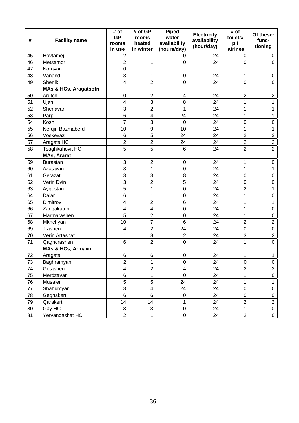|    |                                  | # of<br><b>GP</b>       | # of GP<br>rooms        | <b>Piped</b><br>water   | <b>Electricity</b> | # of<br>toilets/ | Of these:        |
|----|----------------------------------|-------------------------|-------------------------|-------------------------|--------------------|------------------|------------------|
| #  | <b>Facility name</b>             | rooms                   | heated                  | availability            | availability       | pit              | func-            |
|    |                                  | in use                  | in winter               | (hours/day)             | (hour/day)         | latrines         | tioning          |
| 45 | Hovtamej                         | 2                       | 1                       | 0                       | 24                 | 0                | 0                |
| 46 | Metsamor                         | $\overline{2}$          | 1                       | 0                       | 24                 | $\overline{0}$   | $\mathbf 0$      |
| 47 | Noravan                          | 0                       |                         |                         |                    |                  |                  |
| 48 | Vanand                           | 3                       | 1                       | 0                       | 24                 | 1                | $\mathbf 0$      |
| 49 | Shenik                           | 4                       | $\overline{2}$          | 0                       | 24                 | $\mathbf 0$      | $\pmb{0}$        |
|    | <b>MAs &amp; HCs, Aragatsotn</b> |                         |                         |                         |                    |                  |                  |
| 50 | Arutch                           | 10                      | $\mathbf 2$             | $\overline{\mathbf{4}}$ | 24                 | $\overline{c}$   | $\sqrt{2}$       |
| 51 | Ujan                             | 4                       | 3                       | 8                       | 24                 | 1                | 1                |
| 52 | Shenavan                         | 3                       | $\overline{2}$          | $\mathbf{1}$            | 24                 | 1                | 1                |
| 53 | Parpi                            | 6                       | $\overline{\mathbf{4}}$ | 24                      | 24                 | 1                | $\mathbf 1$      |
| 54 | Kosh                             | $\overline{7}$          | 3                       | 0                       | 24                 | $\mathbf 0$      | $\pmb{0}$        |
| 55 | Nerqin Bazmaberd                 | 10                      | 9                       | 10                      | 24                 | 1                | 1                |
| 56 | Voskevaz                         | 6                       | 5                       | 24                      | 24                 | $\overline{2}$   | $\mathbf 2$      |
| 57 | Aragats HC                       | $\overline{c}$          | $\overline{2}$          | 24                      | 24                 | $\overline{2}$   | $\mathbf 2$      |
| 58 | Tsaghkahovit HC                  | 5                       | 5                       | 6                       | 24                 | $\overline{2}$   | $\overline{2}$   |
|    | MAs, Ararat                      |                         |                         |                         |                    |                  |                  |
| 59 | <b>Burastan</b>                  | 3                       | $\overline{2}$          | 0                       | 24                 | 1                | $\pmb{0}$        |
| 60 | Azatavan                         | 3                       | 1                       | 0                       | 24                 | 1                | 1                |
| 61 | Getazat                          | 3                       | 3                       | 8                       | 24                 | $\boldsymbol{0}$ | $\pmb{0}$        |
| 62 | Verin Dvin                       | 3                       | $\overline{\mathbf{c}}$ | 5                       | 24                 | $\boldsymbol{0}$ | $\pmb{0}$        |
| 63 | Aygestan                         | 5                       | 1                       | 0                       | 24                 | $\overline{2}$   | $\mathbf{1}$     |
| 64 | Dalar                            | 6                       | 1                       | 0                       | 24                 | 1                | $\pmb{0}$        |
| 65 | Dimitrov                         | 4                       | $\overline{2}$          | 6                       | 24                 | 1                | 1                |
| 66 | Zangakatun                       | 4                       | 4                       | $\mathbf 0$             | 24                 | 1                | $\pmb{0}$        |
| 67 | Marmarashen                      | 5                       | $\overline{2}$          | 0                       | 24                 | 1                | $\pmb{0}$        |
| 68 | Mkhchyan                         | 10                      | 7                       | 6                       | 24                 | $\overline{c}$   | $\mathbf 2$      |
| 69 | Jrashen                          | 4                       | $\overline{2}$          | 24                      | 24                 | $\mathbf 0$      | $\pmb{0}$        |
| 70 | Verin Artashat                   | 11                      | 8                       | $\overline{2}$          | 24                 | 3                | $\overline{2}$   |
| 71 | Qaghcrashen                      | 6                       | $\overline{c}$          | $\mathbf 0$             | 24                 | 1                | $\mathbf 0$      |
|    | <b>MAs &amp; HCs, Armavir</b>    |                         |                         |                         |                    |                  |                  |
| 72 | Aragats                          | 6                       | 6                       | 0                       | 24                 | $\mathbf{1}$     | $\mathbf{1}$     |
| 73 | Baghramyan                       | $\overline{2}$          | 1                       | 0                       | 24                 | $\mathbf 0$      | $\mathbf 0$      |
| 74 | Getashen                         | $\overline{\mathbf{4}}$ | $\overline{c}$          | $\overline{\mathbf{4}}$ | 24                 | $\overline{2}$   | $\overline{2}$   |
| 75 | Merdzavan                        | 6                       | $\mathbf{1}$            | 0                       | 24                 | $\mathbf 1$      | $\mathbf 0$      |
| 76 | Musaler                          | 5                       | 5                       | 24                      | 24                 | $\mathbf{1}$     | $\mathbf 1$      |
| 77 | Shahumyan                        | 3                       | 4                       | 24                      | 24                 | $\pmb{0}$        | $\pmb{0}$        |
| 78 | Geghakert                        | 6                       | 6                       | 0                       | 24                 | $\boldsymbol{0}$ | $\pmb{0}$        |
| 79 | Qarakert                         | 14                      | 14                      | 1                       | 24                 | $\overline{2}$   | $\overline{c}$   |
| 80 | Gay HC                           | 3                       | 3                       | $\boldsymbol{0}$        | 24                 | $\mathbf{1}$     | $\mathsf 0$      |
| 81 | Yervandashat HC                  | $\overline{2}$          | 1                       | $\overline{0}$          | 24                 | $\overline{2}$   | $\boldsymbol{0}$ |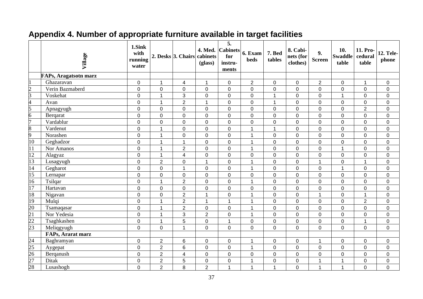|                 | Village                  | 1.Sink<br>with<br>running<br>water |                      | 2. Desks 3. Chairs cabinets | (glass)        | 5.<br>4. Med. Cabinets<br>for<br>instru-<br>ments | 6. Exam<br><b>beds</b> | 7. Bed<br>tables | 8. Cabi-<br>nets (for<br>clothes) | 9.<br><b>Screen</b> | 10.<br><b>Swaddle</b><br>table | 11. Pro-<br>cedural<br>table | <b>12. Tele-</b><br>phone |
|-----------------|--------------------------|------------------------------------|----------------------|-----------------------------|----------------|---------------------------------------------------|------------------------|------------------|-----------------------------------|---------------------|--------------------------------|------------------------------|---------------------------|
|                 | FAPs, Aragatsotn marz    |                                    |                      |                             |                |                                                   |                        |                  |                                   |                     |                                |                              |                           |
|                 | Ghazaravan               | $\pmb{0}$                          | $\mathbf{1}$         | $\overline{4}$              | $\mathbf{1}$   | $\mathbf 0$                                       | $\overline{2}$         | $\mathbf 0$      | $\mathbf 0$                       | $\overline{2}$      | $\mathbf 0$                    | $\mathbf{1}$                 | $\mathbf 0$               |
| $\overline{c}$  | Verin Bazmaberd          | $\mathbf 0$                        | $\mathbf 0$          | $\mathbf 0$                 | $\mathbf 0$    | $\mathbf 0$                                       | $\mathbf 0$            | $\boldsymbol{0}$ | $\pmb{0}$                         | $\overline{0}$      | $\mathbf 0$                    | $\pmb{0}$                    | $\mathbf 0$               |
| $\overline{3}$  | Voskehat                 | $\boldsymbol{0}$                   | $\mathbf{1}$         | 3                           | $\mathsf 0$    | $\pmb{0}$                                         | $\pmb{0}$              | $\overline{1}$   | $\pmb{0}$                         | $\pmb{0}$           | $\mathbf{1}$                   | $\pmb{0}$                    | $\pmb{0}$                 |
| 4               | Avan                     | $\mathbf 0$                        | $\mathbf 1$          | $\overline{2}$              | 1              | $\mathsf 0$                                       | $\mathsf{O}\xspace$    | -1               | $\mathsf 0$                       | 0                   | $\mathbf 0$                    | 0                            | $\pmb{0}$                 |
| 5               | Apnagyugh                | $\pmb{0}$                          | $\overline{0}$       | $\mathbf 0$                 | 0              | $\mathbf 0$                                       | 0                      | $\mathbf 0$      | $\pmb{0}$                         | $\mathbf 0$         | $\mathbf 0$                    | $\overline{2}$               | $\mathbf 0$               |
| 6               | Bergarat                 | $\pmb{0}$                          | 0                    | $\mathbf 0$                 | 0              | $\mathbf 0$                                       | 0                      | $\pmb{0}$        | $\mathbf 0$                       | 0                   | $\mathbf 0$                    | 0                            | $\mathbf 0$               |
| 7               | Vardablur                | $\mathsf 0$                        | $\mathbf 0$          | $\mathbf 0$                 | 0              | $\mathsf 0$                                       | 0                      | $\boldsymbol{0}$ | $\pmb{0}$                         | 0                   | $\mathsf{O}\xspace$            | 0                            | $\mathbf 0$               |
| $\overline{8}$  | Vardenut                 | $\mathbf 0$                        | $\blacktriangleleft$ | $\overline{0}$              | $\overline{0}$ | $\mathbf 0$                                       | $\mathbf{1}$           | $\overline{1}$   | $\mathbf 0$                       | $\overline{0}$      | $\overline{0}$                 | $\overline{0}$               | $\mathbf 0$               |
| 9               | Norashen                 | $\mathbf 0$                        | $\overline{1}$       | $\overline{0}$              | $\mathbf 0$    | $\mathbf 0$                                       | $\mathbf{1}$           | $\mathbf 0$      | $\mathbf 0$                       | $\mathbf 0$         | $\overline{0}$                 | 0                            | $\mathbf 0$               |
| 10              | Geghadzor                | $\boldsymbol{0}$                   | $\overline{1}$       | $\mathbf 1$                 | $\mathbf 0$    | $\mathbf 0$                                       | $\overline{1}$         | $\mathbf 0$      | $\pmb{0}$                         | $\mathbf 0$         | $\mathbf 0$                    | $\mathbf 0$                  | $\mathbf 0$               |
| 11              | Nor Amanos               | $\pmb{0}$                          | $\mathbf{1}$         | $\overline{2}$              | $\mathbf 0$    | $\mathsf 0$                                       | $\mathbf{1}$           | $\boldsymbol{0}$ | $\mathsf 0$                       | $\mathbf 0$         | $\mathbf{1}$                   | 0                            | $\mathbf 0$               |
| $\overline{12}$ | Alagyaz                  | $\mathbf 0$                        | $\mathbf{1}$         | $\overline{4}$              | 0              | $\mathbf 0$                                       | $\mathbf 0$            | $\mathbf 0$      | $\mathbf 0$                       | 0                   | $\mathbf 0$                    | 0                            | $\mathbf 0$               |
| 13              | Lusagyugh                | $\pmb{0}$                          | $\overline{2}$       | $\mathbf 0$                 | 1              | $\mathbf 0$                                       | $\mathbf{1}$           | $\mathbf 0$      | $\pmb{0}$                         | 1                   | $\mathbf 0$                    | 1                            | $\mathbf 0$               |
| 14              | Gegharot                 | $\boldsymbol{0}$                   | $\mathbf 0$          | $\overline{1}$              | $\mathbf 0$    | $\mathsf 0$                                       | $\mathbf{1}$           | $\mathbf 0$      | $\pmb{0}$                         | 0                   | $\mathbf{1}$                   | 0                            | $\mathbf 0$               |
| 15              | Lernapar                 | $\mathbf 0$                        | $\overline{0}$       | $\mathbf{0}$                | 0              | $\mathbf 0$                                       | 0                      | $\mathbf 0$      | $\mathbf 0$                       | $\Omega$            | $\overline{0}$                 | 0                            | $\mathbf 0$               |
| 16              | Tsilqar                  | $\boldsymbol{0}$                   | $\mathbf{1}$         | $\overline{2}$              | $\mathbf 0$    | $\mathbf 0$                                       | $\mathbf{1}$           | $\mathbf 0$      | $\mathbf 0$                       | $\mathbf 0$         | $\overline{0}$                 | $\mathbf 0$                  | $\mathbf 0$               |
| $\overline{17}$ | Hartavan                 | $\mathbf 0$                        | $\mathbf 0$          | $\mathbf 0$                 | $\mathsf 0$    | $\pmb{0}$                                         | 0                      | $\boldsymbol{0}$ | $\pmb{0}$                         | $\mathbf 0$         | $\mathbf 0$                    | $\pmb{0}$                    | $\pmb{0}$                 |
| 18              | Nigavan                  | $\boldsymbol{0}$                   | $\mathbf 0$          | $\overline{2}$              | 1              | $\mathbf 0$                                       | $\mathbf{1}$           | $\mathbf 0$      | $\mathsf 0$                       | 1                   | $\mathbf 0$                    | $\mathbf{1}$                 | $\mathbf 0$               |
| $\overline{19}$ | Mulqi                    | $\pmb{0}$                          | $\mathbf{1}$         | $\boldsymbol{2}$            | $\mathbf{1}$   | $\mathbf{1}$                                      | $\mathbf{1}$           | $\boldsymbol{0}$ | $\pmb{0}$                         | $\mathbf 0$         | $\pmb{0}$                      | $\overline{2}$               | $\mathbf 0$               |
| $\overline{20}$ | Tsamaqasar               | 0                                  | $\mathbf{1}$         | $\overline{2}$              | $\mathbf 0$    | $\pmb{0}$                                         | $\mathbf{1}$           | $\pmb{0}$        | $\pmb{0}$                         | 0                   | $\mathbf 0$                    | $\pmb{0}$                    | $\pmb{0}$                 |
| $\overline{21}$ | Nor Yedesia              | $\boldsymbol{0}$                   | $\mathbf{1}$         | 3                           | $\overline{2}$ | $\mathbf 0$                                       | $\mathbf{1}$           | $\mathbf 0$      | $\mathbf 0$                       | $\mathbf 0$         | $\mathbf 0$                    | 0                            | $\mathbf 0$               |
| $\overline{22}$ | Tsaghkashen              | $\boldsymbol{0}$                   | $\overline{1}$       | 5                           | 0              | $\overline{1}$                                    | $\mathbf 0$            | $\mathbf 0$      | $\pmb{0}$                         | $\mathbf{0}$        | $\mathbf 0$                    |                              | $\mathbf 0$               |
| $\overline{23}$ | Meliqgyugh               | $\boldsymbol{0}$                   | $\overline{0}$       | $\overline{1}$              | $\mathbf 0$    | $\overline{0}$                                    | $\overline{0}$         | $\overline{0}$   | $\overline{0}$                    | $\mathbf{0}$        | $\overline{0}$                 | $\mathbf 0$                  | $\overline{0}$            |
|                 | <b>FAPs, Ararat marz</b> |                                    |                      |                             |                |                                                   |                        |                  |                                   |                     |                                |                              |                           |
| 24              | Baghramyan               | $\mathbf 0$                        | $\overline{c}$       | 6                           | 0              | $\pmb{0}$                                         | $\mathbf 1$            | $\pmb{0}$        | 0                                 | 1                   | $\mathbf 0$                    | 0                            | $\pmb{0}$                 |
| $\overline{25}$ | Aygepat                  | $\mathbf 0$                        | $\overline{2}$       | $6\phantom{1}$              | 0              | $\mathbf 0$                                       | $\mathbf{1}$           | $\mathbf 0$      | $\mathbf 0$                       | $\mathbf 0$         | $\overline{0}$                 | 0                            | $\mathbf 0$               |
| $\overline{26}$ | Berqanush                | $\pmb{0}$                          | $\overline{2}$       | $\overline{4}$              | $\mathbf 0$    | $\mathbf 0$                                       | 0                      | $\pmb{0}$        | $\pmb{0}$                         | 0                   | $\mathbf 0$                    | 0                            | $\mathbf 0$               |
| $\overline{27}$ | <b>Ditak</b>             | $\mathbf 0$                        | $\overline{2}$       | $\overline{5}$              | 0              | $\mathbf 0$                                       | $\overline{1}$         | $\mathbf 0$      | $\mathsf 0$                       | 1                   | $\mathbf{1}$                   | 0                            | $\mathsf 0$               |
| 28              | Lusashogh                | $\overline{0}$                     | $\overline{2}$       | 8                           | $\overline{2}$ | 1                                                 | $\mathbf{1}$           | 1                | $\overline{0}$                    | 1                   | $\blacktriangleleft$           | 0                            | $\overline{0}$            |

## **Appendix 4. Number of appropriate furniture available in target facilities**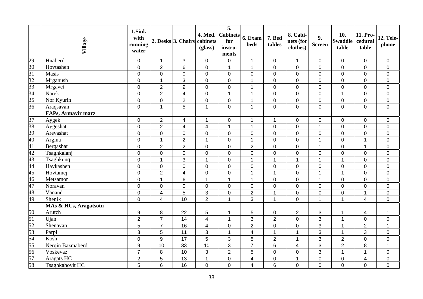|                                                                          | Village                   | 1.Sink<br>with<br>running<br>water |                         | 2. Desks 3. Chairs      | 4. Med.<br>cabinets<br>(glass) | $\overline{5}$ .<br><b>Cabinets</b><br>for<br>instru-<br>ments | 6. Exam<br><b>beds</b> | 7. Bed<br>tables | 8. Cabi-<br>nets (for<br>clothes) | 9.<br><b>Screen</b> | 10.<br><b>Swaddle</b><br>table | 11. Pro-<br>cedural<br>table | <b>12. Tele-</b><br>phone |
|--------------------------------------------------------------------------|---------------------------|------------------------------------|-------------------------|-------------------------|--------------------------------|----------------------------------------------------------------|------------------------|------------------|-----------------------------------|---------------------|--------------------------------|------------------------------|---------------------------|
|                                                                          | Hnaberd                   | $\pmb{0}$                          | $\mathbf{1}$            | 3                       | $\boldsymbol{0}$               | $\boldsymbol{0}$                                               | $\mathbf{1}$           | $\pmb{0}$        | $\mathbf{1}$                      | $\mathbf 0$         | $\mathbf 0$                    | 0                            | $\pmb{0}$                 |
| $\frac{29}{30}$<br>$\frac{31}{32}$<br>$\frac{32}{33}$<br>$\frac{33}{34}$ | Hovtashen                 | $\pmb{0}$                          | $\overline{2}$          | $\,6$                   | $\mathsf 0$                    | $\mathbf 1$                                                    | $\mathbf{1}$           | $\boldsymbol{0}$ | $\pmb{0}$                         | $\mathbf 0$         | $\overline{0}$                 | 0                            | $\mathbf 0$               |
|                                                                          | Masis                     | $\pmb{0}$                          | $\overline{0}$          | $\mathbf 0$             | $\mathsf 0$                    | $\mathbf 0$                                                    | $\overline{0}$         | $\mathbf 0$      | $\mathsf 0$                       | $\mathbf 0$         | $\mathbf 0$                    | 0                            | $\mathbf 0$               |
|                                                                          | Mrganush                  | $\pmb{0}$                          | $\mathbf{1}$            | 3                       | $\mathsf 0$                    | $\mathbf 0$                                                    | $\mathbf{1}$           | $\mathbf 0$      | $\mathsf 0$                       | $\mathbf 0$         | $\mathbf 0$                    | 0                            | $\pmb{0}$                 |
|                                                                          | Mrgavet                   | $\pmb{0}$                          | $\overline{2}$          | 9                       | $\mathbf 0$                    | $\mathbf 0$                                                    | $\mathbf{1}$           | $\mathbf 0$      | $\mathbf 0$                       | $\overline{0}$      | $\mathbf 0$                    | 0                            | $\mathbf 0$               |
|                                                                          | Narek                     | $\boldsymbol{0}$                   | $\overline{2}$          | $\overline{4}$          | $\mathbf 0$                    | $\mathbf{1}$                                                   | $\mathbf{1}$           | $\mathbf 0$      | $\mathbf 0$                       | $\overline{0}$      | $\mathbf{1}$                   | $\overline{0}$               | $\pmb{0}$                 |
| 35                                                                       | Nor Kyurin                | $\boldsymbol{0}$                   | $\mathbf 0$             | $\mathbf 2$             | $\mathsf 0$                    | $\boldsymbol{0}$                                               | $\mathbf{1}$           | $\boldsymbol{0}$ | $\mathbf 0$                       | $\mathbf 0$         | $\mathbf 0$                    | 0                            | $\pmb{0}$                 |
| 36                                                                       | Araqsavan                 | $\pmb{0}$                          | $\mathbf{1}$            | 5                       | 1                              | $\mathbf 0$                                                    | $\mathbf{1}$           | $\overline{0}$   | $\overline{0}$                    | $\mathbf 0$         | $\mathbf 0$                    | 0                            | $\mathbf 0$               |
|                                                                          | <b>FAPs, Armavir marz</b> |                                    |                         |                         |                                |                                                                |                        |                  |                                   |                     |                                |                              |                           |
| 37                                                                       | Aygek                     | $\pmb{0}$                          | $\overline{2}$          | $\overline{\mathbf{4}}$ | 1                              | $\boldsymbol{0}$                                               | $\mathbf 1$            | $\mathbf{1}$     | $\pmb{0}$                         | $\pmb{0}$           | $\pmb{0}$                      | 0                            | $\pmb{0}$                 |
|                                                                          | Aygeshat                  | $\pmb{0}$                          | $\overline{2}$          | $\overline{4}$          | $\overline{\mathcal{A}}$       | $\mathbf{1}$                                                   | $\mathbf{1}$           | $\mathbf 0$      | $\mathbf 0$                       | $\mathbf{1}$        | $\mathbf 0$                    | 0                            | $\pmb{0}$                 |
| $rac{38}{38}$<br>$rac{39}{40}$                                           | Arevashat                 | $\pmb{0}$                          | 0                       | $\mathbf 0$             | 0                              | $\mathbf 0$                                                    | $\boldsymbol{0}$       | $\mathbf 0$      | $\mathsf{O}\xspace$               | $\mathbf 0$         | $\mathbf 0$                    | 0                            | $\pmb{0}$                 |
|                                                                          | Argina                    | $\pmb{0}$                          | $\mathbf{1}$            | $\overline{2}$          | $\mathbf{1}$                   | $\mathbf 0$                                                    | $\mathbf{1}$           | $\mathbf 0$      | $\mathbf 0$                       | $\overline{1}$      | $\mathbf 0$                    | 1                            | $\pmb{0}$                 |
| 41                                                                       | Bergashat                 | $\pmb{0}$                          | $\overline{2}$          | $\overline{2}$          | $\mathbf 0$                    | $\mathbf 0$                                                    | $\overline{2}$         | $\boldsymbol{0}$ | $\mathbf 0$                       | $\mathbf{1}$        | $\mathbf 0$                    | 1                            | $\mathbf 0$               |
| 42                                                                       | Tsaghkalanj               | $\pmb{0}$                          | 0                       | $\mathbf 0$             | $\mathbf 0$                    | $\boldsymbol{0}$                                               | 0                      | $\boldsymbol{0}$ | $\mathbf 0$                       | $\mathbf 0$         | $\mathbf 0$                    | 0                            | $\pmb{0}$                 |
| $\overline{43}$                                                          | Tsaghkunq                 | $\pmb{0}$                          | $\mathbf{1}$            | 3                       | $\mathbf{1}$                   | $\pmb{0}$                                                      | $\mathbf{1}$           | $\mathbf 1$      | $\mathbf 1$                       | $\overline{1}$      | 1                              | 0                            | $\pmb{0}$                 |
|                                                                          | Haykashen                 | $\mathbf 0$                        | 0                       | $\mathbf 0$             | 0                              | $\boldsymbol{0}$                                               | 0                      | $\pmb{0}$        | $\pmb{0}$                         | $\mathbf 0$         | $\mathbf 0$                    | 0                            | $\pmb{0}$                 |
|                                                                          | Hovtamej                  | $\pmb{0}$                          | $\overline{2}$          | $\overline{\mathbf{4}}$ | 0                              | $\mathbf 0$                                                    | $\mathbf{1}$           | $\mathbf{1}$     | $\mathbf 0$                       | $\overline{1}$      | $\mathbf{1}$                   | 0                            | $\pmb{0}$                 |
|                                                                          | Metsamor                  | $\pmb{0}$                          | $\mathbf{1}$            | 6                       | $\mathbf{1}$                   | $\mathbf{1}$                                                   | $\mathbf{1}$           | $\mathbf 0$      | $\pmb{0}$                         | $\overline{1}$      | $\pmb{0}$                      | 0                            | $\pmb{0}$                 |
|                                                                          | Noravan                   | $\mathbf 0$                        | $\overline{0}$          | $\mathbf 0$             | $\mathsf 0$                    | $\mathbf 0$                                                    | $\mathbf 0$            | $\mathbf 0$      | $\mathsf 0$                       | $\mathbf 0$         | $\overline{0}$                 | 0                            | $\pmb{0}$                 |
| $\frac{44}{45}$<br>$\frac{45}{48}$<br>$\frac{47}{49}$                    | Vanand                    | $\pmb{0}$                          | $\overline{\mathbf{4}}$ | 5                       | 3                              | $\mathbf 0$                                                    | $\overline{2}$         | $\mathbf{1}$     | $\pmb{0}$                         | $\mathbf 0$         | $\mathbf 0$                    | $\mathbf 1$                  | $\pmb{0}$                 |
|                                                                          | Shenik                    | $\pmb{0}$                          | $\overline{4}$          | 10                      | $\overline{2}$                 | $\mathbf 1$                                                    | 3                      | $\mathbf{1}$     | $\pmb{0}$                         | $\overline{1}$      | $\mathbf{1}$                   | 4                            | $\mathbf 0$               |
|                                                                          | MAs & HCs, Aragatsotn     |                                    |                         |                         |                                |                                                                |                        |                  |                                   |                     |                                |                              |                           |
| $\frac{50}{51}$                                                          | Arutch                    | $\boldsymbol{9}$                   | 8                       | 22                      | 5                              | $\mathbf 1$                                                    | 5                      | $\pmb{0}$        | $\overline{2}$                    | 3                   | $\mathbf{1}$                   | $\overline{\mathbf{4}}$      | $\mathbf{1}$              |
|                                                                          | Ujan                      | $\overline{2}$                     | $\overline{7}$          | 14                      | $\overline{\mathbf{4}}$        | $\mathbf{1}$                                                   | 3                      | $\overline{2}$   | $\pmb{0}$                         | 3                   | $\mathbf{1}$                   | 0                            | $\pmb{0}$                 |
|                                                                          | Shenavan                  | 5                                  | $\overline{7}$          | 16                      | $\overline{\mathbf{4}}$        | $\mathbf 0$                                                    | $\overline{2}$         | $\mathbf 0$      | $\mathsf 0$                       | 3                   | $\mathbf{1}$                   | $\overline{2}$               | $\overline{1}$            |
|                                                                          | Parpi                     | $\mathbf{3}$                       | 5                       | 11                      | 3                              | $\mathbf 1$                                                    | 4                      | $\mathbf{1}$     | $\overline{1}$                    | 3                   | $\mathbf{1}$                   | 3                            | $\pmb{0}$                 |
| $rac{1}{52}$<br>$rac{53}{54}$                                            | Kosh                      | $\mathbf 0$                        | 9                       | $\overline{17}$         | 5                              | 3                                                              | 5                      | $\overline{2}$   | $\overline{1}$                    | 3                   | $\overline{2}$                 | 0                            | $\mathbf 0$               |
| $\frac{55}{56}$<br>$\frac{57}{58}$                                       | Nergin Bazmaberd          | 9                                  | 10                      | 33                      | 10                             | 3                                                              | $\overline{7}$         | $6\phantom{a}$   | $\overline{\mathbf{4}}$           | $\mathbf{3}$        | $\overline{2}$                 | 8                            | $\mathbf{1}$              |
|                                                                          | Voskevaz                  | $\overline{7}$                     | 8                       | 10                      | 3                              | $\overline{2}$                                                 | 5                      | $\mathbf 0$      | $\mathbf 0$                       | 3                   | $\mathbf{1}$                   | 1                            | $\pmb{0}$                 |
|                                                                          | Aragats HC                | $\overline{2}$                     | 5                       | 13                      | $\overline{1}$                 | $\boldsymbol{0}$                                               | 4                      | $\mathbf 0$      | $\overline{1}$                    | $\mathbf 0$         | $\mathbf 0$                    | 4                            | $\pmb{0}$                 |
|                                                                          | Tsaghkahovit HC           | 5                                  | 6                       | 16                      | $\mathbf 0$                    | $\mathbf 0$                                                    | 4                      | 6                | $\mathbf 0$                       | $\mathbf 0$         | $\mathbf 0$                    | 0                            | $\overline{0}$            |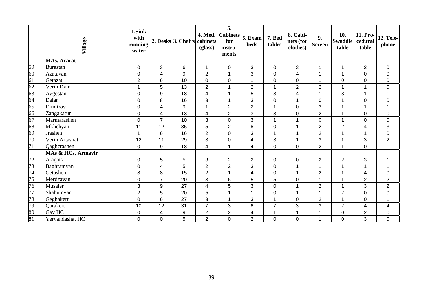|                 | Village            | 1.Sink<br>with<br>running<br>water |                         | 2. Desks 3. Chairs | 4. Med.<br>cabinets<br>(glass) | $\overline{5}$ .<br>$  \text{Cabinets}  _{6. \text{Exam}}$<br>for<br>instru-<br>ments | <b>beds</b>             | 7. Bed<br>tables     | 8. Cabi-<br>nets (for<br>clothes) | 9.<br><b>Screen</b>      | 10.<br><b>Swaddle</b><br>table | 11. Pro-<br>cedural<br>table | <b>12. Tele-</b><br>phone |
|-----------------|--------------------|------------------------------------|-------------------------|--------------------|--------------------------------|---------------------------------------------------------------------------------------|-------------------------|----------------------|-----------------------------------|--------------------------|--------------------------------|------------------------------|---------------------------|
|                 | MAs, Ararat        |                                    |                         |                    |                                |                                                                                       |                         |                      |                                   |                          |                                |                              |                           |
| 59              | Burastan           | $\pmb{0}$                          | 3                       | $6\phantom{1}$     | 1                              | $\pmb{0}$                                                                             | 3                       | $\pmb{0}$            | 3                                 | $\overline{1}$           | 1                              | $\overline{2}$               | $\mathbf 0$               |
| 60              | Azatavan           | $\pmb{0}$                          | $\overline{\mathbf{4}}$ | 9                  | $\overline{2}$                 | $\mathbf{1}$                                                                          | 3                       | $\mathbf 0$          | $\overline{\mathbf{4}}$           | $\overline{1}$           | $\mathbf{1}$                   | 0                            | $\mathbf 0$               |
| 61              | Getazat            | $\overline{2}$                     | 6                       | 10                 | 0                              | $\boldsymbol{0}$                                                                      | 1                       | $\boldsymbol{0}$     | $\mathbf 0$                       | 1                        | 0                              | 0                            | $\pmb{0}$                 |
| 62              | Verin Dvin         | 1                                  | 5                       | 13                 | $\overline{2}$                 | $\overline{1}$                                                                        | $\overline{2}$          | 1                    | $\overline{2}$                    | $\overline{2}$           | 1                              | 1                            | $\pmb{0}$                 |
|                 | Aygestan           | $\pmb{0}$                          | 9                       | 18                 | $\overline{\mathbf{4}}$        | $\overline{1}$                                                                        | 5                       | 3                    | $\overline{\mathbf{4}}$           | $\overline{ }$           | 3                              | 1                            | 1                         |
| $\frac{63}{64}$ | Dalar              | $\mathbf 0$                        | 8                       | 16                 | 3                              | $\mathbf{1}$                                                                          | 3                       | $\mathbf 0$          | $\mathbf{1}$                      | $\mathbf 0$              | 1                              | 0                            | $\mathbf 0$               |
| 65              | Dimitrov           | $\pmb{0}$                          | $\overline{\mathbf{4}}$ | 9                  | $\overline{A}$                 | $\overline{2}$                                                                        | $\overline{2}$          | $\overline{1}$       | $\pmb{0}$                         | 3                        | 1                              | 1                            | 1                         |
| 66              | Zangakatun         | $\pmb{0}$                          | $\overline{\mathbf{4}}$ | 13                 | 4                              | $\overline{2}$                                                                        | 3                       | 3                    | $\mathbf 0$                       | $\overline{2}$           | 1                              | 0                            | $\mathbf 0$               |
| 67              | Marmarashen        | $\pmb{0}$                          | $\overline{7}$          | 10                 | 3                              | $\boldsymbol{0}$                                                                      | 3                       | 1                    | $\overline{1}$                    | $\mathbf 0$              | 1                              | 0                            | $\pmb{0}$                 |
| 68              | Mkhchyan           | 11                                 | 12                      | 35                 | 5                              | $\overline{2}$                                                                        | 6                       | $\mathbf 0$          | $\overline{1}$                    | $\overline{2}$           | $\overline{2}$                 | $\overline{\mathbf{4}}$      | 3                         |
| 69              | Jrashen            | 1                                  | 6                       | 16                 | $\overline{2}$                 | $\mathbf 0$                                                                           | 3                       | 1                    | 1                                 | $\overline{2}$           | 1                              | 1                            | $\pmb{0}$                 |
| $\overline{70}$ | Verin Artashat     | 12                                 | 11                      | 29                 | 3                              | $\boldsymbol{0}$                                                                      | 4                       | 3                    | 1                                 | $\mathbf{3}$             | 1                              | 3                            | $\overline{2}$            |
| 71              | Qaghcrashen        | $\boldsymbol{0}$                   | 9                       | 18                 | 4                              | 1                                                                                     | $\overline{\mathbf{4}}$ | $\mathbf 0$          | $\pmb{0}$                         | $\overline{2}$           | 1                              | 0                            | 1                         |
|                 | MAs & HCs, Armavir |                                    |                         |                    |                                |                                                                                       |                         |                      |                                   |                          |                                |                              |                           |
| $\overline{72}$ | Aragats            | 0                                  | 5                       | 5                  | 3                              | $\overline{2}$                                                                        | $\overline{2}$          | $\pmb{0}$            | $\pmb{0}$                         | $\overline{2}$           | $\overline{2}$                 | 3                            | $\mathbf 1$               |
| 73              | Baghramyan         | $\pmb{0}$                          | $\overline{\mathbf{4}}$ | 5                  | $\overline{2}$                 | $\overline{2}$                                                                        | 3                       | $\mathbf 0$          | $\mathbf{1}$                      | $\overline{1}$           | 1                              | 1                            | $\mathbf{1}$              |
| $\overline{74}$ | Getashen           | 8                                  | 8                       | 15                 | $\overline{2}$                 | 1                                                                                     | $\overline{\mathbf{4}}$ | $\pmb{0}$            | $\mathbf{1}$                      | $\overline{2}$           | 1                              | $\overline{4}$               | 0                         |
| $\overline{75}$ | Merdzavan          | $\mathbf 0$                        | $\overline{7}$          | 20                 | 3                              | $6\phantom{1}6$                                                                       | 5                       | $\overline{5}$       | $\pmb{0}$                         | 1                        | 1                              | $\overline{2}$               | $\overline{2}$            |
| $\overline{76}$ | Musaler            | $\sqrt{3}$                         | 9                       | 27                 | $\overline{\mathbf{4}}$        | 5                                                                                     | 3                       | $\mathbf 0$          | 1                                 | $\overline{2}$           | 1                              | 3                            | $\overline{2}$            |
| 77              | Shahumyan          | $\overline{2}$                     | 5                       | 20                 | 5                              | $\mathbf{1}$                                                                          | $\mathbf{1}$            | $\mathbf 0$          | 1                                 | 1                        | $\overline{2}$                 | 0                            | $\pmb{0}$                 |
| 78              | Geghakert          | $\pmb{0}$                          | 6                       | 27                 | 3                              | $\overline{1}$                                                                        | 3                       | $\blacktriangleleft$ | $\pmb{0}$                         | $\overline{2}$           | 1                              | 0                            | 1                         |
| 79              | Qarakert           | 10                                 | 12                      | 31                 | $\overline{7}$                 | 3                                                                                     | 6                       | $\overline{7}$       | 3                                 | $\mathfrak{S}$           | 2                              | $\overline{4}$               | $\overline{4}$            |
| $\frac{80}{81}$ | Gay HC             | $\pmb{0}$                          | 4                       | $\boldsymbol{9}$   | $\overline{c}$                 | $\overline{2}$                                                                        | $\overline{\mathbf{4}}$ | 1                    | $\overline{1}$                    | $\overline{\phantom{a}}$ | 0                              | $\overline{c}$               | $\pmb{0}$                 |
|                 | Yervandashat HC    | $\overline{0}$                     | 0                       | 5                  | $\overline{2}$                 | 0                                                                                     | $\overline{2}$          | $\overline{0}$       | $\mathbf 0$                       | 1                        | $\overline{0}$                 | 3                            | $\overline{0}$            |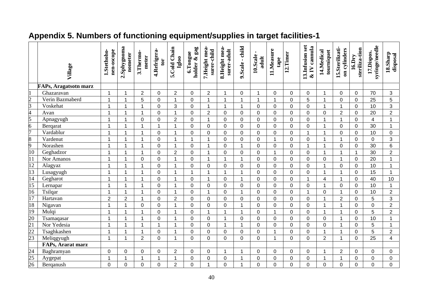|                                                         | Village                      | nen-oscope<br>1.Stethoho- | 2.Sphygnoma<br>nometer | 3.Thermo-<br>meter   | 4.Refrigera-<br>tor | 5.Cold Chain<br>Igloo | gag<br>6.Tongue<br>holder & | 7.Height mea-<br>surer-child | 8.Height mea-<br>surer-adult | 9.Scale - child | $\blacksquare$<br>10.Scale<br>adult | 11.Measure<br>tape | 12.Timer       | 13.Infusion set<br>$&$ IV cannula | 14.Medical<br>tourniquet | 15.Sterilizati-<br>on cylinders | steriliza-tion<br>$\overline{16.}$ Dry | syringe/needle<br>17.Dispos. | 18.Sharp<br>disposal |
|---------------------------------------------------------|------------------------------|---------------------------|------------------------|----------------------|---------------------|-----------------------|-----------------------------|------------------------------|------------------------------|-----------------|-------------------------------------|--------------------|----------------|-----------------------------------|--------------------------|---------------------------------|----------------------------------------|------------------------------|----------------------|
|                                                         | <b>FAPs, Aragatsotn marz</b> |                           |                        |                      |                     |                       |                             |                              |                              |                 |                                     |                    |                |                                   |                          |                                 |                                        |                              |                      |
| $\vert$ 1                                               | Ghazaravan                   | $\mathbf{1}$              | 1                      | $\overline{2}$       | $\mathbf 0$         | $\overline{2}$        | 0                           | $\boldsymbol{2}$             | $\overline{1}$               | 0               | 1                                   | $\mathbf 0$        | 0              | $\mathsf 0$                       | $\overline{1}$           | 0                               | $\mathbf 0$                            | 70                           | 3                    |
| $\frac{2}{3}$ $\frac{3}{4}$ $\frac{4}{5}$ $\frac{6}{7}$ | Verin Bazmaberd              | 1                         | 1                      | 5                    | $\overline{0}$      | $\mathbf 1$           | 0                           | $\mathbf{1}$                 | $\overline{\mathbf{1}}$      | $\mathbf 1$     | $\mathbf{1}$                        | $\overline{1}$     | $\mathbf 0$    | 5                                 | $\overline{1}$           | $\mathbf 0$                     | $\mathbf 0$                            | 25                           | 5                    |
|                                                         | Voskehat                     | 1                         | 1                      | $\mathbf{1}$         | $\overline{0}$      | 3                     | $\overline{0}$              | $\mathbf{1}$                 | 1                            | $\mathbf{1}$    | $\overline{0}$                      | $\Omega$           | $\overline{0}$ | $\overline{0}$                    | $\overline{1}$           | $\mathbf{1}$                    | $\overline{0}$                         | 10                           | 3                    |
|                                                         | Avan                         | $\overline{1}$            | 1                      | $\mathbf{1}$         | $\mathbf 0$         | $\overline{1}$        | 0                           | $\overline{2}$               | $\mathbf 0$                  | 0               | $\mathbf 0$                         | $\overline{0}$     | 0              | $\pmb{0}$                         | $\mathbf 0$              | $\overline{2}$                  | $\mathbf 0$                            | 20                           | $\overline{2}$       |
|                                                         | Apnagyugh                    | 1                         | 1                      | $\mathbf 0$          | $\mathbf 0$         | $\overline{2}$        | 0                           | $\mathbf{1}$                 | $\mathbf 0$                  | 0               | 0                                   | $\mathbf 0$        | 0              | $\mathbf 0$                       | 1                        | $\mathbf{1}$                    | $\mathbf 0$                            | $\overline{\mathbf{4}}$      | $\mathbf{1}$         |
|                                                         | Berqarat                     | 1                         | 1                      | $\mathbf{1}$         | $\mathbf{1}$        | $\overline{1}$        | 0                           | $\mathbf 0$                  | $\Omega$                     | $\overline{0}$  | $\overline{0}$                      | $\Omega$           | 0              | $\mathbf 0$                       | $\overline{1}$           | $\overline{0}$                  | $\mathbf 0$                            | 30                           | $\mathbf{1}$         |
|                                                         | Vardablur                    | 1                         | 1                      | $\mathbf 1$          | $\mathsf 0$         | 1                     | 0                           | $\mathsf 0$                  | $\overline{0}$               | $\overline{0}$  | 0                                   | $\mathbf 0$        | 0              | $\mathbf{1}$                      | $\overline{1}$           | 0                               | $\mathbf 0$                            | 10                           | 0                    |
|                                                         | Vardenut                     | 1                         | -1                     | 1                    | $\mathbf 0$         | 1                     | $\mathbf 1$                 | $\mathbf{1}$                 | $\mathbf 0$                  | 0               | $\mathbf 0$                         | -1                 | $\mathbf 0$    | $\mathbf 0$                       | -1                       | $\mathbf 1$                     | $\mathbf 0$                            | $\mathbf 0$                  | 3                    |
| $\frac{8}{9}$ $\frac{9}{10}$                            | Norashen                     | 1                         | 1                      | $\mathbf 1$          | $\mathbf 0$         | 1                     | 0                           | $\mathbf{1}$                 | $\mathbf 0$                  | $\mathbf{1}$    | $\mathbf 0$                         | $\mathbf 0$        | 0              | $\mathbf{1}$                      | -1                       | 0                               | $\mathbf 0$                            | 30                           | $6\phantom{a}$       |
|                                                         | Geghadzor                    | 1                         | 1                      | $\mathbf{1}$         | $\overline{0}$      | $\overline{2}$        | $\overline{0}$              | $\mathbf{1}$                 | $\overline{0}$               | $\overline{0}$  | $\overline{0}$                      | $\overline{1}$     | 0              | $\mathbf 0$                       | $\overline{1}$           | $\mathbf{1}$                    | $\mathbf{1}$                           | 30                           | $\overline{2}$       |
| $\overline{11}$                                         | Nor Amanos                   | 1                         | 1                      | 0                    | $\pmb{0}$           | 1                     | 0                           | $\mathbf 1$                  | $\overline{1}$               | 1               | 0                                   | $\mathbf 0$        | $\mathbf 0$    | $\mathsf 0$                       | 0                        | 1                               | $\mathbf 0$                            | 20                           | $\mathbf{1}$         |
| $\overline{12}$                                         | Alagyaz                      | 1                         | 1                      | $\mathbf 1$          | $\mathbf 0$         | 1                     | $\overline{0}$              | $\mathbf 0$                  | $\overline{0}$               | 0               | 0                                   | $\overline{0}$     | 0              | $\mathbf 0$                       | $\overline{1}$           | 0                               | $\mathbf 0$                            | 10                           | $\mathbf{1}$         |
| 13                                                      | Lusagyugh                    | 1                         | 1                      | 1                    | $\overline{0}$      | 1                     | 1                           | $\mathbf{1}$                 | $\overline{\mathbf{A}}$      | 1               | 0                                   | $\Omega$           | $\overline{0}$ | $\overline{0}$                    | $\overline{1}$           | $\mathbf{1}$                    | $\overline{0}$                         | 15                           | $\mathbf{1}$         |
| 14                                                      | Gegharot                     | 1                         | 1                      | 1                    | $\mathbf 0$         | 1                     | 0                           | $\mathbf{1}$                 | $\mathbf 0$                  | 1               | $\mathbf 0$                         | $\overline{0}$     | 0              | $\mathbf{1}$                      | 4                        | $\mathbf{1}$                    | $\mathbf 0$                            | 40                           | 10                   |
| $\overline{15}$                                         | Lernapar                     | 1                         | 1                      | 1                    | $\mathbf 0$         | -1                    | 0                           | $\mathbf 0$                  | $\mathbf 0$                  | 0               | 0                                   | $\mathbf 0$        | 0              | $\mathbf 0$                       | $\overline{1}$           | 0                               | $\mathbf 0$                            | 10                           | $\mathbf{1}$         |
| $\overline{16}$                                         | Tsilqar                      | 1                         | 1                      | $\blacktriangleleft$ | $\mathbf 0$         | $\mathbf 1$           | 0                           | $\mathbf{1}$                 | $\overline{0}$               | $\mathbf{1}$    | $\mathbf 0$                         | $\overline{0}$     | 0              | $\mathbf{1}$                      | $\mathbf 0$              | $\mathbf{1}$                    | $\mathbf 0$                            | 10                           | $\overline{2}$       |
| $\overline{17}$                                         | Hartavan                     | $\overline{2}$            | $\overline{2}$         | $\mathbf{1}$         | $\mathsf 0$         | $\overline{2}$        | 0                           | $\mathsf 0$                  | $\overline{0}$               | 0               | $\mathsf 0$                         | $\overline{0}$     | 0              | $\pmb{0}$                         | $\overline{1}$           | $\overline{2}$                  | $\pmb{0}$                              | 5                            | 3                    |
| 18                                                      | Nigavan                      | 1                         | 1                      | $\mathbf 0$          | $\pmb{0}$           | -1                    | 0                           | $\pmb{0}$                    | $\mathbf 0$                  | 1               | 0                                   | $\mathbf 0$        | 0              | $\mathsf 0$                       | $\overline{\mathbf{1}}$  | $\mathbf 1$                     | 0                                      | 0                            | $\overline{2}$       |
| 19                                                      | Mulqi                        | 1                         | 1                      | 1                    | $\mathbf 0$         | 1                     | 0                           | $\mathbf{1}$                 | 1                            | 1               | $\mathbf 0$                         | -1                 | 0              | $\mathbf 0$                       | -1                       | 1                               | $\mathbf 0$                            | 5                            | $\overline{2}$       |
| 20                                                      | Tsamaqasar                   | 1                         | 1                      | 1                    | $\mathbf 0$         | 1                     | $\overline{0}$              | $\mathbf 0$                  | 1                            | 0               | $\overline{0}$                      | $\Omega$           | 0              | $\mathbf 0$                       | $\Omega$                 | $\mathbf{1}$                    | $\overline{0}$                         | 10                           | $\mathbf{1}$         |
|                                                         | Nor Yedesia                  | 1                         | 1                      | $\mathbf 1$          | 1                   | 1                     | 0                           | $\pmb{0}$                    | -1                           | $\mathbf 1$     | 0                                   | 0                  | 0              | 0                                 | 0                        | 1                               | 0                                      | 5                            | $\mathbf{1}$         |
|                                                         | Tsaghkashen                  | 1                         | 1                      | $\mathbf{1}$         | $\pmb{0}$           | 1                     | 0                           | $\pmb{0}$                    | $\mathbf 0$                  | 0               | $\mathsf 0$                         | $\overline{1}$     | 0              | $\pmb{0}$                         | $\overline{1}$           | $\mathbf{1}$                    | $\mathbf 0$                            | 5                            | $\overline{2}$       |
| $\frac{1}{21}$<br>$\frac{22}{23}$                       | Meliqgyugh                   | $\mathbf{1}$              | 1                      | $\overline{2}$       | $\overline{0}$      | 1                     | $\Omega$                    | $\overline{0}$               | $\Omega$                     | $\Omega$        | $\overline{0}$                      | $\overline{1}$     | 0              | $\mathbf 0$                       | $\overline{2}$           | $\mathbf{1}$                    | $\overline{0}$                         | 25                           | $\overline{4}$       |
|                                                         | FAPs, Ararat marz            |                           |                        |                      |                     |                       |                             |                              |                              |                 |                                     |                    |                |                                   |                          |                                 |                                        |                              |                      |
| $\frac{24}{25}$<br>$\frac{25}{26}$                      | Baghramyan                   | $\pmb{0}$                 | 0                      | 0                    | 0                   | $\overline{2}$        | 0                           | 0                            | -1                           | 1               | 0                                   | $\Omega$           | 0              | 0                                 | $\overline{\mathbf{1}}$  | $\overline{2}$                  | $\mathbf 0$                            | 0                            | 0                    |
|                                                         | Aygepat                      | $\overline{1}$            | 1                      | $\mathbf{1}$         | $\mathbf{1}$        | 1                     | 0                           | $\mathbf 0$                  | $\mathbf 0$                  | 1               | 0                                   | $\mathbf 0$        | 0              | 0                                 | $\overline{1}$           | $\mathbf 1$                     | 0                                      | 0                            | 0                    |
|                                                         | Berqanush                    | $\overline{0}$            | 0                      | $\overline{0}$       | $\overline{0}$      | $\overline{2}$        | $\overline{0}$              | 1                            | 0                            | 1               | $\overline{0}$                      | $\overline{0}$     | $\overline{0}$ | $\overline{0}$                    | $\overline{0}$           | 0                               | $\overline{0}$                         | $\overline{0}$               | $\overline{0}$       |

# **Appendix 5. Numbers of functioning equipment/supplies in target facilities-1**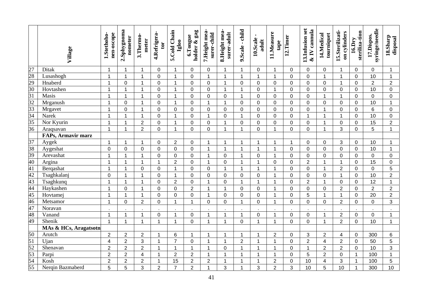|                                                                                                                            | Village               | nen-oscope<br>1.Stethoho- | 2.Sphygnoma<br>nometer | 3.Thermo-<br>meter | 4.Refrigera-<br>tor | 5.Cold Chain<br>Igloo | holder & gag<br>6.Tongue | 7.Height mea-<br>surer-child | 8. Height mea-<br>surer-adult | 9.Scale - child     | $\blacksquare$<br>10.Scale<br>adult | 11.Measure<br>tape | 12.Timer       | 13.Infusion set<br>$&$ IV cannula | 14.Medical<br>tourniquet | 15.Sterilizati-<br>on cylinders | steriliza-tion<br>$16.$ Dry | syringe/needle<br>17.Dispos. | 18.Sharp<br>disposal |
|----------------------------------------------------------------------------------------------------------------------------|-----------------------|---------------------------|------------------------|--------------------|---------------------|-----------------------|--------------------------|------------------------------|-------------------------------|---------------------|-------------------------------------|--------------------|----------------|-----------------------------------|--------------------------|---------------------------------|-----------------------------|------------------------------|----------------------|
| $\frac{27}{28} \frac{8}{29} \frac{1}{30} \frac{31}{31} \frac{1}{32} \frac{33}{33} \frac{1}{34} \frac{35}{35} \frac{1}{36}$ | Ditak                 | $\mathbf 1$               | 1                      | $\mathbf 1$        | $\mathbf 0$         | $\mathbf 1$           | $\mathbf 0$              | $\mathbf 0$                  | $\overline{1}$                | $\mathbf 1$         | $\mathbf 0$                         | $\mathbf 1$        | $\mathbf 0$    | 0                                 | 0                        | -1                              | $\mathbf 0$                 | $\mathbf 0$                  | $\mathbf{1}$         |
|                                                                                                                            | Lusashogh             | $\mathbf{1}$              | $\overline{1}$         | $\mathbf{1}$       | $\mathbf 0$         | $\mathbf{1}$          | 0                        | $\mathbf{1}$                 | $\overline{1}$                | $\mathbf{1}$        | $\mathbf 1$                         | $\mathbf{1}$       | $\overline{0}$ | $\mathbf 0$                       | $\mathbf{1}$             | $\mathbf{1}$                    | $\overline{0}$              | 10                           | $\mathbf{1}$         |
|                                                                                                                            | Hnaberd               | $\mathbf{1}$              | 0                      | $\mathbf{1}$       | $\mathbf 0$         | $\mathbf{1}$          | 0                        | 0                            | $\overline{1}$                | $\overline{0}$      | $\mathbf 0$                         | $\mathbf 0$        | 0              | $\mathbf 0$                       | $\overline{0}$           | $\mathbf{1}$                    | $\overline{0}$              | $\overline{2}$               | $\overline{2}$       |
|                                                                                                                            | Hovtashen             | $\mathbf{1}$              | $\mathbf 1$            | $\mathbf 1$        | $\mathbf 0$         | 1                     | 0                        | 0                            | $\overline{1}$                | $\mathbf{1}$        | $\mathbf 0$                         | 1                  | 0              | $\mathbf 0$                       | $\overline{0}$           | $\mathbf 0$                     | $\overline{0}$              | 10                           | $\mathbf 0$          |
|                                                                                                                            | Masis                 | $\mathbf{1}$              | 1                      | $\mathbf 1$        | $\mathbf 0$         | 1                     | 0                        | 0                            | $\mathbf 0$                   | $\mathbf{1}$        | $\mathbf 0$                         | $\mathbf 0$        | 0              | $\mathbf 0$                       | $\overline{1}$           | $\mathbf{1}$                    | $\overline{0}$              | $\mathbf 0$                  | $\mathbf 0$          |
|                                                                                                                            | Mrganush              | $\mathbf{1}$              | 0                      | 1                  | $\mathbf 0$         | $\mathbf 1$           | 0                        | $\mathbf{1}$                 | $\overline{1}$                | $\mathbf 0$         | $\mathbf 0$                         | $\mathbf 0$        | 0              | $\mathbf 0$                       | $\overline{0}$           | $\mathbf 0$                     | $\overline{0}$              | 10                           | $\mathbf{1}$         |
|                                                                                                                            | Mrgavet               | $\mathbf{1}$              | 0                      | $\mathbf{1}$       | $\mathbf 0$         | $\mathbf 0$           | 0                        | 0                            | $\mathbf 0$                   | $\mathbf 0$         | $\mathbf 0$                         | $\mathbf 0$        | 0              | $\mathbf 0$                       | $\mathbf 1$              | $\mathbf 0$                     | $\overline{0}$              | 6                            | $\mathbf 0$          |
|                                                                                                                            | Narek                 | $\mathbf{1}$              | 1                      | $\mathbf{1}$       | $\mathbf 0$         | $\mathbf 1$           | 0                        | $\mathbf{1}$                 | $\mathbf 0$                   | $\mathbf{1}$        | $\mathbf 0$                         | $\overline{0}$     | 0              | $\mathbf{1}$                      | $\mathbf 1$              | $\mathbf{1}$                    | $\overline{0}$              | 10                           | $\mathbf 0$          |
|                                                                                                                            | Nor Kyurin            | $\mathbf{1}$              | 1                      | $\overline{2}$     | $\mathbf 0$         | $\mathbf 1$           | 0                        | 0                            | $\overline{1}$                | $\overline{0}$      | $\mathbf 0$                         | $\overline{0}$     | 0              | $\mathbf 0$                       | $\mathbf 1$              | $\mathbf 0$                     | 0                           | 15                           | $\overline{2}$       |
|                                                                                                                            | Araqsavan             | $\mathbf 1$               | 1                      | $\overline{2}$     | $\mathbf 0$         | 1                     | 0                        | 0                            | $\overline{1}$                | $\mathbf{1}$        | $\mathbf 0$                         |                    | 0              | 0                                 | $\overline{\mathbf{A}}$  | 3                               | $\overline{0}$              | 5                            | $\mathbf{1}$         |
|                                                                                                                            | FAPs, Armavir marz    |                           |                        |                    |                     |                       |                          |                              |                               |                     |                                     |                    |                |                                   |                          |                                 |                             |                              |                      |
|                                                                                                                            | Aygek                 | $\mathbf 1$               | 1                      | 1                  | $\pmb{0}$           | $\overline{2}$        | 0                        | 1                            | $\overline{1}$                | 1                   | 1                                   |                    | 1              | 0                                 | 0                        | 3                               | $\mathbf 0$                 | 10                           | 1                    |
|                                                                                                                            | Aygeshat              | $\pmb{0}$                 | 0                      | $\mathbf 0$        | $\mathbf 0$         | $\overline{0}$        | 0                        | $\mathbf{1}$                 | $\overline{1}$                | 1                   | $\mathbf{1}$                        | -1                 | 0              | $\mathbf 0$                       | $\mathbf 0$              | $\overline{0}$                  | $\overline{0}$              | 10                           | $\mathbf 1$          |
|                                                                                                                            | Arevashat             | $\overline{1}$            | 1                      | $\mathbf{1}$       | $\mathbf 0$         | $\overline{0}$        | 0                        | $\mathbf{1}$                 | $\overline{0}$                | $\mathbf{1}$        | $\mathbf 0$                         | 1                  | $\overline{0}$ | $\mathbf 0$                       | $\overline{0}$           | 0                               | $\overline{0}$              | $\mathbf 0$                  | $\mathbf 0$          |
|                                                                                                                            | Argina                | $\mathbf{1}$              | 1                      | $\mathbf{1}$       | $\mathbf{1}$        | $\overline{2}$        | 0                        | $\mathbf{1}$                 | $\overline{0}$                | $\mathbf{1}$        | 1                                   | $\mathbf 0$        | 0              | $\overline{2}$                    | $\overline{\mathbf{1}}$  | $\overline{1}$                  | $\overline{0}$              | 15                           | $\mathbf 0$          |
|                                                                                                                            | Bergashat             | $\mathbf{1}$              | 1                      | $\mathbf 0$        | $\pmb{0}$           | $\overline{1}$        | 0                        | $\mathbf 0$                  | $\overline{1}$                | $\mathbf{1}$        | $\mathbf 1$                         |                    | 0              | $\mathbf 0$                       | $\overline{1}$           | $\overline{2}$                  | $\overline{0}$              | $\mathbf 0$                  | $\overline{5}$       |
|                                                                                                                            | Tsaghkalanj           | $\pmb{0}$                 | 1                      | $\mathbf{1}$       | $\pmb{0}$           | $\overline{1}$        | 0                        | $\mathbf 0$                  | $\mathbf 0$                   | $\mathsf{O}\xspace$ | $\mathbf 0$                         | 1                  | 0              | $\pmb{0}$                         | $\mathbf 0$              | $\mathbf{1}$                    | $\overline{0}$              | 10                           | $\overline{2}$       |
|                                                                                                                            | Tsaghkunq             | 1                         | 1                      | $\mathbf{1}$       | $\mathsf 0$         | $\overline{2}$        | 0                        | $\mathbf{1}$                 | $\mathbf 0$                   | $\mathbf{1}$        | $\mathbf{1}$                        | 1                  | 0              | $\overline{2}$                    | $\overline{1}$           | $\mathbf 0$                     | $\overline{0}$              | 12                           | $\mathbf{1}$         |
|                                                                                                                            | Haykashen             | $\mathbf{1}$              | 0                      | $\mathbf{1}$       | $\mathbf 0$         | $\overline{0}$        | $\overline{2}$           | $\mathbf{1}$                 | $\overline{1}$                | $\mathbf 0$         | $\mathbf 0$                         | 1                  | $\overline{0}$ | $\mathbf 0$                       | $\mathbf 0$              | $\overline{2}$                  | $\overline{0}$              | $\overline{2}$               | $\overline{2}$       |
| $\frac{37}{38}$ $\frac{39}{40}$ $\frac{40}{41}$ $\frac{42}{43}$ $\frac{44}{45}$ $\frac{45}{49}$ $\frac{47}{48}$            | Hovtamej              | $\mathbf{1}$              | 1                      | $\mathbf 1$        | $\pmb{0}$           | $\overline{0}$        | 0                        | $\mathbf{1}$                 | $\overline{0}$                | 0                   | $\mathbf 0$                         | 1                  | 0              | 5                                 | 1                        | $\mathbf{1}$                    | $\overline{0}$              | 20                           | $\overline{2}$       |
|                                                                                                                            | Metsamor              | $\mathbf{1}$              | 0                      | $\overline{2}$     | $\mathbf 0$         | 1                     | $\mathbf 1$              | $\mathbf 0$                  | $\overline{0}$                | $\mathbf{1}$        | $\mathbf 0$                         | 1                  | 0              | $\overline{0}$                    | $\mathbf 0$              | $\overline{2}$                  | $\overline{0}$              | $\overline{0}$               | 3                    |
|                                                                                                                            | Noravan               |                           |                        |                    |                     |                       |                          |                              |                               |                     |                                     |                    |                |                                   |                          |                                 |                             |                              |                      |
|                                                                                                                            | Vanand                | $\mathbf{1}$              | $\mathbf 1$            | 1                  | $\pmb{0}$           | 1                     | 0                        | $\mathbf{1}$                 | 1                             | $\mathbf{1}$        | $\pmb{0}$                           | 1                  | 0              | 0                                 | $\overline{1}$           | $\overline{2}$                  | $\mathbf 0$                 | 0                            | 1                    |
|                                                                                                                            | Shenik                | $\overline{1}$            | 1                      | $\mathbf 1$        | $\mathbf{1}$        | $\overline{1}$        | 0                        | $\mathbf{1}$                 | $\overline{1}$                | $\mathbf 0$         | 1                                   | $\overline{1}$     | 0              | 0                                 | 1                        | $\overline{2}$                  | $\mathbf 0$                 | 10                           | $\mathbf 1$          |
|                                                                                                                            | MAs & HCs, Aragatsotn |                           |                        |                    |                     |                       |                          |                              |                               |                     |                                     |                    |                |                                   |                          |                                 |                             |                              |                      |
|                                                                                                                            | Arutch                | $\overline{2}$            | $\overline{2}$         | $\overline{2}$     | $\mathbf 1$         | 6                     | 1                        | $\mathbf 1$                  | $\overline{1}$                | $\mathbf{1}$        | 1                                   | $\overline{2}$     | 0              | 3                                 | $\overline{2}$           | $\overline{4}$                  | $\mathbf 0$                 | 300                          | $\,6\,$              |
|                                                                                                                            | Ujan                  | $\overline{4}$            | $\overline{2}$         | 3                  | $\mathbf 1$         | $\overline{7}$        | $\pmb{0}$                | $\mathbf{1}$                 | $\overline{1}$                | $\overline{2}$      | 1                                   | $\mathbf{1}$       | 0              | $\overline{2}$                    | $\overline{\mathbf{4}}$  | $\overline{2}$                  | $\mathbf 0$                 | 50                           | 5                    |
| $\frac{50}{51}$ $\frac{51}{52}$ $\frac{53}{54}$ $\frac{54}{55}$                                                            | Shenavan              | $\overline{2}$            | $\overline{2}$         | $\overline{2}$     | $\mathbf 1$         | $\mathbf{1}$          | $\mathbf{1}$             | $\mathbf{1}$                 | $\mathbf 0$                   | $\mathbf{1}$        | $\mathbf 1$                         | $\mathbf{1}$       | 0              | $\mathbf{1}$                      | $\overline{2}$           | $\overline{2}$                  | $\mathbf 0$                 | 10                           | 3                    |
|                                                                                                                            | Parpi                 | $\overline{2}$            | $\overline{2}$         | 4                  | $\mathbf 1$         | $\mathbf 2$           | $\overline{2}$           | $\mathbf{1}$                 | $\overline{1}$                | $\mathbf{1}$        | 1                                   | $\mathbf{1}$       | $\mathbf 0$    | 5                                 | $\overline{2}$           | $\mathbf 0$                     | $\mathbf{1}$                | 100                          | $\mathbf 1$          |
|                                                                                                                            | Kosh                  | $\overline{2}$            | $\overline{c}$         | $\mathbf 2$        | 1                   | 15                    | $\overline{2}$           | $\overline{2}$               | $\overline{1}$                | 1                   | 1                                   | $\mathbf 2$        | 0              | 10                                | $\overline{\mathcal{A}}$ | 3                               | $\mathbf{1}$                | 100                          | 5                    |
|                                                                                                                            | Nerqin Bazmaberd      | 5                         | 5                      | 3                  | $\overline{2}$      | $\overline{7}$        | $\overline{2}$           | $\mathbf{1}$                 | 3                             | $\mathbf 1$         | 3                                   | $\overline{2}$     | 3              | 10                                | 5                        | 10                              | $\mathbf{1}$                | 300                          | 10                   |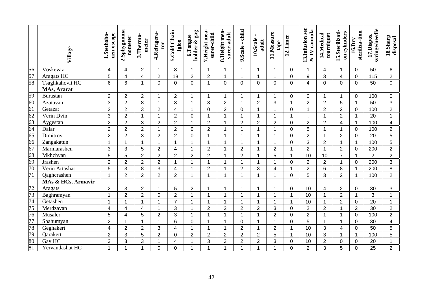|                 | Village            | nen-oscope<br>1.Stethoho- | 2.Sphygnoma<br>nometer | 3.Thermo-<br>meter      | 4.Refrigera-<br>tor | 5.Cold Chain<br>Igloo | $ga$ g<br>6.Tongue<br>holder & | 7. Height mea-<br>surer-child | 8.Height mea-<br>surer-adult | 9.Scale - child | $\blacksquare$<br>10.Scale<br>adult | 11.Measure<br>tape | 12.Timer     | 13.Infusion set<br>$&$ IV cannula | 14.Medical<br>tourniquet | 15.Sterilizati-<br>on cylinders | steriliza-tion<br>$\overline{16}$ .Dry | syringe/needle<br>17.Dispos. | 18.Sharp<br>disposal |
|-----------------|--------------------|---------------------------|------------------------|-------------------------|---------------------|-----------------------|--------------------------------|-------------------------------|------------------------------|-----------------|-------------------------------------|--------------------|--------------|-----------------------------------|--------------------------|---------------------------------|----------------------------------------|------------------------------|----------------------|
| 56              | Voskevaz           | $\overline{\mathcal{A}}$  | 4                      | $\overline{2}$          | $\mathbf 1$         | 8                     | 1                              | $\mathbf{1}$                  | $\overline{1}$               | $\mathbf 1$     | $\mathbf{1}$                        | $\mathbf 1$        | $\Omega$     | $\mathbf{1}$                      | $\overline{4}$           | $\mathbf 1$                     | $\mathbf 0$                            | 50                           | 6                    |
| $\overline{57}$ | <b>Aragats HC</b>  | 5                         | $\overline{4}$         | $\overline{\mathbf{4}}$ | $\overline{2}$      | 18                    | $\overline{2}$                 | $\overline{2}$                | $\overline{1}$               | $\mathbf{1}$    | $\mathbf{1}$                        | 1                  | 0            | $9\,$                             | 3                        | 4                               | $\mathbf 0$                            | 115                          | $\overline{2}$       |
| 58              | Tsaghkahovit HC    | 6                         | 6                      | $\mathbf{1}$            | 0                   | $\mathbf 0$           | $\mathbf 0$                    | $\mathbf{1}$                  | $\mathbf 0$                  | $\overline{0}$  | $\mathbf 0$                         | $\mathbf 0$        | 0            | $\overline{4}$                    | $\mathbf 0$              | $\mathbf 0$                     | $\overline{0}$                         | 50                           | $\mathbf 0$          |
|                 | MAs, Ararat        |                           |                        |                         |                     |                       |                                |                               |                              |                 |                                     |                    |              |                                   |                          |                                 |                                        |                              |                      |
| 59              | <b>Burastan</b>    | $\overline{2}$            | $\overline{2}$         | $\overline{2}$          | 1                   | $\overline{2}$        | 1                              | 1                             | -1                           | 1               | 1                                   |                    | 0            | 0                                 | $\mathbf 1$              | -1                              | $\mathbf 0$                            | 100                          | $\mathbf 0$          |
| $\overline{60}$ | Azatavan           | 3                         | $\overline{2}$         | 8                       | $\mathbf{1}$        | $\overline{3}$        | $\mathbf{1}$                   | 3                             | $\overline{2}$               | $\mathbf{1}$    | $\overline{2}$                      | 3                  | $\mathbf{1}$ | $\overline{2}$                    | $\overline{2}$           | 5                               | $\mathbf{1}$                           | 50                           | $\mathbf{3}$         |
| 61              | Getazat            | $\overline{2}$            | $\overline{2}$         | 3                       | $\overline{2}$      | $\overline{4}$        | 1                              | 0                             | $\overline{2}$               | 0               | $\mathbf{1}$                        |                    | 0            | $\mathbf{1}$                      | $\overline{2}$           | $\overline{2}$                  | $\mathbf 0$                            | 100                          | $\overline{2}$       |
| 62              | Verin Dvin         | 3                         | $\overline{2}$         | $\mathbf{1}$            | $\mathbf{1}$        | $\overline{2}$        | $\mathbf 0$                    | $\mathbf{1}$                  | $\overline{1}$               | $\mathbf{1}$    | 1                                   | -1                 | $\mathbf{1}$ |                                   | $\overline{ }$           | $\overline{2}$                  | $\mathbf{1}$                           | 20                           | $\mathbf{1}$         |
|                 | Aygestan           | $\overline{2}$            | $\overline{2}$         | 3                       | $\overline{2}$      | $\overline{2}$        | 1                              | $\overline{2}$                | 1                            | $\overline{2}$  | $\overline{2}$                      | $\overline{2}$     | 0            | $\overline{2}$                    | $\overline{2}$           | 4                               | $\mathbf{1}$                           | 100                          | $\overline{4}$       |
| $\frac{63}{64}$ | Dalar              | $\overline{2}$            | $\overline{2}$         | $\overline{2}$          | $\mathbf 1$         | $\overline{2}$        | $\overline{0}$                 | $\overline{2}$                | 1                            | $\mathbf 1$     | 1                                   |                    | 0            | 5                                 | $\overline{1}$           | $\overline{1}$                  | $\overline{0}$                         | 100                          | $\overline{2}$       |
|                 | Dimitrov           | $\overline{2}$            | $\overline{2}$         | 3                       | $\overline{2}$      | $\overline{2}$        | $\pmb{0}$                      | 1                             | $\overline{1}$               | 1               | $\overline{1}$                      |                    | 0            | $\overline{2}$                    | 1                        | $\overline{2}$                  | $\pmb{0}$                              | 20                           | 5                    |
| 66              | Zangakatun         | $\mathbf{1}$              | 1                      | $\mathbf{1}$            | $\mathbf{1}$        | $\overline{1}$        | 1                              | $\mathbf{1}$                  | $\overline{1}$               | $\mathbf 1$     | 1                                   | 1                  | 0            | 3                                 | $\overline{2}$           | $\overline{1}$                  | $\mathbf{1}$                           | 100                          | 5                    |
| 67              | Marmarashen        | 3                         | 3                      | 5                       | $\overline{c}$      | 4                     | 1                              | $\overline{2}$                | -1                           | $\overline{2}$  | 1                                   | $\overline{2}$     | 1            | $\overline{2}$                    | $\blacktriangleleft$     | $\overline{2}$                  | $\mathbf 0$                            | 200                          | $\overline{2}$       |
| 68              | Mkhchyan           | 5                         | 5                      | $\overline{2}$          | $\overline{2}$      | $\overline{2}$        | $\overline{2}$                 | $\overline{2}$                |                              | $\overline{2}$  | 1                                   | 5                  | 1            | 10                                | 10                       | $\overline{7}$                  | $\mathbf{1}$                           | $\overline{2}$               | $\overline{2}$       |
| 69              | Jrashen            | $\overline{2}$            | $\overline{2}$         | $\overline{2}$          | $\overline{2}$      | $\overline{1}$        | $\mathbf{1}$                   | $\mathbf 1$                   | $\overline{1}$               | $\mathbf{1}$    | $\mathbf{1}$                        | 1                  | 0            | $\overline{2}$                    | $\overline{2}$           | $\mathbf 1$                     | $\mathbf 0$                            | 200                          | 3                    |
| $\overline{70}$ | Verin Artashat     | 5                         | 3                      | 8                       | 3                   | $\overline{4}$        | 1                              | $\overline{2}$                | $\overline{1}$               | $\overline{2}$  | 3                                   | $\overline{4}$     | 1            | $\overline{2}$                    | 6                        | 8                               | $\mathbf{1}$                           | 200                          | 8                    |
| $\overline{71}$ | Qaghcrashen        | $\mathbf{1}$              | $\overline{2}$         | $\overline{2}$          | $\overline{2}$      | $\overline{2}$        | 1                              | $\mathbf{1}$                  | $\overline{1}$               | $\mathbf{1}$    | 1                                   | $\overline{1}$     | 0            | 5                                 | 3                        | $\overline{2}$                  | $\mathbf{1}$                           | 100                          | $\overline{2}$       |
|                 | MAs & HCs, Armavir |                           |                        |                         |                     |                       |                                |                               |                              |                 |                                     |                    |              |                                   |                          |                                 |                                        |                              |                      |
| $\overline{72}$ | Aragats            | $\overline{c}$            | 3                      | $\overline{2}$          | 1                   | 5                     | $\overline{2}$                 | 1                             | $\overline{\mathbf{1}}$      | 1               | 1                                   |                    | 0            | 10                                | 4                        | $\overline{2}$                  | $\mathbf 0$                            | 30                           | 3                    |
| 73              | Baghramyan         | $\mathbf{1}$              | $\overline{2}$         | $\overline{2}$          | 0                   | $\overline{2}$        | 1                              | $\mathbf{1}$                  | $\overline{1}$               | 1               | 1                                   |                    | 1            | 10                                | $\mathbf 1$              | $\overline{2}$                  | $\mathbf{1}$                           | 3                            | $\mathbf{1}$         |
| 74              | Getashen           | $\mathbf{1}$              | 1                      | 1                       | $\mathbf{1}$        | $\overline{7}$        | $\mathbf{1}$                   | $\mathbf 1$                   | $\overline{1}$               | $\mathbf 1$     | 1                                   | $\overline{1}$     | 1            | 10                                | $\mathbf 1$              | $\overline{2}$                  | $\overline{0}$                         | 20                           | $\mathbf{1}$         |
| 75              | Merdzavan          | $\overline{\mathbf{4}}$   | $\overline{4}$         | $\overline{\mathbf{4}}$ | $\mathbf{1}$        | 3                     | 1                              | $\overline{2}$                | $\overline{2}$               | $\overline{2}$  | $\overline{2}$                      | 3                  | 0            | $\overline{2}$                    | $\overline{2}$           | 1                               | $\overline{2}$                         | 30                           | $\overline{2}$       |
| 76              | Musaler            | 5                         | $\overline{4}$         | 5                       | $\overline{2}$      | 3                     | 1                              | 1                             | 1                            | $\mathbf{1}$    | 1                                   | $\overline{2}$     | 0            | $\overline{2}$                    | 1                        |                                 | $\mathbf 0$                            | 100                          | $\overline{2}$       |
| 77              | Shahumyan          | $\overline{2}$            |                        | $\mathbf{1}$            | $\mathbf{1}$        | $6\phantom{1}6$       | $\overline{0}$                 | $\overline{\mathbf{A}}$       |                              | 0               | 1                                   |                    | 0            | 5                                 | 1                        |                                 | $\overline{0}$                         | 30                           | $\overline{4}$       |
| 78              | Geghakert          | $\overline{\mathbf{4}}$   | $\overline{2}$         | $\overline{2}$          | 3                   | 4                     | 1                              | $\mathbf{1}$                  | 1                            | $\overline{2}$  | 1                                   | $\overline{2}$     | 1            | 10                                | 3                        | 4                               | $\overline{0}$                         | 50                           | 5                    |
| 79              | Qarakert           | $\overline{2}$            | 3                      | 5                       | $\overline{2}$      | $\mathbf 0$           | $\overline{2}$                 | $\overline{2}$                | $\overline{2}$               | $\overline{2}$  | $\overline{2}$                      | 5                  | $\mathbf{1}$ | 10                                | 3                        | $\overline{1}$                  | $\mathbf{1}$                           | 100                          | $\overline{5}$       |
| 80              | Gay HC             | 3                         | 3                      | 3                       | $\mathbf{1}$        | 4                     | 1                              | 3                             | 3                            | $\overline{2}$  | $\overline{2}$                      | 3                  | 0            | 10                                | $\overline{2}$           | 0                               | $\mathbf 0$                            | 20                           | $\mathbf 1$          |
| 81              | Yervandashat HC    | 1                         | 1                      | $\mathbf{1}$            | 0                   | $\Omega$              | 1                              | $\blacktriangleleft$          | -1                           | 1               | 1                                   |                    | 0            | $\overline{2}$                    | 3                        | 5                               | $\overline{0}$                         | 25                           | $\overline{2}$       |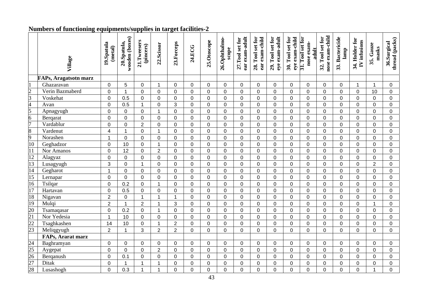#### **Numbers of functioning equipments/supplies in target facilities-2**

|                                                                                                        | Village                      | 19.Spatula<br>(metal)   | wooden (boxes)<br>20.Spatula, | 21.Tweesers<br>(pincers) | 22.Scissor     | 23.Forceps       | 24.ECG         | 25.Otoscope    | 26.Ophthalmo-<br>scope | ear exam-adult<br>27.Tool set for | 28. Tool set for<br>ear exam-child | eye exam-adult<br>29. Tool set for | eye exam-child<br>30. Tool set for | 31. Tool set for<br>nose exam-<br>adult | nose exam-child<br>32. Tool set for | 33. Bactericide<br>lamp | 34. Holder for<br>IV infusions | 35. Gauze<br>masks | thread (packs)<br>36.Surgical |
|--------------------------------------------------------------------------------------------------------|------------------------------|-------------------------|-------------------------------|--------------------------|----------------|------------------|----------------|----------------|------------------------|-----------------------------------|------------------------------------|------------------------------------|------------------------------------|-----------------------------------------|-------------------------------------|-------------------------|--------------------------------|--------------------|-------------------------------|
|                                                                                                        | <b>FAPs, Aragatsotn marz</b> |                         |                               |                          |                |                  |                |                |                        |                                   |                                    |                                    |                                    |                                         |                                     |                         |                                |                    |                               |
|                                                                                                        | Ghazaravan                   | 0                       | $\overline{5}$                | 0                        | 1              | 0                | 0              | 0              | 0                      | 0                                 | 0                                  | 0                                  | 0                                  | $\mathbf 0$                             | 0                                   | 0                       | $\mathbf 1$                    | $\mathbf 1$        | 0                             |
|                                                                                                        | Verin Bazmaberd              | $\mathbf 0$             | 1                             | 0                        | $\mathbf 0$    | $\mathbf 0$      | $\mathbf 0$    | $\mathbf 0$    | $\mathbf 0$            | 0                                 | $\mathbf 0$                        | 0                                  | $\mathbf 0$                        | $\mathbf 0$                             | $\mathbf 0$                         | $\overline{0}$          | $\mathbf 0$                    | 10                 | 0                             |
| $\frac{1}{2}$ $\frac{2}{3}$ $\frac{4}{5}$ $\frac{6}{7}$ $\frac{9}{10}$ $\frac{10}{11}$ $\frac{12}{13}$ | Voskehat                     | $\mathbf 0$             | 0.5                           | 0                        | 0              | $\mathbf 0$      | 0              | $\mathbf 0$    | $\mathbf 0$            | 0                                 | $\pmb{0}$                          | $\overline{0}$                     | $\mathbf 0$                        | $\mathsf{O}\xspace$                     | $\Omega$                            | 0                       | $\pmb{0}$                      | $\Omega$           | 0                             |
|                                                                                                        | Avan                         | $\mathbf 0$             | 0.5                           | 1                        | 0              | 3                | 0              | $\mathsf 0$    | $\overline{0}$         | 0                                 | 0                                  | $\Omega$                           | $\overline{0}$                     | $\mathbf 0$                             | $\overline{0}$                      | 0                       | $\mathbf 0$                    | $\Omega$           | 0                             |
|                                                                                                        | Apnagyugh                    | $\mathbf 0$             | $\mathbf 0$                   | 0                        | $\mathbf{1}$   | $\mathbf 0$      | 0              | $\mathbf 0$    | 0                      | 0                                 | 0                                  | $\Omega$                           | $\mathbf 0$                        | $\pmb{0}$                               | $\Omega$                            | 0                       | $\mathbf 0$                    | $\Omega$           | 0                             |
|                                                                                                        | Bergarat                     | $\mathbf 0$             | $\overline{0}$                | 0                        | $\mathbf 0$    | $\overline{0}$   | 0              | $\mathbf 0$    | $\overline{0}$         | 0                                 | $\mathbf 0$                        | $\overline{0}$                     | $\overline{0}$                     | $\mathbf 0$                             | $\overline{0}$                      | 0                       | $\mathbf 0$                    | $\overline{0}$     | 0                             |
|                                                                                                        | Vardablur                    | $\pmb{0}$               | $\overline{0}$                | $\overline{2}$           | $\pmb{0}$      | $\overline{0}$   | $\overline{0}$ | $\pmb{0}$      | $\overline{0}$         | 0                                 | $\overline{0}$                     | $\Omega$                           | $\overline{0}$                     | $\mathbf 0$                             | $\overline{0}$                      | $\overline{0}$          | $\pmb{0}$                      | $\overline{0}$     | 0                             |
|                                                                                                        | Vardenut                     | $\overline{\mathbf{4}}$ | $\mathbf{1}$                  | 0                        | $\mathbf{1}$   | $\mathbf 0$      | 0              | $\pmb{0}$      | $\mathbf 0$            | $\mathbf 0$                       | $\mathbf 0$                        | $\overline{0}$                     | $\pmb{0}$                          | $\pmb{0}$                               | $\overline{0}$                      | $\pmb{0}$               | $\mathbf 0$                    | $\overline{0}$     | 0                             |
|                                                                                                        | Norashen                     | $\mathbf{1}$            | $\overline{0}$                | $\overline{0}$           | $\mathbf 0$    | $\overline{0}$   | $\mathbf 0$    | $\mathbf 0$    | $\mathbf 0$            | $\mathbf 0$                       | $\mathbf 0$                        | $\Omega$                           | $\mathbf 0$                        | $\mathbf 0$                             | $\Omega$                            | $\mathbf 0$             | $\mathbf 0$                    | $\Omega$           | 0                             |
|                                                                                                        | Geghadzor                    | $\mathbf 0$             | 10                            | 0                        | $\mathbf{1}$   | $\overline{0}$   | 0              | $\mathbf 0$    | $\mathbf 0$            | 0                                 | $\mathbf 0$                        | 0                                  | $\mathbf 0$                        | $\mathbf 0$                             | $\overline{0}$                      | $\mathbf 0$             | $\mathbf 0$                    | $\overline{0}$     | 0                             |
|                                                                                                        | Nor Amanos                   | $\mathsf 0$             | 12                            | 0                        | $\overline{2}$ | $\mathbf 0$      | $\mathbf 0$    | $\mathbf 0$    | $\mathsf 0$            | 0                                 | $\pmb{0}$                          | $\mathbf 0$                        | $\pmb{0}$                          | $\mathsf 0$                             | $\mathbf 0$                         | 0                       | $\pmb{0}$                      | $\mathbf 0$        | 0                             |
|                                                                                                        | Alagyaz                      | $\mathsf 0$             | $\pmb{0}$                     | 0                        | 0              | $\boldsymbol{0}$ | 0              | $\mathsf 0$    | $\mathsf 0$            | 0                                 | 0                                  | $\mathbf 0$                        | $\pmb{0}$                          | $\mathbf 0$                             | $\mathbf 0$                         | 0                       | $\mathbf 0$                    | $\mathbf 0$        | 0                             |
|                                                                                                        | Lusagyugh                    | 3                       | $\mathbf 0$                   | $\mathbf{1}$             | $\mathbf 0$    | $\mathbf 0$      | $\mathbf 0$    | $\mathbf 0$    | $\mathbf 0$            | 0                                 | 0                                  | $\mathbf 0$                        | $\mathbf 0$                        | $\mathbf 0$                             | $\mathbf 0$                         | $\mathbf 0$             | $\mathbf 0$                    | $\overline{2}$     | 0                             |
| $\frac{14}{15}$ $\frac{16}{17}$                                                                        | Gegharot                     | $\mathbf{1}$            | $\mathbf{0}$                  | 0                        | $\mathbf 0$    | $\mathbf 0$      | 0              | $\mathbf 0$    | $\overline{0}$         | 0                                 | 0                                  | $\overline{0}$                     | $\overline{0}$                     | $\mathbf 0$                             | $\overline{0}$                      | 0                       | $\mathbf 0$                    | $\overline{0}$     | $\overline{0}$                |
|                                                                                                        | Lernapar                     | $\overline{0}$          | $\mathbf{0}$                  | $\overline{0}$           | $\mathbf 0$    | $\mathbf 0$      | $\overline{0}$ | $\pmb{0}$      | $\overline{0}$         | $\overline{0}$                    | $\overline{0}$                     | $\Omega$                           | $\overline{0}$                     | $\mathsf{O}\xspace$                     | $\overline{0}$                      | $\overline{0}$          | $\pmb{0}$                      | $\overline{0}$     | $\overline{0}$                |
|                                                                                                        | Tsilqar                      | $\mathbf 0$             | 0.2                           | 0                        | $\mathbf{1}$   | $\mathbf 0$      | $\mathbf 0$    | $\pmb{0}$      | $\mathbf 0$            | 0                                 | $\mathbf 0$                        | $\overline{0}$                     | $\mathbf 0$                        | $\mathsf 0$                             | $\overline{0}$                      | $\mathbf 0$             | $\mathbf 0$                    | $\overline{0}$     | 0                             |
|                                                                                                        | Hartavan                     | 0                       | 0.5                           | 0                        | $\mathbf 0$    | $\mathbf 0$      | $\overline{0}$ | $\pmb{0}$      | $\mathbf 0$            | $\mathbf 0$                       | $\mathbf 0$                        | $\mathbf 0$                        | $\mathbf 0$                        | $\pmb{0}$                               | $\mathbf 0$                         | 0                       | $\mathbf 0$                    | 0                  | 0                             |
|                                                                                                        | Nigavan                      | $\overline{2}$          | $\mathbf 0$                   | $\mathbf{1}$             | $\mathbf{1}$   | $\mathbf{1}$     | $\overline{0}$ | $\mathbf 0$    | $\overline{0}$         | $\mathbf 0$                       | $\mathbf 0$                        | $\Omega$                           | $\overline{0}$                     | $\mathbf 0$                             | $\Omega$                            | $\mathbf 0$             | $\mathbf 0$                    | $\overline{0}$     | 0                             |
| $\frac{18}{19}$<br>$\frac{19}{20}$<br>$\frac{21}{22}$<br>$\frac{22}{23}$                               | Mulgi                        | $\overline{2}$          | $\overline{1}$                | $\overline{2}$           | $\mathbf{1}$   | 3                | $\mathbf 0$    | $\mathbf 0$    | $\Omega$               | $\mathbf 0$                       | $\mathbf 0$                        | $\Omega$                           | $\mathbf 0$                        | $\mathbf 0$                             | $\Omega$                            | $\mathbf 0$             | $\mathbf 0$                    | $\overline{1}$     | $\mathbf 0$                   |
|                                                                                                        | Tsamaqasar                   | $\overline{0}$          | 0.2                           | 0                        | $\mathbf 1$    | $\overline{0}$   | 0              | $\mathbf 0$    | $\mathbf 0$            | $\mathbf 0$                       | $\overline{0}$                     | $\overline{0}$                     | $\mathbf 0$                        | $\mathsf{O}\xspace$                     | $\overline{0}$                      | 0                       | $\pmb{0}$                      | $\overline{0}$     | 0                             |
|                                                                                                        | Nor Yedesia                  | 1                       | 10                            | 0                        | $\mathbf 0$    | 0                | $\mathbf 0$    | $\mathbf 0$    | $\mathbf 0$            | $\mathbf 0$                       | $\mathbf 0$                        | $\Omega$                           | $\mathbf 0$                        | $\pmb{0}$                               | $\Omega$                            | 0                       | $\mathbf 0$                    | $\Omega$           | 0                             |
|                                                                                                        | Tsaghkashen                  | 14                      | 10                            | 0                        | $\mathbf{1}$   | $\overline{2}$   | $\overline{0}$ | $\pmb{0}$      | $\mathbf 0$            | 0                                 | $\mathbf 0$                        | 0                                  | $\mathbf 0$                        | $\mathbf 0$                             | $\overline{0}$                      | 0                       | $\mathbf 0$                    | $\Omega$           | 0                             |
|                                                                                                        | Meliqgyugh                   | $\overline{2}$          | $\mathbf{1}$                  | 3                        | $\overline{2}$ | $\overline{2}$   | $\overline{0}$ | $\overline{0}$ | $\Omega$               | $\overline{0}$                    | $\overline{0}$                     | $\Omega$                           | $\Omega$                           | $\overline{0}$                          | $\Omega$                            | $\Omega$                | $\overline{0}$                 | $\overline{0}$     | $\overline{0}$                |
|                                                                                                        | FAPs, Ararat marz            |                         |                               |                          |                |                  |                |                |                        |                                   |                                    |                                    |                                    |                                         |                                     |                         |                                |                    |                               |
| $\frac{24}{25}$ $\frac{25}{27}$ $\frac{27}{28}$                                                        | Baghramyan                   | 0                       | 0                             | 0                        | 0              | 0                | 0              | 0              | 0                      | 0                                 | $\mathbf 0$                        | 0                                  | 0                                  | 0                                       | $\Omega$                            | 0                       | 0                              | $\Omega$           | 0                             |
|                                                                                                        | Aygepat                      | $\mathbf 0$             | $\overline{0}$                | 0                        | $\overline{2}$ | $\mathbf 0$      | $\mathsf{O}$   | $\mathbf 0$    | $\overline{0}$         | 0                                 | $\mathbf 0$                        | $\overline{0}$                     | $\mathbf 0$                        | $\mathbf 0$                             | $\overline{0}$                      | 0                       | $\mathbf 0$                    | $\overline{0}$     | 0                             |
|                                                                                                        | Berganush                    | $\mathbf 0$             | 0.1                           | $\overline{0}$           | 0              | $\mathbf 0$      | $\mathbf 0$    | $\mathbf 0$    | $\mathbf 0$            | $\mathbf 0$                       | $\overline{0}$                     | $\Omega$                           | $\mathbf 0$                        | $\mathbf 0$                             | $\Omega$                            | 0                       | $\mathbf 0$                    | $\Omega$           | 0                             |
|                                                                                                        | Ditak                        | $\pmb{0}$               | $\mathbf{1}$                  | $\mathbf{1}$             | $\mathbf{1}$   | $\mathbf 0$      | 0              | $\mathbf 0$    | $\mathbf 0$            | 0                                 | 0                                  | $\overline{0}$                     | $\mathbf 0$                        | $\pmb{0}$                               | $\overline{0}$                      | 0                       | $\pmb{0}$                      | $\overline{0}$     | 0                             |
|                                                                                                        | Lusashogh                    | 0                       | 0.3                           | $\mathbf{1}$             | $\mathbf{1}$   | $\mathbf 0$      | 0              | $\overline{0}$ | $\overline{0}$         | 0                                 | 0                                  | $\overline{0}$                     | $\mathbf 0$                        | $\overline{0}$                          | $\overline{0}$                      | $\mathbf 0$             | $\mathbf 0$                    | 1                  | $\overline{0}$                |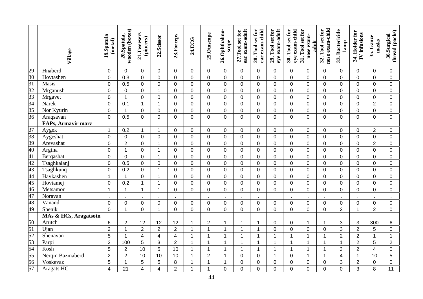|                                                                                 | Village               | 19.Spatula<br>(metal) | wooden (boxes)<br>20.Spatula, | 21.Tweesers<br>(pincers) | 22.Scissor              | 23.Forceps     | 24.ECG         | 25.Otoscope      | 26.Ophthalmo-<br>scope | ear exam-adult<br>27.Tool set for | 28. Tool set for<br>ear exam-child | eye exam-adult<br>29. Tool set for | 30. Tool set for<br>eye exam-child | $31.$ Tool set for<br>nose exam-<br>adult | nose exam-child<br>32. Tool set for | 33. Bactericide<br>lamp | 34. Holder for<br>IV infusions | 35. Gauze<br>masks | thread (packs)<br>36.Surgical |
|---------------------------------------------------------------------------------|-----------------------|-----------------------|-------------------------------|--------------------------|-------------------------|----------------|----------------|------------------|------------------------|-----------------------------------|------------------------------------|------------------------------------|------------------------------------|-------------------------------------------|-------------------------------------|-------------------------|--------------------------------|--------------------|-------------------------------|
| 29                                                                              | Hnaberd               | 0                     | $\mathbf 0$                   | 0                        | 0                       | 0              | 0              | 0                | $\Omega$               | 0                                 | $\mathbf 0$                        | $\mathbf 0$                        | 0                                  | 0                                         | $\mathbf 0$                         | 0                       | 0                              | 0                  | 0                             |
| $\overline{30}$                                                                 | Hovtashen             | $\mathbf 0$           | 0.3                           | $\mathbf 0$              | $\mathbf 0$             | $\overline{0}$ | 0              | 0                | $\mathbf 0$            | 0                                 | $\mathbf 0$                        | $\overline{0}$                     | 0                                  | 0                                         | $\mathbf 0$                         | 0                       | $\mathbf 0$                    | $\overline{0}$     | 0                             |
| 31                                                                              | Masis                 | $\mathbf 0$           | 0.5                           | $\mathbf 0$              | $\mathbf 0$             | $\overline{0}$ | 0              | 0                | $\mathbf 0$            | 0                                 | $\mathbf 0$                        | $\mathbf 0$                        | 0                                  | 0                                         | $\mathbf 0$                         | 0                       | $\mathbf 0$                    | $\mathbf 0$        | 0                             |
| $\frac{32}{33}$                                                                 | Mrganush              | $\mathbf 0$           | $\mathbf 0$                   | $\mathbf 0$              | $\mathbf{1}$            | $\mathbf 0$    | 0              | 0                | $\mathbf 0$            | $\mathbf 0$                       | $\mathbf 0$                        | $\mathbf 0$                        | 0                                  | $\mathbf 0$                               | $\mathbf 0$                         | 0                       | $\mathbf 0$                    | $\mathbf 0$        | 0                             |
|                                                                                 | Mrgavet               | $\overline{0}$        | $\overline{1}$                | $\overline{0}$           | $\mathbf 0$             | $\overline{0}$ | 0              | $\mathbf 0$      | $\Omega$               | $\overline{0}$                    | $\mathbf 0$                        | $\overline{0}$                     | $\overline{0}$                     | $\mathbf 0$                               | $\mathbf 0$                         | $\overline{0}$          | $\mathbf 0$                    | $\overline{0}$     | $\overline{0}$                |
| 34                                                                              | Narek                 | $\overline{0}$        | 0.1                           | $\mathbf{1}$             | $\mathbf{1}$            | $\overline{0}$ | $\mathbf 0$    | $\mathbf 0$      | $\mathbf 0$            | $\mathbf 0$                       | $\mathbf 0$                        | $\overline{0}$                     | $\overline{0}$                     | $\overline{0}$                            | $\mathbf 0$                         | 0                       | $\mathbf 0$                    | $\overline{2}$     | $\mathbf 0$                   |
| $\overline{35}$                                                                 | Nor Kyurin            | $\mathbf 0$           | $\mathbf{1}$                  | $\mathbf 0$              | $\mathbf 0$             | $\overline{0}$ | 0              | 0                | $\mathbf 0$            | $\mathbf 0$                       | $\mathbf 0$                        | $\overline{0}$                     | 0                                  | $\mathbf 0$                               | $\mathbf 0$                         | $\overline{0}$          | $\mathbf 0$                    | $\mathbf 0$        | $\mathbf 0$                   |
| $\overline{36}$                                                                 | Araqsavan             | $\overline{0}$        | 0.5                           | $\pmb{0}$                | $\mathsf 0$             | $\mathbf 0$    | $\overline{0}$ | 0                | $\mathbf 0$            | $\overline{0}$                    | $\pmb{0}$                          | $\mathbf 0$                        | $\overline{0}$                     | $\mathbf 0$                               | $\mathbf 0$                         | 0                       | $\pmb{0}$                      | $\mathbf 0$        | $\mathbf 0$                   |
|                                                                                 | FAPs, Armavir marz    |                       |                               |                          |                         |                |                |                  |                        |                                   |                                    |                                    |                                    |                                           |                                     |                         |                                |                    |                               |
| $\overline{37}$                                                                 | Aygek                 | $\mathbf{1}$          | 0.2                           | 1                        | 1                       | 0              | 0              | $\mathbf 0$      | $\Omega$               | $\mathbf 0$                       | $\mathbf 0$                        | $\mathbf 0$                        | 0                                  | 0                                         | $\mathbf 0$                         | 0                       | $\mathbf 0$                    | $\overline{2}$     | $\mathbf 0$                   |
| 38                                                                              | Aygeshat              | $\mathbf 0$           | $\overline{0}$                | $\mathbf 0$              | $\mathbf 0$             | $\overline{0}$ | $\mathbf 0$    | $\mathbf 0$      | $\mathbf 0$            | $\mathbf 0$                       | $\mathbf 0$                        | $\mathbf 0$                        | $\overline{0}$                     | $\mathbf 0$                               | $\mathbf 0$                         | $\overline{0}$          | $\mathbf 0$                    | $\mathbf 0$        | $\mathbf 0$                   |
| 39                                                                              | Arevashat             | $\mathbf 0$           | $\overline{2}$                | $\mathbf 0$              | $\mathbf{1}$            | $\overline{0}$ | 0              | $\mathbf 0$      | $\mathbf 0$            | $\mathbf 0$                       | $\mathbf 0$                        | $\mathbf 0$                        | 0                                  | $\mathbf 0$                               | $\mathbf 0$                         | $\overline{0}$          | $\mathbf 0$                    | $\overline{2}$     | $\mathbf 0$                   |
| 40                                                                              | Argina                | $\mathbf 0$           | $\mathbf{1}$                  | $\overline{0}$           | $\mathbf{1}$            | $\overline{0}$ | $\overline{0}$ | $\mathbf 0$      | $\overline{0}$         | $\overline{0}$                    | $\mathbf 0$                        | $\overline{0}$                     | $\overline{0}$                     | $\overline{0}$                            | $\overline{0}$                      | $\overline{0}$          | $\mathbf 0$                    | $\mathbf 0$        | $\mathbf 0$                   |
| 41                                                                              | Berqashat             | $\overline{0}$        | $\mathbf{0}$                  | $\overline{0}$           | $\mathbf{1}$            | $\Omega$       | $\mathbf 0$    | $\overline{0}$   | $\Omega$               | $\overline{0}$                    | $\overline{0}$                     | $\overline{0}$                     | 0                                  | $\mathbf 0$                               | $\overline{0}$                      | $\overline{0}$          | $\mathbf 0$                    | $\overline{0}$     | $\overline{0}$                |
| $\frac{42}{43}$                                                                 | Tsaghkalanj           | $\boldsymbol{0}$      | 0.5                           | $\mathbf 0$              | $\mathsf 0$             | $\mathbf 0$    | $\mathbf 0$    | $\mathsf 0$      | $\mathbf 0$            | $\mathbf 0$                       | $\pmb{0}$                          | $\overline{0}$                     | 0                                  | $\mathbf 0$                               | $\mathbf 0$                         | 0                       | $\mathbf 0$                    | $\mathbf 0$        | $\overline{0}$                |
|                                                                                 | Tsaghkunq             | $\pmb{0}$             | 0.2                           | $\pmb{0}$                | $\mathbf 1$             | $\mathbf 0$    | $\mathbf 0$    | $\pmb{0}$        | $\mathbf 0$            | $\mathbf 0$                       | $\pmb{0}$                          | $\mathbf 0$                        | 0                                  | 0                                         | $\mathbf 0$                         | $\mathbf 0$             | $\pmb{0}$                      | $\mathbf 0$        | $\mathbf 0$                   |
| $\frac{44}{45}$                                                                 | Haykashen             | $\mathbf{1}$          | $\mathbf{1}$                  | $\mathbf 0$              | $\mathbf 1$             | $\mathbf 0$    | 0              | $\mathbf 0$      | $\mathbf 0$            | $\mathbf 0$                       | $\mathbf 0$                        | $\mathbf 0$                        | 0                                  | $\mathbf 0$                               | $\mathbf 0$                         | $\mathbf 0$             | $\mathbf 0$                    | $\mathbf 0$        | $\mathbf 0$                   |
|                                                                                 | Hovtamej              | $\boldsymbol{0}$      | 0.2                           | $\mathbf{1}$             | $\mathbf{1}$            | $\overline{0}$ | 0              | $\boldsymbol{0}$ | $\mathbf 0$            | $\mathbf 0$                       | $\mathbf 0$                        | $\mathbf 0$                        | 0                                  | 0                                         | $\mathbf 0$                         | 0                       | $\mathbf 0$                    | $\mathbf 0$        | $\mathbf 0$                   |
| 46                                                                              | Metsamor              | $\mathbf{1}$          | $\mathbf{1}$                  | $\mathbf{1}$             | $\mathbf{1}$            | $\overline{0}$ | $\mathbf 0$    | 0                | $\mathbf 0$            | $\mathbf 0$                       | $\mathbf 0$                        | $\mathbf 0$                        | 0                                  | 0                                         | $\mathbf 0$                         | $\overline{0}$          | $\mathbf 0$                    | $\mathbf 0$        | $\mathbf 0$                   |
| 47                                                                              | Noravan               |                       |                               |                          |                         |                |                |                  |                        |                                   |                                    |                                    |                                    |                                           |                                     |                         |                                |                    |                               |
| 48                                                                              | Vanand                | $\mathbf 0$           | 0                             | $\mathbf 0$              | $\mathbf 0$             | $\mathbf 0$    | 0              | $\mathbf 0$      | $\mathbf 0$            | $\mathbf 0$                       | $\mathbf 0$                        | $\mathbf 0$                        | 0                                  | $\mathbf 0$                               | $\mathbf 0$                         | $\overline{0}$          | $\mathbf 0$                    | $\mathbf 0$        | 0                             |
| 49                                                                              | Shenik                | $\overline{0}$        | $\overline{1}$                | $\overline{0}$           | $\mathbf{1}$            | $\Omega$       | $\overline{0}$ | $\mathbf 0$      | $\Omega$               | $\overline{0}$                    | $\overline{0}$                     | $\overline{0}$                     | $\overline{0}$                     | $\mathbf 0$                               | $\overline{0}$                      | $\overline{2}$          | $\mathbf{1}$                   | $\overline{2}$     | $\overline{0}$                |
|                                                                                 | MAs & HCs, Aragatsotn |                       |                               |                          |                         |                |                |                  |                        |                                   |                                    |                                    |                                    |                                           |                                     |                         |                                |                    |                               |
|                                                                                 | Arutch                | 6                     | $\overline{2}$                | 12                       | 12                      | 12             | $\mathbf{1}$   | $\overline{2}$   | $\overline{1}$         | 1                                 | 1                                  | $\pmb{0}$                          | 0                                  | $\mathbf{1}$                              | $\mathbf 1$                         | 3                       | 3                              | 300                | 6                             |
|                                                                                 | Ujan                  | $\overline{2}$        | $\mathbf{1}$                  | $\overline{2}$           | $\overline{2}$          | $\overline{2}$ | $\mathbf{1}$   | $\mathbf{1}$     | $\overline{1}$         | $\mathbf{1}$                      | 1                                  | $\mathbf 0$                        | 0                                  | $\mathbf 0$                               | $\overline{0}$                      | 3                       | $\overline{2}$                 | 5                  | $\mathbf 0$                   |
|                                                                                 | Shenavan              | 5                     | $\mathbf{1}$                  | 4                        | $\overline{\mathbf{4}}$ | $\overline{4}$ | $\mathbf{1}$   | $\mathbf{1}$     | $\overline{1}$         | $\mathbf{1}$                      | 1                                  | $\mathbf{1}$                       | $\mathbf{1}$                       | $\mathbf{1}$                              | $\mathbf{1}$                        | $\overline{2}$          | $\overline{2}$                 | $\overline{1}$     | $\mathbf{1}$                  |
| $\frac{50}{51}$ $\frac{51}{52}$ $\frac{53}{54}$ $\frac{54}{55}$ $\frac{55}{56}$ | Parpi                 | $\overline{2}$        | 100                           | 5                        | 3                       | $\overline{2}$ | $\mathbf{1}$   | $\overline{1}$   | $\overline{1}$         | $\mathbf{1}$                      | 1                                  | $\overline{1}$                     | $\mathbf{1}$                       | $\mathbf{1}$                              | $\overline{1}$                      | $\mathbf{1}$            | $\overline{2}$                 | 5                  | $\overline{2}$                |
|                                                                                 | Kosh                  | 5                     | $\overline{2}$                | 10                       | 5                       | 10             | $\mathbf{1}$   | $\overline{1}$   | $\overline{1}$         | $\mathbf{1}$                      | $\overline{1}$                     | $\overline{1}$                     | $\mathbf{1}$                       | $\mathbf{1}$                              | $\overline{1}$                      | 3                       | $\overline{2}$                 | $\overline{4}$     | $\overline{0}$                |
|                                                                                 | Nerqin Bazmaberd      | $\overline{2}$        | $\overline{2}$                | 10                       | 10                      | 10             | $\mathbf{1}$   | $\overline{2}$   | $\overline{1}$         | 0                                 | $\mathsf 0$                        | $\overline{1}$                     | 0                                  | $\mathbf{1}$                              | $\overline{1}$                      | $\overline{\mathbf{4}}$ | $\mathbf{1}$                   | 10                 | 5                             |
|                                                                                 | Voskevaz              | 5                     | $\mathbf{1}$                  | 5                        | $\sqrt{5}$              | 8              | 1              | $\mathbf{1}$     | $\overline{1}$         | 0                                 | $\pmb{0}$                          | $\mathbf 0$                        | 0                                  | 0                                         | $\mathbf 0$                         | 3                       | $\overline{2}$                 | $\pmb{0}$          | $\boldsymbol{0}$              |
| 57                                                                              | Aragats HC            | $\overline{4}$        | 21                            | $\overline{\mathbf{4}}$  | $\overline{\mathbf{4}}$ | $\overline{2}$ | $\mathbf 1$    | $\mathbf{1}$     | $\mathbf 0$            | 0                                 | $\mathbf 0$                        | $\mathbf 0$                        | 0                                  | 0                                         | $\mathbf 0$                         | 0                       | 3                              | 8                  | 11                            |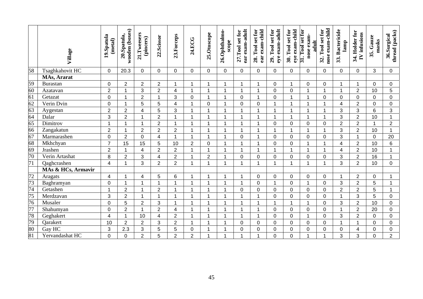|                 | Village            | 19.Spatula<br>(metal)   | wooden (boxes)<br>20.Spatula, | 21.Tweesers<br>(pincers) | 22.Scissor              | 23.Forceps     | 24.ECG         | 25.Otoscope          | 26.Ophthalmo-<br>scope  | ear exam-adult<br>27.Tool set for | 28. Tool set for<br>ear exam-child | eye exam-adult<br>29. Tool set for | eye exam-child<br>30. Tool set for | $31.$ Tool set for<br>nose exam-<br>adult | nose exam-child<br>32. Tool set for | 33. Bactericide<br>lamp | 34. Holder for<br>IV infusions | 35. Gauze<br>masks | thread (packs)<br>36.Surgical |
|-----------------|--------------------|-------------------------|-------------------------------|--------------------------|-------------------------|----------------|----------------|----------------------|-------------------------|-----------------------------------|------------------------------------|------------------------------------|------------------------------------|-------------------------------------------|-------------------------------------|-------------------------|--------------------------------|--------------------|-------------------------------|
| $\overline{58}$ | Tsaghkahovit HC    | $\mathbf 0$             | 20.3                          | $\mathbf 0$              | $\pmb{0}$               | $\mathbf 0$    | 0              | 0                    | $\mathbf 0$             | $\mathbf 0$                       | 0                                  | $\mathbf 0$                        | $\overline{0}$                     | 0                                         | $\mathbf 0$                         | 0                       | 0                              | 3                  | $\overline{0}$                |
|                 | MAs, Ararat        |                         |                               |                          |                         |                |                |                      |                         |                                   |                                    |                                    |                                    |                                           |                                     |                         |                                |                    |                               |
| 59              | Burastan           | $\mathbf 0$             | $\overline{2}$                | $\overline{2}$           | $\overline{2}$          | 1              | 1              | 1                    | $\overline{1}$          | $\mathbf 1$                       | 1                                  | $\mathbf 0$                        | 1                                  | $\mathbf 0$                               | $\mathbf 0$                         |                         | $\mathbf 1$                    | $\mathbf 0$        | 0                             |
| 60              | Azatavan           | $\overline{2}$          | 1                             | 3                        | $\overline{2}$          | $\overline{4}$ | 1              | $\blacktriangleleft$ | -1                      | 1                                 |                                    | $\Omega$                           | $\Omega$                           | 1                                         | $\overline{\mathbf{A}}$             |                         | $\overline{2}$                 | 10                 | 5                             |
| $\overline{61}$ | Getazat            | $\mathbf 0$             | 1                             | $\overline{2}$           | $\mathbf{1}$            | 3              | 0              | $\mathbf{1}$         | $\overline{1}$          | $\mathbf 0$                       | 1                                  | $\mathbf 0$                        | 1                                  | 1                                         | $\mathbf 0$                         | $\mathbf 0$             | $\mathbf 0$                    | $\mathbf 0$        | 0                             |
| $\overline{62}$ | Verin Dvin         | $\mathbf 0$             | 1                             | 5                        | 5                       | $\overline{4}$ | $\mathbf{1}$   | $\mathbf 0$          | $\overline{1}$          | 0                                 | $\mathbf 0$                        | 1                                  | 1                                  | 1                                         | $\overline{1}$                      | $\overline{4}$          | $\overline{2}$                 | $\overline{0}$     | $\mathbf 0$                   |
| $rac{63}{64}$   | Aygestan           | $\overline{2}$          | $\overline{2}$                | $\overline{4}$           | 5                       | 3              | 1              | $\mathbf 1$          | -1                      | 1                                 | 1                                  |                                    | 1                                  | $\mathbf{1}$                              | -1                                  | 3                       | 3                              | 6                  | 3                             |
|                 | Dalar              | 3                       | $\overline{2}$                | 1                        | $\overline{2}$          | 1              | 1              | $\mathbf{1}$         | -1                      | 1                                 | 1                                  |                                    | 1                                  | $\mathbf{1}$                              | 1                                   | 3                       | $\overline{2}$                 | 10                 | $\mathbf{1}$                  |
|                 | Dimitrov           | $\overline{1}$          | 1                             | $\mathbf 1$              | $\overline{2}$          | $\overline{1}$ | 1              | $\mathbf{1}$         | -1                      | $\mathbf{1}$                      | 1                                  | $\overline{0}$                     | $\Omega$                           | $\overline{0}$                            | $\overline{0}$                      | $\overline{2}$          | $\overline{2}$                 | $\overline{1}$     | $\overline{2}$                |
| 66              | Zangakatun         | $\overline{2}$          | 1                             | $\overline{2}$           | $\overline{2}$          | $\overline{2}$ | 1              | $\mathbf{1}$         | $\overline{\mathbf{1}}$ | $\mathbf 1$                       | 1                                  |                                    | 1                                  | $\mathbf{1}$                              | $\overline{1}$                      | 3                       | $\overline{2}$                 | 10                 | $\mathbf{1}$                  |
| 67              | Marmarashen        | $\overline{0}$          | $\overline{2}$                | $\overline{0}$           | $\overline{4}$          | 1              | 1              | $\mathbf 1$          | 1                       | 0                                 | 1                                  | $\mathbf 0$                        | 0                                  | $\mathbf 0$                               | $\overline{0}$                      | 3                       | $\mathbf{1}$                   | $\overline{0}$     | 20                            |
| 68              | Mkhchyan           | $\overline{7}$          | 15                            | 15                       | 5                       | 10             | $\overline{2}$ | $\overline{0}$       | $\overline{1}$          | $\mathbf 1$                       | 1                                  | $\overline{0}$                     | $\Omega$                           | 1                                         | $\overline{1}$                      | 4                       | $\overline{2}$                 | 10                 | 6                             |
| $\frac{69}{70}$ | Jrashen            | $\overline{2}$          |                               | 4                        | $\overline{2}$          | $\overline{2}$ | $\mathbf{1}$   | $\mathbf{1}$         | $\overline{1}$          | 1                                 | 1                                  |                                    | $\mathbf{1}$                       | $\mathbf{1}$                              | 1                                   | 4                       | $\overline{2}$                 | 10                 | $\mathbf{1}$                  |
|                 | Verin Artashat     | 8                       | $\overline{2}$                | 3                        | $\overline{\mathbf{4}}$ | $\overline{2}$ | 1              | $\overline{2}$       | -1                      | $\mathbf 0$                       | $\mathbf 0$                        | $\mathbf 0$                        | 0                                  | $\mathbf 0$                               | $\overline{0}$                      | $\mathbf{3}$            | $\mathbf 2$                    | 16                 |                               |
| $\overline{71}$ | Qaghcrashen        | $\overline{\mathbf{4}}$ | 1                             | 3                        | $\overline{2}$          | $\overline{2}$ | $\mathbf{1}$   | $\mathbf 1$          | 1                       | $\mathbf 1$                       | 1                                  | $\overline{1}$                     | $\mathbf{1}$                       | $\mathbf{1}$                              | $\overline{\mathbf{A}}$             | 3                       | $\overline{2}$                 | 10                 | $\Omega$                      |
|                 | MAs & HCs, Armavir |                         |                               |                          |                         |                |                |                      |                         |                                   |                                    |                                    |                                    |                                           |                                     |                         |                                |                    |                               |
| $\overline{72}$ | Aragats            | 4                       | 1                             | 4                        | 5                       | 6              | 1              | 1                    | -1                      | 1                                 | $\Omega$                           | $\Omega$                           | 0                                  | $\Omega$                                  | 0                                   |                         | $\overline{2}$                 | $\mathbf 0$        | $\mathbf 1$                   |
| 73              | Baghramyan         | 0                       | 1                             | 1                        | 1                       | -1             | 1              | 1                    | -1                      | 1                                 | $\mathbf 0$                        | -1                                 | 0                                  | $\mathbf 1$                               | $\mathbf 0$                         | 3                       | $\overline{2}$                 | 5                  | $\mathbf 1$                   |
| $\overline{74}$ | Getashen           | 1                       | $\overline{2}$                | 1                        | $\overline{2}$          | 1              | 1              | 1                    | -1                      | 0                                 | $\overline{0}$                     | $\mathbf 0$                        | 0                                  | $\mathbf 0$                               | $\overline{0}$                      | $\overline{2}$          | $\overline{2}$                 | 5                  |                               |
| $\overline{75}$ | Merdzavan          | 3                       | $\overline{2}$                | 1                        | 1                       |                | 1              | 1                    |                         | 1                                 |                                    | $\mathbf 0$                        | 0                                  | $\mathbf 0$                               | $\mathbf 0$                         |                         | 3                              | 5                  | $\overline{0}$                |
| 76              | Musaler            | $\mathbf 0$             | 5                             | $\overline{2}$           | 3                       | 1              | 1              | $\mathbf{1}$         | -1                      | $\mathbf 1$                       | 1                                  |                                    | 1                                  | 1                                         | $\mathbf 0$                         | 3                       | $\overline{2}$                 | 10                 | 0                             |
| $\overline{77}$ | Shahumyan          | $\mathbf 0$             | $\overline{2}$                | $\mathbf{1}$             | $\overline{2}$          | 4              | 1              | 1                    | $\overline{1}$          | 1                                 | 1                                  | $\mathbf 0$                        | 0                                  | $\mathbf 0$                               | $\mathbf 0$                         |                         | $\overline{2}$                 | 20                 | $\mathbf 0$                   |
| 78              | Geghakert          | 4                       | 1                             | 10                       | $\overline{\mathbf{4}}$ | $\overline{2}$ | 1              | $\blacktriangleleft$ | -1                      | 1                                 | 1                                  | 0                                  | 0                                  | 1                                         | 0                                   | 3                       | $\overline{2}$                 | 0                  | 0                             |
| 79              | Qarakert           | 10                      | $\overline{2}$                | $\overline{2}$           | 3                       | $\overline{2}$ | $\mathbf 1$    | $\mathbf{1}$         | -1                      | 0                                 | $\pmb{0}$                          | $\mathbf 0$                        | $\overline{0}$                     | $\mathbf 0$                               | $\mathbf 0$                         | 1                       | $\mathbf{1}$                   | $\mathbf 0$        | 0                             |
| 80              | Gay HC             | 3                       | 2.3                           | 3                        | 5                       | 5              | 0              | 1                    | -1                      | 0                                 | 0                                  | $\mathbf 0$                        | 0                                  | 0                                         | $\mathbf 0$                         | 0                       | 4                              | $\mathbf 0$        | 0                             |
| 81              | Yervandashat HC    | 0                       | 0                             | $\overline{2}$           | 5                       | $\overline{2}$ | $\overline{2}$ | $\blacktriangleleft$ | -1                      | 1                                 |                                    | $\Omega$                           | 0                                  | 1                                         | -1                                  | 3                       | 3                              | $\Omega$           | $\overline{2}$                |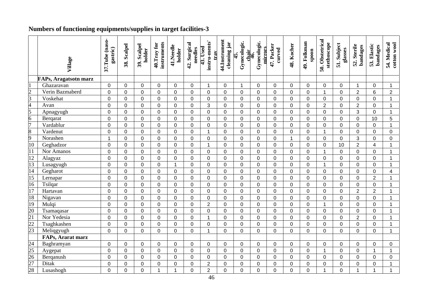### **Numbers of functioning equipments/supplies in target facilities-3**

|                                                                                      | Village               | 37.Tube (naso-<br>gastric) | 38. Scalpel    | 39. Scalpel<br>holder | instruments<br>40. Tray for | 41.Needle<br>holder | 42. Surgical<br>needles | instru-ments'<br>43. Used<br>trav | 44.Instrument<br>cleaning jar | Gynecologic.<br>45. | Gynecologic.<br>mirrors<br>chair<br>46. | 47. Packer<br>curved | 48. Kocher     | 49. Folkman<br>spoon | 50. Obstetrical<br>stethoscope | 51. Subject<br>glasses | 52. Sterile<br>bandages | 53. Elastic<br>bandages | 54. Medical<br>cotton wool |
|--------------------------------------------------------------------------------------|-----------------------|----------------------------|----------------|-----------------------|-----------------------------|---------------------|-------------------------|-----------------------------------|-------------------------------|---------------------|-----------------------------------------|----------------------|----------------|----------------------|--------------------------------|------------------------|-------------------------|-------------------------|----------------------------|
|                                                                                      | FAPs, Aragatsotn marz |                            |                |                       |                             |                     |                         |                                   |                               |                     |                                         |                      |                |                      |                                |                        |                         |                         |                            |
|                                                                                      | Ghazaravan            | $\mathbf 0$                | 0              | $\mathbf 0$           | $\mathbf 0$                 | $\mathbf 0$         | 0                       | $\mathbf{1}$                      | $\mathbf 0$                   | $\mathbf{1}$        | $\mathbf 0$                             | $\mathbf 0$          | 0              | $\mathbf 0$          | $\mathbf 0$                    | $\overline{0}$         | $\mathbf 1$             | $\mathbf 0$             | $\mathbf{1}$               |
| $\frac{2}{3}$ $\frac{3}{4}$ $\frac{4}{5}$ $\frac{6}{8}$ $\frac{7}{9}$ $\frac{8}{10}$ | Verin Bazmaberd       | $\mathbf 0$                | 0              | $\mathbf 0$           | $\pmb{0}$                   | $\mathbf 0$         | 0                       | 0                                 | $\mathbf 0$                   | $\mathbf 0$         | $\mathbf 0$                             | $\overline{0}$       | 0              | $\mathbf 0$          | 1                              | 0                      | $\boldsymbol{2}$        | 6                       | $\sqrt{2}$                 |
|                                                                                      | Voskehat              | $\mathbf 0$                | 0              | $\mathbf 0$           | $\pmb{0}$                   | $\mathbf 0$         | 0                       | $\mathsf 0$                       | $\mathbf 0$                   | $\mathbf 0$         | $\mathbf 0$                             | $\mathbf 0$          | 0              | $\mathbf 0$          | $\mathbf 0$                    | $\mathbf 0$            | $\pmb{0}$               | $\mathbf 0$             | $\mathbf{1}$               |
|                                                                                      | Avan                  | $\mathbf 0$                | 0              | $\pmb{0}$             | $\pmb{0}$                   | $\mathbf 0$         | 0                       | 3                                 | $\mathbf 0$                   | $\mathbf 0$         | $\pmb{0}$                               | $\mathbf 0$          | 0              | $\mathbf 0$          | $\overline{2}$                 | $\mathbf 0$            | $\overline{2}$          | $\mathbf 0$             | $\mathbf{1}$               |
|                                                                                      | Apnagyugh             | $\mathbf 0$                | 0              | $\mathbf 0$           | $\pmb{0}$                   | $\mathbf 0$         | 0                       | $\mathbf 0$                       | $\mathbf 0$                   | $\mathbf 0$         | $\mathbf 0$                             | $\overline{0}$       | 0              | 0                    | $\mathbf 0$                    | 0                      | 3                       | $\mathbf 0$             | $\overline{1}$             |
|                                                                                      | Berqarat              | $\pmb{0}$                  | $\mathbf 0$    | $\pmb{0}$             | $\pmb{0}$                   | $\mathbf 0$         | 0                       | 0                                 | $\mathbf 0$                   | 0                   | $\pmb{0}$                               | $\overline{0}$       | 0              | $\mathbf 0$          | $\mathbf 0$                    | 0                      | $\mathbf 0$             | 10                      | 5                          |
|                                                                                      | Vardablur             | $\mathbf 0$                | 0              | $\mathbf 0$           | $\mathbf 0$                 | $\overline{0}$      | $\overline{0}$          | $\mathbf 0$                       | $\mathbf 0$                   | $\overline{0}$      | $\mathbf 0$                             | $\mathbf 0$          | 0              | $\mathbf 0$          | $\overline{0}$                 | 0                      | $\mathbf 0$             | $\mathbf 0$             | $\mathbf{1}$               |
|                                                                                      | Vardenut              | $\mathbf 0$                | $\Omega$       | $\mathbf 0$           | $\mathsf 0$                 | $\mathbf 0$         | 0                       | $\mathbf{1}$                      | $\mathbf 0$                   | 0                   | $\mathsf 0$                             | $\mathbf 0$          | 0              | $\mathbf 0$          | $\overline{1}$                 | $\mathbf 0$            | $\mathbf 0$             | $\mathbf 0$             | 0                          |
|                                                                                      | Norashen              | $\mathbf 1$                | $\Omega$       | $\pmb{0}$             | $\mathsf 0$                 | $\overline{0}$      | 0                       | $\mathbf 0$                       | $\Omega$                      | $\mathsf 0$         | $\mathsf 0$                             | $\overline{0}$       | 1              | $\pmb{0}$            | $\overline{0}$                 | 0                      | 3                       | $\mathbf 0$             | $\mathbf 0$                |
|                                                                                      | Geghadzor             | $\pmb{0}$                  | 0              | $\pmb{0}$             | $\mathsf 0$                 | $\Omega$            | 0                       | $\mathbf{1}$                      | $\Omega$                      | 0                   | $\mathsf 0$                             | $\mathbf 0$          | 0              | $\boldsymbol{0}$     | 0                              | 10                     | $\overline{2}$          | $\overline{\mathbf{4}}$ | 1                          |
| $\overline{11}$                                                                      | Nor Amanos            | $\mathbf 0$                | 0              | $\mathbf 0$           | $\mathsf 0$                 | $\overline{0}$      | 0                       | $\mathbf 0$                       | $\mathbf 0$                   | $\mathbf 0$         | $\mathbf 0$                             | $\overline{0}$       | 0              | $\mathbf 0$          | $\overline{1}$                 | 0                      | $\mathsf{O}\xspace$     | $\mathbf 0$             | $\mathbf{1}$               |
| 12                                                                                   | Alagyaz               | $\mathbf 0$                | $\Omega$       | $\mathbf 0$           | $\mathsf 0$                 | $\Omega$            | 0                       | $\mathbf 0$                       | $\Omega$                      | 0                   | $\mathbf 0$                             | $\Omega$             | 0              | 0                    | $\mathbf 0$                    | 0                      | $\mathbf 0$             | $\mathbf 0$             | 1                          |
| $\overline{13}$                                                                      | Lusagyugh             | $\pmb{0}$                  | $\Omega$       | $\overline{0}$        | $\pmb{0}$                   | $\overline{1}$      | $\overline{0}$          | $\overline{0}$                    | $\mathbf 0$                   | 0                   | $\pmb{0}$                               | $\mathbf 0$          | 0              | $\mathbf 0$          | $\mathbf{1}$                   | 0                      | $\overline{0}$          | $\mathbf 0$             | $\mathbf{1}$               |
| $\frac{14}{15}$ $\frac{16}{17}$                                                      | Gegharot              | $\boldsymbol{0}$           | $\Omega$       | $\overline{0}$        | $\mathsf 0$                 | $\overline{0}$      | $\overline{0}$          | $\mathbf 0$                       | $\mathbf 0$                   | 0                   | $\mathsf 0$                             | $\overline{0}$       | $\overline{0}$ | $\mathbf 0$          | $\overline{0}$                 | $\overline{0}$         | $\overline{0}$          | $\overline{0}$          | $\overline{4}$             |
|                                                                                      | Lernapar              | $\mathbf 0$                | 0              | $\overline{0}$        | $\mathbf 0$                 | $\overline{0}$      | 0                       | $\mathbf 0$                       | $\mathbf 0$                   | $\overline{0}$      | $\mathbf 0$                             | $\overline{0}$       | $\overline{0}$ | $\mathbf 0$          | $\overline{0}$                 | 0                      | $\mathbf 0$             | $\overline{2}$          | $\mathbf{1}$               |
|                                                                                      | Tsilqar               | $\mathbf 0$                | 0              | $\overline{0}$        | $\mathbf 0$                 | $\mathbf 0$         | 0                       | $\overline{0}$                    | $\mathbf 0$                   | 0                   | $\mathbf 0$                             | $\overline{0}$       | 0              | $\mathbf 0$          | $\overline{0}$                 | 0                      | $\mathbf 0$             | $\mathbf 0$             | 1                          |
|                                                                                      | Hartavan              | $\mathbf 0$                | 0              | $\mathbf 0$           | $\mathbf 0$                 | $\overline{0}$      | 0                       | $\mathbf 0$                       | $\overline{0}$                | 0                   | $\mathbf 0$                             | $\mathbf 0$          | $\overline{0}$ | $\mathbf 0$          | $\mathbf 0$                    | 0                      | $\overline{2}$          | $\overline{2}$          | $\overline{1}$             |
| $\frac{18}{19}$                                                                      | Nigavan               | $\mathbf 0$                | 0              | $\mathbf 0$           | $\mathbf 0$                 | $\overline{0}$      | 0                       | $\mathbf 0$                       | $\overline{0}$                | 0                   | $\mathbf 0$                             | $\mathbf 0$          | 0              | 0                    | $\mathbf 0$                    | $\overline{0}$         | $\mathbf 0$             | $\mathbf 0$             | 1                          |
|                                                                                      | Mulqi                 | $\overline{0}$             | $\overline{0}$ | $\overline{0}$        | $\mathbf 0$                 | $\overline{0}$      | $\overline{0}$          | $\overline{2}$                    | $\mathbf 0$                   | $\overline{0}$      | $\overline{0}$                          | $\overline{0}$       | $\overline{0}$ | $\mathbf 0$          | $\mathbf{1}$                   | 0                      | $\mathbf 0$             | $\mathbf 0$             | $\mathbf{1}$               |
| $\frac{20}{21}$<br>$\frac{22}{23}$                                                   | Tsamaqasar            | $\mathbf 0$                | $\mathbf 0$    | $\mathbf 0$           | $\mathbf 0$                 | $\overline{0}$      | 0                       | 0                                 | $\mathbf 0$                   | 0                   | $\mathbf 0$                             | $\overline{0}$       | $\overline{0}$ | $\mathbf 0$          | $\overline{0}$                 | 0                      | $\mathbf 0$             | $\mathbf 0$             | $\mathbf{1}$               |
|                                                                                      | Nor Yedesia           | $\mathbf 0$                | $\Omega$       | $\mathbf 0$           | $\mathbf 0$                 | $\overline{0}$      | 0                       | $\mathbf{1}$                      | $\mathbf 0$                   | 0                   | $\mathbf 0$                             | $\overline{0}$       | $\overline{0}$ | $\mathbf 0$          | $\mathbf 0$                    | $\overline{0}$         | $\overline{2}$          | $\mathbf 0$             | $\mathbf{1}$               |
|                                                                                      | Tsaghkashen           | $\mathbf 0$                | $\mathbf 0$    | $\mathbf 0$           | $\mathbf 0$                 | $\overline{0}$      | 0                       | 0                                 | $\mathbf 0$                   | $\mathbf 0$         | $\mathbf 0$                             | $\overline{0}$       | $\overline{0}$ | $\mathbf 0$          | $\overline{0}$                 | $\overline{0}$         | $\mathbf 0$             | $\mathbf 0$             | $\mathbf{1}$               |
|                                                                                      | Meliqgyugh            | $\overline{0}$             | $\Omega$       | $\overline{0}$        | $\overline{0}$              | $\Omega$            | 0                       | $\overline{1}$                    | $\Omega$                      | $\overline{0}$      | $\overline{0}$                          | $\Omega$             | $\Omega$       | $\mathbf 0$          | $\Omega$                       | $\Omega$               | $\overline{0}$          | $\Omega$                | $\mathbf{1}$               |
|                                                                                      | FAPs, Ararat marz     |                            |                |                       |                             |                     |                         |                                   |                               |                     |                                         |                      |                |                      |                                |                        |                         |                         |                            |
|                                                                                      | Baghramyan            | $\mathbf 0$                | $\Omega$       | 0                     | 0                           | $\Omega$            | 0                       | $\mathbf 0$                       | $\Omega$                      | 0                   | 0                                       | 0                    | 0              | 0                    | 0                              | 0                      | 0                       | $\pmb{0}$               | 0                          |
|                                                                                      | Aygepat               | $\mathbf 0$                | $\Omega$       | $\mathbf 0$           | $\mathbf 0$                 | $\mathbf 0$         | 0                       | $\mathbf 0$                       | $\Omega$                      | $\mathbf 0$         | $\overline{0}$                          | $\mathbf 0$          | 0              | $\mathbf 0$          | $\mathbf{1}$                   | $\mathbf 0$            | $\mathbf 0$             | $\mathbf 1$             | $\mathbf{1}$               |
|                                                                                      | Berganush             | 0                          | 0              | $\Omega$              | $\mathbf 0$                 | $\Omega$            | 0                       | 0                                 | $\Omega$                      | 0                   | $\mathbf 0$                             | $\Omega$             | 0              | 0                    | $\Omega$                       | 0                      | 0                       | 0                       | 0                          |
| $\frac{24}{25}$<br>$\frac{25}{27}$<br>$\frac{27}{28}$                                | Ditak                 | $\mathbf 0$                | 0              | $\mathbf 0$           | $\mathbf 0$                 | 0                   | 0                       | $\overline{2}$                    | $\mathbf 0$                   | 0                   | $\mathbf 0$                             | $\mathbf 0$          | 0              | 0                    | $\mathbf 0$                    | 0                      | $\mathbf 0$             | $\overline{0}$          | $\mathbf 1$                |
|                                                                                      | Lusashogh             | $\mathbf 0$                | 0              | 0                     | 1                           | 1                   | 0                       | $\overline{2}$                    | $\mathbf 0$                   | 0                   | 0                                       | 0                    | 0              | 0                    | 1                              | 0                      | 1                       | 1                       | 1                          |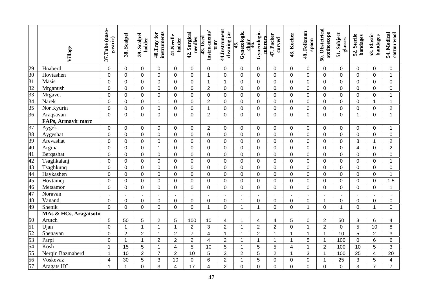|                                                                                                                 | Village                   | 37.Tube (naso-<br>gastric) | 38. Scalpel    | 39. Scalpel<br>holder | instruments<br>40. Tray for | 41.Needle<br>holder     | 42. Surgical<br>needles | instru-ments'<br>43. Used<br>trav | 44.Instrument<br>cleaning jar | Gynecologic.<br>45. | Gynecologic.<br>mirrors<br>chair<br>46. | 47. Packer<br>curved | 48. Kocher     | 49. Folkman<br>spoon | 50. Obstetrical<br>stethoscope | 51. Subject<br>glasses | 52. Sterile<br>bandages   | 53. Elastic<br>bandages | 54. Medical<br>cotton wool |
|-----------------------------------------------------------------------------------------------------------------|---------------------------|----------------------------|----------------|-----------------------|-----------------------------|-------------------------|-------------------------|-----------------------------------|-------------------------------|---------------------|-----------------------------------------|----------------------|----------------|----------------------|--------------------------------|------------------------|---------------------------|-------------------------|----------------------------|
|                                                                                                                 | Hnaberd                   | $\pmb{0}$                  | $\mathbf{0}$   | 0                     | $\mathbf 0$                 | $\Omega$                | $\mathbf 0$             | $\mathbf 0$                       | $\Omega$                      | 0                   | $\mathbf 0$                             | 0                    | 0              | 0                    | $\mathbf 0$                    | 0                      | 0                         | 0                       | 0                          |
| $\frac{29}{30} \frac{3}{31} \frac{3}{33} \frac{3}{34} \frac{3}{35} \frac{3}{36}$                                | Hovtashen                 | $\mathbf 0$                | $\mathbf 0$    | $\mathbf 0$           | $\mathbf 0$                 | $\mathbf 0$             | $\mathbf 0$             | $\mathbf{1}$                      | $\mathbf 0$                   | $\mathbf 0$         | $\mathbf 0$                             | $\mathbf 0$          | 0              | $\mathbf 0$          | $\mathbf 0$                    | 0                      | $\mathbf 0$               | $\mathbf 0$             | $\mathbf{1}$               |
|                                                                                                                 | Masis                     | $\mathbf 0$                | $\mathbf 0$    | $\mathbf 0$           | $\mathbf 0$                 | $\mathbf 0$             | $\mathbf 0$             | $\mathbf{1}$                      | $\overline{1}$                | $\mathbf 0$         | $\mathbf 0$                             | $\overline{0}$       | 0              | $\mathbf 0$          | $\mathbf 0$                    | 0                      | $\mathbf 0$               | $\mathbf 0$             | 0                          |
|                                                                                                                 | Mrganush                  | $\mathbf 0$                | $\mathbf 0$    | $\mathbf 0$           | $\pmb{0}$                   | $\mathbf 0$             | $\mathbf 0$             | $\overline{2}$                    | $\mathbf 0$                   | $\mathbf 0$         | $\mathbf 0$                             | $\mathbf 0$          | 0              | $\mathbf 0$          | $\mathbf 0$                    | $\mathbf 0$            | $\mathbf 0$               | $\mathbf 0$             | 0                          |
|                                                                                                                 | Mrgavet                   | $\pmb{0}$                  | $\Omega$       | $\mathbf 0$           | $\boldsymbol{0}$            | $\Omega$                | $\mathbf 0$             | $\pmb{0}$                         | $\Omega$                      | $\mathbf 0$         | $\pmb{0}$                               | $\mathbf 0$          | 0              | $\mathbf 0$          | $\mathbf 0$                    | $\mathbf 0$            | $\mathbf 0$               | $\mathbf 0$             | $\mathbf 1$                |
|                                                                                                                 | Narek                     | $\pmb{0}$                  | $\Omega$       | $\overline{0}$        | $\mathbf{1}$                | $\Omega$                | $\overline{0}$          | $\overline{2}$                    | $\Omega$                      | $\mathbf 0$         | $\mathbf 0$                             | $\mathbf 0$          | 0              | $\mathbf 0$          | $\mathbf 0$                    | $\overline{0}$         | $\mathbf 0$               | $\mathbf 1$             | $\mathbf{1}$               |
|                                                                                                                 | Nor Kyurin                | $\mathbf 0$                | $\mathbf{0}$   | 0                     | $\mathbf 0$                 | $\Omega$                | $\mathbf 0$             | $\mathbf{1}$                      | $\mathbf 0$                   | $\mathbf 0$         | $\mathbf 0$                             | $\mathbf 0$          | 0              | $\mathbf 0$          | $\mathbf 0$                    | 0                      | 0                         | $\mathbf 0$             | $\overline{2}$             |
|                                                                                                                 | Araqsavan                 | $\overline{0}$             | $\Omega$       | $\overline{0}$        | 0                           | $\Omega$                | $\overline{0}$          | $\overline{2}$                    | $\Omega$                      | $\mathbf 0$         | $\overline{0}$                          | $\Omega$             | 0              | $\mathbf 0$          | $\Omega$                       | $\overline{0}$         | $\mathbf{1}$              | $\Omega$                | $\mathbf{1}$               |
|                                                                                                                 | <b>FAPs, Armavir marz</b> |                            |                |                       |                             |                         |                         |                                   |                               |                     |                                         |                      |                |                      |                                |                        |                           |                         |                            |
|                                                                                                                 | Aygek                     | $\mathbf 0$                | $\mathbf{0}$   | 0                     | $\mathbf 0$                 | $\mathbf 0$             | $\mathbf 0$             | $\overline{2}$                    | $\mathbf 0$                   | $\mathbf 0$         | $\mathbf 0$                             | $\mathbf 0$          | 0              | $\mathbf 0$          | $\mathbf 0$                    | 0                      | 0                         | $\mathbf 0$             | $\mathbf 1$                |
|                                                                                                                 | Aygeshat                  | $\overline{0}$             | $\mathbf 0$    | 0                     | $\mathbf 0$                 | $\mathbf 0$             | 0                       | $\mathbf 0$                       | $\mathbf 0$                   | 0                   | $\overline{0}$                          | $\overline{0}$       | 0              | $\mathbf 0$          | $\overline{0}$                 | $\overline{0}$         | $\overline{0}$            | $\mathbf 0$             | 0                          |
|                                                                                                                 | Arevashat                 | $\overline{0}$             | $\mathbf 0$    | 0                     | 0                           | $\mathbf 0$             | 0                       | $\mathbf 0$                       | $\mathbf 0$                   | 0                   | $\mathbf 0$                             | $\mathbf 0$          | 0              | $\mathbf 0$          | $\mathbf 0$                    | $\overline{0}$         | 3                         | $\mathbf 1$             | $\overline{2}$             |
|                                                                                                                 | Argina                    | $\overline{0}$             | $\mathbf{0}$   | 0                     | $\mathbf{1}$                | $\Omega$                | 0                       | $\mathbf 0$                       | $\Omega$                      | 0                   | $\mathbf 0$                             | $\mathbf 0$          | 0              | $\mathbf 0$          | $\mathbf 0$                    | 0                      | 4                         | $\mathbf 0$             | $\overline{2}$             |
|                                                                                                                 | Bergashat                 | $\mathbf 0$                | $\mathbf{0}$   | 0                     | $\mathbf 0$                 | $\Omega$                | 0                       | $\mathbf 0$                       | $\Omega$                      | 0                   | $\mathbf 0$                             | $\mathbf 0$          | 0              | $\mathbf 0$          | $\mathbf 0$                    | 0                      | 0                         | $\mathbf 0$             | 0                          |
| $\frac{37}{38}$ $\frac{39}{40}$ $\frac{40}{41}$ $\frac{42}{43}$ $\frac{44}{45}$ $\frac{44}{49}$ $\frac{45}{49}$ | Tsaghkalanj               | $\mathbf 0$                | $\mathbf 0$    | 0                     | 0                           | $\mathbf 0$             | 0                       | $\mathbf 0$                       | $\overline{0}$                | 0                   | $\mathbf 0$                             | $\overline{0}$       | 0              | $\overline{0}$       | $\overline{0}$                 | 0                      | $\overline{0}$            | $\overline{0}$          | $\mathbf{1}$               |
|                                                                                                                 | Tsaghkunq                 | $\mathbf 0$                | $\mathbf 0$    | 0                     | 0                           | $\mathbf 0$             | 0                       | $\mathbf 0$                       | $\mathbf 0$                   | 0                   | $\mathbf 0$                             | $\mathbf 0$          | 0              | $\mathbf 0$          | $\mathbf 0$                    | 0                      | 0                         | $\mathbf 0$             | 0                          |
|                                                                                                                 | Haykashen                 | $\mathbf 0$                | $\mathbf 0$    | 0                     | 0                           | $\mathbf 0$             | 0                       | $\mathbf 0$                       | $\mathbf 0$                   | 0                   | $\mathbf 0$                             | $\mathbf 0$          | 0              | $\mathbf 0$          | $\overline{0}$                 | 0                      | $\overline{0}$            | $\mathbf 0$             | $\mathbf{1}$               |
|                                                                                                                 | Hovtamej                  | $\mathbf 0$                | $\mathbf 0$    | 0                     | $\pmb{0}$                   | $\mathbf 0$             | 0                       | $\pmb{0}$                         | $\mathbf 0$                   | $\Omega$            | $\mathbf 0$                             | $\mathbf 0$          | $\Omega$       | $\mathbf 0$          | $\mathbf 0$                    | 0                      | $\mathbf 0$               | $\pmb{0}$               | 1.5                        |
|                                                                                                                 | Metsamor                  | $\overline{0}$             | $\mathbf 0$    | 0                     | $\pmb{0}$                   | $\mathbf 0$             | 0                       | $\pmb{0}$                         | $\mathbf 0$                   | 0                   | $\overline{0}$                          | $\overline{0}$       | $\overline{0}$ | $\overline{0}$       | $\overline{0}$                 | $\overline{0}$         | $\overline{0}$            | $\overline{0}$          | $\mathbf{1}$               |
|                                                                                                                 | Noravan                   |                            |                |                       |                             |                         |                         |                                   |                               |                     |                                         |                      |                |                      |                                |                        |                           |                         |                            |
|                                                                                                                 | Vanand                    | $\mathbf 0$                | $\mathbf 0$    | 0                     | 0                           | $\mathbf 0$             | 0                       | $\pmb{0}$                         | $\mathbf 0$                   | $\mathbf{1}$        | $\mathbf 0$                             | $\mathbf 0$          | 0              | $\mathbf 0$          | $\mathbf 1$                    | 0                      | 0                         | $\mathbf 0$             | $\boldsymbol{0}$           |
|                                                                                                                 | Shenik                    | $\overline{0}$             | $\mathbf 0$    | $\overline{0}$        | $\overline{0}$              | $\mathbf 0$             | 0                       | $\mathbf{1}$                      | $\mathbf 0$                   | $\mathbf{1}$        | $\mathbf{1}$                            | $\overline{0}$       | 0              | $\mathbf{1}$         | $\overline{0}$                 | $\mathbf{1}$           | $\overline{0}$            | $\overline{1}$          | $\overline{0}$             |
|                                                                                                                 | MAs & HCs, Aragatsotn     |                            |                |                       |                             |                         |                         |                                   |                               |                     |                                         |                      |                |                      |                                |                        |                           |                         |                            |
|                                                                                                                 | Arutch                    | 5                          | 50             | 5                     | $\overline{2}$              | 5                       | 100                     | 10                                | $\overline{\mathbf{4}}$       | $\mathbf{1}$        | $\overline{\mathcal{A}}$                | $\overline{4}$       | 5              | $\mathbf 0$          | $\overline{2}$                 | 50                     | 3                         | $6\phantom{1}$          | $\overline{4}$             |
|                                                                                                                 | Ujan                      | $\mathbf 0$                | $\overline{1}$ | $\mathbf{1}$          | $\mathbf{1}$                | $\overline{1}$          | $\overline{2}$          | 3                                 | $\overline{2}$                | $\mathbf{1}$        | $\overline{2}$                          | $\overline{2}$       | 0              | $\mathbf{1}$         | $\overline{2}$                 | $\mathbf 0$            | 5                         | 10                      | $\bf 8$                    |
|                                                                                                                 | Shenavan                  | $\mathbf 0$                | $\overline{2}$ | $\overline{2}$        | $\mathbf{1}$                | $\overline{2}$          | $\overline{7}$          | $\overline{\mathbf{4}}$           | $\overline{1}$                | $\mathbf{1}$        | $\overline{2}$                          | $\mathbf{1}$         | $\mathbf{1}$   | $\mathbf{1}$         | $\mathbf 1$                    | 10                     | 5                         | $\overline{2}$          | 3                          |
|                                                                                                                 | Parpi                     | $\mathbf 0$                | $\mathbf{1}$   | $\mathbf{1}$          | $\overline{2}$              | $\overline{2}$          | $\overline{2}$          | $\overline{\mathbf{4}}$           | $\overline{2}$                | $\mathbf{1}$        | $\mathbf{1}$                            | $\mathbf{1}$         | $\mathbf{1}$   | 5                    | $\mathbf{1}$                   | 100                    | 0                         | $6\phantom{a}$          | 6                          |
| $\frac{50}{51}$ $\frac{52}{53}$ $\frac{53}{54}$ $\frac{54}{55}$ $\frac{56}{57}$                                 | Kosh                      | $\mathbf{1}$               | 15             | 5                     | $\mathbf{1}$                | $\overline{\mathbf{4}}$ | 5                       | 10                                | 5                             | $\mathbf{1}$        | 5                                       | 5                    | 4              | $\mathbf{1}$         | $\overline{2}$                 | 100                    | 10                        | 5                       | 3                          |
|                                                                                                                 | Nerqin Bazmaberd          | $\mathbf{1}$               | 10             | $\overline{2}$        | $\overline{7}$              | $\overline{2}$          | 10                      | $\sqrt{5}$                        | 3                             | $\overline{2}$      | 5                                       | $\overline{2}$       | $\mathbf{1}$   | 3                    | $\mathbf{1}$                   | 100                    | 25                        | $\overline{\mathbf{4}}$ | 20                         |
|                                                                                                                 | Voskevaz                  | $\overline{\mathbf{4}}$    | 30             | 5                     | 3                           | 10                      | $\pmb{0}$               | 6                                 | $\overline{2}$                | $\mathbf{1}$        | 5                                       | $\pmb{0}$            | 0              | $\mathbf 0$          | $\mathbf 1$                    | 25                     | $\ensuremath{\mathsf{3}}$ | $\sqrt{5}$              | 4                          |
|                                                                                                                 | Aragats HC                | $\mathbf{1}$               | $\overline{1}$ | 0                     | 3                           | 4                       | 17                      | $\overline{\mathbf{4}}$           | $\overline{2}$                | 0                   | 0                                       | $\mathbf 0$          | 0              | $\pmb{0}$            | $\mathbf 0$                    | 0                      | 3                         | $\overline{7}$          | $\overline{7}$             |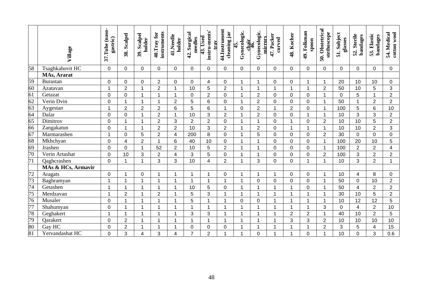|                                                                                                                                 | Village            | 37.Tube (naso-<br>gastric) | 38. Scalpel    | 39. Scalpel<br>holder | instruments<br>40. Tray for | 41.Needle<br>holder     | 42. Surgical<br>needles | instru-ments'<br>43. Used<br>trav | 44.Instrument<br>cleaning jar | Gynecologic.<br>45. | Gynecologic.<br>mirrors<br>chair<br>46. | 47. Packer<br>curved | 48. Kocher     | 49. Folkman<br>spoon | 50. Obstetrical<br>stethoscope | 51. Subject<br>glasses | 52. Sterile<br>bandages | 53. Elastic<br>bandages | 54. Medical<br>cotton wool |
|---------------------------------------------------------------------------------------------------------------------------------|--------------------|----------------------------|----------------|-----------------------|-----------------------------|-------------------------|-------------------------|-----------------------------------|-------------------------------|---------------------|-----------------------------------------|----------------------|----------------|----------------------|--------------------------------|------------------------|-------------------------|-------------------------|----------------------------|
| 58                                                                                                                              | Tsaghkahovit HC    | $\mathbf 0$                | $\mathbf 0$    | 0                     | $\mathbf 0$                 | $\mathbf 0$             | 0                       | $\mathbf 0$                       | $\mathbf 0$                   | 0                   | 0                                       | $\mathbf 0$          | 0              | $\mathbf 0$          | $\mathbf 0$                    | $\Omega$               | $\mathbf 0$             | $\mathbf 0$             | 0                          |
|                                                                                                                                 | MAs, Ararat        |                            |                |                       |                             |                         |                         |                                   |                               |                     |                                         |                      |                |                      |                                |                        |                         |                         |                            |
|                                                                                                                                 | Burastan           | $\mathbf 0$                | $\Omega$       | 0                     | $\overline{2}$              | $\Omega$                | 0                       | $\overline{4}$                    | $\mathbf 0$                   | 1                   | $\mathbf 1$                             | 0                    | 0              | 1                    | $\blacktriangleleft$           | 20                     | 10                      | 10                      | $\overline{0}$             |
| $\frac{59}{60} \frac{60}{61} \frac{61}{63} \frac{63}{64} \frac{64}{65} \frac{66}{67} \frac{67}{68} \frac{68}{69} \frac{69}{70}$ | Azatavan           | $\mathbf{1}$               | $\overline{2}$ | 1                     | $\overline{2}$              | 1                       | 10                      | 5                                 | $\overline{2}$                | 1                   | 1                                       | 1                    | 1              | 1                    | $\overline{2}$                 | 50                     | 10                      | 5                       | 3                          |
|                                                                                                                                 | Getazat            | $\mathbf 0$                | $\mathbf 0$    | 1                     | 1                           | $\overline{1}$          | $\Omega$                | $\overline{2}$                    | $\mathbf 0$                   | 1                   | $\overline{2}$                          | $\mathbf 0$          | 0              | $\mathbf 0$          | 1                              | $\Omega$               | 5                       | $\mathbf 1$             | $\overline{2}$             |
|                                                                                                                                 | Verin Dvin         | $\mathbf 0$                | $\mathbf 1$    | 1                     | $\mathbf{1}$                | $\overline{2}$          | 5                       | $\,6$                             | $\overline{0}$                | 1                   | $\overline{2}$                          | $\overline{0}$       | 0              | $\mathbf 0$          | 1                              | 50                     | 1                       | $\overline{2}$          | $\overline{2}$             |
|                                                                                                                                 | Aygestan           | $\mathbf{1}$               | $\overline{2}$ | $\overline{2}$        | $\overline{2}$              | 6                       | 5                       | $6\phantom{a}$                    | $\overline{1}$                | 0                   | $\overline{2}$                          | $\overline{1}$       | $\overline{2}$ | $\mathbf 0$          | $\mathbf 1$                    | 100                    | $\overline{5}$          | 6                       | 10                         |
|                                                                                                                                 | Dalar              | $\mathbf 0$                | $\overline{0}$ | 1                     | $\overline{2}$              | 1                       | 10                      | 3                                 | $\overline{2}$                | 1                   | $\overline{2}$                          | $\overline{0}$       | 0              | $\mathbf{1}$         | 1                              | 10                     | 3                       | 3                       | $\overline{2}$             |
|                                                                                                                                 | Dimitrov           | $\mathbf 0$                |                | 1                     | $\overline{c}$              | 3                       | $\overline{2}$          | $\boldsymbol{2}$                  | $\mathbf 0$                   | 1                   | $\mathbf 1$                             | $\mathbf 0$          |                | 0                    | $\overline{2}$                 | 10                     | 10                      | 5                       | $\overline{2}$             |
|                                                                                                                                 | Zangakatun         | $\mathbf 0$                | $\mathbf 1$    | 1                     | $\overline{2}$              | $\overline{2}$          | 10                      | 3                                 | $\overline{2}$                | 1                   | $\overline{2}$                          | $\mathbf 0$          | 1              | 1                    | $\mathbf 1$                    | 10                     | 10                      | $\overline{2}$          | $\overline{3}$             |
|                                                                                                                                 | Marmarashen        | $\mathbf{1}$               | $\overline{0}$ | 5                     | $\overline{2}$              | $\overline{4}$          | 200                     | 8                                 | $\overline{0}$                | 1                   | 5                                       | $\overline{0}$       | 0              | $\mathbf 0$          | $\overline{2}$                 | 30                     | $\mathbf 0$             | $\mathbf 0$             | $\mathbf 0$                |
|                                                                                                                                 | Mkhchyan           | $\mathbf 0$                | $\overline{4}$ | $\overline{2}$        | $\blacktriangleleft$        | 6                       | 40                      | 10                                | $\mathbf 0$                   | 4                   | 1                                       | $\mathbf 0$          | 0              | $\pmb{0}$            |                                | 100                    | 20                      | 10                      | 5                          |
|                                                                                                                                 | Jrashen            | $\mathbf 0$                | $\mathbf 0$    | 1                     | 52                          | $\overline{2}$          | 10                      | 5                                 | $\overline{2}$                | 1                   | 1                                       | $\mathbf 0$          | 0              | $\mathbf 0$          | $\mathbf{1}$                   | 100                    | $\overline{2}$          | $\overline{2}$          | $\overline{4}$             |
|                                                                                                                                 | Verin Artashat     | $\overline{0}$             | 10             | 3                     | $\overline{2}$              | $\overline{\mathbf{4}}$ | 3                       | 5                                 | $\overline{0}$                | 1                   | 1                                       | $\mathbf 0$          | 0              | $\mathbf 0$          | $\overline{2}$                 | 100                    | 3                       | $\overline{2}$          | $\overline{2}$             |
| $\overline{71}$                                                                                                                 | Qaghcrashen        | $\mathbf 0$                | $\mathbf 1$    | 1                     | 3                           | 3                       | 10                      | 4                                 | $\overline{2}$                | 1                   | 3                                       | $\mathbf 0$          | 0              | 1                    |                                | 10                     | 3                       | $\overline{2}$          | 1                          |
|                                                                                                                                 | MAs & HCs, Armavir |                            |                |                       |                             |                         |                         |                                   |                               |                     |                                         |                      |                |                      |                                |                        |                         |                         |                            |
| $\frac{72}{73} \frac{73}{74} \frac{75}{76} \frac{77}{77}$                                                                       | Aragats            | $\mathbf 0$                | $\mathbf 1$    | $\mathbf 0$           | 1                           | $\overline{1}$          | $\mathbf{1}$            | 1                                 | $\mathbf 0$                   | 1                   | $\mathbf{1}$                            | $\overline{1}$       | 0              | $\mathbf 0$          | 1                              | 10                     | $\overline{4}$          | 8                       | $\mathbf 0$                |
|                                                                                                                                 | Baghramyan         | 1                          | -1             | 1                     | $\blacktriangleleft$        | -1                      | 1                       | 1                                 |                               | 1                   | 0                                       | $\mathbf 0$          | 0              | $\mathbf 0$          | 1                              | 50                     | $\boldsymbol{0}$        | 10                      | $\overline{2}$             |
|                                                                                                                                 | Getashen           | $\mathbf{1}$               | $\mathbf 1$    | 1                     | $\mathbf{1}$                | -1                      | 10                      | 5                                 | $\mathbf 0$                   | 1                   | $\mathbf{1}$                            | $\mathbf 1$          | 1              | $\mathbf 0$          | $\mathbf 1$                    | 50                     | 4                       | $\overline{2}$          | $\overline{2}$             |
|                                                                                                                                 | Merdzavan          | $\mathbf{1}$               | $\overline{2}$ | 1                     | $\overline{2}$              | 1                       | 5                       | 3                                 |                               | 1                   | 1                                       | $\overline{1}$       | 1              | 1                    | $\overline{1}$                 | 30                     | 10                      | 5                       | $\overline{2}$             |
|                                                                                                                                 | Musaler            | $\mathbf 0$                |                | 1                     | 1                           |                         | 5                       | 1                                 |                               | 0                   | 0                                       |                      |                | 1                    |                                | 10                     | 12                      | 12                      | 5                          |
|                                                                                                                                 | Shahumyan          | $\mathbf 0$                | $\mathbf 1$    | 1                     | $\mathbf{1}$                |                         | $\mathbf{1}$            | 1                                 |                               | 1                   | 1                                       |                      |                | $\mathbf 1$          | 3                              | $\Omega$               | $\overline{\mathbf{4}}$ | $\overline{2}$          | 10                         |
|                                                                                                                                 | Geghakert          | $\mathbf{1}$               | $\overline{1}$ | 1                     | 1                           | 1                       | 3                       | 3                                 |                               | 1                   | 1                                       | -1                   | $\overline{2}$ | $\overline{2}$       | 1                              | 40                     | 10                      | $\overline{2}$          | 5                          |
| $\frac{79}{80}$ $\frac{80}{81}$                                                                                                 | <b>Qarakert</b>    | $\mathbf 0$                | $\overline{2}$ | 1                     | 1                           | -1                      | 1                       | 1                                 | -1                            | 1                   | 1                                       |                      | 3              | 3                    | $\overline{2}$                 | 10                     | 10                      | 10                      | 10                         |
|                                                                                                                                 | Gay HC             | $\mathbf 0$                | $\overline{2}$ | 1                     | $\overline{1}$              |                         | 0                       | $\pmb{0}$                         | $\mathbf 0$                   | 1                   | 1                                       |                      |                | 1                    | $\overline{2}$                 | 3                      | $\sqrt{5}$              | 4                       | 15                         |
|                                                                                                                                 | Yervandashat HC    | $\overline{0}$             | 3              | $\overline{4}$        | 3                           | 4                       | $\overline{7}$          | $\overline{2}$                    |                               | 1                   | $\overline{0}$                          | 1                    |                | 0                    |                                | 10                     | 0                       | 3                       | 0.6                        |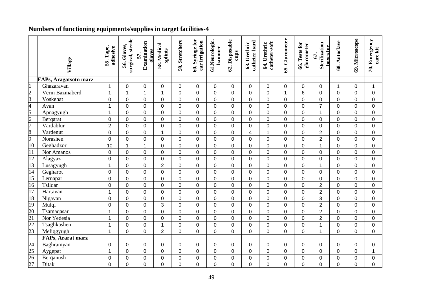### **Numbers of functioning equipments/supplies in target facilities-4**

|                                                                       | Village                      | 55. Tape,<br>adhesive | surgical, sterile<br>56. Gloves, | Examination<br>gloves<br>57. | 58. Medical<br>splints | 59. Stretchers | 60. Syringe for<br>ear irrigation | 61.Neurologic.<br>hammer | 62. Disposable<br>cups | catheter-hard<br>63. Urethric | catheter-soft<br>64. Urethric | 65. Glucometer | 66. Tests for<br>glucometer | Sterilization<br>boxes for<br>67. | 68. Autoclave  | 69. Microscope | 70. Emergency<br>care kit |
|-----------------------------------------------------------------------|------------------------------|-----------------------|----------------------------------|------------------------------|------------------------|----------------|-----------------------------------|--------------------------|------------------------|-------------------------------|-------------------------------|----------------|-----------------------------|-----------------------------------|----------------|----------------|---------------------------|
|                                                                       | <b>FAPs, Aragatsotn marz</b> |                       |                                  |                              |                        |                |                                   |                          |                        |                               |                               |                |                             |                                   |                |                |                           |
| I1                                                                    | Ghazaravan                   | $\mathbf{1}$          | $\pmb{0}$                        | $\mathbf 0$                  | $\pmb{0}$              | $\pmb{0}$      | 0                                 | $\mathbf 0$              | $\mathbf 0$            | $\overline{0}$                | $\mathbf 0$                   | $\pmb{0}$      | $\pmb{0}$                   | $\mathbf 0$                       | $\mathbf{1}$   | $\mathbf 0$    | $\mathbf{1}$              |
|                                                                       | Verin Bazmaberd              | 1                     | $\mathbf{1}$                     | 1                            | $\mathbf{1}$           | $\mathsf 0$    | $\mathbf 0$                       | $\mathbf 0$              | $\mathbf 0$            | 0                             | $\mathbf 0$                   | $\mathbf{1}$   | 6                           | $\mathbf 0$                       | $\overline{0}$ | $\mathbf 0$    | $\mathbf 0$               |
| $\frac{2}{3}$ $\frac{4}{5}$ $\frac{6}{7}$ $\frac{7}{8}$ $\frac{8}{9}$ | Voskehat                     | $\mathbf 0$           | $\mathbf 0$                      | $\mathbf 0$                  | $\mathbf 0$            | $\mathsf 0$    | $\mathbf 0$                       | $\mathbf 0$              | $\mathbf 0$            | 0                             | $\mathbf 0$                   | $\mathbf 0$    | $\mathsf{O}\xspace$         | $\mathbf 0$                       | $\overline{0}$ | $\mathbf 0$    | 0                         |
|                                                                       | Avan                         | 1                     | $\mathbf 0$                      | $\mathbf 0$                  | 0                      | $\mathsf 0$    | 0                                 | $\mathbf 0$              | $\mathbf 0$            | 0                             | $\mathbf 0$                   | $\mathsf 0$    | $\mathsf{O}\xspace$         | $\overline{7}$                    | 0              | $\mathbf 0$    | 0                         |
|                                                                       | Apnagyugh                    | $\mathbf{1}$          | $\mathbf 0$                      | $\mathbf 0$                  | $\mathbf 0$            | $\mathsf 0$    | $\mathbf 0$                       | $\overline{0}$           | $\mathbf 0$            | $\overline{0}$                | $\mathbf 0$                   | $\mathsf 0$    | $\pmb{0}$                   | 1                                 | $\overline{0}$ | $\overline{0}$ | 0                         |
|                                                                       | Berqarat                     | $\pmb{0}$             | $\pmb{0}$                        | $\mathbf 0$                  | $\pmb{0}$              | $\mathsf 0$    | $\pmb{0}$                         | $\pmb{0}$                | $\mathbf 0$            | 0                             | $\mathbf 0$                   | $\pmb{0}$      | $\pmb{0}$                   | $\mathbf 0$                       | $\mathbf 0$    | $\mathbf 0$    | $\mathbf 0$               |
|                                                                       | Vardablur                    | $\mathbf 2$           | $\pmb{0}$                        | $\mathbf 0$                  | $\mathbf 0$            | $\mathbf 0$    | $\mathsf 0$                       | $\pmb{0}$                | $\mathbf 0$            | 0                             | $\pmb{0}$                     | $\mathbf 0$    | $\mathbf 0$                 | $\pmb{0}$                         | $\mathbf 0$    | $\mathbf 0$    | $\mathbf 0$               |
|                                                                       | Vardenut                     | $\mathbf 0$           | $\mathbf 0$                      | $\overline{0}$               | $\mathbf{1}$           | $\mathbf 0$    | $\mathbf 0$                       | $\overline{0}$           | $\overline{0}$         | $\overline{4}$                | $\overline{1}$                | $\mathbf 0$    | $\mathbf 0$                 | $\overline{2}$                    | $\overline{0}$ | $\overline{0}$ | $\overline{0}$            |
|                                                                       | Norashen                     | $\overline{0}$        | $\mathbf 0$                      | $\overline{0}$               | $\overline{0}$         | $\mathbf 0$    | $\overline{0}$                    | $\overline{0}$           | $\overline{0}$         | $\overline{0}$                | $\mathbf 0$                   | $\overline{0}$ | $\mathbf 0$                 | $\overline{2}$                    | $\Omega$       | $\overline{0}$ | 0                         |
| 10                                                                    | Geghadzor                    | 10                    | $\mathbf{1}$                     | 1                            | $\mathbf 0$            | $\mathbf 0$    | $\mathbf 0$                       | $\overline{0}$           | $\overline{0}$         | $\overline{0}$                | $\mathbf 0$                   | $\mathbf 0$    | $\mathbf 0$                 | $\mathbf{1}$                      | $\overline{0}$ | $\overline{0}$ | 0                         |
| $\overline{11}$                                                       | Nor Amanos                   | $\mathbf 0$           | $\overline{0}$                   | $\mathbf 0$                  | $\mathbf 0$            | $\mathsf 0$    | $\overline{0}$                    | $\overline{0}$           | $\overline{0}$         | $\overline{0}$                | $\mathbf 0$                   | $\mathbf 0$    | $\pmb{0}$                   | $\mathbf 0$                       | $\Omega$       | $\overline{0}$ | 0                         |
| $\frac{12}{13}$                                                       | Alagyaz                      | $\mathbf 0$           | $\mathbf 0$                      | $\mathbf 0$                  | $\mathbf 0$            | $\mathsf 0$    | $\mathbf 0$                       | $\overline{0}$           | $\overline{0}$         | $\overline{0}$                | $\mathbf 0$                   | $\mathsf 0$    | $\pmb{0}$                   | $\overline{0}$                    | $\overline{0}$ | $\overline{0}$ | 0                         |
|                                                                       | Lusagyugh                    | $\mathbf 1$           | $\mathbf 0$                      | $\mathbf 0$                  | $\overline{2}$         | $\mathsf 0$    | 0                                 | $\overline{0}$           | $\mathbf 0$            | 0                             | $\mathbf 0$                   | $\mathbf 0$    | $\pmb{0}$                   | 1                                 | $\Omega$       | $\mathbf 0$    | $\mathbf 0$               |
| $\frac{14}{15}$                                                       | Gegharot                     | $\mathbf 0$           | $\mathbf 0$                      | $\mathbf 0$                  | $\mathbf 0$            | $\mathbf 0$    | $\mathbf 0$                       | $\mathbf 0$              | $\overline{0}$         | $\overline{0}$                | $\mathbf 0$                   | $\mathbf 0$    | $\pmb{0}$                   | $\mathbf 0$                       | $\overline{0}$ | $\overline{0}$ | 0                         |
|                                                                       | Lernapar                     | $\mathbf 0$           | $\mathbf 0$                      | $\overline{0}$               | $\mathbf 0$            | $\mathsf 0$    | $\overline{0}$                    | $\overline{0}$           | $\mathbf 0$            | $\overline{0}$                | $\mathbf 0$                   | $\mathbf 0$    | $\pmb{0}$                   | $\overline{0}$                    | $\overline{0}$ | $\overline{0}$ | $\overline{0}$            |
| 16                                                                    | Tsilqar                      | $\mathbf 0$           | $\mathbf 0$                      | $\overline{0}$               | $\overline{0}$         | $\mathbf 0$    | $\overline{0}$                    | $\overline{0}$           | $\overline{0}$         | $\overline{0}$                | $\overline{0}$                | $\mathbf 0$    | $\mathbf 0$                 | $\overline{2}$                    | $\overline{0}$ | $\overline{0}$ | $\overline{0}$            |
| 17                                                                    | Hartavan                     | 1                     | $\mathbf 0$                      | $\mathbf 0$                  | $\mathbf 0$            | $\mathsf 0$    | 0                                 | $\overline{0}$           | $\mathbf 0$            | 0                             | $\mathbf 0$                   | $\mathbf 0$    | $\pmb{0}$                   | $\overline{2}$                    | $\Omega$       | $\mathbf 0$    | 0                         |
| 18                                                                    | Nigavan                      | $\overline{0}$        | $\mathbf 0$                      | $\mathbf 0$                  | $\mathbf 0$            | $\mathsf 0$    | $\mathbf 0$                       | $\mathbf 0$              | $\mathbf 0$            | 0                             | $\mathbf 0$                   | $\mathbf 0$    | $\pmb{0}$                   | 3                                 | $\overline{0}$ | $\overline{0}$ | $\mathbf 0$               |
| $\frac{19}{20}$<br>$\frac{21}{22}$<br>$\frac{22}{23}$                 | Mulqi                        | $\mathbf 0$           | $\mathbf 0$                      | $\mathbf 0$                  | 3                      | $\mathsf 0$    | $\mathbf 0$                       | $\mathbf 0$              | $\mathbf 0$            | 0                             | $\mathbf 0$                   | $\mathsf 0$    | $\pmb{0}$                   | $\overline{2}$                    | $\overline{0}$ | $\mathbf 0$    | 0                         |
|                                                                       | Tsamaqasar                   | $\mathbf 1$           | $\mathbf 0$                      | $\mathbf 0$                  | $\mathbf 0$            | $\mathsf 0$    | $\mathbf 0$                       | $\mathbf 0$              | $\mathbf 0$            | 0                             | $\mathbf 0$                   | $\mathsf 0$    | $\pmb{0}$                   | $\overline{2}$                    | $\overline{0}$ | $\mathbf 0$    | 0                         |
|                                                                       | Nor Yedesia                  | 1                     | $\pmb{0}$                        | $\mathbf 0$                  | $\mathbf 0$            | $\mathsf 0$    | $\mathsf 0$                       | $\mathbf 0$              | $\mathbf 0$            | 0                             | $\mathbf 0$                   | $\pmb{0}$      | $\mathbf 0$                 | $\overline{2}$                    | $\mathbf 0$    | $\mathbf 0$    | 0                         |
|                                                                       | Tsaghkashen                  | $\mathbf{1}$          | $\mathbf 0$                      | $\mathbf 0$                  | $\mathbf{1}$           | $\mathsf 0$    | $\mathsf 0$                       | $\pmb{0}$                | $\mathbf 0$            | 0                             | $\mathbf 0$                   | $\mathbf 0$    | $\mathbf 0$                 | $\overline{1}$                    | $\overline{0}$ | $\mathbf 0$    | $\mathbf 0$               |
|                                                                       | Meliqgyugh                   | $\mathbf{1}$          | $\mathbf 0$                      | $\mathbf 0$                  | $\overline{2}$         | $\mathbf 0$    | $\mathbf 0$                       | $\overline{0}$           | $\mathbf 0$            | 0                             | $\mathbf 0$                   | $\mathbf 0$    | $\mathbf 0$                 | 1                                 | $\overline{0}$ | $\mathbf{0}$   | $\mathbf 0$               |
|                                                                       | FAPs, Ararat marz            |                       |                                  |                              |                        |                |                                   |                          |                        |                               |                               |                |                             |                                   |                |                |                           |
|                                                                       | Baghramyan                   | 0                     | 0                                | 0                            | 0                      | $\mathbf 0$    | 0                                 | 0                        | 0                      | $\Omega$                      | 0                             | 0              | 0                           | 0                                 | $\Omega$       | 0              | 0                         |
|                                                                       | Aygepat                      | $\mathbf{1}$          | $\mathbf 0$                      | $\mathbf 0$                  | $\mathbf 0$            | $\mathbf 0$    | 0                                 | $\mathbf 0$              | $\mathbf 0$            | 0                             | $\mathbf 0$                   | $\mathbf 0$    | $\pmb{0}$                   | $\mathbf 0$                       | 0              | $\mathbf 0$    | $\mathbf{1}$              |
| $\frac{24}{25}$<br>$\frac{26}{27}$                                    | Berganush                    | $\mathbf 0$           | $\mathbf 0$                      | $\mathbf 0$                  | $\mathbf 0$            | $\mathsf 0$    | 0                                 | $\mathbf 0$              | $\overline{0}$         | 0                             | $\mathbf 0$                   | $\mathbf 0$    | $\pmb{0}$                   | $\overline{0}$                    | $\overline{0}$ | $\mathbf 0$    | 0                         |
|                                                                       | <b>Ditak</b>                 | $\overline{0}$        | $\mathbf 0$                      | 0                            | 0                      | 0              | 0                                 | $\mathbf 0$              | $\mathbf 0$            | 0                             | $\mathbf 0$                   | $\mathbf 0$    | 0                           | 0                                 | $\overline{0}$ | $\overline{0}$ | 0                         |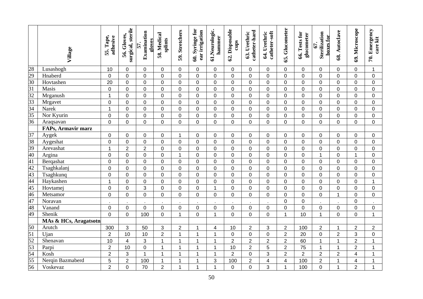|                                                                 | Village                   | 55. Tape,<br>adhesive | surgical, sterile<br>56. Gloves, | Examination<br>gloves<br>57. | 58. Medical<br>splints | 59. Stretchers | 60. Syringe for<br>ear irrigation | 61.Neurologic.<br>hammer | 62. Disposable<br>cups | catheter-hard<br>63. Urethric | catheter-soft<br>64. Urethric | 65. Glucometer          | 66. Tests for<br>glucometer | Sterilization<br>boxes for<br><b>67.</b> | 68. Autoclave  | 69. Microscope          | 70. Emergency<br>care kit |
|-----------------------------------------------------------------|---------------------------|-----------------------|----------------------------------|------------------------------|------------------------|----------------|-----------------------------------|--------------------------|------------------------|-------------------------------|-------------------------------|-------------------------|-----------------------------|------------------------------------------|----------------|-------------------------|---------------------------|
| 28                                                              | Lusashogh                 | 10                    | 0                                | 0                            | $\mathbf 0$            | 0              | 0                                 | 0                        | 0                      | 0                             | 0                             | 0                       | 0                           | 0                                        | 0              | 0                       | $\mathbf{1}$              |
| $\frac{29}{30}$                                                 | Hnaberd                   | $\mathbf 0$           | 0                                | 0                            | $\mathbf 0$            | $\mathsf 0$    | $\overline{0}$                    | $\Omega$                 | $\mathbf 0$            | $\mathbf 0$                   | 0                             | $\mathbf 0$             | 0                           | 0                                        | $\overline{0}$ | 0                       | 0                         |
|                                                                 | Hovtashen                 | 20                    | 0                                | 0                            | $\mathbf 0$            | $\mathsf 0$    | 0                                 | $\mathbf 0$              | $\mathbf 0$            | 0                             | 0                             | $\mathbf 0$             | 0                           | 0                                        | 0              | 0                       | $\mathbf 0$               |
| $\overline{31}$                                                 | Masis                     | $\mathbf 0$           | 0                                | $\mathbf 0$                  | $\mathbf 0$            | 0              | $\Omega$                          | 0                        | $\mathbf 0$            | 0                             | 0                             | $\mathbf 0$             | 0                           | 0                                        | $\mathbf 0$    | 0                       | 0                         |
| $\overline{32}$                                                 | Mrganush                  | 1                     | 0                                | $\mathbf 0$                  | $\mathbf 0$            | 0              | $\Omega$                          | 0                        | $\mathbf 0$            | 0                             | 0                             | $\mathbf 0$             | 0                           | 0                                        | $\mathbf 0$    | 0                       | 0                         |
| $\frac{33}{34}$<br>$\frac{34}{35}$<br>$\frac{35}{36}$           | Mrgavet                   | $\mathbf 0$           | 0                                | $\mathbf 0$                  | $\mathbf 0$            | 0              | 0                                 | $\mathbf 0$              | $\mathbf 0$            | $\mathbf 0$                   | 0                             | $\mathbf 0$             | 0                           | 0                                        | $\mathbf 0$    | 0                       | 0                         |
|                                                                 | Narek                     | 1                     | 0                                | $\mathbf 0$                  | $\mathbf 0$            | $\mathsf 0$    | 0                                 | $\overline{0}$           | $\mathbf 0$            | $\mathbf 0$                   | $\mathsf 0$                   | $\mathbf 0$             | 0                           | 0                                        | $\overline{0}$ | 0                       | 0                         |
|                                                                 | Nor Kyurin                | $\mathbf 0$           | 0                                | $\mathbf 0$                  | $\mathbf 0$            | $\mathsf 0$    | 0                                 | $\mathbf 0$              | $\mathbf 0$            | $\mathbf 0$                   | 0                             | $\mathbf 0$             | 0                           | 0                                        | $\mathbf 0$    | 0                       | $\pmb{0}$                 |
|                                                                 | Araqsavan                 | $\mathbf 0$           | 0                                | $\mathbf 0$                  | $\mathbf 0$            | $\mathbf 0$    | 0                                 | $\overline{0}$           | $\mathbf 0$            | 0                             | 0                             | $\mathbf 0$             | 0                           | $\mathbf 0$                              | $\overline{0}$ | $\mathbf 0$             | $\mathbf 0$               |
|                                                                 | <b>FAPs, Armavir marz</b> |                       |                                  |                              |                        |                |                                   |                          |                        |                               |                               |                         |                             |                                          |                |                         |                           |
|                                                                 | Aygek                     | $\mathbf 0$           | 0                                | $\mathbf 0$                  | $\pmb{0}$              | $\mathbf 1$    | 0                                 | 0                        | $\mathsf 0$            | $\mathbf 0$                   | $\pmb{0}$                     | $\mathbf 0$             | 0                           | 0                                        | 0              | 0                       | $\mathbf 0$               |
| $\frac{37}{38}$ $\frac{39}{40}$                                 | Aygeshat                  | $\mathbf 0$           | 0                                | $\pmb{0}$                    | $\mathbf 0$            | $\mathsf 0$    | $\mathbf 0$                       | $\overline{0}$           | $\mathbf 0$            | $\mathbf 0$                   | $\boldsymbol{0}$              | $\pmb{0}$               | 0                           | $\mathbf 0$                              | $\Omega$       | 0                       | $\mathbf 0$               |
|                                                                 | Arevashat                 | 1                     | $\overline{2}$                   | $\overline{2}$               | $\mathbf 0$            | $\mathsf 0$    | $\mathbf 0$                       | $\mathbf 0$              | $\boldsymbol{0}$       | $\mathbf 0$                   | $\boldsymbol{0}$              | $\pmb{0}$               | 0                           | $\mathbf 0$                              | 0              | 0                       | 0                         |
|                                                                 | Argina                    | $\pmb{0}$             | 0                                | $\pmb{0}$                    | $\mathbf 0$            | $\mathbf{1}$   | $\mathbf 0$                       | $\mathbf 0$              | $\boldsymbol{0}$       | 0                             | $\mathbf 0$                   | $\mathbf 0$             | 0                           | $\overline{1}$                           | $\mathbf 0$    | $\mathbf{1}$            | $\mathsf 0$               |
| 41                                                              | Berqashat                 | $\overline{0}$        | 0                                | $\mathbf 0$                  | $\mathbf 0$            | $\mathsf 0$    | $\mathbf 0$                       | $\overline{0}$           | $\boldsymbol{0}$       | 0                             | $\boldsymbol{0}$              | $\mathbf 0$             | 0                           | $\pmb{0}$                                | 0              | 0                       | $\mathbf 0$               |
| $\overline{42}$                                                 | Tsaghkalanj               | $\overline{0}$        | 0                                | $\mathbf 0$                  | $\mathbf 0$            | $\mathsf 0$    | $\mathbf 0$                       | $\overline{0}$           | $\mathbf 0$            | $\mathbf 0$                   | $\boldsymbol{0}$              | $\mathbf 0$             | 0                           | $\mathbf 0$                              | 0              | 0                       | $\mathbf 0$               |
| 43                                                              | Tsaghkunq                 | 0                     | 0                                | $\mathbf 0$                  | $\mathbf 0$            | $\mathsf 0$    | $\mathbf 0$                       | $\overline{0}$           | $\overline{0}$         | $\mathbf 0$                   | $\mathbf 0$                   | $\mathbf 0$             | 0                           | $\mathbf 0$                              | 0              | $\mathbf 0$             | $\mathbf 0$               |
| $\frac{44}{45}$                                                 | Haykashen                 | 1                     | 0                                | $\mathbf 0$                  | $\mathbf 0$            | $\mathbf 0$    | 0                                 | $\overline{0}$           | $\overline{0}$         | 0                             | $\mathbf 0$                   | $\mathbf 0$             | 0                           | $\mathbf 0$                              | 0              | $\mathbf 0$             | 1                         |
|                                                                 | Hovtamej                  | $\mathbf 0$           | 0                                | 3                            | $\mathbf 0$            | $\mathbf 0$    | $\mathbf 0$                       | 1                        | $\overline{0}$         | 0                             | $\mathbf 0$                   | $\mathbf 0$             | 0                           | $\overline{0}$                           | $\overline{0}$ | $\mathbf 0$             | $\mathbf 0$               |
| 46                                                              | Metsamor                  | $\mathbf 0$           | 0                                | $\mathbf 0$                  | $\mathbf 0$            | $\mathbf 0$    | 0                                 | $\overline{0}$           | $\mathbf 0$            | $\mathbf 0$                   | $\mathbf 0$                   | $\mathbf 0$             | 0                           | $\mathbf 0$                              | $\mathbf{1}$   | $\mathbf 0$             | $\mathbf 0$               |
| 47                                                              | Noravan                   |                       |                                  |                              |                        |                |                                   |                          |                        |                               |                               | $\mathbf 0$             | 0                           |                                          |                | $\mathsf 0$             |                           |
| 48                                                              | Vanand                    | $\mathbf 0$           | 0                                | $\mathbf 0$                  | $\mathbf 0$            | $\mathsf 0$    | 0                                 | $\mathbf 0$              | $\mathbf 0$            | $\mathbf 0$                   | $\pmb{0}$                     | $\mathbf 0$             | 0                           | 0                                        | 0              | $\mathbf 0$             | $\mathsf{O}$              |
| 49                                                              | Shenik                    | $\overline{0}$        | $\mathbf 0$                      | 100                          | $\mathbf 0$            | $\mathbf{1}$   | 0                                 | 1                        | $\mathbf 0$            | $\mathbf 0$                   | $\mathbf 0$                   | $\mathbf{1}$            | 10                          | $\overline{1}$                           | $\overline{0}$ | $\mathbf 0$             | $\mathbf{1}$              |
|                                                                 | MAs & HCs, Aragatsotn     |                       |                                  |                              |                        |                |                                   |                          |                        |                               |                               |                         |                             |                                          |                |                         |                           |
|                                                                 | Arutch                    | 300                   | 3                                | 50                           | $\sqrt{3}$             | $\overline{c}$ | 1                                 | 4                        | 10                     | $\overline{2}$                | 3                             | $\overline{c}$          | 100                         | $\overline{2}$                           | 1              | $\overline{2}$          | $\overline{2}$            |
|                                                                 | Ujan                      | $\overline{2}$        | 10                               | 10                           | $\overline{2}$         | $\mathbf{1}$   | $\mathbf 1$                       | 1                        | $\mathbf 0$            | $\pmb{0}$                     | $\mathbf 0$                   | $\overline{2}$          | 20                          | $\mathsf 0$                              | $\overline{2}$ | 3                       | $\pmb{0}$                 |
| $\frac{50}{51}$ $\frac{51}{52}$ $\frac{53}{54}$ $\frac{55}{56}$ | Shenavan                  | 10                    | 4                                | 3                            | $\mathbf{1}$           | $\mathbf{1}$   | 1                                 | $\mathbf{1}$             | $\overline{2}$         | $\overline{2}$                | $\overline{c}$                | $\overline{c}$          | 60                          | $\overline{1}$                           | 1              | $\overline{2}$          | $\mathbf{1}$              |
|                                                                 | Parpi                     | $\boldsymbol{2}$      | 10                               | $\pmb{0}$                    | $\mathbf{1}$           | $\mathbf{1}$   | 1                                 | $\mathbf{1}$             | 10                     | $\overline{2}$                | 5                             | $\overline{c}$          | 75                          | $\overline{1}$                           | $\mathbf 1$    | $\overline{2}$          | 1                         |
|                                                                 | Kosh                      | $\boldsymbol{2}$      | 3                                | $\mathbf{1}$                 | $\mathbf 1$            | $\mathbf{1}$   | 1                                 | 1                        | $\overline{2}$         | $\mathbf 0$                   | 3                             | $\overline{c}$          | $\overline{2}$              | $\overline{2}$                           | $\overline{2}$ | $\overline{\mathbf{4}}$ | 1                         |
|                                                                 | Nergin Bazmaberd          | 5                     | $\overline{2}$                   | 100                          | $\mathbf 1$            | $\mathbf{1}$   | 1                                 | 3                        | 100                    | $\overline{2}$                | $\overline{\mathbf{4}}$       | $\overline{\mathbf{4}}$ | 100                         | $\overline{c}$                           | 1              | 4                       | 1                         |
|                                                                 | Voskevaz                  | $\overline{c}$        | 0                                | 70                           | $\overline{2}$         | $\mathbf{1}$   | 1                                 | 1                        | $\boldsymbol{0}$       | 0                             | 3                             | 1                       | 100                         | 0                                        | 1              | $\overline{2}$          | 1                         |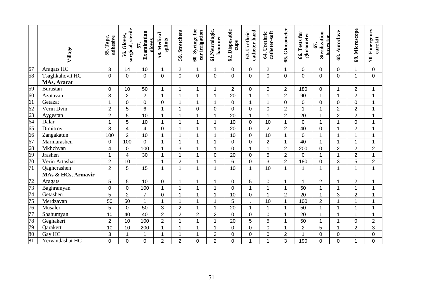|                 | Village            | Tape,<br>adhesive<br>55. | surgical, sterile<br>56. Gloves, | Examination<br>gloves<br>57. | 58. Medical<br>splints | 59. Stretchers | 60. Syringe for<br>ear irrigation | 61.Neurologic.<br>hammer | 62. Disposable<br>cups | catheter-hard<br>63. Urethric | catheter-soft<br>64. Urethric | 65. Glucometer   | 66. Tests for<br>glucometer | Sterilization<br>boxes for<br>67. | 68. Autoclave  | 69. Microscope | Emergency<br>care kit<br>$\tilde{z}$ |
|-----------------|--------------------|--------------------------|----------------------------------|------------------------------|------------------------|----------------|-----------------------------------|--------------------------|------------------------|-------------------------------|-------------------------------|------------------|-----------------------------|-----------------------------------|----------------|----------------|--------------------------------------|
| 57              | Aragats HC         | 3                        | 14                               | 10                           | 1                      | $\overline{2}$ |                                   | $\mathbf 1$              | $\mathbf 0$            | $\Omega$                      | $\overline{2}$                | $\mathbf 1$      | 0                           | 0                                 | $\Omega$       | 1              | 0                                    |
| 58              | Tsaghkahovit HC    | $\mathbf 0$              | 0                                | $\overline{0}$               | $\mathbf 0$            | 0              | $\mathbf 0$                       | $\overline{0}$           | $\overline{0}$         | $\mathbf 0$                   | 0                             | $\mathbf 0$      | $\overline{0}$              | 0                                 | $\overline{0}$ | $\mathbf{1}$   | 0                                    |
|                 | MAs, Ararat        |                          |                                  |                              |                        |                |                                   |                          |                        |                               |                               |                  |                             |                                   |                |                |                                      |
| 59              | Burastan           | $\mathbf 0$              | 10                               | 50                           | 1                      | $\mathbf{1}$   |                                   | 1                        | $\overline{2}$         | $\mathbf 0$                   | 0                             | $\overline{2}$   | 180                         | $\overline{0}$                    | 1              | $\overline{2}$ |                                      |
| 60              | Azatavan           | 3                        | $\overline{2}$                   | $\overline{2}$               | $\overline{1}$         | $\overline{1}$ |                                   | 1                        | 20                     | $\overline{ }$                |                               | $\overline{2}$   | 90                          | $\overline{\mathbf{A}}$           | 1              | $\overline{2}$ |                                      |
| 61              | Getazat            | $\mathbf{1}$             | 0                                | $\mathbf 0$                  | $\mathbf 0$            | 1              | 1                                 | 1                        | $\mathbf 0$            | $\mathbf 1$                   | 1                             | $\boldsymbol{0}$ | 0                           | $\mathbf 0$                       | $\overline{0}$ | $\pmb{0}$      | 1                                    |
| 62              | Verin Dvin         | $\overline{2}$           | 5                                | $6\phantom{1}$               | $\overline{1}$         | 1              | 0                                 | 0                        | $\overline{0}$         | $\mathbf 0$                   | 0                             | $\overline{2}$   | $\mathbf{1}$                | 1                                 | $\overline{2}$ | $\overline{2}$ | 1                                    |
| 63              | Aygestan           | $\overline{2}$           | 5                                | 10                           | 1                      | 1              |                                   | 1                        | 20                     | 1                             | 1                             | $\overline{2}$   | 20                          | 1                                 | $\overline{2}$ | $\overline{2}$ |                                      |
| 64              | Dalar              | $\mathbf 1$              | 5                                | 10                           | $\overline{1}$         | 1              |                                   | 1                        | 10                     | $\mathbf 0$                   | 10                            | $\mathbf 1$      | 0                           | 1                                 | 1              | $\overline{0}$ |                                      |
| 65              | Dimitrov           | 3                        | 4                                | 4                            | $\mathbf 0$            | 1              |                                   | 1                        | 20                     | $\mathbf 0$                   | $\overline{2}$                | $\overline{2}$   | 40                          | $\Omega$                          | 1              | $\overline{2}$ | 1                                    |
| 66              | Zangakatun         | 100                      | $\overline{2}$                   | 10                           | $\overline{1}$         | 1              |                                   | 1                        | 10                     | $\Omega$                      | 10                            | 1                | $\mathbf 0$                 | 1                                 | 1              | $\mathbf{1}$   | 1                                    |
| 67              | Marmarashen        | $\mathbf 0$              | 100                              | $\mathbf 0$                  | 1                      | 1              |                                   | 1                        | $\overline{0}$         | $\mathbf 0$                   | $\overline{2}$                | $\mathbf{1}$     | 40                          | 1                                 | 1              | $\mathbf 1$    | 1                                    |
| 68              | Mkhchyan           | $\overline{\mathbf{4}}$  | 0                                | 100                          | 1                      | 3              |                                   | 1                        | $\overline{0}$         | 4                             | 1                             | $\overline{2}$   | 200                         | $\mathbf 0$                       | $\overline{2}$ | $\overline{2}$ | $\overline{2}$                       |
| 69              | Jrashen            | 1                        | 4                                | 30                           | 1                      | 1              |                                   | 0                        | 20                     | $\mathbf 0$                   | 5                             | $\overline{2}$   | 0                           | 1                                 | 1              | $\overline{2}$ |                                      |
| $\frac{1}{70}$  | Verin Artashat     | $\overline{2}$           | 10                               | 1                            | 1                      | $\overline{2}$ |                                   | 1                        | $6\phantom{1}$         | $\Omega$                      | 3                             | $\overline{2}$   | 180                         | 0                                 | 3              | 5              | $\overline{2}$                       |
| $\overline{71}$ | Qaghcrashen        | $\overline{2}$           | 5                                | 15                           | 1                      | $\mathbf{1}$   | 1                                 | 1                        | 10                     | $\overline{1}$                | 10                            | 1                | 1                           | 1                                 | 1              | 1              | $\mathbf 1$                          |
|                 | MAs & HCs, Armavir |                          |                                  |                              |                        |                |                                   |                          |                        |                               |                               |                  |                             |                                   |                |                |                                      |
| $\overline{72}$ | Aragats            | 5                        | 5                                | 10                           | $\pmb{0}$              | 1              |                                   | 1                        | 0                      | 5                             | 0                             | 1                | 1                           | $\overline{2}$                    | 1              | $\mathbf{2}$   |                                      |
| 73              | Baghramyan         | $\overline{0}$           | $\overline{0}$                   | 100                          | $\overline{1}$         | 1              | 1                                 | 1                        | $\overline{0}$         | $\overline{1}$                | $\mathbf 1$                   | 1                | 50                          | 1                                 | $\overline{1}$ | $\mathbf{1}$   | 1                                    |
| $\overline{74}$ | Getashen           | 5                        | $\overline{2}$                   | $\overline{7}$               | $\mathbf 0$            | 1              |                                   | 1                        | 10                     | $\mathbf 0$                   | 1                             | $\overline{2}$   | 20                          | 1                                 | 3              | $\overline{2}$ |                                      |
| $\overline{75}$ | Merdzavan          | 50                       | 50                               | $\mathbf 1$                  | $\overline{1}$         | 1              |                                   | 1                        | 5                      | $\sim$                        | 10                            | 1                | 100                         | $\overline{2}$                    |                | 1              |                                      |
| 76              | Musaler            | 5                        | 0                                | 50                           | 3                      | $\overline{2}$ | 1                                 | 1                        | 20                     | $\mathbf 1$                   | 1                             | $\mathbf{1}$     | 50                          | 1                                 | 1              | $\mathbf 1$    | 1                                    |
| 77              | Shahumyan          | 10                       | 40                               | 40                           | $\overline{2}$         | $\overline{c}$ | $\overline{c}$                    | $\overline{2}$           | $\mathbf 0$            | $\mathbf 0$                   | 0                             | 1                | 20                          | 1                                 | 1              | $\mathbf{1}$   | 1                                    |
| 78              | Geghakert          | $\overline{2}$           | 10                               | 100                          | $\overline{c}$         | $\mathbf{1}$   | 1                                 | $\mathbf 1$              | 20                     | 5                             | 5                             | 1                | 50                          | $\overline{1}$                    | 1              | $\mathbf 0$    | $\overline{2}$                       |
| 79              | Qarakert           | 10                       | 10                               | 200                          | $\overline{1}$         | $\mathbf{1}$   |                                   | 1                        | $\mathbf 0$            | $\mathbf 0$                   | 0                             | $\mathbf 1$      | $\overline{c}$              | 5                                 | $\overline{1}$ | $\overline{2}$ | 3                                    |
| 80              | Gay HC             | 3                        | 1                                | 1                            | 1                      | 1              |                                   | 3                        | $\mathbf 0$            | $\mathbf 0$                   | $\mathbf 0$                   | $\overline{c}$   | $\mathbf{1}$                | 0                                 | $\mathbf 0$    |                | 0                                    |
| 81              | Yervandashat HC    | $\overline{0}$           | $\mathbf 0$                      | 0                            | $\overline{2}$         | $\overline{2}$ | 0                                 | $\overline{2}$           | $\overline{0}$         |                               | 1                             | 3                | 190                         | 0                                 | $\overline{0}$ | $\mathbf{1}$   | 0                                    |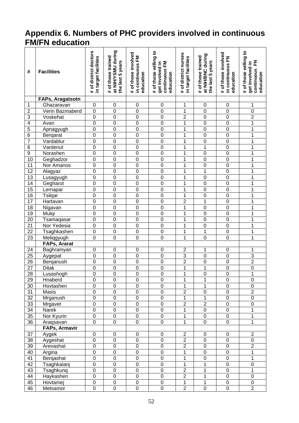#### **Appendix 6. Numbers of PHC providers involved in continuous FM/FN education**

| #               | <b>Facilities</b>          | # of district doctors<br>in target facilities | at NIHYSMU during<br># of those trained<br>the last 5 years | # of those involved<br>in continuous FM<br>education | # of those willing to<br>continuous FM<br>get involved in<br>education | # of district nurses<br>in target facilities | at NIH/BNC during<br># of those trained<br>the last 5 years | # of those involved<br>in continuous FN<br>education | # of those willing to<br>준<br>get involved in<br>continuous<br>education |
|-----------------|----------------------------|-----------------------------------------------|-------------------------------------------------------------|------------------------------------------------------|------------------------------------------------------------------------|----------------------------------------------|-------------------------------------------------------------|------------------------------------------------------|--------------------------------------------------------------------------|
|                 | FAPs, Aragatsotn           |                                               |                                                             |                                                      |                                                                        |                                              |                                                             |                                                      |                                                                          |
| 1               | Ghazaravan                 | $\boldsymbol{0}$                              | $\mathbf 0$                                                 | $\mathbf 0$                                          | $\mathbf 0$                                                            | 1                                            | $\mathbf 0$                                                 | $\mathbf 0$                                          | 1                                                                        |
| $\overline{c}$  | Verin Bazmaberd            | $\mathbf 0$                                   | $\overline{0}$                                              | $\overline{0}$                                       | $\overline{0}$                                                         | $\mathbf 1$                                  | $\overline{0}$                                              | $\mathbf 0$                                          | $\overline{0}$                                                           |
| 3               | Voskehat                   | $\mathbf 0$                                   | $\overline{0}$                                              | $\overline{0}$                                       | $\overline{0}$                                                         | $\overline{2}$                               | $\overline{0}$                                              | $\overline{0}$                                       | $\overline{2}$                                                           |
| $\overline{4}$  | Avan                       | $\overline{0}$                                | $\overline{0}$                                              | $\overline{0}$                                       | $\overline{0}$                                                         | $\overline{1}$                               | $\overline{0}$                                              | $\overline{0}$                                       | $\overline{1}$                                                           |
| $\overline{5}$  | Apnagyugh                  | $\mathbf 0$                                   | $\overline{0}$                                              | $\mathbf 0$                                          | $\overline{0}$                                                         | $\overline{1}$                               | $\overline{0}$                                              | $\mathbf 0$                                          | $\overline{1}$                                                           |
| $\overline{6}$  | Bergarat                   | $\mathbf 0$                                   | $\overline{0}$                                              | $\mathbf 0$                                          | $\overline{0}$                                                         | $\overline{1}$                               | $\overline{0}$                                              | $\mathbf 0$                                          | $\overline{1}$                                                           |
| $\overline{7}$  | Vardablur                  | $\mathbf 0$                                   | $\overline{0}$                                              | $\overline{0}$                                       | $\overline{0}$                                                         | $\overline{1}$                               | $\overline{0}$                                              | $\overline{0}$                                       | 1                                                                        |
| $\overline{8}$  | Vardenut                   | $\overline{0}$                                | $\overline{0}$                                              | $\overline{0}$                                       | $\overline{0}$                                                         | $\mathbf 1$                                  | $\overline{1}$                                              | $\overline{0}$                                       | 1                                                                        |
| $\overline{9}$  | Norashen                   | $\mathbf 0$                                   | $\overline{0}$                                              | $\overline{0}$                                       | $\overline{0}$                                                         | $\overline{1}$                               | $\overline{0}$                                              | $\mathbf 0$                                          | $\overline{1}$                                                           |
| 10              | Geghadzor                  | $\boldsymbol{0}$                              | $\overline{0}$                                              | $\mathbf 0$                                          | $\overline{0}$                                                         | $\overline{1}$                               | $\overline{0}$                                              | $\mathbf 0$                                          | $\overline{1}$                                                           |
| 11              | Nor Amanos                 | $\mathbf 0$                                   | $\overline{0}$                                              | $\mathbf 0$                                          | $\overline{0}$                                                         | $\overline{1}$                               | $\overline{0}$                                              | $\mathbf 0$                                          | $\overline{1}$                                                           |
| $\overline{12}$ | Alagyaz                    | $\mathbf 0$                                   | $\overline{0}$                                              | $\mathbf 0$                                          | $\overline{0}$                                                         | $\overline{1}$                               | $\overline{1}$                                              | $\mathbf 0$                                          | 1                                                                        |
| $\overline{13}$ | Lusagyugh                  | $\mathbf 0$                                   | $\overline{0}$                                              | $\overline{0}$                                       | $\overline{0}$                                                         | $\mathbf 1$                                  | $\overline{0}$                                              | $\overline{0}$                                       | 1                                                                        |
| 14              | Gegharot                   | $\mathbf 0$                                   | $\overline{0}$                                              | $\overline{0}$                                       | $\overline{0}$                                                         | $\overline{1}$                               | $\overline{0}$                                              | $\overline{0}$                                       | 1                                                                        |
| 15<br>16        | Lernapar                   | $\boldsymbol{0}$<br>$\mathbf 0$               | $\overline{0}$<br>$\overline{0}$                            | $\overline{0}$<br>$\mathbf 0$                        | $\overline{0}$<br>$\overline{0}$                                       | $\overline{1}$<br>$\overline{1}$             | $\overline{0}$<br>$\overline{0}$                            | $\mathbf 0$<br>$\mathbf 0$                           | $\overline{1}$<br>$\overline{1}$                                         |
| $\overline{17}$ | <b>Tsilqar</b><br>Hartavan | $\mathbf 0$                                   | $\overline{0}$                                              | $\mathbf 0$                                          | $\overline{0}$                                                         | $\overline{2}$                               | $\overline{1}$                                              | $\mathbf 0$                                          | 1                                                                        |
| $\overline{18}$ |                            | $\mathbf 0$                                   | $\overline{0}$                                              | $\overline{0}$                                       | $\overline{0}$                                                         | $\overline{1}$                               | $\overline{0}$                                              | $\overline{0}$                                       | 1                                                                        |
| 19              | Nigavan<br>Mulqi           | $\overline{0}$                                | $\overline{0}$                                              | $\overline{0}$                                       | $\overline{0}$                                                         | $\mathbf 1$                                  | $\overline{0}$                                              | $\overline{0}$                                       | 1                                                                        |
| $\overline{20}$ | Tsamaqasar                 | $\boldsymbol{0}$                              | $\overline{0}$                                              | $\overline{0}$                                       | $\overline{0}$                                                         | $\overline{1}$                               | $\overline{0}$                                              | $\mathbf 0$                                          | $\overline{1}$                                                           |
| $\overline{21}$ | Nor Yedesia                | $\mathbf 0$                                   | $\overline{0}$                                              | $\overline{0}$                                       | $\overline{0}$                                                         | $\overline{1}$                               | $\overline{0}$                                              | $\mathbf 0$                                          | $\overline{1}$                                                           |
| $\overline{22}$ | Tsaghkashen                | $\mathbf 0$                                   | $\overline{0}$                                              | $\mathbf 0$                                          | $\overline{0}$                                                         | $\mathbf{1}$                                 | $\overline{1}$                                              | $\mathbf 0$                                          | $\overline{1}$                                                           |
| $\overline{23}$ | Meliqgyugh                 | $\overline{0}$                                | $\overline{0}$                                              | $\overline{0}$                                       | $\overline{0}$                                                         | $\overline{1}$                               | $\overline{0}$                                              | $\overline{0}$                                       | $\overline{1}$                                                           |
|                 | <b>FAPs, Ararat</b>        |                                               |                                                             |                                                      |                                                                        |                                              |                                                             |                                                      |                                                                          |
| 24              | Baghramyan                 | 0                                             | $\pmb{0}$                                                   | $\boldsymbol{0}$                                     | $\boldsymbol{0}$                                                       | $\overline{\mathbf{c}}$                      | 1                                                           | $\mathbf 0$                                          | 1                                                                        |
| $\overline{25}$ | Aygepat                    | $\boldsymbol{0}$                              | $\overline{0}$                                              | $\mathbf 0$                                          | $\overline{0}$                                                         | $\overline{3}$                               | $\boldsymbol{0}$                                            | $\mathbf 0$                                          | $\overline{3}$                                                           |
| $\overline{26}$ | Berganush                  | $\mathbf 0$                                   | $\overline{0}$                                              | $\overline{0}$                                       | $\overline{0}$                                                         | $\overline{2}$                               | $\overline{0}$                                              | $\mathbf 0$                                          | $\overline{2}$                                                           |
| $\overline{27}$ | <b>Ditak</b>               | $\overline{0}$                                | $\overline{0}$                                              | $\overline{0}$                                       | $\overline{0}$                                                         | $\overline{1}$                               | $\overline{1}$                                              | $\overline{0}$                                       | $\overline{0}$                                                           |
| $\overline{28}$ | Lusashogh                  | O                                             | O                                                           | O                                                    | $\overline{0}$                                                         | 1                                            | $\pmb{0}$                                                   | O                                                    | 1                                                                        |
| $\overline{29}$ | Hnaberd                    | $\overline{0}$                                | $\overline{0}$                                              | $\mathbf 0$                                          | $\overline{0}$                                                         | $\mathbf 1$                                  | $\mathbf 1$                                                 | $\mathbf 0$                                          | $\mathbf 0$                                                              |
| 30              | Hovtashen                  | $\pmb{0}$                                     | $\mathbf 0$                                                 | $\pmb{0}$                                            | $\pmb{0}$                                                              | $\mathbf 1$                                  | 1                                                           | $\boldsymbol{0}$                                     | $\boldsymbol{0}$                                                         |
| 31              | Masis                      | $\mathbf 0$                                   | $\mathbf 0$                                                 | $\mathbf 0$                                          | $\pmb{0}$                                                              | $\overline{c}$                               | $\boldsymbol{0}$                                            | $\mathbf 0$                                          | $\overline{2}$                                                           |
| 32              | Mrganush                   | $\mathbf 0$                                   | $\mathbf 0$                                                 | $\mathbf 0$                                          | $\mathbf 0$                                                            | $\mathbf 1$                                  | 1                                                           | $\mathbf 0$                                          | $\mathbf 0$                                                              |
| 33              | Mrgavet                    | $\mathbf 0$                                   | $\mathbf 0$                                                 | $\mathbf 0$                                          | $\mathbf 0$                                                            | $\overline{2}$                               | $\mathbf 2$                                                 | $\mathbf 0$                                          | $\mathbf 0$                                                              |
| 34              | Narek                      | $\mathbf 0$                                   | $\pmb{0}$                                                   | $\mathbf 0$                                          | $\mathbf 0$                                                            | $\mathbf 1$                                  | $\mathbf 0$                                                 | $\boldsymbol{0}$                                     | $\mathbf 1$                                                              |
| $\overline{35}$ | Nor Kyurin                 | $\pmb{0}$                                     | $\pmb{0}$                                                   | $\pmb{0}$                                            | $\mathbf 0$                                                            | 1                                            | $\mathbf 0$                                                 | $\boldsymbol{0}$                                     | $\mathbf 1$                                                              |
| $\overline{36}$ | Araqsavan                  | $\overline{0}$                                | $\mathbf 0$                                                 | $\mathbf 0$                                          | $\overline{0}$                                                         | $\mathbf 1$                                  | $\pmb{0}$                                                   | $\mathbf 0$                                          | 1                                                                        |
|                 | FAPs, Armavir              |                                               |                                                             |                                                      |                                                                        |                                              |                                                             |                                                      |                                                                          |
| 37              | Aygek                      | 0                                             | $\boldsymbol{0}$                                            | $\boldsymbol{0}$                                     | 0                                                                      | $\overline{2}$                               | $\boldsymbol{0}$                                            | $\mathbf 0$                                          | $\mathbf 2$                                                              |
| 38              | Aygeshat                   | $\pmb{0}$                                     | $\mathbf 0$                                                 | $\mathbf 0$                                          | $\pmb{0}$                                                              | $\overline{2}$                               | $\boldsymbol{0}$                                            | $\boldsymbol{0}$                                     | $\mathbf 0$                                                              |
| 39              | Arevashat                  | $\mathbf 0$                                   | $\pmb{0}$                                                   | $\mathbf 0$                                          | $\mathbf 0$                                                            | $\overline{2}$                               | $\boldsymbol{0}$                                            | $\boldsymbol{0}$                                     | $\overline{2}$                                                           |
| 40              | Argina                     | $\mathbf 0$                                   | $\mathbf 0$                                                 | $\mathbf 0$                                          | $\mathbf 0$                                                            | 1                                            | $\pmb{0}$                                                   | $\mathbf 0$                                          | 1                                                                        |
| 41              | Bergashat                  | $\mathbf 0$                                   | $\mathbf 0$                                                 | $\mathbf 0$                                          | $\mathbf 0$                                                            | 1                                            | $\mathbf 0$                                                 | $\mathbf 0$                                          | $\mathbf{1}$                                                             |
| 42              | Tsaghkalanj                | $\mathbf 0$                                   | $\mathbf 0$                                                 | $\mathbf 0$                                          | $\mathbf 0$                                                            | 1                                            | 1                                                           | $\mathbf 0$                                          | $\mathbf 0$                                                              |
| 43              | Tsaghkunq                  | $\mathbf 0$                                   | $\mathbf 0$                                                 | $\mathbf 0$                                          | $\mathbf 0$                                                            | $\mathbf 2$                                  | 1                                                           | $\boldsymbol{0}$                                     | $\mathbf 1$                                                              |
| 44              | Haykashen                  | $\mathbf 0$                                   | $\pmb{0}$                                                   | $\mathbf 0$                                          | $\mathbf 0$                                                            | $\overline{2}$                               | 1                                                           | $\boldsymbol{0}$                                     | $\mathbf 0$                                                              |
| 45              | Hovtamej                   | $\mathbf 0$                                   | $\mathbf 0$                                                 | $\mathbf 0$                                          | $\mathbf 0$                                                            | $\mathbf 1$                                  | 1                                                           | $\boldsymbol{0}$                                     | $\mathbf 0$                                                              |
| 46              | Metsamor                   | $\overline{0}$                                | $\mathsf 0$                                                 | $\mathbf 0$                                          | $\mathbf 0$                                                            | $\overline{2}$                               | $\pmb{0}$                                                   | $\mathbf 0$                                          | $\overline{2}$                                                           |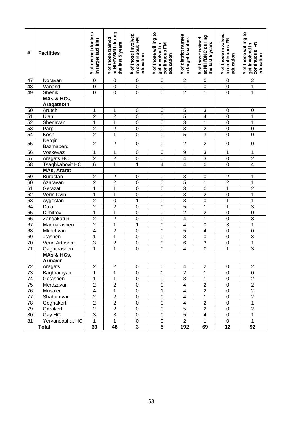| #               | <b>Facilities</b>               | # of district doctors<br>in target facilities | at NIHYSMU during<br># of those trained<br>the last 5 years | # of those involved<br>in continuous FM<br>education | # of those willing to<br>continuous FM<br>get involved in<br>education | # of district nurses<br>in target facilities | at NIH/BNC during<br># of those trained<br>the last 5 years | # of those involved<br>in continuous FN<br>education | # of those willing to<br>준<br>get involved in<br>continuous<br>education |
|-----------------|---------------------------------|-----------------------------------------------|-------------------------------------------------------------|------------------------------------------------------|------------------------------------------------------------------------|----------------------------------------------|-------------------------------------------------------------|------------------------------------------------------|--------------------------------------------------------------------------|
| 47              | Noravan                         | $\boldsymbol{0}$                              | $\mathbf 0$                                                 | $\boldsymbol{0}$                                     | 0                                                                      | $\boldsymbol{2}$                             | $\mathbf 0$                                                 | $\boldsymbol{0}$                                     | $\overline{\mathbf{c}}$                                                  |
| 48              | Vanand                          | $\mathbf 0$                                   | $\mathbf 0$                                                 | $\mathbf 0$                                          | $\boldsymbol{0}$                                                       | 1                                            | $\pmb{0}$                                                   | $\boldsymbol{0}$                                     | 1                                                                        |
| 49              | Shenik                          | $\overline{0}$                                | $\overline{0}$                                              | $\mathbf 0$                                          | $\overline{0}$                                                         | $\overline{2}$                               | $\mathbf 1$                                                 | $\mathbf 0$                                          | $\overline{1}$                                                           |
|                 | MAs & HCs,<br>Aragatsotn        |                                               |                                                             |                                                      |                                                                        |                                              |                                                             |                                                      |                                                                          |
| 50              | Arutch                          | 1                                             | 1                                                           | $\boldsymbol{0}$                                     | 0                                                                      | $\,$ 5 $\,$                                  | 3                                                           | $\pmb{0}$                                            | 0                                                                        |
| 51              | Ujan                            | $\overline{2}$                                | $\overline{2}$                                              | $\boldsymbol{0}$                                     | $\mathbf 0$                                                            | $\overline{5}$                               | $\overline{\mathcal{A}}$                                    | $\boldsymbol{0}$                                     | 1                                                                        |
| $\overline{52}$ | Shenavan                        | 1                                             | 1                                                           | $\mathbf 0$                                          | $\overline{0}$                                                         | $\overline{3}$                               | $\mathbf{1}$                                                | $\boldsymbol{0}$                                     | 1                                                                        |
| 53              | Parpi                           | $\overline{2}$                                | $\overline{2}$                                              | $\mathbf 0$                                          | $\overline{0}$                                                         | $\overline{3}$                               | $\overline{2}$                                              | $\boldsymbol{0}$                                     | $\overline{0}$                                                           |
| 54              | Kosh                            | $\overline{2}$                                | 1                                                           | $\mathbf 0$                                          | $\overline{0}$                                                         | $\overline{5}$                               | $\overline{3}$                                              | 0                                                    | $\overline{0}$                                                           |
| 55              | Nergin<br>Bazmaberd             | $\mathbf{2}$                                  | $\overline{2}$                                              | $\mathbf 0$                                          | $\mathbf 0$                                                            | $\overline{2}$                               | $\overline{2}$                                              | $\boldsymbol{0}$                                     | $\mathbf 0$                                                              |
| 56              | Voskevaz                        | 1                                             | 1                                                           | $\boldsymbol{0}$                                     | $\mathbf 0$                                                            | 9                                            | $\overline{3}$                                              | 1                                                    | 1                                                                        |
| $\overline{57}$ | <b>Aragats HC</b>               | $\overline{2}$                                | $\overline{2}$                                              | $\mathbf 0$                                          | 0                                                                      | $\overline{4}$                               | $\overline{3}$                                              | $\boldsymbol{0}$                                     | $\overline{2}$                                                           |
| 58              | Tsaghkahovit HC                 | 6                                             | 1                                                           | 1                                                    | $\overline{4}$                                                         | $\overline{\mathbf{4}}$                      | $\overline{0}$                                              | 0                                                    | $\overline{4}$                                                           |
|                 | <b>MAs, Ararat</b>              |                                               |                                                             |                                                      |                                                                        |                                              |                                                             |                                                      |                                                                          |
| 59              | <b>Burastan</b>                 | $\boldsymbol{2}$                              | $\overline{c}$                                              | $\boldsymbol{0}$                                     | $\pmb{0}$                                                              | $\ensuremath{\mathsf{3}}$                    | $\pmb{0}$                                                   | $\boldsymbol{2}$                                     | 1                                                                        |
| 60              | Azatavan                        | $\overline{2}$                                | $\overline{2}$                                              | $\pmb{0}$                                            | $\mathbf 0$                                                            | $\overline{5}$                               | $\mathbf 1$                                                 | $\overline{2}$                                       | $\overline{1}$                                                           |
| 61              | Getazat                         | $\mathbf 1$                                   | $\overline{1}$                                              | $\mathbf 0$                                          | $\overline{0}$                                                         | $\overline{3}$                               | $\pmb{0}$                                                   | $\overline{1}$                                       | $\overline{\mathbf{c}}$                                                  |
| 62              | Verin Dvin                      | 1                                             | 1                                                           | $\mathbf 0$                                          | $\overline{0}$                                                         | $\overline{3}$                               | $\overline{2}$                                              | 0                                                    | $\overline{1}$                                                           |
| 63              | Aygestan                        | $\overline{2}$                                | $\pmb{0}$                                                   | $\mathbf 1$                                          | $\overline{0}$                                                         | $\overline{3}$                               | $\overline{0}$                                              | $\mathbf{1}$                                         | $\overline{1}$                                                           |
| 64              | Dalar                           | $\overline{2}$                                | $\overline{2}$                                              | $\pmb{0}$                                            | $\overline{0}$                                                         | $\overline{5}$                               | $\overline{1}$                                              | $\mathbf 1$                                          | $\overline{3}$                                                           |
| 65              | Dimitrov                        | $\mathbf 1$                                   | $\overline{1}$                                              | $\mathbf 0$                                          | $\overline{0}$                                                         | $\overline{2}$                               | $\overline{2}$<br>$\overline{1}$                            | 0                                                    | $\overline{0}$                                                           |
| 66<br>67        | Zangakatun<br>Marmarashen       | $\overline{c}$<br>$\overline{2}$              | $\overline{c}$<br>$\overline{1}$                            | $\boldsymbol{0}$<br>1                                | $\overline{0}$<br>$\overline{0}$                                       | $\overline{\mathbf{4}}$                      |                                                             | 0                                                    | $\overline{3}$<br>$\overline{1}$                                         |
| 68              |                                 | $\overline{\mathbf{4}}$                       | $\overline{2}$                                              | $\mathbf 0$                                          | $\overline{0}$                                                         | $\overline{\mathbf{4}}$<br>$\overline{5}$    | $\pmb{0}$<br>$\overline{\mathbf{4}}$                        | 3<br>$\mathbf 0$                                     | $\mathbf 0$                                                              |
| 69              | Mkhchyan<br>Jrashen             | $\mathbf 1$                                   | $\overline{1}$                                              | $\mathbf 0$                                          | $\overline{0}$                                                         | $\overline{3}$                               | $\pmb{0}$                                                   | $\mathbf 0$                                          | $\overline{3}$                                                           |
| 70              | Verin Artashat                  | 3                                             | $\overline{\mathbf{c}}$                                     | $\mathbf 0$                                          | 0                                                                      | $\overline{6}$                               | $\overline{3}$                                              | 0                                                    | $\overline{1}$                                                           |
| $\overline{71}$ | Qaghcrashen                     | $\mathbf{1}$                                  | $\overline{1}$                                              | $\mathbf 0$                                          | $\overline{0}$                                                         | $\overline{4}$                               | $\overline{0}$                                              | 1                                                    | $\overline{3}$                                                           |
|                 | MAs & HCs,                      |                                               |                                                             |                                                      |                                                                        |                                              |                                                             |                                                      |                                                                          |
|                 | <b>Armavir</b>                  |                                               |                                                             |                                                      |                                                                        |                                              |                                                             |                                                      |                                                                          |
| 72              | Aragats                         | $\mathbf{2}$                                  | $\sqrt{2}$                                                  | $\pmb{0}$                                            | 0                                                                      | 4                                            | $\boldsymbol{2}$                                            | 0                                                    | $\overline{\mathbf{c}}$                                                  |
| $\overline{73}$ | Baghramyan                      | 1                                             | 1                                                           | 0                                                    | 0                                                                      | $\overline{2}$                               | 1                                                           | 0                                                    | $\overline{0}$                                                           |
| $\overline{74}$ | Getashen                        | $\overline{1}$                                | 1                                                           | $\boldsymbol{0}$                                     | $\pmb{0}$                                                              | $\overline{3}$                               | $\mathbf 1$                                                 | $\pmb{0}$                                            | $\overline{2}$                                                           |
| $\overline{75}$ | Merdzavan                       | $\overline{2}$                                | $\overline{2}$                                              | $\pmb{0}$                                            | $\overline{0}$                                                         | $\overline{4}$                               | $\overline{2}$                                              | $\pmb{0}$                                            | $\overline{2}$                                                           |
| $\overline{76}$ | Musaler                         | $\overline{4}$                                | 1                                                           | $\boldsymbol{0}$                                     | $\overline{1}$                                                         | $\overline{\mathbf{4}}$                      | $\overline{2}$                                              | $\pmb{0}$                                            | $\overline{2}$                                                           |
| 77              | Shahumyan                       | $\overline{2}$                                | $\overline{2}$                                              | $\pmb{0}$                                            | $\overline{0}$                                                         | $\overline{\mathbf{4}}$                      | $\mathbf 1$                                                 | $\pmb{0}$                                            | $\overline{2}$                                                           |
| 78              | Geghakert                       | $\overline{2}$                                | $\overline{2}$                                              | $\boldsymbol{0}$                                     | $\pmb{0}$                                                              | $\overline{\mathbf{4}}$                      | $\overline{2}$                                              | $\pmb{0}$                                            | $\overline{1}$                                                           |
| 79              | Qarakert                        | $\overline{2}$                                | $\overline{2}$                                              | $\pmb{0}$                                            | $\overline{0}$                                                         | $\overline{5}$                               | $\overline{2}$                                              | $\pmb{0}$                                            | $\overline{2}$                                                           |
| 80              | Gay HC                          | $\overline{3}$                                | $\overline{3}$                                              | $\pmb{0}$                                            | $\pmb{0}$                                                              | $\overline{5}$                               | 4                                                           | 0                                                    | 1                                                                        |
| 81              | Yervandashat HC<br><b>Total</b> | $\overline{1}$<br>63                          | $\mathbf{1}$<br>48                                          | 0<br>$\overline{\mathbf{3}}$                         | $\pmb{0}$<br>$\overline{5}$                                            | $\overline{2}$<br>192                        | $\mathbf{1}$<br>69                                          | 0<br>$\overline{12}$                                 | $\mathbf{1}$<br>92                                                       |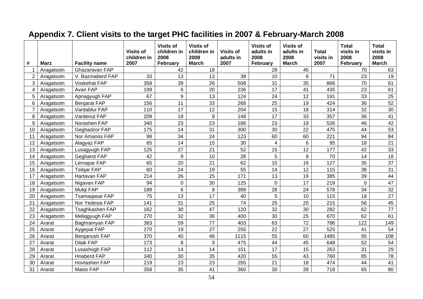| #  | Marz       | <b>Facility name</b> | <b>Visits of</b><br>children in<br>2007 | <b>Visits of</b><br>children in<br>2008<br><b>February</b> | <b>Visits of</b><br>children in<br>2008<br><b>March</b> | <b>Visits of</b><br>adults in<br>2007 | <b>Visits of</b><br>adults in<br>2008<br>February | <b>Visits of</b><br>adults in<br>2008<br><b>March</b> | <b>Total</b><br>visits in<br>2007 | <b>Total</b><br>visits in<br>2008<br>February | <b>Total</b><br>visits in<br>2008<br><b>March</b> |
|----|------------|----------------------|-----------------------------------------|------------------------------------------------------------|---------------------------------------------------------|---------------------------------------|---------------------------------------------------|-------------------------------------------------------|-----------------------------------|-----------------------------------------------|---------------------------------------------------|
|    | Aragatsotn | Ghazaravan FAP       |                                         | 42                                                         | 18                                                      |                                       | 28                                                | 45                                                    |                                   | 70                                            | 63                                                |
| 2  | Aragatsotn | V. Bazmaberd FAP     | 33                                      | 13                                                         | 13                                                      | 38                                    | 10                                                | 6                                                     | 71                                | 23                                            | 19                                                |
| 3  | Aragatsotn | Voskehat FAP         | 358                                     | 39                                                         | 26                                                      | 508                                   | 31                                                | 35                                                    | 866                               | 70                                            | 61                                                |
| 4  | Aragatsotn | Avan FAP             | 199                                     | $6\phantom{1}6$                                            | 20                                                      | 236                                   | 17                                                | 41                                                    | 435                               | 23                                            | 61                                                |
| 5  | Aragatsotn | Apnagyugh FAP        | 67                                      | 9                                                          | 13                                                      | 124                                   | 24                                                | 12                                                    | 191                               | 33                                            | 25                                                |
| 6  | Aragatsotn | <b>Bergarat FAP</b>  | 156                                     | 11                                                         | 33                                                      | 268                                   | 25                                                | 19                                                    | 424                               | 36                                            | 52                                                |
|    | Aragatsotn | Vardablur FAP        | 110                                     | 17                                                         | 12                                                      | 204                                   | 15                                                | 18                                                    | 314                               | 32                                            | 30                                                |
| 8  | Aragatsotn | Vardenut FAP         | 209                                     | 19                                                         | 8                                                       | 148                                   | 17                                                | 33                                                    | 357                               | 36                                            | 41                                                |
| 9  | Aragatsotn | Norashen FAP         | 340                                     | 23                                                         | 23                                                      | 186                                   | 23                                                | 19                                                    | 526                               | 46                                            | 42                                                |
| 10 | Aragatsotn | Geghadzor FAP        | 175                                     | 14                                                         | 31                                                      | 300                                   | 30                                                | 22                                                    | 475                               | 44                                            | 53                                                |
| 11 | Aragatsotn | Nor Amanos FAP       | 98                                      | 34                                                         | 24                                                      | 123                                   | 60                                                | 60                                                    | 221                               | 94                                            | 84                                                |
| 12 | Aragatsotn | Alagyaz FAP          | 65                                      | 14                                                         | 15                                                      | 30                                    | 4                                                 | 6                                                     | 95                                | 18                                            | 21                                                |
| 13 | Aragatsotn | Lusagyugh FAP        | 125                                     | 27                                                         | 21                                                      | 52                                    | 15                                                | 12                                                    | 177                               | 42                                            | 33                                                |
| 14 | Aragatsotn | <b>Gegharot FAP</b>  | 42                                      | 9                                                          | 10                                                      | 28                                    | 5                                                 | 8                                                     | 70                                | 14                                            | 18                                                |
| 15 | Aragatsotn | Lernapar FAP         | 65                                      | 20                                                         | 21                                                      | 62                                    | 15                                                | 16                                                    | 127                               | 35                                            | 37                                                |
| 16 | Aragatsotn | <b>Tsilgar FAP</b>   | 60                                      | 24                                                         | 19                                                      | 55                                    | 14                                                | 12                                                    | 115                               | 38                                            | 31                                                |
| 17 | Aragatsotn | Hartavan FAP         | 214                                     | 26                                                         | 25                                                      | 171                                   | 13                                                | 19                                                    | 385                               | 39                                            | 44                                                |
| 18 | Aragatsotn | Nigavan FAP          | 94                                      | $\mathbf 0$                                                | 30                                                      | 125                                   | $\mathbf 0$                                       | 17                                                    | 219                               | $\mathbf 0$                                   | 47                                                |
| 19 | Aragatsotn | Mulgi FAP            | 189                                     | 6                                                          | 8                                                       | 389                                   | 28                                                | 24                                                    | 578                               | 34                                            | 32                                                |
| 20 | Aragatsotn | Tsamaqasar FAP       | 75                                      | 13                                                         | 17                                                      | 40                                    | 5                                                 | 10                                                    | 115                               | 18                                            | 27                                                |
| 21 | Aragatsotn | Nor Yedesia FAP      | 141                                     | 31                                                         | 25                                                      | 74                                    | 25                                                | 20                                                    | 215                               | 56                                            | 45                                                |
| 22 | Aragatsotn | Tsaghkashen FAP      | 162                                     | 30                                                         | 47                                                      | 120                                   | 32                                                | 30                                                    | 282                               | 62                                            | 77                                                |
| 23 | Aragatsotn | Meliggyugh FAP       | 270                                     | 32                                                         | 36                                                      | 400                                   | 30                                                | 25                                                    | 670                               | 62                                            | 61                                                |
| 24 | Ararat     | Baghramyan FAP       | 383                                     | 59                                                         | 77                                                      | 403                                   | 63                                                | 72                                                    | 786                               | 122                                           | 149                                               |
| 25 | Ararat     | Aygepat FAP          | 270                                     | 19                                                         | 27                                                      | 255                                   | 22                                                | 27                                                    | 525                               | 41                                            | 54                                                |
| 26 | Ararat     | Berganush FAP        | 370                                     | 40                                                         | 48                                                      | 1115                                  | 55                                                | 60                                                    | 1485                              | 95                                            | 108                                               |
| 27 | Ararat     | Ditak FAP            | 173                                     | 8                                                          | 9                                                       | 475                                   | 44                                                | 45                                                    | 648                               | 52                                            | 54                                                |
| 28 | Ararat     | Lusashogh FAP        | 112                                     | 14                                                         | 14                                                      | 151                                   | 17                                                | 15                                                    | 263                               | 31                                            | 29                                                |
| 29 | Ararat     | <b>Hnaberd FAP</b>   | 340                                     | 30                                                         | 35                                                      | 420                                   | 55                                                | 43                                                    | 760                               | 85                                            | 78                                                |
| 30 | Ararat     | Hovtashen FAP        | 219                                     | 23                                                         | 23                                                      | 255                                   | 21                                                | 18                                                    | 474                               | 44                                            | 41                                                |
| 31 | Ararat     | Masis FAP            | 358                                     | 35                                                         | 41                                                      | 360                                   | 30                                                | 39                                                    | 718                               | 65                                            | 80                                                |

## **Appendix 7. Client visits to the target PHC facilities in 2007 & February-March 2008**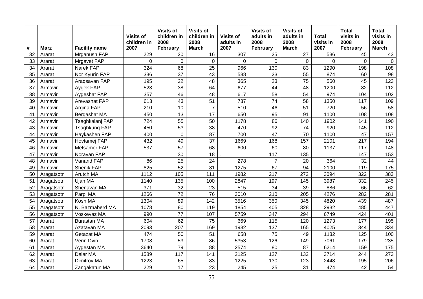| #  | <b>Marz</b> | <b>Facility name</b> | <b>Visits of</b><br>children in<br>2007 | <b>Visits of</b><br>children in<br>2008<br>February | <b>Visits of</b><br>children in<br>2008<br><b>March</b> | <b>Visits of</b><br>adults in<br>2007 | <b>Visits of</b><br>adults in<br>2008<br>February | <b>Visits of</b><br>adults in<br>2008<br><b>March</b> | <b>Total</b><br>visits in<br>2007 | <b>Total</b><br>visits in<br>2008<br>February | <b>Total</b><br>visits in<br>2008<br><b>March</b> |
|----|-------------|----------------------|-----------------------------------------|-----------------------------------------------------|---------------------------------------------------------|---------------------------------------|---------------------------------------------------|-------------------------------------------------------|-----------------------------------|-----------------------------------------------|---------------------------------------------------|
| 32 | Ararat      | Mrganush FAP         | 229                                     | 20                                                  | 16                                                      | 307                                   | 25                                                | 27                                                    | 536                               | 45                                            | 43                                                |
| 33 | Ararat      | <b>Mrgavet FAP</b>   | 0                                       | $\mathbf 0$                                         | 0                                                       | $\mathbf 0$                           | 0                                                 | $\mathbf 0$                                           | $\mathbf 0$                       | $\mathbf 0$                                   | $\mathbf 0$                                       |
| 34 | Ararat      | Narek FAP            | 324                                     | 68                                                  | 25                                                      | 966                                   | 130                                               | 83                                                    | 1290                              | 198                                           | 108                                               |
| 35 | Ararat      | Nor Kyurin FAP       | 336                                     | 37                                                  | 43                                                      | 538                                   | 23                                                | 55                                                    | 874                               | 60                                            | 98                                                |
| 36 | Ararat      | Araqsavan FAP        | 195                                     | 22                                                  | 48                                                      | 365                                   | 23                                                | 75                                                    | 560                               | 45                                            | 123                                               |
| 37 | Armavir     | Aygek FAP            | 523                                     | 38                                                  | 64                                                      | 677                                   | 44                                                | 48                                                    | 1200                              | 82                                            | 112                                               |
| 38 | Armavir     | Aygeshat FAP         | 357                                     | 46                                                  | 48                                                      | 617                                   | 58                                                | 54                                                    | 974                               | 104                                           | 102                                               |
| 39 | Armavir     | Arevashat FAP        | 613                                     | 43                                                  | 51                                                      | 737                                   | 74                                                | 58                                                    | 1350                              | 117                                           | 109                                               |
| 40 | Armavir     | Argina FAP           | 210                                     | 10                                                  | $\overline{7}$                                          | 510                                   | 46                                                | 51                                                    | 720                               | 56                                            | 58                                                |
| 41 | Armavir     | Bergashat MA         | 450                                     | 13                                                  | 17                                                      | 650                                   | 95                                                | 91                                                    | 1100                              | 108                                           | 108                                               |
| 42 | Armavir     | Tsaghkalanj FAP      | 724                                     | 55                                                  | 50                                                      | 1178                                  | 86                                                | 140                                                   | 1902                              | 141                                           | 190                                               |
| 43 | Armavir     | Tsaghkung FAP        | 450                                     | 53                                                  | 38                                                      | 470                                   | 92                                                | 74                                                    | 920                               | 145                                           | 112                                               |
| 44 | Armavir     | Haykashen FAP        | 400                                     | $\mathbf 0$                                         | 87                                                      | 700                                   | 47                                                | 70                                                    | 1100                              | 47                                            | 157                                               |
| 45 | Armavir     | Hovtamej FAP         | 432                                     | 49                                                  | 37                                                      | 1669                                  | 168                                               | 157                                                   | 2101                              | 217                                           | 194                                               |
| 46 | Armavir     | Metsamor FAP         | 537                                     | 57                                                  | 68                                                      | 600                                   | 60                                                | 80                                                    | 1137                              | 117                                           | 148                                               |
| 47 | Armavir     | Noravan FAP          |                                         | 30                                                  | 18                                                      |                                       | 117                                               | 135                                                   |                                   | 147                                           | 153                                               |
| 48 | Armavir     | Vanand FAP           | 86                                      | $\overline{25}$                                     | 24                                                      | 278                                   | $\overline{7}$                                    | 20                                                    | 364                               | 32                                            | 44                                                |
| 49 | Armavir     | Shenik FAP           | 825                                     | 52                                                  | 81                                                      | 1275                                  | 67                                                | 94                                                    | 2100                              | 119                                           | 175                                               |
| 50 | Aragatsotn  | Arutch MA            | 1112                                    | 105                                                 | 111                                                     | 1982                                  | 217                                               | 272                                                   | 3094                              | 322                                           | 383                                               |
| 51 | Aragatsotn  | Ujan MA              | 1140                                    | 135                                                 | 100                                                     | 2847                                  | 197                                               | 145                                                   | 3987                              | 332                                           | 245                                               |
| 52 | Aragatsotn  | Shenavan MA          | 371                                     | 32                                                  | 23                                                      | 515                                   | 34                                                | 39                                                    | 886                               | 66                                            | 62                                                |
| 53 | Aragatsotn  | Parpi MA             | 1266                                    | 72                                                  | 76                                                      | 3010                                  | 210                                               | 205                                                   | 4276                              | 282                                           | 281                                               |
| 54 | Aragatsotn  | Kosh MA              | 1304                                    | 89                                                  | 142                                                     | 3516                                  | 350                                               | 345                                                   | 4820                              | 439                                           | 487                                               |
| 55 | Aragatsotn  | N. Bazmaberd MA      | 1078                                    | 80                                                  | 119                                                     | 1854                                  | 405                                               | 328                                                   | 2932                              | 485                                           | 447                                               |
| 56 | Aragatsotn  | Voskevaz MA          | 990                                     | 77                                                  | 107                                                     | 5759                                  | 347                                               | 294                                                   | 6749                              | 424                                           | 401                                               |
| 57 | Ararat      | <b>Burastan MA</b>   | 604                                     | 62                                                  | 75                                                      | 669                                   | 115                                               | 120                                                   | 1273                              | 177                                           | 195                                               |
| 58 | Ararat      | Azatavan MA          | 2093                                    | 207                                                 | 169                                                     | 1932                                  | 137                                               | 165                                                   | 4025                              | 344                                           | 334                                               |
| 59 | Ararat      | Getazat MA           | 474                                     | 50                                                  | 51                                                      | 658                                   | 75                                                | 49                                                    | 1132                              | 125                                           | 100                                               |
| 60 | Ararat      | Verin Dvin           | 1708                                    | 53                                                  | 86                                                      | 5353                                  | 126                                               | 149                                                   | 7061                              | 179                                           | 235                                               |
| 61 | Ararat      | Aygestan MA          | 3640                                    | 79                                                  | 88                                                      | 2574                                  | 80                                                | 87                                                    | 6214                              | 159                                           | 175                                               |
| 62 | Ararat      | Dalar MA             | 1589                                    | 117                                                 | 141                                                     | 2125                                  | 127                                               | 132                                                   | 3714                              | 244                                           | 273                                               |
| 63 | Ararat      | Dimitrov MA          | 1223                                    | 65                                                  | 83                                                      | 1225                                  | 130                                               | 123                                                   | 2448                              | 195                                           | 206                                               |
| 64 | Ararat      | Zangakatun MA        | 229                                     | 17                                                  | 23                                                      | 245                                   | 25                                                | 31                                                    | 474                               | 42                                            | 54                                                |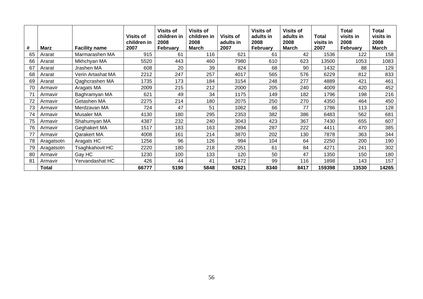| #  | <b>Marz</b>  | <b>Facility name</b> | <b>Visits of</b><br>children in<br>2007 | <b>Visits of</b><br>children in<br>2008<br>February | <b>Visits of</b><br>children in<br>2008<br><b>March</b> | <b>Visits of</b><br>adults in<br>2007 | <b>Visits of</b><br>adults in<br>2008<br>February | <b>Visits of</b><br>adults in<br>2008<br><b>March</b> | <b>Total</b><br>visits in<br>2007 | <b>Total</b><br>visits in<br>2008<br>February | <b>Total</b><br>visits in<br>2008<br>March |
|----|--------------|----------------------|-----------------------------------------|-----------------------------------------------------|---------------------------------------------------------|---------------------------------------|---------------------------------------------------|-------------------------------------------------------|-----------------------------------|-----------------------------------------------|--------------------------------------------|
| 65 | Ararat       | Marmarashen MA       | 915                                     | 61                                                  | 116                                                     | 621                                   | 61                                                | 42                                                    | 1536                              | 122                                           | 158                                        |
| 66 | Ararat       | Mkhchyan MA          | 5520                                    | 443                                                 | 460                                                     | 7980                                  | 610                                               | 623                                                   | 13500                             | 1053                                          | 1083                                       |
| 67 | Ararat       | Jrashen MA           | 608                                     | 20                                                  | 39                                                      | 824                                   | 68                                                | 90                                                    | 1432                              | 88                                            | 129                                        |
| 68 | Ararat       | Verin Artashat MA    | 2212                                    | 247                                                 | 257                                                     | 4017                                  | 565                                               | 576                                                   | 6229                              | 812                                           | 833                                        |
| 69 | Ararat       | Qaghcrashen MA       | 1735                                    | 173                                                 | 184                                                     | 3154                                  | 248                                               | 277                                                   | 4889                              | 421                                           | 461                                        |
| 70 | Armavir      | Aragats MA           | 2009                                    | 215                                                 | 212                                                     | 2000                                  | 205                                               | 240                                                   | 4009                              | 420                                           | 452                                        |
| 71 | Armavir      | Baghramyan MA        | 621                                     | 49                                                  | 34                                                      | 1175                                  | 149                                               | 182                                                   | 1796                              | 198                                           | 216                                        |
| 72 | Armavir      | Getashen MA          | 2275                                    | 214                                                 | 180                                                     | 2075                                  | 250                                               | 270                                                   | 4350                              | 464                                           | 450                                        |
| 73 | Armavir      | Merdzavan MA         | 724                                     | 47                                                  | 51                                                      | 1062                                  | 66                                                | 77                                                    | 1786                              | 113                                           | 128                                        |
| 74 | Armavir      | Musaler MA           | 4130                                    | 180                                                 | 295                                                     | 2353                                  | 382                                               | 386                                                   | 6483                              | 562                                           | 681                                        |
| 75 | Armavir      | Shahumyan MA         | 4387                                    | 232                                                 | 240                                                     | 3043                                  | 423                                               | 367                                                   | 7430                              | 655                                           | 607                                        |
| 76 | Armavir      | Geghakert MA         | 1517                                    | 183                                                 | 163                                                     | 2894                                  | 287                                               | 222                                                   | 4411                              | 470                                           | 385                                        |
| 77 | Armavir      | Qarakert MA          | 4008                                    | 161                                                 | 214                                                     | 3870                                  | 202                                               | 130                                                   | 7878                              | 363                                           | 344                                        |
| 78 | Aragatsotn   | Aragats HC           | 1256                                    | 96                                                  | 126                                                     | 994                                   | 104                                               | 64                                                    | 2250                              | 200                                           | 190                                        |
| 79 | Aragatsotn   | Tsaghkahovit HC      | 2220                                    | 180                                                 | 218                                                     | 2051                                  | 61                                                | 84                                                    | 4271                              | 241                                           | 302                                        |
| 80 | Armavir      | Gay HC               | 1230                                    | 100                                                 | 133                                                     | 120                                   | 50                                                | 47                                                    | 1350                              | 150                                           | 180                                        |
| 81 | Armavir      | Yervandashat HC      | 426                                     | 44                                                  | 41                                                      | 1472                                  | 99                                                | 116                                                   | 1898                              | 143                                           | 157                                        |
|    | <b>Total</b> |                      | 66777                                   | 5190                                                | 5848                                                    | 92621                                 | 8340                                              | 8417                                                  | 159398                            | 13530                                         | 14265                                      |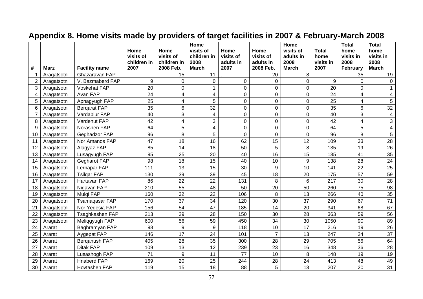|    |             |                        | Home                | Home                     | Home<br>visits of   | Home              | Home                   | Home<br>visits of | <b>Total</b>      | <b>Total</b><br>home | <b>Total</b><br>home    |
|----|-------------|------------------------|---------------------|--------------------------|---------------------|-------------------|------------------------|-------------------|-------------------|----------------------|-------------------------|
|    |             |                        | visits of           | visits of                | children in<br>2008 | visits of         | visits of              | adults in<br>2008 | home              | visits in<br>2008    | visits in<br>2008       |
| #  | <b>Marz</b> | <b>Facility name</b>   | children in<br>2007 | children in<br>2008 Feb. | <b>March</b>        | adults in<br>2007 | adults in<br>2008 Feb. | <b>March</b>      | visits in<br>2007 | February             | <b>March</b>            |
|    | Aragatsotn  | Ghazaravan FAP         |                     | 15                       | 11                  |                   | 20                     | 8                 |                   | 35                   | 19                      |
| 2  | Aragatsotn  | V. Bazmaberd FAP       | 9                   | 0                        | 0                   | $\mathbf 0$       | $\mathbf 0$            | 0                 | 9                 | $\overline{0}$       | 0                       |
| 3  | Aragatsotn  | Voskehat FAP           | 20                  | 0                        | $\mathbf{1}$        | $\mathbf 0$       | $\mathbf 0$            | 0                 | 20                | 0                    | $\mathbf{1}$            |
| 4  | Aragatsotn  | Avan FAP               | 24                  | 4                        | 4                   | $\mathsf 0$       | $\pmb{0}$              | 0                 | 24                | 4                    | $\overline{\mathbf{4}}$ |
| 5  | Aragatsotn  | Apnagyugh FAP          | 25                  | 4                        | 5                   | $\mathbf 0$       | $\pmb{0}$              | 0                 | 25                | 4                    | 5                       |
| 6  | Aragatsotn  | <b>Bergarat FAP</b>    | 35                  | 6                        | 32                  | $\pmb{0}$         | $\pmb{0}$              | 0                 | 35                | 6                    | 32                      |
|    | Aragatsotn  | Vardablur FAP          | 40                  | 3                        | 4                   | $\mathbf 0$       | $\mathbf 0$            | $\overline{0}$    | 40                | 3                    | $\overline{\mathbf{4}}$ |
| 8  | Aragatsotn  | Vardenut FAP           | 42                  | $\overline{4}$           | 3                   | $\mathbf 0$       | $\mathbf 0$            | 0                 | 42                | $\overline{4}$       | 3                       |
| 9  | Aragatsotn  | Norashen FAP           | 64                  | 5                        | 4                   | $\pmb{0}$         | $\pmb{0}$              | $\overline{0}$    | 64                | 5                    | $\overline{\mathbf{4}}$ |
| 10 | Aragatsotn  | Geghadzor FAP          | 96                  | 8                        | 5                   | $\mathbf 0$       | $\pmb{0}$              | $\overline{0}$    | 96                | 8                    | 5                       |
| 11 | Aragatsotn  | Nor Amanos FAP         | 47                  | 18                       | 16                  | 62                | 15                     | 12                | 109               | 33                   | 28                      |
| 12 | Aragatsotn  | Alagyaz FAP            | 85                  | 14                       | 18                  | 50                | 5                      | 8                 | 135               | 19                   | 26                      |
| 13 | Aragatsotn  | Lusagyugh FAP          | 95                  | 25                       | 20                  | 40                | 16                     | 15                | 135               | 41                   | 35                      |
| 14 | Aragatsotn  | Gegharot FAP           | 98                  | 18                       | 15                  | 40                | 10                     | 9                 | 138               | 28                   | 24                      |
| 15 | Aragatsotn  | Lernapar FAP           | 111                 | 13                       | 15                  | 30                | $\boldsymbol{9}$       | 10                | 141               | 22                   | 25                      |
| 16 | Aragatsotn  | <b>Tsilgar FAP</b>     | 130                 | 39                       | 39                  | 45                | 18                     | 20                | 175               | 57                   | 59                      |
| 17 | Aragatsotn  | Hartavan FAP           | 86                  | 22                       | 22                  | 131               | 8                      | 6                 | 217               | 30                   | 28                      |
| 18 | Aragatsotn  | Nigavan FAP            | 210                 | 55                       | 48                  | 50                | 20                     | 50                | 260               | 75                   | 98                      |
| 19 | Aragatsotn  | Mulqi FAP              | 160                 | 32                       | 22                  | 106               | 8                      | 13                | 266               | 40                   | 35                      |
| 20 | Aragatsotn  | <b>Tsamagasar FAP</b>  | 170                 | 37                       | 34                  | 120               | 30                     | 37                | 290               | 67                   | 71                      |
| 21 | Aragatsotn  | Nor Yedesia FAP        | 156                 | 54                       | 47                  | 185               | 14                     | 20                | 341               | 68                   | 67                      |
| 22 | Aragatsotn  | <b>Tsaghkashen FAP</b> | 213                 | 29                       | 28                  | 150               | 30                     | 28                | 363               | 59                   | 56                      |
| 23 | Aragatsotn  | Meliggyugh FAP         | 600                 | 56                       | 59                  | 450               | 34                     | 30                | 1050              | 90                   | 89                      |
| 24 | Ararat      | Baghramyan FAP         | 98                  | 9                        | 9                   | 118               | 10                     | 17                | 216               | 19                   | 26                      |
| 25 | Ararat      | Aygepat FAP            | 146                 | 17                       | 24                  | 101               | $\overline{7}$         | 13                | 247               | 24                   | 37                      |
| 26 | Ararat      | Berganush FAP          | 405                 | 28                       | 35                  | 300               | 28                     | 29                | 705               | 56                   | 64                      |
| 27 | Ararat      | <b>Ditak FAP</b>       | 109                 | 13                       | 12                  | 239               | 23                     | 16                | 348               | 36                   | 28                      |
| 28 | Ararat      | Lusashogh FAP          | 71                  | $\boldsymbol{9}$         | 11                  | $\overline{77}$   | 10                     | 8                 | 148               | 19                   | 19                      |
| 29 | Ararat      | <b>Hnaberd FAP</b>     | 169                 | 20                       | 25                  | 244               | 28                     | 24                | 413               | 48                   | 49                      |
| 30 | Ararat      | Hovtashen FAP          | 119                 | 15                       | 18                  | 88                | 5                      | 13                | 207               | 20                   | 31                      |

## **Appendix 8. Home visits made by providers of target facilities in 2007 & February-March 2008**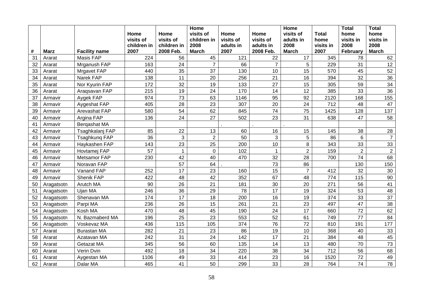|    |             |                      |             |              | <b>Home</b>    |           |                | Home           |              | <b>Total</b>   | <b>Total</b>   |
|----|-------------|----------------------|-------------|--------------|----------------|-----------|----------------|----------------|--------------|----------------|----------------|
|    |             |                      | Home        | Home         | visits of      | Home      | Home           | visits of      | <b>Total</b> | home           | home           |
|    |             |                      | visits of   | visits of    | children in    | visits of | visits of      | adults in      | home         | visits in      | visits in      |
|    |             |                      | children in | children in  | 2008           | adults in | adults in      | 2008           | visits in    | 2008           | 2008           |
| #  | <b>Marz</b> | <b>Facility name</b> | 2007        | 2008 Feb.    | <b>March</b>   | 2007      | 2008 Feb.      | <b>March</b>   | 2007         | February       | <b>March</b>   |
| 31 | Ararat      | Masis FAP            | 224         | 56           | 45             | 121       | 22             | 17             | 345          | 78             | 62             |
| 32 | Ararat      | Mrganush FAP         | 163         | 24           | $\overline{7}$ | 66        | $\overline{7}$ | 5              | 229          | 31             | 12             |
| 33 | Ararat      | <b>Mrgavet FAP</b>   | 440         | 35           | 37             | 130       | 10             | 15             | 570          | 45             | 52             |
| 34 | Ararat      | Narek FAP            | 138         | 11           | 20             | 256       | 21             | 16             | 394          | 32             | 36             |
| 35 | Ararat      | Nor Kyurin FAP       | 172         | 32           | 19             | 133       | 27             | 15             | 305          | 59             | 34             |
| 36 | Ararat      | Aragsavan FAP        | 215         | 19           | 24             | 170       | 14             | 12             | 385          | 33             | 36             |
| 37 | Armavir     | Aygek FAP            | 974         | 73           | 63             | 1146      | 95             | 92             | 2120         | 168            | 155            |
| 38 | Armavir     | Aygeshat FAP         | 405         | 28           | 23             | 307       | 20             | 24             | 712          | 48             | 47             |
| 39 | Armavir     | Arevashat FAP        | 580         | 54           | 62             | 845       | 74             | 75             | 1425         | 128            | 137            |
| 40 | Armavir     | Argina FAP           | 136         | 24           | 27             | 502       | 23             | 31             | 638          | 47             | 58             |
| 41 | Armavir     | Bergashat MA         |             |              |                |           |                |                |              |                |                |
| 42 | Armavir     | Tsaghkalanj FAP      | 85          | 22           | 13             | 60        | 16             | 15             | 145          | 38             | 28             |
| 43 | Armavir     | Tsaghkung FAP        | 36          | 3            | $\overline{2}$ | 50        | 3              | 5              | 86           | 6              | $\overline{7}$ |
| 44 | Armavir     | Haykashen FAP        | 143         | 23           | 25             | 200       | 10             | 8              | 343          | 33             | 33             |
| 45 | Armavir     | Hovtamej FAP         | 57          | $\mathbf{1}$ | 0              | 102       | $\mathbf{1}$   | $\overline{2}$ | 159          | $\overline{2}$ | $\overline{2}$ |
| 46 | Armavir     | Metsamor FAP         | 230         | 42           | 40             | 470       | 32             | 28             | 700          | 74             | 68             |
| 47 | Armavir     | Noravan FAP          |             | 57           | 64             |           | 73             | 86             |              | 130            | 150            |
| 48 | Armavir     | Vanand FAP           | 252         | 17           | 23             | 160       | 15             | $\overline{7}$ | 412          | 32             | 30             |
| 49 | Armavir     | Shenik FAP           | 422         | 48           | 42             | 352       | 67             | 48             | 774          | 115            | 90             |
| 50 | Aragatsotn  | Arutch MA            | 90          | 26           | 21             | 181       | 30             | 20             | 271          | 56             | 41             |
| 51 | Aragatsotn  | Ujan MA              | 246         | 36           | 29             | 78        | 17             | 19             | 324          | 53             | 48             |
| 52 | Aragatsotn  | Shenavan MA          | 174         | 17           | 18             | 200       | 16             | 19             | 374          | 33             | 37             |
| 53 | Aragatsotn  | Parpi MA             | 236         | 26           | 15             | 261       | 21             | 23             | 497          | 47             | 38             |
| 54 | Aragatsotn  | Kosh MA              | 470         | 48           | 45             | 190       | 24             | 17             | 660          | 72             | 62             |
| 55 | Aragatsotn  | N. Bazmaberd MA      | 196         | 25           | 23             | 553       | 52             | 61             | 749          | 77             | 84             |
| 56 | Aragatsotn  | Voskevaz MA          | 436         | 115          | 105            | 374       | 76             | 72             | 810          | 191            | 177            |
| 57 | Ararat      | <b>Burastan MA</b>   | 282         | 21           | 23             | 86        | 19             | 10             | 368          | 40             | 33             |
| 58 | Ararat      | Azatavan MA          | 242         | 31           | 24             | 142       | 17             | 21             | 384          | 48             | 45             |
| 59 | Ararat      | Getazat MA           | 345         | 56           | 60             | 135       | 14             | 13             | 480          | 70             | 73             |
| 60 | Ararat      | Verin Dvin           | 492         | 18           | 34             | 220       | 38             | 34             | 712          | 56             | 68             |
| 61 | Ararat      | Aygestan MA          | 1106        | 49           | 33             | 414       | 23             | 16             | 1520         | 72             | 49             |
| 62 | Ararat      | Dalar MA             | 465         | 41           | 50             | 299       | 33             | 28             | 764          | 74             | 78             |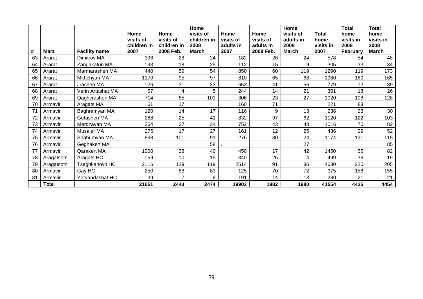|    |              |                      | Home<br>visits of<br>children in | Home<br>visits of<br>children in | Home<br>visits of<br>children in<br>2008 | Home<br>visits of<br>adults in | Home<br>visits of<br>adults in | Home<br>visits of<br>adults in<br>2008 | Total<br>home<br>visits in | <b>Total</b><br>home<br>visits in<br>2008 | Total<br>home<br>visits in<br>2008 |
|----|--------------|----------------------|----------------------------------|----------------------------------|------------------------------------------|--------------------------------|--------------------------------|----------------------------------------|----------------------------|-------------------------------------------|------------------------------------|
| #  | <b>Marz</b>  | <b>Facility name</b> | 2007                             | 2008 Feb.                        | <b>March</b>                             | 2007                           | 2008 Feb.                      | <b>March</b>                           | 2007                       | February                                  | <b>March</b>                       |
| 63 | Ararat       | Dimitrov MA          | 396                              | 28                               | 24                                       | 182                            | 26                             | 24                                     | 578                        | 54                                        | 48                                 |
| 64 | Ararat       | Zangakatun MA        | 193                              | 18                               | 25                                       | 112                            | 15                             | 9                                      | 305                        | 33                                        | 34                                 |
| 65 | Ararat       | Marmarashen MA       | 440                              | 59                               | 54                                       | 850                            | 60                             | 119                                    | 1290                       | 119                                       | 173                                |
| 66 | Ararat       | Mkhchyan MA          | 1170                             | 95                               | 97                                       | 810                            | 65                             | 68                                     | 1980                       | 160                                       | 165                                |
| 67 | Ararat       | Jrashen MA           | 126                              | 31                               | 33                                       | 653                            | 41                             | 56                                     | 779                        | 72                                        | 89                                 |
| 68 | Ararat       | Verin Artashat MA    | 57                               | 4                                | 5                                        | 244                            | 14                             | 21                                     | 301                        | 18                                        | 26                                 |
| 69 | Ararat       | Qaghcrashen MA       | 714                              | 85                               | 101                                      | 306                            | 23                             | 27                                     | 1020                       | 108                                       | 128                                |
| 70 | Armavir      | Aragats MA           | 61                               | 17                               |                                          | 160                            | 71                             |                                        | 221                        | 88                                        |                                    |
| 71 | Armavir      | Baghramyan MA        | 120                              | 14                               | 17                                       | 116                            | 9                              | 13                                     | 236                        | 23                                        | 30                                 |
| 72 | Armavir      | Getashen MA          | 288                              | 25                               | 41                                       | 832                            | 97                             | 62                                     | 1120                       | 122                                       | 103                                |
| 73 | Armavir      | Merdzavan MA         | 264                              | 27                               | 34                                       | 752                            | 43                             | 48                                     | 1016                       | 70                                        | 82                                 |
| 74 | Armavir      | Musaler MA           | 275                              | 17                               | 27                                       | 161                            | 12                             | 25                                     | 436                        | 29                                        | 52                                 |
| 75 | Armavir      | Shahumyan MA         | 898                              | 101                              | 91                                       | 276                            | 30                             | 24                                     | 1174                       | 131                                       | 115                                |
| 76 | Armavir      | Geghakert MA         |                                  |                                  | 58                                       |                                |                                | 27                                     |                            |                                           | 85                                 |
| 77 | Armavir      | Qarakert MA          | 1000                             | 38                               | 40                                       | 450                            | 17                             | 42                                     | 1450                       | 55                                        | 82                                 |
| 78 | Aragatsotn   | Aragats HC           | 159                              | 10                               | 15                                       | 340                            | 26                             |                                        | 499                        | 36                                        | 19                                 |
| 79 | Aragatsotn   | Tsaghkahovit HC      | 2116                             | 129                              | 119                                      | 2514                           | 91                             | 86                                     | 4630                       | 220                                       | 205                                |
| 80 | Armavir      | Gay HC               | 250                              | 88                               | 83                                       | 125                            | 70                             | 72                                     | 375                        | 158                                       | 155                                |
| 81 | Armavir      | Yervandashat HC      | 39                               | $\overline{ }$                   | 8                                        | 191                            | 14                             | 13                                     | 230                        | 21                                        | 21                                 |
|    | <b>Total</b> |                      | 21651                            | 2443                             | 2474                                     | 19903                          | 1982                           | 1980                                   | 41554                      | 4425                                      | 4454                               |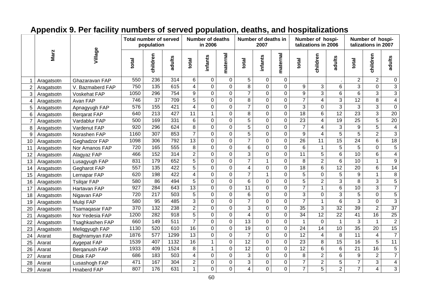## **Appendix 9. Per facility numbers of served population, deaths, and hospitalizations**

|                 |             |                     | <b>Total number of served</b> | population       |                  |                 | <b>Number of deaths</b><br>in 2006 |                |                 | Number of deaths in<br>2007 |                |                 | Number of hospi-<br>talizations in 2006 |                 |                     | Number of hospi-<br>talizations in 2007 |                         |
|-----------------|-------------|---------------------|-------------------------------|------------------|------------------|-----------------|------------------------------------|----------------|-----------------|-----------------------------|----------------|-----------------|-----------------------------------------|-----------------|---------------------|-----------------------------------------|-------------------------|
|                 | <b>Marz</b> | Village             | total                         | children         | adults           | total           | infants                            | maternal       | total           | infants                     | maternal       | total           | children                                | adults          | total               | children                                | adults                  |
|                 | Aragatsotn  | Ghazaravan FAP      | 550                           | 236              | 314              | 6               | 0                                  | $\mathbf 0$    | 5               | $\mathbf 0$                 | $\mathbf 0$    |                 |                                         |                 | $\overline{2}$      | $\overline{2}$                          | $\mathbf 0$             |
| $\overline{2}$  | Aragatsotn  | V. Bazmaberd FAP    | 750                           | 135              | 615              | $\overline{4}$  | $\mathbf 0$                        | $\mathbf 0$    | $\overline{8}$  | $\mathbf 0$                 | $\mathbf 0$    | 9               | 3                                       | 6               | $\overline{3}$      | $\overline{0}$                          | $\overline{3}$          |
| 3               | Aragatsotn  | Voskehat FAP        | 1050                          | 296              | 754              | 9               | $\mathbf 0$                        | $\mathbf 0$    | $\overline{7}$  | $\pmb{0}$                   | $\mathbf 0$    | $\overline{9}$  | $\overline{3}$                          | 6               | $6\phantom{1}$      | $\overline{3}$                          | $\overline{3}$          |
| 4               | Aragatsotn  | Avan FAP            | 746                           | $\overline{37}$  | 709              | $\overline{5}$  | 0                                  | $\overline{0}$ | $\overline{8}$  | $\mathbf 0$                 | $\overline{0}$ | $\overline{7}$  | 4                                       | $\overline{3}$  | 12                  | $\overline{8}$                          | $\overline{4}$          |
| 5               | Aragatsotn  | Apnagyugh FAP       | 576                           | 155              | 421              | $\overline{4}$  | $\overline{0}$                     | $\overline{0}$ | $\overline{7}$  | $\overline{0}$              | $\overline{0}$ | $\overline{3}$  | 0                                       | $\overline{3}$  | 3                   | $\overline{3}$                          | $\overline{0}$          |
| 6               | Aragatsotn  | <b>Bergarat FAP</b> | 640                           | $\overline{213}$ | 427              | $\overline{11}$ | $\mathbf{1}$                       | $\mathbf 0$    | $\overline{8}$  | $\overline{0}$              | $\mathbf 0$    | 18              | 6                                       | 12              | $\overline{23}$     | $\overline{3}$                          | $\overline{20}$         |
| $\overline{7}$  | Aragatsotn  | Vardablur FAP       | 500                           | 169              | 331              | 6               | 0                                  | $\overline{0}$ | $\overline{5}$  | $\mathbf 0$                 | $\mathbf 0$    | $\overline{23}$ | 4                                       | $\overline{19}$ | $\overline{25}$     | $\overline{5}$                          | 20                      |
| 8               | Aragatsotn  | Vardenut FAP        | $\overline{920}$              | 296              | 624              | $\overline{8}$  | 0                                  | $\mathbf 0$    | $\overline{5}$  | $\mathbf 0$                 | $\overline{0}$ | $\overline{7}$  | 4                                       | 3               | $\overline{9}$      | $\overline{5}$                          | $\overline{\mathbf{4}}$ |
| 9               | Aragatsotn  | Norashen FAP        | 1160                          | 307              | 853              | $\overline{7}$  | $\overline{0}$                     | $\mathbf 0$    | $\overline{5}$  | $\mathsf{O}$                | $\overline{0}$ | 9               | 4                                       | $\overline{5}$  | $\overline{5}$      | $\overline{2}$                          | $\overline{3}$          |
| 10 <sup>°</sup> | Aragatsotn  | Geghadzor FAP       | 1098                          | 306              | 792              | $\overline{13}$ | 0                                  | $\mathbf 0$    | $\overline{7}$  | $\mathbf 0$                 | $\mathbf 0$    | $\overline{26}$ | 11                                      | 15              | 24                  | 6                                       | 18                      |
| 11              | Aragatsotn  | Nor Amanos FAP      | 720                           | 165              | 555              | 8               | $\mathbf 0$                        | $\mathbf 0$    | $\overline{6}$  | $\mathbf 0$                 | $\mathbf 0$    | 6               | $\mathbf{1}$                            | 5               | 5                   | $\mathbf 0$                             | $\overline{5}$          |
| 12              | Aragatsotn  | Alagyaz FAP         | 466                           | 152              | 314              | $\overline{2}$  | 0                                  | 0              | $\overline{3}$  | $\mathbf 0$                 | $\overline{0}$ | $\overline{11}$ | 5                                       | $\overline{6}$  | 10                  | $\overline{6}$                          | $\overline{4}$          |
| 13              | Aragatsotn  | Lusagyugh FAP       | 831                           | 179              | 652              | $\overline{5}$  | $\overline{0}$                     | $\Omega$       | $\overline{7}$  | $\mathbf{1}$                | $\overline{0}$ | $\overline{8}$  | $\overline{2}$                          | $\overline{6}$  | 10                  | $\mathbf{1}$                            | $\overline{9}$          |
| 14              | Aragatsotn  | Gegharot FAP        | 557                           | 135              | 422              | $\overline{5}$  | 0                                  | $\Omega$       | 4               | $\overline{0}$              | $\mathbf 0$    | 18              | 6                                       | 12              | $\overline{20}$     | $\overline{6}$                          | 14                      |
| 15              | Aragatsotn  | Lernapar FAP        | 620                           | 198              | 422              | $\overline{4}$  | 0                                  | $\overline{0}$ | $\overline{7}$  | $\mathbf{1}$                | $\mathbf 0$    | $\overline{5}$  | 0                                       | $\overline{5}$  | $\overline{9}$      | $\overline{1}$                          | $\overline{8}$          |
| 16              | Aragatsotn  | <b>Tsilgar FAP</b>  | 580                           | $\overline{86}$  | 494              | $\overline{5}$  | 0                                  | $\mathbf 0$    | $\overline{6}$  | $\mathbf 0$                 | $\overline{0}$ | 5               | $\overline{2}$                          | $\overline{3}$  | 8                   | $\overline{3}$                          | $\overline{5}$          |
| 17              | Aragatsotn  | Hartavan FAP        | $\overline{927}$              | 284              | 643              | 13              | $\mathbf 0$                        | $\mathbf 0$    | $\overline{11}$ | $\mathbf 0$                 | $\overline{0}$ | $\overline{7}$  | $\overline{1}$                          | $\overline{6}$  | 10                  | $\overline{3}$                          | $\overline{7}$          |
| 18              | Aragatsotn  | Nigavan FAP         | 720                           | 217              | 503              | $\overline{5}$  | 0                                  | $\mathbf 0$    | 6               | $\mathbf 0$                 | $\mathbf 0$    | 3               | 0                                       | 3               | 5                   | $\overline{0}$                          | $\overline{5}$          |
| 19              | Aragatsotn  | Mulqi FAP           | 580                           | 95               | 485              | $\overline{3}$  | 0                                  | $\mathbf 0$    | $\overline{7}$  | $\overline{0}$              | $\mathbf 0$    | $\overline{7}$  | $\mathbf{1}$                            | 6               | 3                   | $\mathbf 0$                             | $\overline{3}$          |
| 20              | Aragatsotn  | Tsamaqasar FAP      | 370                           | 132              | 238              | $\overline{2}$  | $\mathbf 0$                        | $\mathbf 0$    | 3               | $\mathbf 0$                 | $\mathbf 0$    | 35              | 3                                       | 32              | 39                  | $\overline{2}$                          | $\overline{37}$         |
| 21              | Aragatsotn  | Nor Yedesia FAP     | 1200                          | 282              | 918              | $\overline{5}$  | $\mathbf 0$                        | $\mathbf 0$    | 4               | $\mathbf 0$                 | $\mathsf{O}$   | 34              | 12                                      | $\overline{22}$ | 41                  | 16                                      | $\overline{25}$         |
| 22              | Aragatsotn  | Tsaghkashen FAP     | 660                           | 149              | $\overline{511}$ | $\overline{7}$  | $\overline{0}$                     | $\mathbf 0$    | 13              | $\mathbf 0$                 | $\overline{0}$ | 1               | $\overline{0}$                          | $\mathbf{1}$    | $\overline{\omega}$ | $\mathbf{1}$                            | $\overline{2}$          |
| 23              | Aragatsotn  | Meliqgyugh FAP      | 1130                          | 520              | 610              | 16              | 0                                  | $\mathbf 0$    | 19              | $\overline{0}$              | $\mathbf 0$    | $\overline{24}$ | $\overline{14}$                         | 10              | 35                  | $\overline{20}$                         | 15                      |
| 24              | Ararat      | Baghramyan FAP      | 1876                          | $\overline{577}$ | 1299             | $\overline{13}$ | 0                                  | $\mathbf 0$    | $\overline{7}$  | $\mathbf 0$                 | $\overline{0}$ | 12              | $\overline{4}$                          | 8               | 11                  | $\overline{4}$                          | $\overline{7}$          |
| 25              | Ararat      | Aygepat FAP         | 1539                          | 407              | 1132             | 16              | $\mathbf 1$                        | $\mathbf 0$    | 12              | $\overline{0}$              | $\overline{0}$ | $\overline{23}$ | 8                                       | 15              | $\overline{16}$     | $\overline{5}$                          | 11                      |
| 26              | Ararat      | Berganush FAP       | 1933                          | 409              | 1524             | $\overline{8}$  | $\mathbf{1}$                       | $\mathbf 0$    | 12              | $\overline{0}$              | $\mathbf 0$    | 12              | 6                                       | 6               | $\overline{21}$     | 16                                      | $\overline{5}$          |
| 27              | Ararat      | <b>Ditak FAP</b>    | 686                           | 183              | 503              | 4               | 0                                  | $\mathbf 0$    | $\overline{3}$  | $\overline{0}$              | $\mathbf 0$    | 8               | $\overline{2}$                          | $6\phantom{1}$  | 9                   | $\overline{2}$                          | $\overline{7}$          |
| 28              | Ararat      | Lusashogh FAP       | 471                           | 167              | 304              | $\overline{2}$  | $\mathbf 0$                        | $\mathbf 0$    | 3               | $\mathbf 0$                 | $\mathbf 0$    | $\overline{7}$  | $\overline{2}$                          | 5               | $\overline{7}$      | 3                                       | $\overline{\mathbf{4}}$ |
| 29              | Ararat      | <b>Hnaberd FAP</b>  | 807                           | 176              | 631              | $\mathbf{1}$    | 0                                  | $\mathbf 0$    | 4               | $\mathbf 0$                 | 0              | $\overline{7}$  | 5                                       | $\overline{2}$  | $\overline{7}$      | 4                                       | $\overline{3}$          |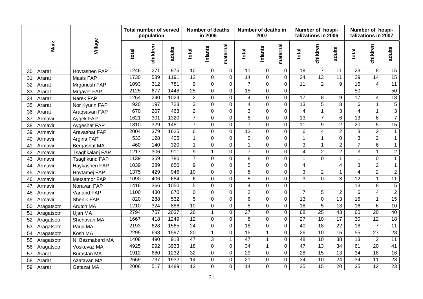|    |             |                    | <b>Total number of served</b> | population       |                  |                     | <b>Number of deaths</b><br>in 2006 |                |                 | Number of deaths in<br>2007 |                |                 | Number of hospi-<br>talizations in 2006 |                 |                 | Number of hospi-<br>talizations in 2007 |                 |
|----|-------------|--------------------|-------------------------------|------------------|------------------|---------------------|------------------------------------|----------------|-----------------|-----------------------------|----------------|-----------------|-----------------------------------------|-----------------|-----------------|-----------------------------------------|-----------------|
|    | <b>Marz</b> | Village            | total                         | children         | adults           | total               | infants                            | maternal       | total           | infants                     | maternal       | total           | children                                | adults          | total           | children                                | adults          |
| 30 | Ararat      | Hovtashen FAP      | 1246                          | $\overline{271}$ | 975              | 10                  | $\Omega$                           | $\mathbf 0$    | 11              | $\Omega$                    | $\overline{0}$ | 18              | $\overline{7}$                          | 11              | 23              | 8                                       | 15              |
| 31 | Ararat      | Masis FAP          | 1730                          | 539              | 1191             | $\overline{12}$     | $\overline{0}$                     | $\overline{0}$ | $\overline{14}$ | $\mathbf 0$                 | $\overline{0}$ | $\overline{24}$ | $\overline{13}$                         | $\overline{11}$ | 29              | $\overline{14}$                         | 15              |
| 32 | Ararat      | Mrganush FAP       | 1093                          | $\overline{312}$ | 781              | 9                   | $\overline{0}$                     | $\overline{0}$ | $\overline{7}$  | $\overline{0}$              | $\overline{0}$ | 11              | $\overline{2}$                          | 9               | 15              | $\overline{4}$                          | 11              |
| 33 | Ararat      | Mrgavet FAP        | 2125                          | 677              | 1448             | $\overline{25}$     | $\mathbf 0$                        | $\overline{0}$ | $\overline{15}$ | $\overline{0}$              | $\overline{0}$ |                 |                                         |                 | $\overline{50}$ |                                         | 50              |
| 34 | Ararat      | Narek FAP          | 1264                          | 240              | 1024             | $\overline{2}$      | $\mathsf{O}$                       | 0              | 4               | $\mathbf 0$                 | $\overline{0}$ | 17              | 8                                       | 9               | 17              | 4                                       | 13              |
| 35 | Ararat      | Nor Kyurin FAP     | 920                           | 197              | $\overline{723}$ | $\overline{\omega}$ | $\mathsf{O}$                       | 0              | 4               | $\mathbf 0$                 | $\overline{0}$ | 13              | $\overline{5}$                          | $\overline{8}$  | 6               | $\mathbf{1}$                            | $\overline{5}$  |
| 36 | Ararat      | Aragsavan FAP      | 670                           | 207              | 463              | $\overline{2}$      | $\overline{0}$                     | $\overline{0}$ | $\overline{3}$  | $\mathbf 0$                 | $\mathsf{O}$   | $\overline{4}$  | $\mathbf{1}$                            | $\overline{3}$  | $\overline{4}$  | $\mathbf{1}$                            | $\overline{3}$  |
| 37 | Armavir     | Aygek FAP          | 1621                          | 301              | 1320             | $\overline{7}$      | 0                                  | $\overline{0}$ | $\overline{8}$  | $\mathbf 0$                 | $\overline{0}$ | $\overline{13}$ | $\overline{7}$                          | $\overline{6}$  | $\overline{13}$ | $\overline{6}$                          | $\overline{7}$  |
| 38 | Armavir     | Aygeshat FAP       | 1810                          | 329              | 1481             | $\overline{7}$      | $\overline{0}$                     | 0              | $\overline{7}$  | $\mathbf 0$                 | $\mathsf{O}$   | 11              | 9                                       | $\overline{2}$  | 20              | $\overline{5}$                          | $\overline{15}$ |
| 39 | Armavir     | Arevashat FAP      | 2004                          | 379              | 1625             | 6                   | $\mathsf{O}$                       | $\overline{0}$ | $\overline{12}$ | $\mathbf 0$                 | $\mathbf 0$    | 6               | $\overline{\mathbf{4}}$                 | $\overline{2}$  | $\overline{3}$  | $\overline{2}$                          | $\mathbf{1}$    |
| 40 | Armavir     | Argina FAP         | 533                           | $\overline{128}$ | 405              | $\mathbf{1}$        | $\mathsf{O}$                       | $\mathbf 0$    | 0               | $\mathbf 0$                 | $\overline{0}$ | $\mathbf{1}$    | $\mathbf{1}$                            | $\mathbf 0$     | $\overline{3}$  | $\overline{2}$                          | $\mathbf{1}$    |
| 41 | Armavir     | Bergashat MA       | 460                           | 140              | 320              | $\mathbf{1}$        | $\overline{0}$                     | $\overline{0}$ | $\mathbf{1}$    | $\mathbf 0$                 | $\overline{0}$ | $\overline{3}$  | $\mathbf{1}$                            | $\overline{2}$  | $\overline{7}$  | $\overline{6}$                          | $\mathbf{1}$    |
| 42 | Armavir     | Tsaghkalanj FAP    | 1217                          | 306              | 911              | $\overline{9}$      | $\mathbf{1}$                       | $\overline{0}$ | $\overline{7}$  | $\mathbf 0$                 | $\overline{0}$ | $\overline{4}$  | $\overline{2}$                          | $\overline{2}$  | $\overline{3}$  | $\mathbf{1}$                            | $\overline{2}$  |
| 43 | Armavir     | Tsaghkung FAP      | 1139                          | 359              | 780              | $\overline{7}$      | $\overline{0}$                     | 0              | $\overline{8}$  | $\overline{0}$              | $\overline{0}$ | $\overline{1}$  | $\Omega$                                | $\mathbf{1}$    | $\mathbf{1}$    | 0                                       | $\overline{1}$  |
| 44 | Armavir     | Haykashen FAP      | 1039                          | 389              | 650              | $\overline{9}$      | $\overline{0}$                     | $\overline{0}$ | $\overline{5}$  | $\overline{0}$              | $\overline{0}$ | $\overline{4}$  |                                         | $\overline{4}$  | $\overline{3}$  | $\overline{2}$                          | $\overline{1}$  |
| 45 | Armavir     | Hovtamej FAP       | 1375                          | 429              | 946              | 10                  | $\overline{0}$                     | $\overline{0}$ | $\overline{8}$  | $\overline{0}$              | $\overline{0}$ | $\overline{3}$  | $\overline{2}$                          | $\mathbf{1}$    | $\overline{4}$  | $\overline{2}$                          | $\overline{2}$  |
| 46 | Armavir     | Metsamor FAP       | 1090                          | 406              | 684              | 6                   | $\overline{0}$                     | $\overline{0}$ | $\overline{5}$  | $\overline{0}$              | $\overline{0}$ | 3               | $\overline{0}$                          | $\overline{3}$  | $\overline{12}$ | $\mathbf{1}$                            | 11              |
| 47 | Armavir     | Noravan FAP        | 1416                          | 366              | 1050             | 5                   | $\overline{0}$                     | 0              | $\overline{4}$  | $\Omega$                    | $\mathbf 0$    |                 |                                         |                 | 13              | 8                                       | $\sqrt{5}$      |
| 48 | Armavir     | Vanand FAP         | 1100                          | 430              | 670              | $\mathbf 0$         | $\mathsf{O}$                       | $\mathbf 0$    | $\overline{2}$  | $\mathbf 0$                 | $\pmb{0}$      | $\overline{7}$  | 5                                       | $\overline{2}$  | $\,6$           | $\overline{\mathbf{4}}$                 | $\overline{2}$  |
| 49 | Armavir     | Shenik FAP         | 820                           | 288              | 532              | $\overline{5}$      | $\overline{0}$                     | 0              | $\overline{6}$  | $\overline{0}$              | $\mathbf 0$    | 13              | $\overline{0}$                          | 13              | $\overline{16}$ | $\mathbf{1}$                            | 15              |
| 50 | Aragatsotn  | Arutch MA          | 1210                          | 324              | 886              | 10                  | $\mathsf{O}$                       | 0              | $\overline{5}$  | $\mathbf 0$                 | $\mathbf 0$    | $\overline{18}$ | $\overline{5}$                          | $\overline{13}$ | $\overline{16}$ | $\overline{6}$                          | 10              |
| 51 | Aragatsotn  | Ujan MA            | 2794                          | 757              | 2037             | $\overline{26}$     | $\mathbf{1}$                       | 0              | $\overline{27}$ | $\mathbf 0$                 | $\overline{0}$ | 68              | $\overline{25}$                         | $\overline{43}$ | 60              | $\overline{20}$                         | 40              |
| 52 | Aragatsotn  | Shenavan MA        | 1667                          | 418              | 1249             | 12                  | $\mathbf 0$                        | 0              | $\, 8$          | $\mathbf 0$                 | $\overline{0}$ | $\overline{27}$ | 10                                      | $\overline{17}$ | 30              | 12                                      | 18              |
| 53 | Aragatsotn  | Parpi MA           | 2193                          | 628              | 1565             | $\overline{24}$     | $\mathsf{O}$                       | $\overline{0}$ | 18              | $\mathbf 0$                 | $\overline{0}$ | 40              | 18                                      | $\overline{22}$ | $\overline{18}$ | $\overline{7}$                          | $\overline{11}$ |
| 54 | Aragatsotn  | Kosh MA            | 2295                          | 698              | 1597             | $\overline{20}$     | $\mathbf{1}$                       | $\overline{0}$ | 15              | $\mathbf{1}$                | $\overline{0}$ | 26              | $\overline{10}$                         | 16              | 55              | $\overline{27}$                         | 28              |
| 55 | Aragatsotn  | N. Bazmaberd MA    | 1408                          | 490              | 918              | 47                  | 3                                  | $\mathbf{1}$   | $\overline{47}$ | $\mathbf{1}$                | $\overline{0}$ | $\overline{48}$ | 10                                      | $\overline{38}$ | $\overline{13}$ | $\overline{2}$                          | 11              |
| 56 | Aragatsotn  | Voskevaz MA        | 4925                          | 992              | 3933             | 18                  | $\overline{0}$                     | $\overline{0}$ | 34              | $\mathbf{1}$                | $\overline{0}$ | 47              | $\overline{13}$                         | $\overline{34}$ | 61              | $\overline{20}$                         | 41              |
| 57 | Ararat      | <b>Burastan MA</b> | 1912                          | 680              | 1232             | $\overline{32}$     | $\overline{0}$                     | $\overline{0}$ | $\overline{29}$ | $\mathbf 0$                 | $\mathbf 0$    | $\overline{28}$ | 15                                      | $\overline{13}$ | $\overline{34}$ | $\overline{18}$                         | 16              |
| 58 | Ararat      | Azatavan MA        | 2669                          | 737              | 1932             | 14                  | 0                                  | $\mathbf 0$    | $\overline{21}$ | $\mathbf 0$                 | $\overline{0}$ | 34              | $\overline{10}$                         | 24              | 34              | 11                                      | 23              |
| 59 | Ararat      | Getazat MA         | 2006                          | 517              | 1489             | 12                  | $\overline{0}$                     | $\overline{0}$ | $\overline{14}$ | $\overline{0}$              | $\overline{0}$ | 35              | 15                                      | $\overline{20}$ | $\overline{35}$ | $\overline{12}$                         | 23              |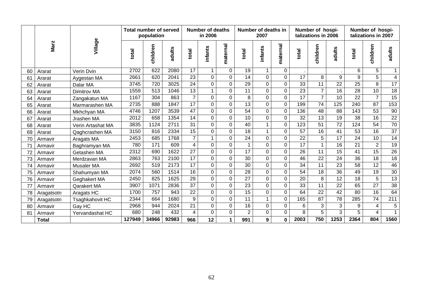|    |              |                   | <b>Total number of served</b> | population |        |                 | Number of deaths<br>in 2006 |                |                 | Number of deaths in<br>2007 |                |                 | Number of hospi-<br>talizations in 2006 |                 |                  | Number of hospi-<br>talizations in 2007 |                 |
|----|--------------|-------------------|-------------------------------|------------|--------|-----------------|-----------------------------|----------------|-----------------|-----------------------------|----------------|-----------------|-----------------------------------------|-----------------|------------------|-----------------------------------------|-----------------|
|    | <b>Marz</b>  | Village           | total                         | children   | adults | total           | infants                     | maternal       | total           | infants                     | maternal       | total           | children                                | adults          | total            | children                                | adults          |
| 60 | Ararat       | Verin Dvin        | 2702                          | 622        | 2080   | 17              |                             | 0              | 19              | 1                           | $\mathbf 0$    |                 |                                         |                 | 6                | 5                                       |                 |
| 61 | Ararat       | Aygestan MA       | 2661                          | 620        | 2041   | 23              | $\mathsf{O}$                | $\mathbf 0$    | 14              | $\mathbf 0$                 | $\mathbf 0$    | 17              | 8                                       | 9               | $\boldsymbol{9}$ | $\overline{5}$                          | $\overline{4}$  |
| 62 | Ararat       | Dalar MA          | 3745                          | 720        | 3025   | 24              | $\overline{0}$              | 0              | 29              | $\Omega$                    | $\mathbf 0$    | $\overline{33}$ | $\overline{11}$                         | 22              | $\overline{25}$  | $\overline{8}$                          | 17              |
| 63 | Ararat       | Dimitrov MA       | 1559                          | 513        | 1046   | $\overline{13}$ |                             | $\overline{0}$ | $\overline{11}$ | $\overline{0}$              | $\overline{0}$ | $\overline{23}$ | $\overline{7}$                          | $\overline{16}$ | $\overline{28}$  | 10                                      | 18              |
| 64 | Ararat       | Zangakatun MA     | 1167                          | 304        | 863    | $\overline{7}$  | $\overline{0}$              | 0              | 8               | $\Omega$                    | $\overline{0}$ | $\overline{17}$ | $\overline{7}$                          | 10              | 22               | $\overline{7}$                          | 15              |
| 65 | Ararat       | Marmarashen MA    | 2735                          | 888        | 1847   | $\overline{17}$ | 0                           | 0              | $\overline{13}$ | $\Omega$                    | $\overline{0}$ | 199             | 74                                      | 125             | 240              | $\overline{87}$                         | 153             |
| 66 | Ararat       | Mkhchyan MA       | 4746                          | 1207       | 3539   | 47              | $\mathbf 0$                 | $\Omega$       | 54              | $\Omega$                    | $\overline{0}$ | 136             | $\overline{48}$                         | 88              | 143              | $\overline{53}$                         | 90              |
| 67 | Ararat       | Jrashen MA        | 2012                          | 658        | 1354   | $\overline{14}$ | 0                           | $\overline{0}$ | $\overline{10}$ | $\overline{0}$              | $\mathsf{O}$   | $\overline{32}$ | 13                                      | $\overline{19}$ | $\overline{38}$  | $\overline{16}$                         | $\overline{22}$ |
| 68 | Ararat       | Verin Artashat MA | 3835                          | 1124       | 2711   | 31              | $\overline{0}$              | $\Omega$       | 40              | $\mathbf{1}$                | $\mathbf 0$    | 123             | 51                                      | 72              | 124              | 54                                      | $\overline{70}$ |
| 69 | Ararat       | Qaghcrashen MA    | 3150                          | 816        | 2334   | 15              | 0                           | 0              | 18              | 1                           | $\mathbf 0$    | 57              | 16                                      | 41              | 53               | 16                                      | $\overline{37}$ |
| 70 | Armavir      | Aragats MA        | 2453                          | 685        | 1768   | $\overline{7}$  | 1                           | $\Omega$       | $\overline{24}$ | $\Omega$                    | $\mathsf{O}$   | $\overline{22}$ | 5                                       | $\overline{17}$ | $\overline{24}$  | 10                                      | 14              |
| 71 | Armavir      | Baghramyan MA     | 780                           | 171        | 609    | $\overline{4}$  | $\mathbf 0$                 | 0              | 1               | 0                           | $\mathsf{O}$   | $\overline{17}$ | 1                                       | 16              | 21               | $\overline{2}$                          | 19              |
| 72 | Armavir      | Getashen MA       | 2312                          | 690        | 1622   | $\overline{27}$ | $\mathbf 0$                 | $\overline{0}$ | $\overline{17}$ | $\mathbf 0$                 | $\overline{0}$ | 26              | 11                                      | $\overline{15}$ | $\overline{41}$  | $\overline{15}$                         | 26              |
| 73 | Armavir      | Merdzavan MA      | 2863                          | 763        | 2100   | $\overline{17}$ | $\overline{0}$              | 0              | 30              | $\overline{0}$              | $\mathsf{O}$   | $\overline{46}$ | 22                                      | 24              | 36               | $\overline{18}$                         | 18              |
| 74 | Armavir      | Musaler MA        | 2692                          | 519        | 2173   | $\overline{17}$ | $\overline{0}$              | $\overline{0}$ | 30              | $\overline{0}$              | $\mathsf{O}$   | $\overline{34}$ | $\overline{11}$                         | 23              | 58               | $\overline{12}$                         | 46              |
| 75 | Armavir      | Shahumyan MA      | 2074                          | 560        | 1514   | 16              | $\mathsf{O}$                | $\mathbf 0$    | 28              | $\mathbf 0$                 | $\mathsf{O}$   | 54              | $\overline{18}$                         | $\overline{36}$ | 49               | $\overline{19}$                         | 30              |
| 76 | Armavir      | Geghakert MA      | 2450                          | 825        | 1625   | 29              | $\overline{0}$              | $\mathbf 0$    | 27              | $\mathbf 0$                 | $\overline{0}$ | 20              | 8                                       | 12              | 18               | 5                                       | $\overline{13}$ |
| 77 | Armavir      | Qarakert MA       | 3907                          | 1071       | 2836   | 37              | $\overline{0}$              | 0              | 23              | $\Omega$                    | $\overline{0}$ | 33              | 11                                      | 22              | 65               | 27                                      | $\overline{38}$ |
| 78 | Aragatsotn   | Aragats HC        | 1700                          | 757        | 943    | 22              | 0                           | 0              | 15              | $\Omega$                    | $\overline{0}$ | 64              | 22                                      | 42              | 80               | 16                                      | 64              |
| 79 | Aragatsotn   | Tsaghkahovit HC   | 2344                          | 664        | 1680   | 9               | $\overline{0}$              | $\overline{0}$ | 11              | $\mathbf{1}$                | $\mathsf{O}$   | 165             | 87                                      | 78              | 285              | $\overline{74}$                         | 211             |
| 80 | Armavir      | Gay HC            | 2968                          | 944        | 2024   | 21              | $\Omega$                    | $\Omega$       | 16              | $\Omega$                    | $\overline{0}$ | 6               | 3                                       | 3               | 9                | 4                                       | 5               |
| 81 | Armavir      | Yervandashat HC   | 680                           | 248        | 432    | $\overline{4}$  | 0                           | $\overline{0}$ | $\overline{2}$  | $\Omega$                    | $\mathsf{O}$   | 8               | 5                                       | 3               | 5                | $\overline{4}$                          | $\overline{1}$  |
|    | <b>Total</b> |                   | 127949                        | 34966      | 92983  | 966             | 12                          | 1              | 991             | 9                           | $\mathbf 0$    | 2003            | 750                                     | 1253            | 2364             | 804                                     | 1560            |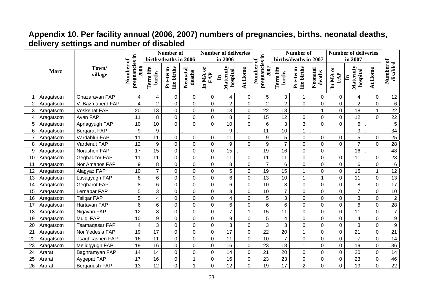### **Appendix 10. Per facility annual (2006, 2007) numbers of pregnancies, births, neonatal deaths, delivery settings and number of disabled**

|                |             |                     |                                  |                     | Number of               |                    |                                      | <b>Number of deliveries</b>                  |                |                               |                     | <b>Number of</b>        |                    |                                      | <b>Number of deliveries</b>           |                  |                       |
|----------------|-------------|---------------------|----------------------------------|---------------------|-------------------------|--------------------|--------------------------------------|----------------------------------------------|----------------|-------------------------------|---------------------|-------------------------|--------------------|--------------------------------------|---------------------------------------|------------------|-----------------------|
|                |             |                     | ัธ                               |                     | births/deaths in 2006   |                    |                                      | in 2006                                      |                | Ξ.<br>ัธ                      |                     | births/deaths in 2007   |                    |                                      | in 2007                               |                  |                       |
|                | <b>Marz</b> | Town/<br>village    | pregnancies in<br>Number<br>2006 | Term life<br>births | life births<br>Pre-term | Neonatal<br>deaths | $\mathbf{5}$<br>${\bf FAP}$<br>In MA | Maternity<br><b>hospital</b><br>$\mathbf{H}$ | At Home        | pregnancies<br>Number<br>2007 | Term life<br>births | life births<br>Pre-term | Neonatal<br>deaths | $\mathbf{5}$<br>${\bf FAP}$<br>In MA | Maternity<br>hospital<br>$\mathbf{H}$ | At Home          | Number of<br>disabled |
|                | Aragatsotn  | Ghazaravan FAP      | 4                                | 4                   | 0                       | $\mathbf 0$        | $\boldsymbol{0}$                     | 4                                            | $\mathbf 0$    | 5                             | 3                   | 1                       | $\mathbf 0$        | $\mathbf 0$                          | $\overline{\mathbf{4}}$               | $\boldsymbol{0}$ | 12                    |
| $\overline{2}$ | Aragatsotn  | V. Bazmaberd FAP    | 4                                | $\overline{c}$      | $\mathbf 0$             | $\mathbf 0$        | $\mathbf 0$                          | $\overline{2}$                               | $\mathbf 0$    | $\overline{2}$                | $\overline{2}$      | $\overline{0}$          | 0                  | $\mathbf 0$                          | $\overline{2}$                        | $\mathbf 0$      | $\,6$                 |
| 3              | Aragatsotn  | <b>Voskehat FAP</b> | 20                               | 13                  | $\mathbf 0$             | 0                  | 0                                    | 13                                           | $\mathbf 0$    | 22                            | 18                  | $\mathbf{1}$            | $\mathbf{1}$       | 0                                    | 18                                    | $\mathbf{1}$     | 22                    |
| 4              | Aragatsotn  | Avan FAP            | 11                               | 8                   | $\mathbf 0$             | $\mathbf 0$        | $\mathbf 0$                          | 8                                            | $\mathbf 0$    | 15                            | 12                  | $\mathbf 0$             | 0                  | $\mathbf 0$                          | 12                                    | $\overline{0}$   | 22                    |
| 5              | Aragatsotn  | Apnagyugh FAP       | 10                               | 10                  | $\overline{0}$          | $\overline{0}$     | $\overline{0}$                       | 10                                           | 0              | $6\phantom{1}$                | 3                   | 3                       | $\Omega$           | $\overline{0}$                       | 6                                     |                  | 5                     |
| 6              | Aragatsotn  | <b>Bergarat FAP</b> | 9                                | $\boldsymbol{9}$    |                         |                    |                                      | 9                                            |                | 11                            | 10                  | $\mathbf{1}$            |                    |                                      | 9                                     |                  | 34                    |
|                | Aragatsotn  | Vardablur FAP       | 11                               | 11                  | $\mathbf 0$             | $\overline{0}$     | $\mathbf 0$                          | 11                                           | $\mathbf 0$    | $\boldsymbol{9}$              | 5                   | $\mathbf 0$             | $\mathbf 0$        | $\overline{0}$                       | 5                                     | 0                | 25                    |
| 8              | Aragatsotn  | Vardenut FAP        | 12                               | 9                   | $\overline{0}$          | $\overline{0}$     | $\overline{0}$                       | 9                                            | $\mathbf{0}$   | 9                             | $\overline{7}$      | $\overline{0}$          | $\overline{0}$     | $\overline{0}$                       | $\overline{7}$                        | $\overline{0}$   | 28                    |
| 9              | Aragatsotn  | Norashen FAP        | 17                               | 15                  | $\boldsymbol{0}$        | $\mathbf 0$        | 0                                    | 15                                           |                | 19                            | 16                  | 0                       | 0                  |                                      | 16                                    |                  | 48                    |
| 10             | Aragatsotn  | Geghadzor FAP       | 11                               | 11                  | $\mathbf 0$             | $\overline{0}$     | $\mathbf 0$                          | 11                                           | $\mathbf 0$    | 11                            | 11                  | $\overline{0}$          | 0                  | $\mathbf 0$                          | 11                                    | $\mathsf 0$      | 23                    |
| 11             | Aragatsotn  | Nor Amanos FAP      | 9                                | $\bf 8$             | $\boldsymbol{0}$        | $\mathsf 0$        | 0                                    | 8                                            | $\mathbf 0$    | $\overline{7}$                | 6                   | $\mathbf 0$             | $\mathbf 0$        | 0                                    | 6                                     | $\mathsf 0$      | $\,6\,$               |
| 12             | Aragatsotn  | Alagyaz FAP         | 10                               | $\overline{7}$      | $\mathbf 0$             | $\mathbf 0$        | $\mathbf 0$                          | 5                                            | $\overline{2}$ | 19                            | 15                  | $\mathbf{1}$            | $\mathbf 0$        | $\mathbf 0$                          | 15                                    | $\mathbf{1}$     | 12                    |
| 13             | Aragatsotn  | Lusagyugh FAP       | 8                                | 6                   | $\mathbf 0$             | $\mathbf 0$        | $\overline{0}$                       | 6                                            | 0              | 13                            | 10                  | $\mathbf{1}$            | 1                  | $\mathbf 0$                          | 11                                    | $\mathsf 0$      | 13                    |
| 14             | Aragatsotn  | <b>Gegharot FAP</b> | 8                                | 6                   | $\mathbf 0$             | $\mathbf 0$        | $\overline{0}$                       | 6                                            | $\mathbf 0$    | 10                            | 8                   | $\mathbf 0$             | $\overline{0}$     | $\mathbf 0$                          | 8                                     | $\mathsf 0$      | 17                    |
| 15             | Aragatsotn  | Lernapar FAP        | 5                                | 3                   | $\boldsymbol{0}$        | 0                  | $\mathbf 0$                          | 3                                            | $\mathbf 0$    | 10                            | $\overline{7}$      | $\mathsf 0$             | $\mathbf 0$        | $\mathbf 0$                          | $\overline{7}$                        | $\mathsf 0$      | 10                    |
| 16             | Aragatsotn  | <b>Tsilgar FAP</b>  | 5                                | 4                   | $\boldsymbol{0}$        | 0                  | 0                                    | 4                                            | $\mathbf 0$    | 5                             | 3                   | $\mathbf 0$             | $\mathbf 0$        | 0                                    | 3                                     | $\boldsymbol{0}$ | $\overline{2}$        |
| -17            | Aragatsotn  | Hartavan FAP        | 6                                | 6                   | $\mathbf 0$             | $\mathbf 0$        | $\overline{0}$                       | 6                                            | 0              | 6                             | 6                   | $\mathbf 0$             | 0                  | $\mathbf 0$                          | 6                                     | $\mathbf 0$      | 28                    |
| 18             | Aragatsotn  | Nigavan FAP         | 12                               | 8                   | $\mathbf 0$             | 0                  | 0                                    | $\overline{7}$                               | 1              | 15                            | 11                  | $\mathbf 0$             | $\mathbf 0$        | 0                                    | 11                                    | $\mathbf 0$      | $\overline{7}$        |
| 19             | Aragatsotn  | Mulgi FAP           | 10                               | 9                   | $\mathbf 0$             | 0                  | $\mathbf 0$                          | 9                                            | $\mathbf 0$    | 5                             | 4                   | $\overline{0}$          | $\mathbf 0$        | $\overline{0}$                       | $\overline{\mathbf{4}}$               | $\mathsf 0$      | $\boldsymbol{9}$      |
| 20             | Aragatsotn  | Tsamaqasar FAP      | 4                                | 3                   | $\overline{0}$          | $\mathbf 0$        | $\overline{0}$                       | 3                                            | $\overline{0}$ | $\overline{3}$                | 3                   | $\overline{0}$          | 0                  | $\overline{0}$                       | 3                                     | $\overline{0}$   | $\overline{9}$        |
| 21             | Aragatsotn  | Nor Yedesia FAP     | 19                               | 17                  | $\overline{0}$          | $\mathbf 0$        | $\overline{0}$                       | 17                                           | $\mathbf 0$    | 22                            | 20                  | $\mathbf{1}$            | $\overline{0}$     | $\mathbf 0$                          | 21                                    | $\overline{0}$   | $\overline{21}$       |
| 22             | Aragatsotn  | Tsaghkashen FAP     | 16                               | 11                  | $\boldsymbol{0}$        | $\overline{0}$     | $\overline{0}$                       | 11                                           | $\mathbf{0}$   | 10                            | $\overline{7}$      | $\mathbf 0$             | $\overline{0}$     | $\overline{0}$                       | $\overline{7}$                        | $\mathsf 0$      | 14                    |
| 23             | Aragatsotn  | Meliqgyugh FAP      | 19                               | 16                  | $\boldsymbol{0}$        | 0                  | 0                                    | 16                                           | $\mathbf 0$    | 23                            | 18                  | $\mathbf 1$             | $\mathbf 0$        | 0                                    | 19                                    | $\mathsf 0$      | 36                    |
| 24             | Ararat      | Baghramyan FAP      | 14                               | 14                  | $\mathbf 0$             | $\mathsf 0$        | $\mathbf 0$                          | 14                                           | $\mathbf 0$    | 21                            | 20                  | $\mathsf 0$             | $\mathbf 0$        | 0                                    | 20                                    | $\mathsf 0$      | 14                    |
| 25             | Ararat      | Aygepat FAP         | 17                               | 16                  | $\mathbf 0$             |                    | 0                                    | 16                                           | $\pmb{0}$      | 23                            | 23                  | $\mathsf 0$             | $\pmb{0}$          | 0                                    | 23                                    | $\mathsf 0$      | 46                    |
| 26             | Ararat      | Berganush FAP       | 13                               | 12                  | $\overline{0}$          |                    | $\overline{0}$                       | 12                                           | $\overline{0}$ | 19                            | 17                  | $\overline{2}$          | 0                  | $\mathbf 0$                          | 19                                    | $\mathbf 0$      | $\overline{22}$       |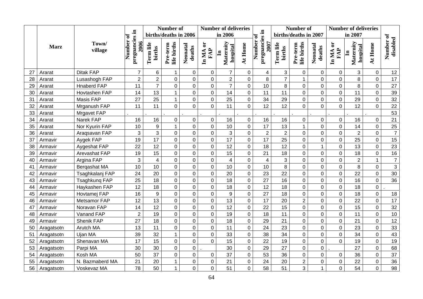|    |             |                    |                                     |                     | Number of               |                    |                                        | <b>Number of deliveries</b>           |                | - -                           |                     | <b>Number of</b>        |                    |                                      | <b>Number of deliveries</b>           |                  |                       |
|----|-------------|--------------------|-------------------------------------|---------------------|-------------------------|--------------------|----------------------------------------|---------------------------------------|----------------|-------------------------------|---------------------|-------------------------|--------------------|--------------------------------------|---------------------------------------|------------------|-----------------------|
|    |             |                    |                                     |                     | births/deaths in 2006   |                    |                                        | in 2006                               |                | ัธ                            |                     | births/deaths in 2007   |                    |                                      | in 2007                               |                  |                       |
|    | <b>Marz</b> | Town/<br>village   | pregnancies in<br>Number of<br>2006 | Term life<br>births | life births<br>Pre-term | Neonatal<br>deaths | $\mathfrak{S}$<br>${\bf FAP}$<br>In MA | Maternity<br>hospital<br>$\mathbf{H}$ | At Home        | pregnancies<br>Number<br>2007 | Term life<br>births | life births<br>Pre-term | Neonatal<br>deaths | $\mathbf{5}$<br>${\bf FAP}$<br>In MA | Maternity<br>hospital<br>$\mathbf{H}$ | At Home          | Number of<br>disabled |
| 27 | Ararat      | <b>Ditak FAP</b>   | $\overline{7}$                      | 6                   | 1                       | 0                  | $\Omega$                               | $\overline{7}$                        | $\Omega$       | 4                             | 3                   | $\Omega$                | 0                  | 0                                    | 3                                     | 0                | 12                    |
| 28 | Ararat      | Lusashogh FAP      | $\overline{2}$                      | $\overline{2}$      | $\pmb{0}$               | $\pmb{0}$          | $\pmb{0}$                              | $\overline{2}$                        | $\mathbf 0$    | $\bf 8$                       | $\overline{7}$      | $\mathbf 1$             | $\mathbf 0$        | $\mathbf 0$                          | 8                                     | $\boldsymbol{0}$ | 17                    |
| 29 | Ararat      | <b>Hnaberd FAP</b> | 11                                  | $\overline{7}$      | $\overline{0}$          | $\mathbf 0$        | 0                                      | $\overline{7}$                        | $\overline{0}$ | 10                            | $\overline{8}$      | $\mathbf 0$             | 0                  | $\mathbf 0$                          | 8                                     | $\mathsf 0$      | $\overline{27}$       |
| 30 | Ararat      | Hovtashen FAP      | 14                                  | 13                  | $\mathbf{1}$            | $\mathbf 0$        | 0                                      | 14                                    | $\mathbf 0$    | 11                            | 11                  | $\pmb{0}$               | $\mathbf 0$        | $\mathbf 0$                          | 11                                    | $\mathsf 0$      | 39                    |
| 31 | Ararat      | Masis FAP          | 27                                  | 25                  | $\mathbf{1}$            | $\pmb{0}$          | 0                                      | 25                                    | 0              | 34                            | 29                  | $\mathbf 0$             | 0                  | $\mathbf 0$                          | 29                                    | 0                | 32                    |
| 32 | Ararat      | Mrganush FAP       | 11                                  | 11                  | $\overline{0}$          | $\overline{0}$     | 0                                      | 11                                    | $\overline{0}$ | 12                            | 12                  | $\overline{0}$          | $\overline{0}$     | $\overline{0}$                       | 12                                    | $\overline{0}$   | 22                    |
| 33 | Ararat      | Mrgavet FAP        |                                     |                     |                         |                    |                                        |                                       |                |                               |                     |                         |                    |                                      |                                       |                  | 53                    |
| 34 | Ararat      | Narek FAP          | 16                                  | 16                  | $\pmb{0}$               | $\mathbf 0$        | 0                                      | 16                                    | $\overline{0}$ | 16                            | 16                  | $\mathbf 0$             | $\mathbf 0$        | $\mathbf 0$                          | 16                                    | $\mathbf 0$      | 21                    |
| 35 | Ararat      | Nor Kyurin FAP     | 10                                  | 9                   | $\mathbf{1}$            | $\overline{0}$     | $\overline{0}$                         | 10                                    | $\overline{0}$ | 17                            | 13                  | $\mathbf{1}$            | $\overline{0}$     | $\overline{0}$                       | 14                                    | $\overline{0}$   | 25                    |
| 36 | Ararat      | Araqsavan FAP      | 3                                   | 3                   | $\mathbf 0$             | $\pmb{0}$          | 0                                      | 3                                     | $\mathbf 0$    | $\boldsymbol{2}$              | $\overline{2}$      | $\mathbf 0$             | $\mathbf 0$        | $\pmb{0}$                            | $\overline{2}$                        | 0                | $\overline{7}$        |
| 37 | Armavir     | Aygek FAP          | 19                                  | 17                  | $\mathbf 0$             | $\pmb{0}$          | 0                                      | 17                                    | $\overline{0}$ | 17                            | 25                  | $\mathbf 0$             | $\overline{0}$     | $\mathbf 0$                          | 25                                    | $\mathbf 0$      | 15                    |
| 38 | Armavir     | Aygeshat FAP       | 22                                  | 12                  | $\mathbf 0$             | $\pmb{0}$          | $\boldsymbol{0}$                       | 12                                    | $\mathbf 0$    | 18                            | 12                  | $\pmb{0}$               | $\mathbf{1}$       | $\mathbf 0$                          | 13                                    | 0                | 23                    |
| 39 | Armavir     | Arevashat FAP      | 19                                  | 15                  | $\pmb{0}$               | $\mathbf 0$        | 0                                      | 15                                    | 0              | 21                            | 18                  | $\mathbf 0$             | $\overline{0}$     | $\mathbf 0$                          | 18                                    | $\mathbf 0$      | 16                    |
| 40 | Armavir     | Argina FAP         | 3                                   | $\overline{4}$      | $\mathsf 0$             | $\mathbf 0$        | $\mathbf 0$                            | $\overline{4}$                        | $\overline{0}$ | $\overline{\mathbf{4}}$       | 3                   | $\mathbf 0$             | $\mathbf 0$        | $\mathbf 0$                          | $\overline{2}$                        | $\mathbf{1}$     | $\overline{7}$        |
| 41 | Armavir     | Bergashat MA       | 10                                  | 10                  | $\mathbf 0$             | $\mathbf 0$        | $\overline{0}$                         | 10                                    | $\overline{0}$ | 10                            | 8                   | $\mathbf 0$             | $\mathbf 0$        | $\mathbf 0$                          | 8                                     | $\overline{0}$   | $\overline{3}$        |
| 42 | Armavir     | Tsaghkalanj FAP    | 24                                  | 20                  | $\mathbf 0$             | $\mathbf 0$        | $\overline{0}$                         | 20                                    | $\overline{0}$ | 23                            | 22                  | $\overline{0}$          | $\overline{0}$     | $\mathbf 0$                          | 22                                    | $\overline{0}$   | 30                    |
| 43 | Armavir     | Tsaghkung FAP      | 25                                  | 18                  | $\mathbf 0$             | $\mathbf 0$        | 0                                      | 18                                    | $\overline{0}$ | 27                            | 16                  | $\mathbf 0$             | $\mathbf 0$        | $\mathbf 0$                          | 16                                    | $\mathbf 0$      | 36                    |
| 44 | Armavir     | Haykashen FAP      | 12                                  | 18                  | $\boldsymbol{0}$        | $\pmb{0}$          | 0                                      | 18                                    | $\mathbf 0$    | 12                            | 18                  | $\mathbf 0$             | $\mathbf 0$        | $\mathbf 0$                          | 18                                    | 0                |                       |
| 45 | Armavir     | Hovtamej FAP       | 16                                  | 9                   | $\mathbf 0$             | $\mathbf 0$        | $\overline{0}$                         | 9                                     | $\overline{0}$ | $\overline{27}$               | 18                  | $\overline{0}$          | $\overline{0}$     | $\overline{0}$                       | 18                                    | $\overline{0}$   | 18                    |
| 46 | Armavir     | Metsamor FAP       | 12                                  | 13                  | $\mathbf 0$             | $\pmb{0}$          | $\mathsf 0$                            | 13                                    | $\overline{0}$ | 17                            | 20                  | $\overline{2}$          | $\mathbf 0$        | $\boldsymbol{0}$                     | 22                                    | $\mathbf 0$      | $\overline{17}$       |
| 47 | Armavir     | Noravan FAP        | 14                                  | 12                  | $\mathbf 0$             | $\mathbf 0$        | $\mathbf 0$                            | 12                                    | $\overline{0}$ | 22                            | 15                  | $\overline{0}$          | $\mathbf 0$        | $\mathbf 0$                          | 15                                    | $\overline{0}$   | $\overline{32}$       |
| 48 | Armavir     | Vanand FAP         | $\overline{2}$                      | 19                  | $\mathbf 0$             | $\mathbf 0$        | $\overline{0}$                         | 19                                    | $\overline{0}$ | 18                            | 11                  | $\overline{0}$          | $\overline{0}$     | $\overline{0}$                       | 11                                    | $\overline{0}$   | 10                    |
| 49 | Armavir     | Shenik FAP         | 27                                  | 18                  | $\mathbf 0$             | $\mathbf 0$        | 0                                      | 18                                    | $\mathbf 0$    | 29                            | 21                  | $\mathbf 0$             | $\overline{0}$     | $\pmb{0}$                            | 21                                    | $\mathsf 0$      | 12                    |
| 50 | Aragatsotn  | Arutch MA          | 13                                  | 11                  | $\overline{0}$          | $\pmb{0}$          | 0                                      | 11                                    | $\overline{0}$ | 24                            | 23                  | $\mathbf 0$             | $\mathbf 0$        | $\mathbf 0$                          | 23                                    | $\mathsf 0$      | 33                    |
| 51 | Aragatsotn  | Ujan MA            | 39                                  | 32                  | $\mathbf{1}$            | $\mathbf 0$        | $\mathsf 0$                            | 33                                    | $\mathbf 0$    | 38                            | 34                  | $\mathbf 0$             | $\mathbf 0$        | $\boldsymbol{0}$                     | 34                                    | $\mathbf 0$      | 43                    |
| 52 | Aragatsotn  | Shenavan MA        | 17                                  | 15                  | $\boldsymbol{0}$        | $\mathbf 0$        | 0                                      | 15                                    | $\overline{0}$ | 22                            | 19                  | $\mathbf 0$             | $\mathbf 0$        | $\mathbf 0$                          | 19                                    | $\mathsf 0$      | 19                    |
| 53 | Aragatsotn  | Parpi MA           | 30                                  | 30                  | $\overline{0}$          | $\pmb{0}$          |                                        | 30                                    | $\overline{0}$ | 29                            | 27                  | $\mathbf 0$             | $\mathbf 0$        |                                      | 27                                    | 0                | 68                    |
| 54 | Aragatsotn  | Kosh MA            | 50                                  | 37                  | 0                       | $\mathbf 0$        | 0                                      | 37                                    | $\overline{0}$ | 53                            | 36                  | $\mathbf 0$             | $\overline{0}$     | $\overline{0}$                       | 36                                    | 0                | 37                    |
| 55 | Aragatsotn  | N. Bazmaberd MA    | 21                                  | 20                  | $\mathbf{1}$            | $\mathbf 0$        | 0                                      | 21                                    | $\overline{0}$ | 24                            | 20                  | $\overline{2}$          | $\mathbf 0$        | $\overline{0}$                       | 22                                    | $\overline{0}$   | 36                    |
| 56 | Aragatsotn  | Voskevaz MA        | 78                                  | 50                  | $\mathbf{1}$            | $\overline{0}$     | $\overline{0}$                         | 51                                    | $\overline{0}$ | 58                            | 51                  | 3                       | 1                  | $\mathbf 0$                          | 54                                    | $\overline{0}$   | 98                    |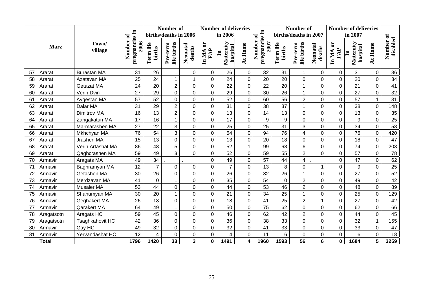|    |              |                    |                                  |                          | Number of               |                         |                                        | <b>Number of deliveries</b>           |                |                               |                     | Number of               |                    |                              | <b>Number of deliveries</b>           |                  |                       |
|----|--------------|--------------------|----------------------------------|--------------------------|-------------------------|-------------------------|----------------------------------------|---------------------------------------|----------------|-------------------------------|---------------------|-------------------------|--------------------|------------------------------|---------------------------------------|------------------|-----------------------|
|    |              |                    | ಕ                                |                          | births/deaths in 2006   |                         |                                        | in 2006                               |                | - -<br>ð                      |                     | births/deaths in 2007   |                    |                              | in 2007                               |                  |                       |
|    | <b>Marz</b>  | Town/<br>village   | pregnancies in<br>Number<br>2006 | Term life<br>births      | life births<br>Pre-term | Neonatal<br>deaths      | $\mathfrak{b}$<br>${\bf FAP}$<br>In MA | Maternity<br>hospital<br>$\mathbf{H}$ | At Home        | pregnancies<br>Number<br>2007 | Term life<br>births | life births<br>Pre-term | Neonatal<br>deaths | $\mathbf{5}$<br>FAP<br>In MA | Maternity<br>hospital<br>$\mathbf{H}$ | At Home          | Number of<br>disabled |
| 57 | Ararat       | <b>Burastan MA</b> | 31                               | 26                       | $\mathbf 1$             | $\Omega$                | $\pmb{0}$                              | 26                                    | $\mathbf 0$    | 32                            | 31                  | $\mathbf 1$             | 0                  | $\mathbf 0$                  | 31                                    | 0                | 36                    |
| 58 | Ararat       | Azatavan MA        | 25                               | 24                       | $\mathbf{1}$            |                         | 0                                      | 24                                    | $\mathbf 0$    | 20                            | 20                  | $\overline{0}$          | $\mathbf 0$        | $\mathbf 0$                  | 20                                    | $\mathsf 0$      | 34                    |
| 59 | Ararat       | Getazat MA         | 24                               | 20                       | $\overline{2}$          | $\overline{0}$          | 0                                      | 22                                    | $\overline{0}$ | 22                            | 20                  | $\overline{1}$          | $\overline{0}$     | $\overline{0}$               | 21                                    | $\mathbf 0$      | 41                    |
| 60 | Ararat       | Verin Dvin         | 27                               | 29                       | $\mathbf 0$             | 0                       | 0                                      | 29                                    | $\overline{0}$ | 30                            | 26                  | $\mathbf{1}$            | $\mathbf 0$        | $\mathbf 0$                  | 27                                    | $\boldsymbol{0}$ | 32                    |
| 61 | Ararat       | Aygestan MA        | 57                               | 52                       | $\boldsymbol{0}$        | 0                       | 0                                      | 52                                    | $\overline{0}$ | 60                            | 56                  | $\overline{2}$          | $\mathbf 0$        | $\mathbf 0$                  | 57                                    | $\mathbf{1}$     | $\overline{31}$       |
| 62 | Ararat       | Dalar MA           | 31                               | 29                       | $\overline{2}$          | $\overline{0}$          | 0                                      | 31                                    | $\overline{0}$ | 38                            | 37                  | $\mathbf{1}$            | $\overline{0}$     | $\overline{0}$               | 38                                    | $\mathbf 0$      | 148                   |
| 63 | Ararat       | Dimitrov MA        | 16                               | 13                       | $\overline{2}$          | 0                       | 0                                      | 13                                    | 0              | 14                            | 13                  | 0                       | $\mathbf 0$        | $\mathbf 0$                  | 13                                    | 0                | 35                    |
| 64 | Ararat       | Zangakatun MA      | 17                               | 16                       | $\overline{1}$          | $\overline{0}$          | $\overline{0}$                         | 17                                    | $\overline{0}$ | 9                             | 9                   | $\mathbf 0$             | $\mathbf 0$        | $\overline{0}$               | 9                                     | $\mathsf 0$      | 25                    |
| 65 | Ararat       | Marmarashen MA     | 27                               | 22                       | 3                       | 0                       | 0                                      | 25                                    | $\overline{0}$ | 25                            | 31                  | 3                       | $\mathbf 0$        | $\mathbf 0$                  | 34                                    | 0                | 58                    |
| 66 | Ararat       | Mkhchyan MA        | 76                               | 54                       | $\overline{3}$          | $\overline{0}$          | $\overline{0}$                         | 54                                    | $\overline{0}$ | 94                            | 76                  | $\overline{4}$          | $\overline{0}$     | $\overline{0}$               | 76                                    | $\mathbf 0$      | 420                   |
| 67 | Ararat       | Jrashen MA         | 15                               | 13                       | $\mathbf 0$             | 0                       | 0                                      | 13                                    | $\mathbf 0$    | 20                            | 18                  | 0                       | $\mathbf 0$        | $\mathbf 0$                  | 18                                    | $\boldsymbol{0}$ | 47                    |
| 68 | Ararat       | Verin Artashat MA  | 86                               | 48                       | $\overline{5}$          | $\mathbf 0$             | 0                                      | 52                                    | $\mathbf{1}$   | 99                            | 68                  | 6                       | $\mathbf 0$        | $\mathbf 0$                  | 74                                    | $\boldsymbol{0}$ | 203                   |
| 69 | Ararat       | Qaghcrashen MA     | 59                               | 49                       | $\overline{3}$          | $\overline{0}$          | $\mathbf 0$                            | 52                                    | $\overline{0}$ | 59                            | 55                  | $\overline{2}$          | $\Omega$           | $\mathbf 0$                  | 57                                    | 0                | 78                    |
| 70 | Armavir      | Aragats MA         | 49                               | 34                       |                         |                         | 0                                      | 49                                    | $\mathbf 0$    | 57                            | 44                  | $\overline{\mathbf{4}}$ |                    | $\mathbf 0$                  | 47                                    | $\mathsf 0$      | 62                    |
| 71 | Armavir      | Baghramyan MA      | 12                               | $\overline{7}$           | 0                       | 0                       | 0                                      | $\overline{7}$                        | $\mathbf 0$    | 13                            | 8                   | $\overline{0}$          | 1                  | $\mathbf 0$                  | $\boldsymbol{9}$                      | $\mathbf 0$      | $\overline{25}$       |
| 72 | Armavir      | Getashen MA        | 30                               | 26                       | $\mathbf 0$             | 0                       | 0                                      | 26                                    | $\overline{0}$ | 32                            | 26                  | $\overline{1}$          | $\overline{0}$     | $\overline{0}$               | 27                                    | 0                | 52                    |
| 73 | Armavir      | Merdzavan MA       | 41                               | $\mathbf 0$              | $\mathbf{1}$            | 0                       | 0                                      | 35                                    | $\overline{0}$ | 54                            | 0                   | $\overline{2}$          | $\mathbf 0$        | $\overline{0}$               | 49                                    | $\boldsymbol{0}$ | 42                    |
| 74 | Armavir      | Musaler MA         | 53                               | 44                       | $\overline{0}$          | $\overline{0}$          | $\overline{0}$                         | 44                                    | $\Omega$       | 53                            | 46                  | $\overline{2}$          | $\overline{0}$     | $\overline{0}$               | 48                                    | $\mathbf 0$      | 89                    |
| 75 | Armavir      | Shahumyan MA       | 30                               | 20                       | $\mathbf{1}$            | $\mathbf 0$             | 0                                      | 21                                    | $\overline{0}$ | 34                            | 25                  | $\mathbf{1}$            | 0                  | $\mathbf 0$                  | 25                                    | 0                | 129                   |
| 76 | Armavir      | Geghakert MA       | 26                               | 18                       | $\overline{0}$          | $\overline{0}$          | $\overline{0}$                         | 18                                    | $\overline{0}$ | 41                            | 25                  | $\overline{2}$          | $\mathbf{1}$       | $\overline{0}$               | 27                                    | $\mathbf 0$      | 42                    |
| 77 | Armavir      | Qarakert MA        | 64                               | 49                       | $\mathbf{1}$            | 0                       | 0                                      | 50                                    | $\overline{0}$ | 75                            | 62                  | $\mathbf 0$             | $\mathbf 0$        | $\overline{0}$               | 62                                    | 0                | 66                    |
| 78 | Aragatsotn   | Aragats HC         | 59                               | 45                       | $\mathbf 0$             | $\overline{0}$          | 0                                      | 46                                    | $\overline{0}$ | 62                            | 42                  | $\overline{2}$          | $\mathbf 0$        | $\overline{0}$               | 44                                    | $\boldsymbol{0}$ | 45                    |
| 79 | Aragatsotn   | Tsaghkahovit HC    | 42                               | 36                       | $\mathbf 0$             | $\mathbf 0$             | 0                                      | 36                                    | $\overline{0}$ | 38                            | 33                  | $\mathbf 0$             | $\mathbf 0$        | $\mathbf 0$                  | 32                                    | $\mathbf{1}$     | 155                   |
| 80 | Armavir      | Gay HC             | 49                               | 32                       | $\mathbf 0$             | 0                       | $\mathsf 0$                            | 32                                    | $\mathbf 0$    | 41                            | 33                  | $\mathsf 0$             | $\mathbf 0$        | $\pmb{0}$                    | 33                                    | $\boldsymbol{0}$ | 47                    |
| 81 | Armavir      | Yervandashat HC    | 12                               | $\overline{\mathcal{A}}$ | $\mathbf 0$             | 0                       | 0                                      | 4                                     | $\overline{0}$ | 11                            | 6                   | $\mathbf 0$             | 0                  | $\pmb{0}$                    | 6                                     | $\boldsymbol{0}$ | 18                    |
|    | <b>Total</b> |                    | 1796                             | 1420                     | 33                      | $\overline{\mathbf{3}}$ | 0                                      | 1491                                  | 4              | 1960                          | 1593                | 56                      | 6                  | $\pmb{0}$                    | 1684                                  | 5 <sup>5</sup>   | 3259                  |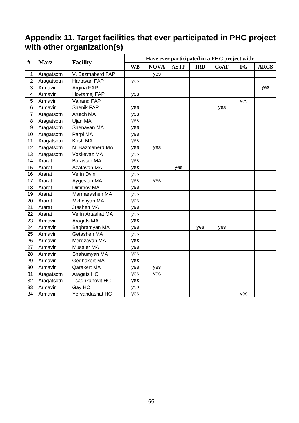#### **Appendix 11. Target facilities that ever participated in PHC project with other organization(s)**

| #              | <b>Marz</b> | <b>Facility</b>    |           |             |             |            | Have ever participated in a PHC project with: |     |             |
|----------------|-------------|--------------------|-----------|-------------|-------------|------------|-----------------------------------------------|-----|-------------|
|                |             |                    | <b>WB</b> | <b>NOVA</b> | <b>ASTP</b> | <b>IRD</b> | <b>CoAF</b>                                   | FG  | <b>ARCS</b> |
| 1              | Aragatsotn  | V. Bazmaberd FAP   |           | yes         |             |            |                                               |     |             |
| $\mathbf 2$    | Aragatsotn  | Hartavan FAP       | yes       |             |             |            |                                               |     |             |
| 3              | Armavir     | Argina FAP         |           |             |             |            |                                               |     | yes         |
| 4              | Armavir     | Hovtamej FAP       | yes       |             |             |            |                                               |     |             |
| 5              | Armavir     | Vanand FAP         |           |             |             |            |                                               | yes |             |
| 6              | Armavir     | Shenik FAP         | yes       |             |             |            | yes                                           |     |             |
| $\overline{7}$ | Aragatsotn  | Arutch MA          | yes       |             |             |            |                                               |     |             |
| 8              | Aragatsotn  | Ujan MA            | yes       |             |             |            |                                               |     |             |
| 9              | Aragatsotn  | Shenavan MA        | yes       |             |             |            |                                               |     |             |
| 10             | Aragatsotn  | Parpi MA           | yes       |             |             |            |                                               |     |             |
| 11             | Aragatsotn  | Kosh MA            | yes       |             |             |            |                                               |     |             |
| 12             | Aragatsotn  | N. Bazmaberd MA    | yes       | yes         |             |            |                                               |     |             |
| 13             | Aragatsotn  | Voskevaz MA        | yes       |             |             |            |                                               |     |             |
| 14             | Ararat      | <b>Burastan MA</b> | yes       |             |             |            |                                               |     |             |
| 15             | Ararat      | Azatavan MA        | yes       |             | yes         |            |                                               |     |             |
| 16             | Ararat      | Verin Dvin         | yes       |             |             |            |                                               |     |             |
| 17             | Ararat      | Aygestan MA        | yes       | yes         |             |            |                                               |     |             |
| 18             | Ararat      | Dimitrov MA        | yes       |             |             |            |                                               |     |             |
| 19             | Ararat      | Marmarashen MA     | yes       |             |             |            |                                               |     |             |
| 20             | Ararat      | Mkhchyan MA        | yes       |             |             |            |                                               |     |             |
| 21             | Ararat      | Jrashen MA         | yes       |             |             |            |                                               |     |             |
| 22             | Ararat      | Verin Artashat MA  | yes       |             |             |            |                                               |     |             |
| 23             | Armavir     | Aragats MA         | yes       |             |             |            |                                               |     |             |
| 24             | Armavir     | Baghramyan MA      | yes       |             |             | yes        | yes                                           |     |             |
| 25             | Armavir     | Getashen MA        | yes       |             |             |            |                                               |     |             |
| 26             | Armavir     | Merdzavan MA       | yes       |             |             |            |                                               |     |             |
| 27             | Armavir     | Musaler MA         | yes       |             |             |            |                                               |     |             |
| 28             | Armavir     | Shahumyan MA       | yes       |             |             |            |                                               |     |             |
| 29             | Armavir     | Geghakert MA       | yes       |             |             |            |                                               |     |             |
| 30             | Armavir     | Qarakert MA        | yes       | yes         |             |            |                                               |     |             |
| 31             | Aragatsotn  | Aragats HC         | yes       | yes         |             |            |                                               |     |             |
| 32             | Aragatsotn  | Tsaghkahovit HC    | yes       |             |             |            |                                               |     |             |
| 33             | Armavir     | Gay HC             | yes       |             |             |            |                                               |     |             |
| 34             | Armavir     | Yervandashat HC    | yes       |             |             |            |                                               | yes |             |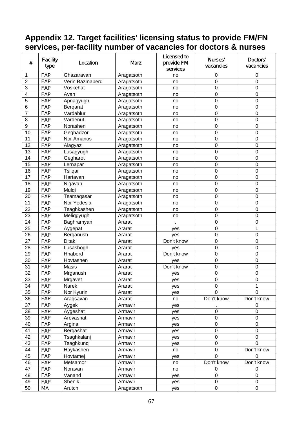### **Appendix 12. Target facilities' licensing status to provide FM/FN services, per-facility number of vacancies for doctors & nurses**

| $\#$             | <b>Facility</b><br>type | Location        | <b>Marz</b> | <b>Licensed to</b><br>provide FM<br>services | Nurses'<br>vacancies | Doctors'<br>vacancies |
|------------------|-------------------------|-----------------|-------------|----------------------------------------------|----------------------|-----------------------|
| 1                | FAP                     | Ghazaravan      | Aragatsotn  | no                                           | 0                    | $\pmb{0}$             |
| $\overline{2}$   | FAP                     | Verin Bazmaberd | Aragatsotn  | no                                           | $\mathbf 0$          | $\mathbf 0$           |
| $\overline{3}$   | <b>FAP</b>              | Voskehat        | Aragatsotn  | no                                           | $\mathbf 0$          | $\mathbf 0$           |
| 4                | FAP                     | Avan            | Aragatsotn  | no                                           | 0                    | $\mathbf 0$           |
| 5                | FAP                     | Apnagyugh       | Aragatsotn  | no                                           | 0                    | $\mathbf 0$           |
| 6                | FAP                     | Bergarat        | Aragatsotn  | no                                           | 0                    | $\mathbf 0$           |
| $\overline{7}$   | <b>FAP</b>              | Vardablur       | Aragatsotn  | no                                           | 0                    | $\mathbf 0$           |
| 8                | FAP                     | Vardenut        | Aragatsotn  | no                                           | 0                    | $\mathbf 0$           |
| $\boldsymbol{9}$ | FAP                     | Norashen        | Aragatsotn  | no                                           | 0                    | $\mathbf 0$           |
| 10               | FAP                     | Geghadzor       | Aragatsotn  | no                                           | 0                    | $\mathbf 0$           |
| 11               | FAP                     | Nor Amanos      | Aragatsotn  | no                                           | 0                    | $\boldsymbol{0}$      |
| 12               | FAP                     | Alagyaz         | Aragatsotn  | no                                           | 0                    | $\mathbf 0$           |
| 13               | FAP                     | Lusagyugh       | Aragatsotn  | no                                           | 0                    | $\mathbf 0$           |
| 14               | FAP                     | Gegharot        | Aragatsotn  | no                                           | 0                    | 0                     |
| 15               | FAP                     | Lernapar        | Aragatsotn  | no                                           | 0                    | $\mathbf 0$           |
| 16               | FAP                     | Tsilqar         | Aragatsotn  | no                                           | 0                    | $\mathbf 0$           |
| 17               | FAP                     | Hartavan        | Aragatsotn  | no                                           | 0                    | $\mathbf 0$           |
| 18               | FAP                     | Nigavan         | Aragatsotn  | no                                           | 0                    | $\boldsymbol{0}$      |
| 19               | FAP                     | Mulgi           | Aragatsotn  | no                                           | $\mathbf 0$          | $\mathbf 0$           |
| 20               | FAP                     | Tsamaqasar      | Aragatsotn  | no                                           | $\mathbf 0$          | $\mathbf 0$           |
| 21               | FAP                     | Nor Yedesia     | Aragatsotn  | no                                           | $\mathbf 0$          | $\mathbf 0$           |
| 22               | FAP                     | Tsaghkashen     | Aragatsotn  | no                                           | 0                    | $\mathbf 0$           |
| 23               | FAP                     | Meliqgyugh      | Aragatsotn  | no                                           | 0                    | $\mathbf 0$           |
| 24               | FAP                     | Baghramyan      | Ararat      |                                              | $\mathbf 0$          | $\mathbf 0$           |
| 25               | FAP                     | Aygepat         | Ararat      | yes                                          | $\mathbf 0$          | 1                     |
| 26               | FAP                     | Berganush       | Ararat      | yes                                          | 0                    | $\mathbf 0$           |
| 27               | FAP                     | <b>Ditak</b>    | Ararat      | Don't know                                   | 0                    | $\boldsymbol{0}$      |
| 28               | FAP                     | Lusashogh       | Ararat      | yes                                          | 0                    | $\boldsymbol{0}$      |
| 29               | FAP                     | Hnaberd         | Ararat      | Don't know                                   | 0                    | $\mathbf 0$           |
| 30               | FAP                     | Hovtashen       | Ararat      | yes                                          | 0                    | $\mathbf 0$           |
| 31               | FAP                     | Masis           | Ararat      | Don't know                                   | 0                    | $\mathbf 0$           |
| 32               | FAP                     | Mrganush        | Ararat      | yes                                          | 0                    | $\pmb{0}$             |
| 33               | FAP                     | Mrgavet         | Ararat      | yes                                          | $\mathbf 0$          | $\mathbf 0$           |
| 34               | <b>FAP</b>              | Narek           | Ararat      | yes                                          | 0                    | 1                     |
| 35               | <b>FAP</b>              | Nor Kyurin      | Ararat      | yes                                          | $\Omega$             | $\Omega$              |
| 36               | FAP                     | Araqsavan       | Ararat      | no                                           | Don't know           | Don't know            |
| 37               | <b>FAP</b>              | Aygek           | Armavir     | yes                                          |                      | $\mathbf 0$           |
| 38               | FAP                     | Aygeshat        | Armavir     | yes                                          | 0                    | 0                     |
| 39               | <b>FAP</b>              | Arevashat       | Armavir     | yes                                          | 0                    | $\mathbf 0$           |
| 40               | FAP                     | Argina          | Armavir     | yes                                          | 0                    | $\boldsymbol{0}$      |
| 41               | FAP                     | Bergashat       | Armavir     | yes                                          | 0                    | $\mathbf 0$           |
| 42               | FAP                     | Tsaghkalanj     | Armavir     | yes                                          | 0                    | $\mathbf 0$           |
| 43               | FAP                     | Tsaghkunq       | Armavir     | yes                                          | 0                    | $\mathbf 0$           |
| 44               | FAP                     | Haykashen       | Armavir     | no                                           | 0                    | Don't know            |
| 45               | FAP                     | Hovtamej        | Armavir     | yes                                          | 0                    | $\overline{0}$        |
| 46               | FAP                     | Metsamor        | Armavir     | no                                           | Don't know           | Don't know            |
| 47               | FAP                     | Noravan         | Armavir     | no                                           | 0                    | 0                     |
| 48               | FAP                     | Vanand          | Armavir     | yes                                          | $\mathbf 0$          | $\mathbf 0$           |
| 49               | <b>FAP</b>              | Shenik          | Armavir     | yes                                          | $\pmb{0}$            | $\pmb{0}$             |
| 50               | МA                      | Arutch          | Aragatsotn  | yes                                          | $\pmb{0}$            | $\mathbf 0$           |